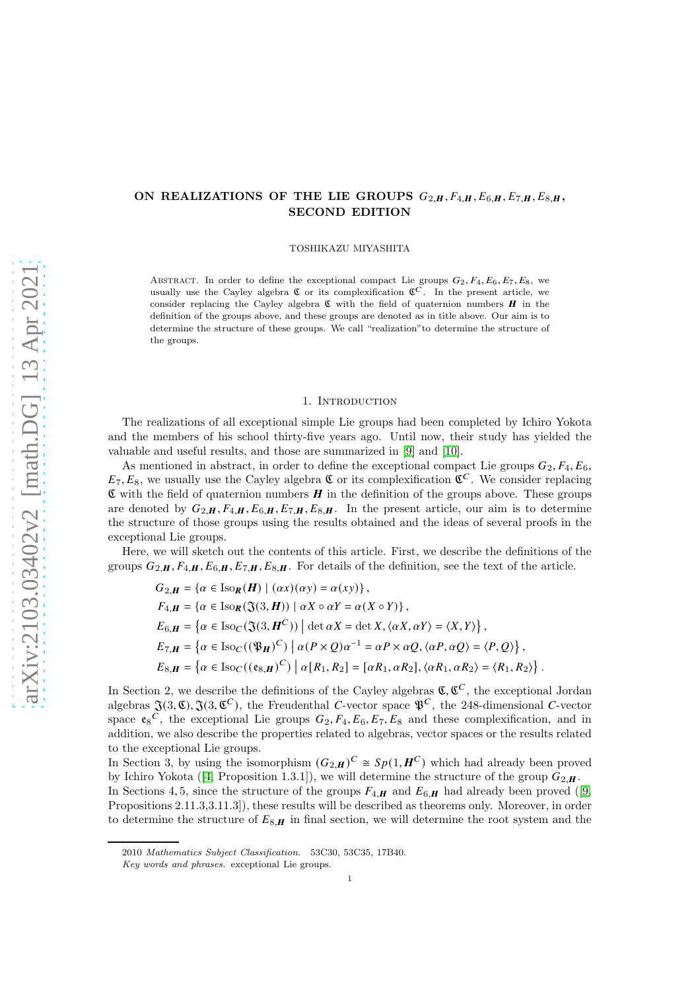## ON REALIZATIONS OF THE LIE GROUPS  $G_{2,H}$ ,  $F_{4,H}$ ,  $E_{6,H}$ ,  $E_{7,H}$ ,  $E_{8,H}$ , SECOND EDITION

TOSHIKAZU MIYASHITA

ABSTRACT. In order to define the exceptional compact Lie groups  $G_2, F_4, E_6, E_7, E_8$ , we usually use the Cayley algebra  $\mathfrak{C}$  or its complexification  $\mathfrak{C}^C$ . In the present article, we consider replacing the Cayley algebra  $\mathfrak C$  with the field of quaternion numbers  $\boldsymbol H$  in the definition of the groups above, and these groups are denoted as in title above. Our aim is to determine the structure of these groups. We call "realization"to determine the structure of the groups.

### 1. INTRODUCTION

The realizations of all exceptional simple Lie groups had been completed by Ichiro Yokota and the members of his school thirty-five years ago. Until now, their study has yielded the valuable and useful results, and those are summarized in [\[9\]](#page-59-0) and [\[10\]](#page-59-1).

As mentioned in abstract, in order to define the exceptional compact Lie groups  $G_2, F_4, E_6$ ,  $E_7, E_8$ , we usually use the Cayley algebra  $\mathfrak C$  or its complexification  $\mathfrak C$ <sup>C</sup>. We consider replacing  $\mathfrak C$  with the field of quaternion numbers  $H$  in the definition of the groups above. These groups are denoted by  $G_{2,H}$ ,  $F_{4,H}$ ,  $E_{6,H}$ ,  $E_{7,H}$ ,  $E_{8,H}$ . In the present article, our aim is to determine the structure of those groups using the results obtained and the ideas of several proofs in the exceptional Lie groups.

Here, we will sketch out the contents of this article. First, we describe the definitions of the groups  $G_{2,H}$ ,  $F_{4,H}$ ,  $E_{6,H}$ ,  $E_{7,H}$ ,  $E_{8,H}$ . For details of the definition, see the text of the article.

$$
G_{2,H} = \{ \alpha \in \operatorname{Iso}_{R}(H) \mid (\alpha x)(\alpha y) = \alpha(xy) \},
$$
  
\n
$$
F_{4,H} = \{ \alpha \in \operatorname{Iso}_{R}(\mathfrak{J}(3,H)) \mid \alpha X \circ \alpha Y = \alpha(X \circ Y) \},
$$
  
\n
$$
E_{6,H} = \{ \alpha \in \operatorname{Iso}_{C}(\mathfrak{J}(3,H^{C})) \mid \det \alpha X = \det X, \langle \alpha X, \alpha Y \rangle = \langle X, Y \rangle \},
$$
  
\n
$$
E_{7,H} = \{ \alpha \in \operatorname{Iso}_{C}((\mathfrak{P}_{H})^{C}) \mid \alpha(P \times Q)\alpha^{-1} = \alpha P \times \alpha Q, \langle \alpha P, \alpha Q \rangle = \langle P, Q \rangle \},
$$
  
\n
$$
E_{8,H} = \{ \alpha \in \operatorname{Iso}_{C}((e_{8,H})^{C}) \mid \alpha[R_{1}, R_{2}] = [\alpha R_{1}, \alpha R_{2}], \langle \alpha R_{1}, \alpha R_{2} \rangle = \langle R_{1}, R_{2} \rangle \}.
$$

In Section 2, we describe the definitions of the Cayley algebras  $\mathfrak{C}, \mathfrak{C}^C$ , the exceptional Jordan algebras  $\mathfrak{J}(3,\mathbb{C}), \mathfrak{J}(3,\mathbb{C}^C)$ , the Freudenthal C-vector space  $\mathfrak{P}^C$ , the 248-dimensional C-vector space  $e_8^C$ , the exceptional Lie groups  $G_2, F_4, E_6, E_7, E_8$  and these complexification, and in addition, we also describe the properties related to algebras, vector spaces or the results related to the exceptional Lie groups.

In Section 3, by using the isomorphism  $(G_{2,H})^C \cong Sp(1, H^C)$  which had already been proved by Ichiro Yokota ([\[4,](#page-59-2) Proposition 1.3.1]), we will determine the structure of the group  $G_{2,\mathbf{H}}$ .

In Sections 4, 5, since the structure of the groups  $F_{4,\mathbf{H}}$  and  $E_{6,\mathbf{H}}$  had already been proved ([\[9,](#page-59-0) Propositions 2.11.3,3.11.3]), these results will be described as theorems only. Moreover, in order to determine the structure of  $E_{8,H}$  in final section, we will determine the root system and the

<sup>2010</sup> Mathematics Subject Classification. 53C30, 53C35, 17B40.

Key words and phrases. exceptional Lie groups.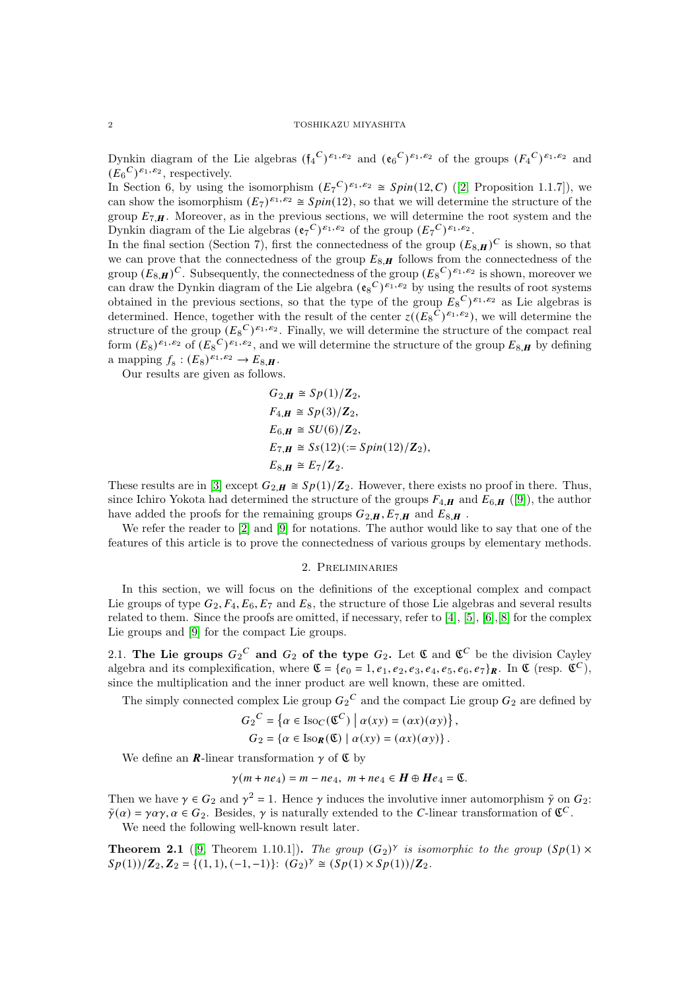### 2 TOSHIKAZU MIYASHITA

Dynkin diagram of the Lie algebras  $({\mathfrak{f}}_4^C)^{\varepsilon_1,\varepsilon_2}$  and  $({\mathfrak{e}}_6^C)^{\varepsilon_1,\varepsilon_2}$  of the groups  $(F_4^C)^{\varepsilon_1,\varepsilon_2}$  and  $(E_6^C)^{\varepsilon_1,\varepsilon_2}$ , respectively.

In Section 6, by using the isomorphism  $(E_7^C)^{\varepsilon_1, \varepsilon_2} \cong Spin(12, C)$  ([\[2,](#page-59-3) Proposition 1.1.7]), we can show the isomorphism  $(E_7)^{\varepsilon_1,\varepsilon_2} \cong Spin(12)$ , so that we will determine the structure of the group  $E_{7,H}$ . Moreover, as in the previous sections, we will determine the root system and the Dynkin diagram of the Lie algebras  $(e_7^C)^{\varepsilon_1, \varepsilon_2}$  of the group  $(E_7^C)^{\varepsilon_1, \varepsilon_2}$ .

In the final section (Section 7), first the connectedness of the group  $(E_{8,H})^C$  is shown, so that we can prove that the connectedness of the group  $E_{8,H}$  follows from the connectedness of the group  $(E_{8,H})^C$ . Subsequently, the connectedness of the group  $(E_8^C)^{\varepsilon_1,\varepsilon_2}$  is shown, moreover we can draw the Dynkin diagram of the Lie algebra  $({\bf \hat{e}_8}^C)^{\epsilon_1,\epsilon_2}$  by using the results of root systems obtained in the previous sections, so that the type of the group  $E_8^C$ ,  $\varepsilon_1$ ,  $\varepsilon_2$  as Lie algebras is determined. Hence, together with the result of the center  $z((E_8^C)^{\varepsilon_1,\varepsilon_2})$ , we will determine the structure of the group  $(E_8^C)^{\varepsilon_1,\varepsilon_2}$ . Finally, we will determine the structure of the compact real form  $(E_8)^{\varepsilon_1, \varepsilon_2}$  of  $(E_8^C)^{\varepsilon_1, \varepsilon_2}$ , and we will determine the structure of the group  $E_{8, H}$  by defining a mapping  $f_8 : (E_8)^{\varepsilon_1, \varepsilon_2} \to E_{8, H}$ .

Our results are given as follows.

$$
G_{2,H} \cong Sp(1)/\mathbb{Z}_2,
$$
  
\n
$$
F_{4,H} \cong Sp(3)/\mathbb{Z}_2,
$$
  
\n
$$
E_{6,H} \cong SU(6)/\mathbb{Z}_2,
$$
  
\n
$$
E_{7,H} \cong S_s(12)(:=Spin(12)/\mathbb{Z}_2),
$$
  
\n
$$
E_{8,H} \cong E_7/\mathbb{Z}_2.
$$

These results are in [\[3\]](#page-59-4) except  $G_{2,H} \cong Sp(1)/\mathbb{Z}_2$ . However, there exists no proof in there. Thus, since Ichiro Yokota had determined the structure of the groups  $F_{4,\mathbf{H}}$  and  $E_{6,\mathbf{H}}$  ([\[9\]](#page-59-0)), the author have added the proofs for the remaining groups  $G_2$   $\mathbf{H}$ ,  $E_7$   $\mathbf{H}$  and  $E_8$   $\mathbf{H}$ .

We refer the reader to [\[2\]](#page-59-3) and [\[9\]](#page-59-0) for notations. The author would like to say that one of the features of this article is to prove the connectedness of various groups by elementary methods.

### 2. Preliminaries

In this section, we will focus on the definitions of the exceptional complex and compact Lie groups of type  $G_2, F_4, E_6, E_7$  and  $E_8$ , the structure of those Lie algebras and several results related to them. Since the proofs are omitted, if necessary, refer to [\[4\]](#page-59-2), [\[5\]](#page-59-5), [\[6\]](#page-59-6),[\[8\]](#page-59-7) for the complex Lie groups and [\[9\]](#page-59-0) for the compact Lie groups.

2.1. The Lie groups  $G_2^C$  and  $G_2$  of the type  $G_2$ . Let  $\mathfrak C$  and  $\mathfrak C^C$  be the division Cayley algebra and its complexification, where  $\mathfrak{C} = \{e_0 = 1, e_1, e_2, e_3, e_4, e_5, e_6, e_7\}$ **R**. In  $\mathfrak{C}$  (resp.  $\mathfrak{C}^C$ ), since the multiplication and the inner product are well known, these are omitted.

The simply connected complex Lie group  $G_2{}^C$  and the compact Lie group  $G_2$  are defined by

$$
{G_2}^C = \left\{ {\alpha \in \operatorname{Iso}_C (\mathfrak{C}^C)\bigm\vert \alpha(xy) = (\alpha x)(\alpha y)} \right\},
$$

 $G_2 = \{\alpha \in \text{Iso}_{\mathbf{R}}(\mathfrak{C}) \mid \alpha(xy) = (\alpha x)(\alpha y)\}.$ 

We define an **R**-linear transformation  $\gamma$  of  $\mathfrak{C}$  by

$$
\gamma(m+ne_4)=m-ne_4, \; m+ne_4 \in H\oplus He_4=\emptyset.
$$

Then we have  $\gamma \in G_2$  and  $\gamma^2 = 1$ . Hence  $\gamma$  induces the involutive inner automorphism  $\tilde{\gamma}$  on  $G_2$ :  $\tilde{\gamma}(\alpha) = \gamma \alpha \gamma, \alpha \in G_2$ . Besides,  $\gamma$  is naturally extended to the *C*-linear transformation of  $\mathfrak{C}^C$ .

We need the following well-known result later.

<span id="page-1-0"></span>**Theorem 2.1** ([\[9,](#page-59-0) Theorem 1.10.1]). The group  $(G_2)^\gamma$  is isomorphic to the group  $(Sp(1) \times$  $Sp(1)/\mathbb{Z}_2$ ,  $\mathbb{Z}_2 = \{(1,1), (-1,-1)\}$ :  $(\tilde{G}_2)^{\gamma} \cong (Sp(1) \times Sp(1))/\mathbb{Z}_2$ .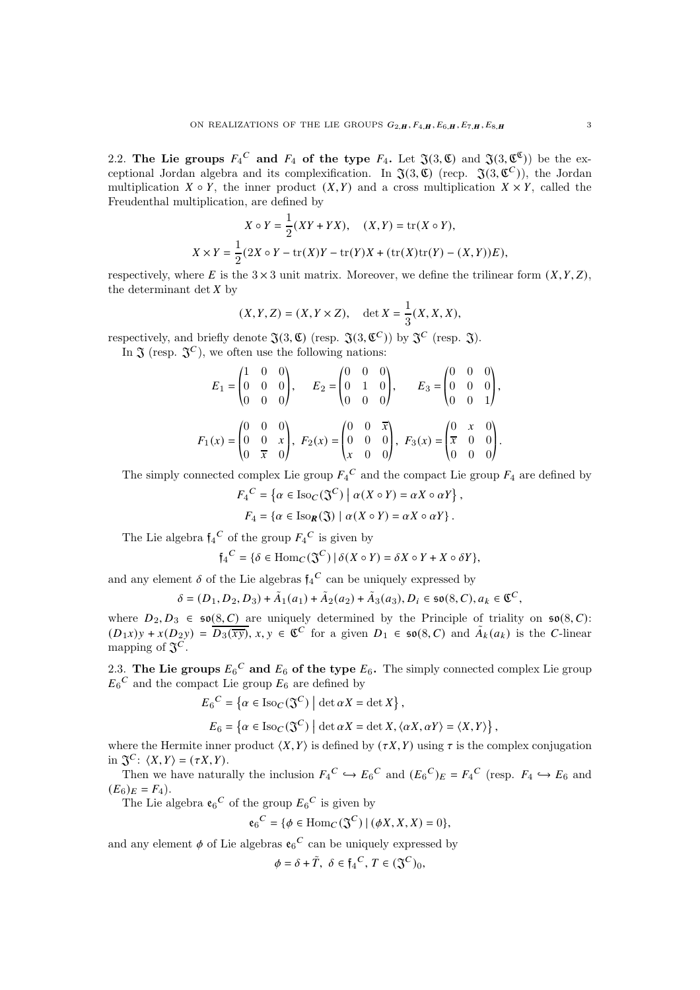2.2. The Lie groups  $F_4^C$  and  $F_4$  of the type  $F_4$ . Let  $\mathfrak{J}(3,\mathfrak{C})$  and  $\mathfrak{J}(3,\mathfrak{C})$  be the exceptional Jordan algebra and its complexification. In  $\mathfrak{J}(3,\mathfrak{C})$  (recp.  $\mathfrak{J}(3,\mathfrak{C}^C)$ ), the Jordan multiplication  $X \circ Y$ , the inner product  $(X, Y)$  and a cross multiplication  $X \times Y$ , called the Freudenthal multiplication, are defined by

$$
X \circ Y = \frac{1}{2}(XY + YX), \quad (X, Y) = \text{tr}(X \circ Y),
$$
  

$$
X \times Y = \frac{1}{2}(2X \circ Y - \text{tr}(X)Y - \text{tr}(Y)X + (\text{tr}(X)\text{tr}(Y) - (X, Y))E),
$$

respectively, where E is the  $3 \times 3$  unit matrix. Moreover, we define the trilinear form  $(X, Y, Z)$ , the determinant  $\det X$  by

$$
(X,Y,Z) = (X,Y \times Z), \quad \det X = \frac{1}{3}(X,X,X),
$$

respectively, and briefly denote  $\mathfrak{J}(3,\mathfrak{C})$  (resp.  $\mathfrak{J}(3,\mathfrak{C}^C)$ ) by  $\mathfrak{J}^C$  (resp.  $\mathfrak{J}$ ). In  $\mathfrak{J}$  (resp.  $\mathfrak{J}^C$ ), we often use the following nations:

$$
E_1 = \begin{pmatrix} 1 & 0 & 0 \\ 0 & 0 & 0 \\ 0 & 0 & 0 \end{pmatrix}, \qquad E_2 = \begin{pmatrix} 0 & 0 & 0 \\ 0 & 1 & 0 \\ 0 & 0 & 0 \end{pmatrix}, \qquad E_3 = \begin{pmatrix} 0 & 0 & 0 \\ 0 & 0 & 0 \\ 0 & 0 & 1 \end{pmatrix},
$$

$$
F_1(x) = \begin{pmatrix} 0 & 0 & 0 \\ 0 & 0 & x \\ 0 & \overline{x} & 0 \end{pmatrix}, \ F_2(x) = \begin{pmatrix} 0 & 0 & \overline{x} \\ 0 & 0 & 0 \\ x & 0 & 0 \end{pmatrix}, \ F_3(x) = \begin{pmatrix} 0 & x & 0 \\ \overline{x} & 0 & 0 \\ 0 & 0 & 0 \end{pmatrix}.
$$

The simply connected complex Lie group  $F_4^C$  and the compact Lie group  $F_4$  are defined by

 $F_4^C = \left\{ \alpha \in \text{Iso}_C(\mathfrak{J}^C) \mid \alpha(X \circ Y) = \alpha X \circ \alpha Y \right\},\$  $F_4 = \{ \alpha \in \text{Iso}_{\mathbf{R}}(\mathfrak{J}) \mid \alpha(X \circ Y) = \alpha X \circ \alpha Y \}.$ 

The Lie algebra  $\mathfrak{f}_4^C$  of the group  $F_4^C$  is given by

$$
\mathfrak{f}_4^C = \{ \delta \in \text{Hom}_C(\mathfrak{J}^C) \mid \delta(X \circ Y) = \delta X \circ Y + X \circ \delta Y \},
$$

and any element  $\delta$  of the Lie algebras  $\mathfrak{f}_4^C$  can be uniquely expressed by

$$
\delta = (D_1, D_2, D_3) + \tilde{A}_1(a_1) + \tilde{A}_2(a_2) + \tilde{A}_3(a_3), D_i \in \mathfrak{so}(8, C), a_k \in \mathfrak{C}^C,
$$

where  $D_2, D_3 \in \mathfrak{so}(8, \mathbb{C})$  are uniquely determined by the Principle of triality on  $\mathfrak{so}(8, \mathbb{C})$ :  $(D_1x)y + x(D_2y) = \overline{D_3(\overline{xy})}$ ,  $x, y \in \mathfrak{C}^C$  for a given  $D_1 \in \mathfrak{so}(8, C)$  and  $\tilde{A}_k(a_k)$  is the *C*-linear mapping of  $\mathfrak{J}^C$ .

2.3. The Lie groups  $E_6{}^C$  and  $E_6$  of the type  $E_6$ . The simply connected complex Lie group  $E_6{}^C$  and the compact Lie group  $E_6$  are defined by

$$
E_6^C = \{ \alpha \in \text{Iso}_C(\mathfrak{J}^C) \mid \det \alpha X = \det X \},
$$
  

$$
E_6 = \{ \alpha \in \text{Iso}_C(\mathfrak{J}^C) \mid \det \alpha X = \det X, \langle \alpha X, \alpha Y \rangle = \langle X, Y \rangle
$$

where the Hermite inner product  $\langle X, Y \rangle$  is defined by  $(\tau X, Y)$  using  $\tau$  is the complex conjugation in  $\mathfrak{J}^C$ :  $\langle X, Y \rangle = (\tau X, Y)$ .

 $\}$ ,

Then we have naturally the inclusion  $F_4^C \hookrightarrow E_6^C$  and  $(E_6^C)_E = F_4^C$  (resp.  $F_4 \hookrightarrow E_6$  and  $(E_6)_E = F_4$ .

The Lie algebra  $\mathfrak{e}_6^C$  of the group  $E_6^C$  is given by

$$
e_6^C = \{ \phi \in \text{Hom}_C(\mathfrak{J}^C) \mid (\phi X, X, X) = 0 \},\
$$

and any element  $\phi$  of Lie algebras  $e_6{}^C$  can be uniquely expressed by

$$
\phi = \delta + \tilde{T}, \ \delta \in \mathfrak{f}_4^C, \ T \in (\mathfrak{J}^C)_0,
$$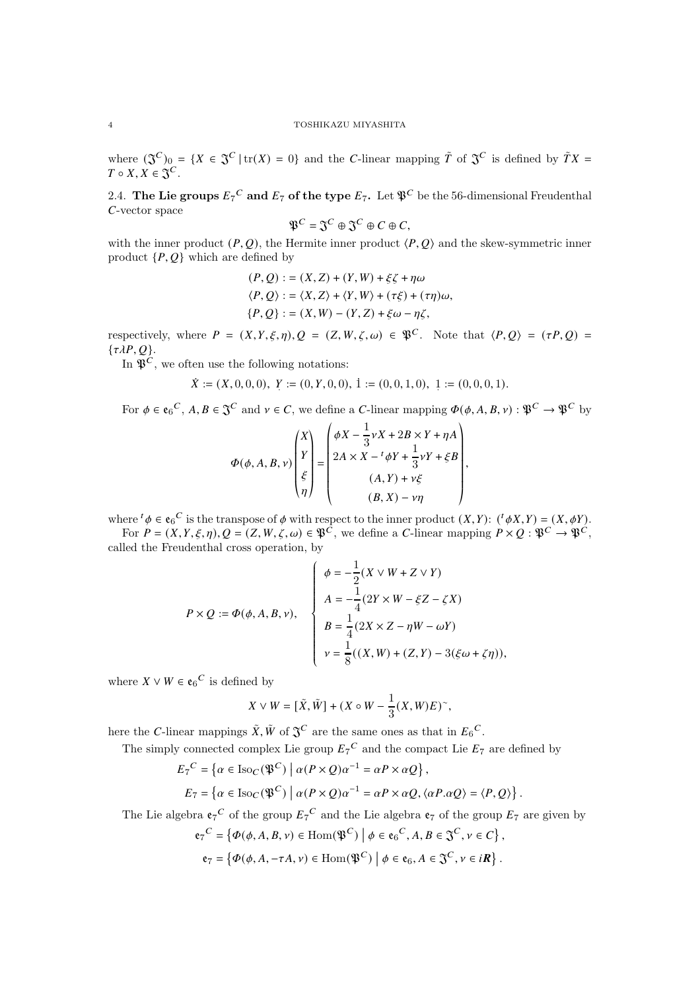where  $({\frak J}^C)_0 = \{X \in {\frak J}^C \mid {\rm tr}(X) = 0\}$  and the *C*-linear mapping  $\tilde{T}$  of  ${\frak J}^C$  is defined by  $\tilde{T}X =$  $T \circ X, X \in \mathfrak{J}^C$ .

2.4. The Lie groups  $E_7{}^C$  and  $E_7$  of the type  $E_7$ . Let  $\mathfrak{P}^C$  be the 56-dimensional Freudenthal  $C$ -vector space

$$
\mathfrak{P}^C = \mathfrak{J}^C \oplus \mathfrak{J}^C \oplus C \oplus C,
$$

with the inner product  $(P, Q)$ , the Hermite inner product  $\langle P, Q \rangle$  and the skew-symmetric inner product  $\{P, Q\}$  which are defined by

$$
(P, Q) := (X, Z) + (Y, W) + \xi \zeta + \eta \omega
$$

$$
\langle P, Q \rangle := \langle X, Z \rangle + \langle Y, W \rangle + (\tau \xi) + (\tau \eta) \omega,
$$

$$
\{P, Q\} := (X, W) - (Y, Z) + \xi \omega - \eta \zeta,
$$

respectively, where  $P = (X, Y, \xi, \eta), Q = (Z, W, \zeta, \omega) \in \mathfrak{P}^C$ . Note that  $\langle P, Q \rangle = (\tau P, Q)$  $\{\tau \lambda P, Q\}.$ 

In  $\widetilde{\mathfrak{P}}^C$ , we often use the following notations:

$$
\dot{X} := (X, 0, 0, 0), \ Y := (0, Y, 0, 0), \ \dot{1} := (0, 0, 1, 0), \ 1 := (0, 0, 0, 1).
$$

For  $\phi \in \mathfrak{e}_6^C$ ,  $A, B \in \mathfrak{I}^C$  and  $v \in C$ , we define a *C*-linear mapping  $\Phi(\phi, A, B, v) : \mathfrak{P}^C \to \mathfrak{P}^C$  by

$$
\Phi(\phi, A, B, v) \begin{pmatrix} X \\ Y \\ \xi \\ \eta \end{pmatrix} = \begin{pmatrix} \phi X - \frac{1}{3} vX + 2B \times Y + \eta A \\ 2A \times X - {}^{t}\phi Y + \frac{1}{3} vY + \xi B \\ (A, Y) + v\xi \\ (B, X) - v\eta \end{pmatrix},
$$

where  ${}^{t}\phi \in e_{6}{}^{C}$  is the transpose of  $\phi$  with respect to the inner product  $(X,Y)$ :  $({}^{t}\phi X,Y) = (X,\phi Y)$ .

For  $P = (X, Y, \xi, \eta), Q = (Z, W, \zeta, \omega) \in \mathfrak{P}^C$ , we define a *C*-linear mapping  $P \times Q : \mathfrak{P}^C \to \mathfrak{P}^C$ , called the Freudenthal cross operation, by

$$
P \times Q := \Phi(\phi, A, B, v),
$$
\n
$$
\begin{cases}\n\phi = -\frac{1}{2}(X \vee W + Z \vee Y) \\
A = -\frac{1}{4}(2Y \times W - \xi Z - \zeta X) \\
B = \frac{1}{4}(2X \times Z - \eta W - \omega Y) \\
v = \frac{1}{8}((X, W) + (Z, Y) - 3(\xi \omega + \zeta \eta)),\n\end{cases}
$$

where  $X \vee W \in \mathfrak{e}_6^C$  is defined by

$$
X \vee W = [\tilde{X}, \tilde{W}] + (X \circ W - \frac{1}{3}(X, W)E)^{\sim},
$$

here the *C*-linear mappings  $\tilde{X}$ ,  $\tilde{W}$  of  $\tilde{X}^C$  are the same ones as that in  $E_6{}^C$ .

The simply connected complex Lie group  $E_7^C$  and the compact Lie  $E_7$  are defined by

$$
E_7^C = \{ \alpha \in \text{Iso}_C(\mathfrak{P}^C) \mid \alpha(P \times Q)\alpha^{-1} = \alpha P \times \alpha Q \},
$$
  

$$
E_7 = \{ \alpha \in \text{Iso}_C(\mathfrak{P}^C) \mid \alpha(P \times Q)\alpha^{-1} = \alpha P \times \alpha Q, \langle \alpha P. \alpha Q \rangle = \langle P, Q \rangle
$$

The Lie algebra  $\mathfrak{e}_7^C$  of the group  $E_7^C$  and the Lie algebra  $\mathfrak{e}_7$  of the group  $E_7$  are given by

 $\}$ .

$$
\begin{aligned} \mathfrak{e}_7{}^C &= \left\{ \varPhi(\phi, A, B, \nu) \in \text{Hom}(\mathfrak{P}^C) \; \middle| \; \phi \in \mathfrak{e}_6{}^C, A, B \in \mathfrak{J}^C, \nu \in C \right\}, \\ \mathfrak{e}_7 &= \left\{ \varPhi(\phi, A, -\tau A, \nu) \in \text{Hom}(\mathfrak{P}^C) \; \middle| \; \phi \in \mathfrak{e}_6, A \in \mathfrak{J}^C, \nu \in i\mathbb{R} \right\}. \end{aligned}
$$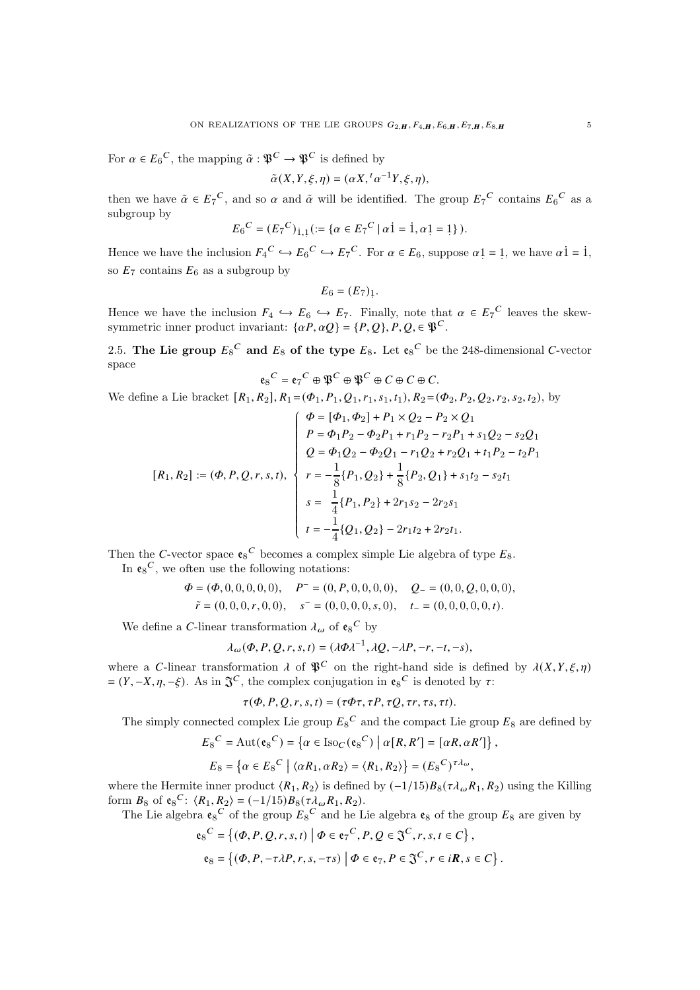For  $\alpha \in E_6^C$ , the mapping  $\tilde{\alpha} : \mathfrak{P}^C \to \mathfrak{P}^C$  is defined by

$$
\tilde{\alpha}(X, Y, \xi, \eta) = (\alpha X, {}^t\alpha^{-1}Y, \xi, \eta),
$$

then we have  $\tilde{\alpha} \in E_7^C$ , and so  $\alpha$  and  $\tilde{\alpha}$  will be identified. The group  $E_7^C$  contains  $E_6^C$  as a subgroup by

$$
E_6{}^C = (E_7{}^C)_{1,1} := \{ \alpha \in E_7{}^C \mid \alpha 1 = 1, \alpha 1 = 1 \} ).
$$

Hence we have the inclusion  $F_4^C \hookrightarrow E_6^C \hookrightarrow E_7^C$ . For  $\alpha \in E_6$ , suppose  $\alpha 1 = 1$ , we have  $\alpha 1 = 1$ , so  $E_7$  contains  $E_6$  as a subgroup by

$$
E_6=(E_7)_1.
$$

Hence we have the inclusion  $F_4 \hookrightarrow E_6 \hookrightarrow E_7$ . Finally, note that  $\alpha \in E_7^C$  leaves the skewsymmetric inner product invariant:  $\{\alpha P, \alpha Q\} = \{P, Q\}, P, Q, \in \mathfrak{P}^C$ .

2.5. The Lie group  $E_8{}^C$  and  $E_8$  of the type  $E_8$ . Let  $\mathfrak{e}_8{}^C$  be the 248-dimensional C-vector space

$$
\mathbf{e}_8^C = \mathbf{e}_7^C \oplus \mathfrak{P}^C \oplus \mathfrak{P}^C \oplus C \oplus C \oplus C.
$$

We define a Lie bracket  $[R_1, R_2], R_1 = (\Phi_1, P_1, Q_1, r_1, s_1, t_1), R_2 = (\Phi_2, P_2, Q_2, r_2, s_2, t_2),$  by

$$
[R_1, R_2] := (\Phi, P, Q, r, s, t),
$$
\n
$$
\begin{cases}\n\Phi = [\Phi_1, \Phi_2] + P_1 \times Q_2 - P_2 \times Q_1 \\
P = \Phi_1 P_2 - \Phi_2 P_1 + r_1 P_2 - r_2 P_1 + s_1 Q_2 - s_2 Q_1 \\
Q = \Phi_1 Q_2 - \Phi_2 Q_1 - r_1 Q_2 + r_2 Q_1 + t_1 P_2 - t_2 P_1 \\
r = -\frac{1}{8} \{P_1, Q_2\} + \frac{1}{8} \{P_2, Q_1\} + s_1 t_2 - s_2 t_1 \\
s = \frac{1}{4} \{P_1, P_2\} + 2r_1 s_2 - 2r_2 s_1 \\
t = -\frac{1}{4} \{Q_1, Q_2\} - 2r_1 t_2 + 2r_2 t_1.\n\end{cases}
$$

Then the C-vector space  $\mathfrak{e}_8^C$  becomes a complex simple Lie algebra of type  $E_8$ .

In 
$$
\mathfrak{e}_8^C
$$
, we often use the following notations:

$$
\Phi = (\Phi, 0, 0, 0, 0, 0), \quad P^- = (0, P, 0, 0, 0, 0), \quad Q_- = (0, 0, Q, 0, 0, 0),
$$
  

$$
\tilde{r} = (0, 0, 0, r, 0, 0), \quad s^- = (0, 0, 0, 0, s, 0), \quad t_- = (0, 0, 0, 0, 0, t).
$$

We define a *C*-linear transformation  $\lambda_{\omega}$  of  $\mathfrak{e}_{8}^C$  by

$$
\lambda_\omega(\varPhi,P,Q,r,s,t)=(\lambda\varPhi\lambda^{-1},\lambda Q,-\lambda P,-r,-t,-s),
$$

where a *C*-linear transformation  $\lambda$  of  $\mathfrak{P}^C$  on the right-hand side is defined by  $\lambda(X, Y, \xi, \eta)$  $=(Y, -X, \eta, -\xi)$ . As in  $\mathfrak{J}^C$ , the complex conjugation in  $\mathfrak{e}_8^C$  is denoted by  $\tau$ :

$$
\tau(\Phi, P, Q, r, s, t) = (\tau \Phi \tau, \tau P, \tau Q, \tau r, \tau s, \tau t).
$$

The simply connected complex Lie group  $E_8{}^C$  and the compact Lie group  $E_8$  are defined by

$$
E_8^C = \text{Aut}(\mathfrak{e}_8^C) = \{ \alpha \in \text{Iso}_C(\mathfrak{e}_8^C) \mid \alpha[R, R'] = [\alpha R, \alpha R'] \},
$$
  

$$
E_8 = \{ \alpha \in E_8^C \mid \langle \alpha R_1, \alpha R_2 \rangle = \langle R_1, R_2 \rangle \} = (E_8^C)^{\tau \lambda \omega},
$$

where the Hermite inner product  $\langle R_1, R_2 \rangle$  is defined by  $(-1/15)B_8(\tau \lambda_\omega R_1, R_2)$  using the Killing form  $B_8$  of  $e_8^C$ :  $\langle R_1, R_2 \rangle = (-1/15) B_8(\tau \lambda \omega R_1, R_2)$ .

The Lie algebra  $\mathfrak{e}_8{}^C$  of the group  $E_8{}^C$  and he Lie algebra  $\mathfrak{e}_8$  of the group  $E_8$  are given by

$$
e_8^C = \{ (\Phi, P, Q, r, s, t) \mid \Phi \in e_7^C, P, Q \in \mathfrak{J}^C, r, s, t \in C \},
$$
  

$$
e_8 = \{ (\Phi, P, -\tau \lambda P, r, s, -\tau s) \mid \Phi \in e_7, P \in \mathfrak{J}^C, r \in i\mathbb{R}, s \in C \}.
$$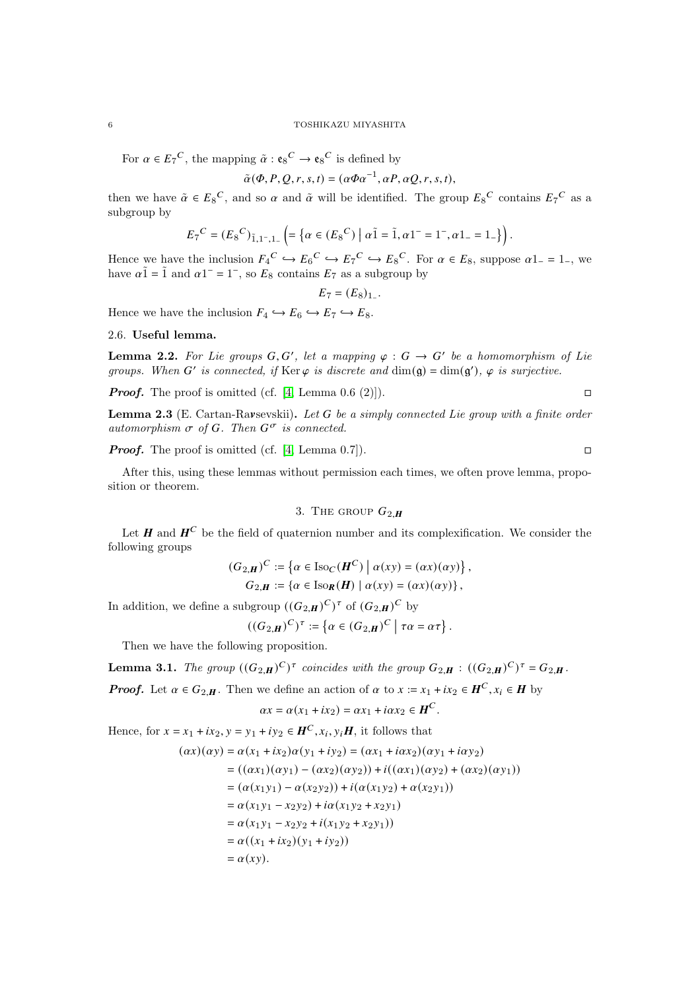For  $\alpha \in E_7^C$ , the mapping  $\tilde{\alpha} : \mathfrak{e}_8^C \to \mathfrak{e}_8^C$  is defined by

$$
\tilde{\alpha}(\Phi, P, Q, r, s, t) = (\alpha \Phi \alpha^{-1}, \alpha P, \alpha Q, r, s, t),
$$

then we have  $\tilde{\alpha} \in E_8^C$ , and so  $\alpha$  and  $\tilde{\alpha}$  will be identified. The group  $E_8^C$  contains  $E_7^C$  as a subgroup by

$$
E_7{}^C=(E_8{}^C)_{\widetilde{1},1^-,1^-}\left(=\left\{\alpha\in (E_8{}^C)\ \middle|\ \alpha\widetilde{1}=\widetilde{1},\alpha1^-=1^-,\alpha1_-=1_-\right\}\right).
$$

Hence we have the inclusion  $F_4^C \hookrightarrow E_6^C \hookrightarrow E_7^C \hookrightarrow E_8^C$ . For  $\alpha \in E_8$ , suppose  $\alpha 1 = 1$ , we have  $\alpha \tilde{1} = \tilde{1}$  and  $\alpha 1^- = 1^-$ , so  $E_8$  contains  $E_7$  as a subgroup by

 $E_7 = (E_8)_{1}$ .

Hence we have the inclusion  $F_4 \hookrightarrow E_6 \hookrightarrow E_7 \hookrightarrow E_8$ .

2.6. Useful lemma.

**Lemma 2.2.** For Lie groups  $G, G'$ , let a mapping  $\varphi : G \to G'$  be a homomorphism of Lie groups. When G' is connected, if  $\text{Ker }\varphi$  is discrete and  $\dim(\mathfrak{g}) = \dim(\mathfrak{g}')$ ,  $\varphi$  is surjective.

**Proof.** The proof is omitted (cf. [\[4,](#page-59-2) Lemma 0.6 (2)]).

**Lemma 2.3** (E. Cartan-Ravsevskii). Let  $G$  be a simply connected Lie group with a finite order automorphism  $\sigma$  of  $G$ . Then  $G^{\sigma}$  is connected.

**Proof.** The proof is omitted (cf. [\[4,](#page-59-2) Lemma 0.7]).

After this, using these lemmas without permission each times, we often prove lemma, proposition or theorem.

3. THE GROUP  $G_2$ <sub>H</sub>

Let  $H$  and  $H^C$  be the field of quaternion number and its complexification. We consider the following groups

$$
(G_{2,H})^C := \{ \alpha \in \text{Iso}_C(H^C) \mid \alpha(xy) = (\alpha x)(\alpha y) \},\,
$$
  

$$
G_{2,H} := \{ \alpha \in \text{Iso}_R(H) \mid \alpha(xy) = (\alpha x)(\alpha y) \},\,
$$

In addition, we define a subgroup  $((G_{2,H})^C)^{\tau}$  of  $(G_{2,H})^C$  by

$$
((G_{2,H})^C)^{\tau} := \{ \alpha \in (G_{2,H})^C \mid \tau \alpha = \alpha \tau \}.
$$

Then we have the following proposition.

<span id="page-5-0"></span>**Lemma 3.1.** The group  $((G_{2,H})^C)^{\tau}$  coincides with the group  $G_{2,H}$  :  $((G_{2,H})^C)^{\tau} = G_{2,H}$ .

**Proof.** Let  $\alpha \in G_{2,H}$ . Then we define an action of  $\alpha$  to  $x := x_1 + ix_2 \in H^C$ ,  $x_i \in H$  by

$$
\alpha x = \alpha (x_1 + ix_2) = \alpha x_1 + i \alpha x_2 \in \mathbf{H}^C.
$$

Hence, for  $x = x_1 + ix_2$ ,  $y = y_1 + iy_2 \in H^C$ ,  $x_i$ ,  $y_i$ **H**, it follows that

$$
(\alpha x)(\alpha y) = \alpha(x_1 + ix_2)\alpha(y_1 + iy_2) = (\alpha x_1 + i\alpha x_2)(\alpha y_1 + i\alpha y_2)
$$
  
\n
$$
= ((\alpha x_1)(\alpha y_1) - (\alpha x_2)(\alpha y_2)) + i((\alpha x_1)(\alpha y_2) + (\alpha x_2)(\alpha y_1))
$$
  
\n
$$
= (\alpha(x_1y_1) - \alpha(x_2y_2)) + i(\alpha(x_1y_2) + \alpha(x_2y_1))
$$
  
\n
$$
= \alpha(x_1y_1 - x_2y_2) + i\alpha(x_1y_2 + x_2y_1)
$$
  
\n
$$
= \alpha(x_1y_1 - x_2y_2 + i(x_1y_2 + x_2y_1))
$$
  
\n
$$
= \alpha((x_1 + ix_2)(y_1 + iy_2))
$$
  
\n
$$
= \alpha(xy).
$$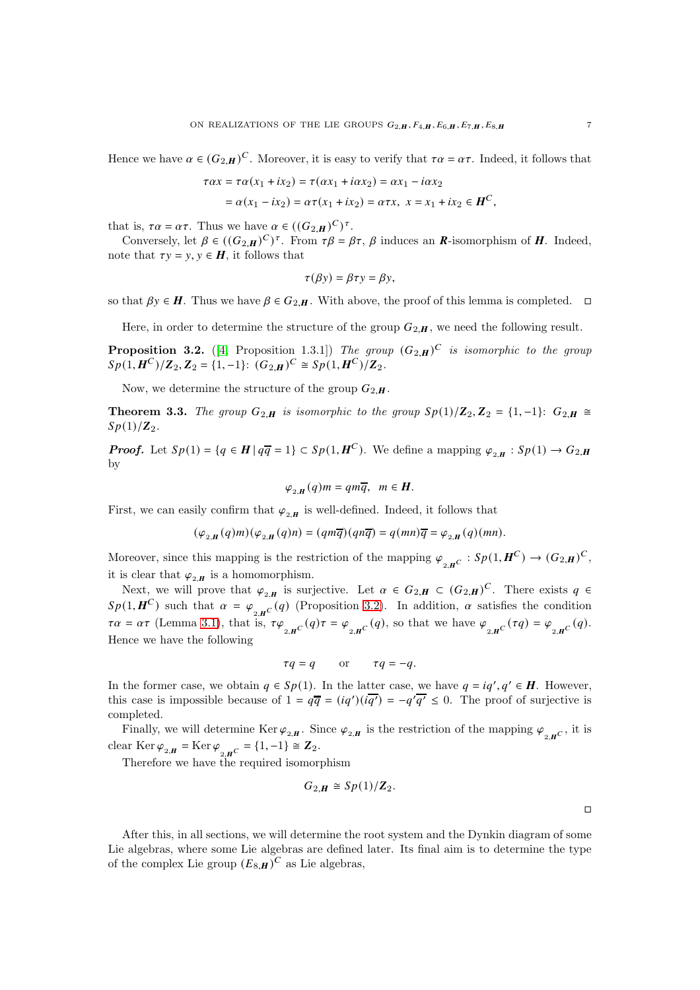Hence we have  $\alpha \in (G_{2,H})^C$ . Moreover, it is easy to verify that  $\tau \alpha = \alpha \tau$ . Indeed, it follows that

$$
\tau \alpha x = \tau \alpha (x_1 + ix_2) = \tau (\alpha x_1 + i \alpha x_2) = \alpha x_1 - i \alpha x_2
$$
  
=  $\alpha (x_1 - ix_2) = \alpha \tau (x_1 + ix_2) = \alpha \tau x, \ x = x_1 + ix_2 \in \mathbf{H}^C,$ 

that is,  $\tau \alpha = \alpha \tau$ . Thus we have  $\alpha \in ((G_{2,H})^C)^{\tau}$ .

Conversely, let  $\beta \in ((G_{2,H})^C)^{\tau}$ . From  $\tau\beta = \beta\tau$ ,  $\beta$  induces an **R**-isomorphism of **H**. Indeed, note that  $\tau y = y, y \in H$ , it follows that

$$
\tau(\beta y) = \beta \tau y = \beta y,
$$

so that  $\beta y \in H$ . Thus we have  $\beta \in G_{2,H}$ . With above, the proof of this lemma is completed.  $\Box$ 

Here, in order to determine the structure of the group  $G_{2,H}$ , we need the following result.

<span id="page-6-0"></span>**Proposition 3.2.** ([\[4,](#page-59-2) Proposition 1.3.1]) The group  $(G_{2,H})^C$  is isomorphic to the group  $Sp(1, H^C)/\mathbb{Z}_2, \mathbb{Z}_2 = \{1, -1\}$ :  $(G_{2,H})^C \cong Sp(1, H^C)/\mathbb{Z}_2$ .

Now, we determine the structure of the group  $G_{2,H}$ .

Theorem 3.3. The group  $G_{2,H}$  is isomorphic to the group  $Sp(1)/\mathbb{Z}_2$ ,  $\mathbb{Z}_2 = \{1, -1\}$ :  $G_{2,H} \cong$  $Sp(1)/\mathbb{Z}_2$ .

**Proof.** Let  $Sp(1) = \{q \in H \mid q\overline{q} = 1\} \subset Sp(1, H^C)$ . We define a mapping  $\varphi_{2,H} : Sp(1) \to G_{2,H}$ by

$$
\varphi_{2,H}(q)m=qm\overline{q}, \ \ m\in H.
$$

First, we can easily confirm that  $\varphi_{2,H}$  is well-defined. Indeed, it follows that

$$
(\varphi_{2,H}(q)m)(\varphi_{2,H}(q)n)=(qm\overline{q})(qn\overline{q})=q(mn)\overline{q}=\varphi_{2,H}(q)(mn).
$$

Moreover, since this mapping is the restriction of the mapping  $\varphi_{2,\mathbf{H}^C}: Sp(1,\mathbf{H}^C) \to (G_{2,\mathbf{H}})^C$ , it is clear that  $\varphi_{2,H}$  is a homomorphism.

Next, we will prove that  $\varphi_{2,H}$  is surjective. Let  $\alpha \in G_{2,H} \subset (G_{2,H})^C$ . There exists  $q \in$  $Sp(1, H^C)$  such that  $\alpha = \varphi_{2, H^C}(q)$  (Proposition [3.2\)](#page-6-0). In addition,  $\alpha$  satisfies the condition  $\tau \alpha = \alpha \tau$  (Lemma [3.1\)](#page-5-0), that is,  $\tau \varphi_{2,\mathbf{H}^C}(q) \tau = \varphi_{2,\mathbf{H}^C}(q)$ , so that we have  $\varphi_{2,\mathbf{H}^C}(\tau q) = \varphi_{2,\mathbf{H}^C}(q)$ . Hence we have the following

$$
\tau q = q \qquad \text{or} \qquad \tau q = -q.
$$

In the former case, we obtain  $q \in Sp(1)$ . In the latter case, we have  $q = iq', q' \in H$ . However, this case is impossible because of  $1 = q\overline{q} = (iq')(i\overline{q'}) = -q'\overline{q'} \leq 0$ . The proof of surjective is completed.

Finally, we will determine Ker  $\varphi_{2,H}$ . Since  $\varphi_{2,H}$  is the restriction of the mapping  $\varphi_{2,H}$ , it is clear Ker  $\varphi_{2,H} = \text{Ker } \varphi_{2,H}$  = {1, -1}  $\cong \mathbb{Z}_2$ .

Therefore we have the required isomorphism

$$
G_{2,\boldsymbol{H}}\cong Sp(1)/\mathbf{Z}_2.
$$

 $\Box$ 

After this, in all sections, we will determine the root system and the Dynkin diagram of some Lie algebras, where some Lie algebras are defined later. Its final aim is to determine the type of the complex Lie group  $(E_{8,H})^C$  as Lie algebras,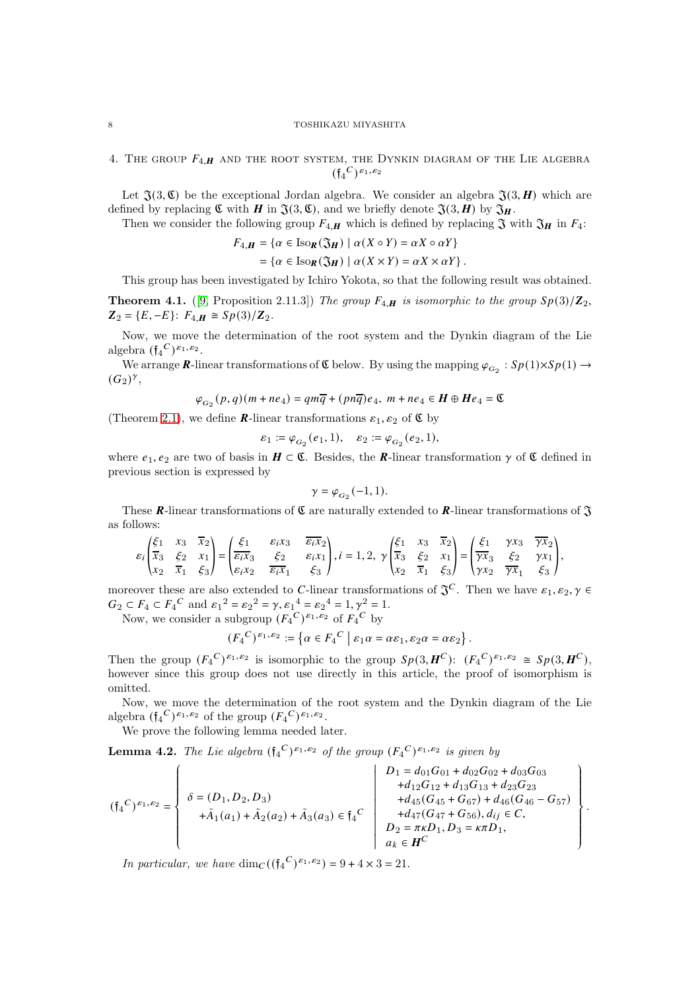4. THE GROUP  $F_{4,H}$  and the root system, the Dynkin diagram of the Lie algebra  $(\mathfrak{f}_4^C)^{\varepsilon_1, \varepsilon_2}$ 

Let  $\mathfrak{J}(3,\mathfrak{C})$  be the exceptional Jordan algebra. We consider an algebra  $\mathfrak{J}(3,\mathbf{H})$  which are defined by replacing  $\mathfrak C$  with  $H$  in  $\mathfrak J(3,\mathfrak C)$ , and we briefly denote  $\mathfrak J(3,H)$  by  $\mathfrak J_H$ .

Then we consider the following group  $F_{4,H}$  which is defined by replacing  $\mathfrak{J}$  with  $\mathfrak{J}_H$  in  $F_4$ :

 $F_{4,H} = \{\alpha \in \text{Iso}_{R}(\mathfrak{F}_{H}) \mid \alpha(X \circ Y) = \alpha X \circ \alpha Y\}$  $=\{\alpha \in \text{Iso}_{R}(\mathfrak{J}_{H}) \mid \alpha(X \times Y) = \alpha X \times \alpha Y\}.$ 

This group has been investigated by Ichiro Yokota, so that the following result was obtained.

**Theorem 4.1.** ([\[9,](#page-59-0) Proposition 2.11.3]) The group  $F_{4,H}$  is isomorphic to the group  $Sp(3)/\mathbb{Z}_2$ ,  $\mathbf{Z}_2 = \{E, -E\}$ :  $F_{4,H} \cong Sp(3)/\mathbf{Z}_2$ .

Now, we move the determination of the root system and the Dynkin diagram of the Lie algebra  $(\mathfrak{f}_4^C)^{\varepsilon_1,\varepsilon_2}$ .

We arrange **R**-linear transformations of  $\mathfrak C$  below. By using the mapping  $\varphi_{G_2} : Sp(1) \times Sp(1) \to Sp(1)$  $(G_2)^\gamma,$ 

$$
\varphi_{G_2}(p,q)(m+ne_4)=qm\overline{q}+(pn\overline{q})e_4,\ m+ne_4\in H\oplus He_4=\mathfrak{C}
$$

(Theorem [2.1\)](#page-1-0), we define **R**-linear transformations  $\varepsilon_1$ ,  $\varepsilon_2$  of  $\mathfrak{C}$  by

 $\varepsilon_1 := \varphi_{G_2}(e_1, 1), \quad \varepsilon_2 := \varphi_{G_2}(e_2, 1),$ 

where  $e_1, e_2$  are two of basis in  $H \subset \mathfrak{C}$ . Besides, the **R**-linear transformation  $\gamma$  of  $\mathfrak{C}$  defined in previous section is expressed by

$$
\gamma = \varphi_{G_2}(-1, 1).
$$

These **R**-linear transformations of  $\mathfrak C$  are naturally extended to **R**-linear transformations of  $\mathfrak I$ as follows:

$$
\varepsilon_i \begin{pmatrix} \xi_1 & x_3 & \overline{x}_2 \\ \overline{x}_3 & \xi_2 & x_1 \\ x_2 & \overline{x}_1 & \xi_3 \end{pmatrix} = \begin{pmatrix} \xi_1 & \varepsilon_i x_3 & \overline{\varepsilon_i x}_2 \\ \overline{\varepsilon_i x}_3 & \xi_2 & \varepsilon_i x_1 \\ \varepsilon_i x_2 & \overline{\varepsilon_i x}_1 & \xi_3 \end{pmatrix}, i = 1, 2, \ \gamma \begin{pmatrix} \xi_1 & x_3 & \overline{x}_2 \\ \overline{x}_3 & \xi_2 & x_1 \\ x_2 & \overline{x}_1 & \xi_3 \end{pmatrix} = \begin{pmatrix} \xi_1 & \gamma x_3 & \overline{\gamma x}_2 \\ \overline{\gamma x}_3 & \xi_2 & \gamma x_1 \\ \gamma x_2 & \overline{\gamma x}_1 & \xi_3 \end{pmatrix},
$$

moreover these are also extended to C-linear transformations of  $\mathfrak{J}^C$ . Then we have  $\varepsilon_1, \varepsilon_2, \gamma \in$  $G_2 \subset F_4 \subset F_4^C$  and  $\varepsilon_1^2 = \varepsilon_2^2 = \gamma$ ,  $\varepsilon_1^4 = \varepsilon_2^4 = 1$ ,  $\gamma_2^2 = 1$ .

Now, we consider a subgroup  $(F_4^C)^{\varepsilon_1, \varepsilon_2}$  of  $F_4^C$  by

$$
(F_4^C)^{\varepsilon_1,\varepsilon_2} := \left\{ \alpha \in F_4^C \mid \varepsilon_1 \alpha = \alpha \varepsilon_1, \varepsilon_2 \alpha = \alpha \varepsilon_2 \right\}.
$$

Then the group  $(F_4^C)^{\varepsilon_1, \varepsilon_2}$  is isomorphic to the group  $Sp(3, H^C)$ :  $(F_4^C)^{\varepsilon_1, \varepsilon_2} \cong Sp(3, H^C)$ , however since this group does not use directly in this article, the proof of isomorphism is omitted.

Now, we move the determination of the root system and the Dynkin diagram of the Lie algebra  $({\mathfrak{f}_4}^C)^{\varepsilon_1, \varepsilon_2}$  of the group  $(F_4^C)^{\varepsilon_1, \varepsilon_2}$ .

We prove the following lemma needed later.

<span id="page-7-0"></span>**Lemma 4.2.** The Lie algebra  $(f_4^C)^{\varepsilon_1, \varepsilon_2}$  of the group  $(F_4^C)^{\varepsilon_1, \varepsilon_2}$  is given by

$$
(\mathfrak{f}_4^C)^{\varepsilon_1,\varepsilon_2} = \left\{\begin{array}{c} \delta = (D_1,D_2,D_3) \\ \delta = (D_1,D_2,D_3) \\ +\tilde{A}_1(a_1) + \tilde{A}_2(a_2) + \tilde{A}_3(a_3) \in \mathfrak{f}_4^C \end{array} \right. \left\{\begin{array}{c} D_1 = d_{01}G_{01} + d_{02}G_{02} + d_{03}G_{03} \\ + d_{12}G_{12} + d_{13}G_{13} + d_{23}G_{23} \\ + d_{45}(G_{45} + G_{67}) + d_{46}(G_{46} - G_{57}) \\ + d_{47}(G_{47} + G_{56}), d_{ij} \in C, \\ D_2 = \pi \kappa D_1, D_3 = \kappa \pi D_1, \\ a_k \in \boldsymbol{H}^C \end{array} \right\}.
$$

In particular, we have  $\dim_C((\mathfrak{f}_4^C)^{\varepsilon_1,\varepsilon_2}) = 9 + 4 \times 3 = 21$ .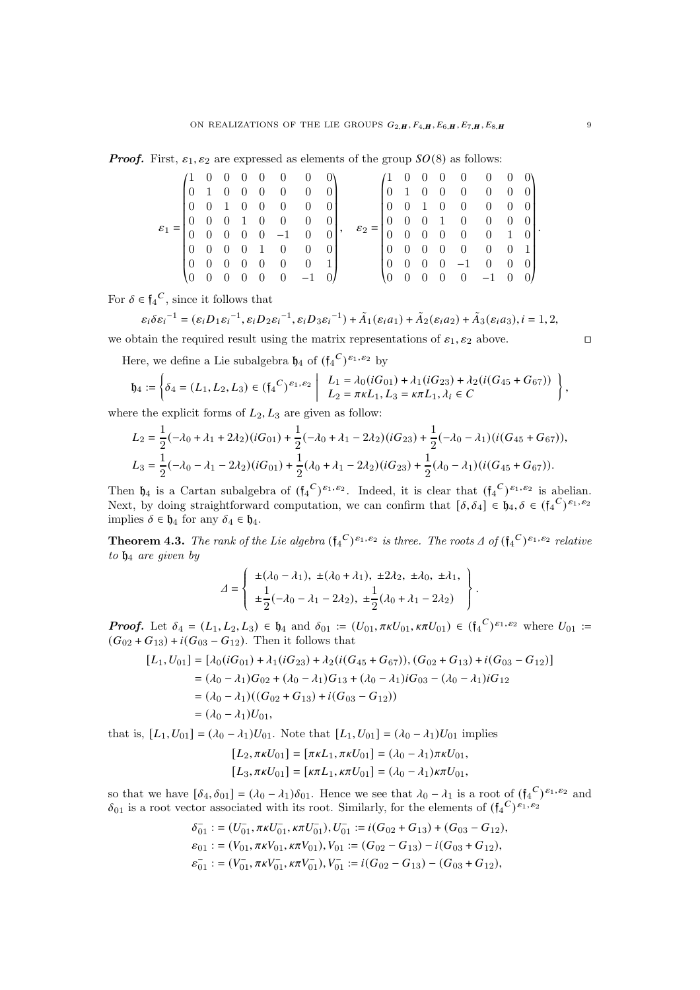**Proof.** First,  $\varepsilon_1$ ,  $\varepsilon_2$  are expressed as elements of the group  $SO(8)$  as follows:

$$
\mathcal{E}_1 = \begin{pmatrix} 1 & 0 & 0 & 0 & 0 & 0 & 0 & 0 \\ 0 & 1 & 0 & 0 & 0 & 0 & 0 & 0 \\ 0 & 0 & 1 & 0 & 0 & 0 & 0 & 0 \\ 0 & 0 & 0 & 1 & 0 & 0 & 0 & 0 \\ 0 & 0 & 0 & 0 & 0 & -1 & 0 & 0 \\ 0 & 0 & 0 & 0 & 0 & 0 & 0 & 1 \\ 0 & 0 & 0 & 0 & 0 & 0 & 0 & 1 \\ 0 & 0 & 0 & 0 & 0 & 0 & -1 & 0 \end{pmatrix}, \quad \mathcal{E}_2 = \begin{pmatrix} 1 & 0 & 0 & 0 & 0 & 0 & 0 & 0 \\ 0 & 1 & 0 & 0 & 0 & 0 & 0 & 0 \\ 0 & 0 & 1 & 0 & 0 & 0 & 0 & 0 \\ 0 & 0 & 0 & 1 & 0 & 0 & 0 & 0 \\ 0 & 0 & 0 & 0 & 0 & 0 & 1 & 0 \\ 0 & 0 & 0 & 0 & 0 & 0 & 0 & 1 \\ 0 & 0 & 0 & 0 & 0 & -1 & 0 & 0 \end{pmatrix}
$$

For  $\delta \in \mathfrak{f}_4^C$ , since it follows that

$$
\varepsilon_i \delta {\varepsilon_i}^{-1} = (\varepsilon_i D_1 \varepsilon_i^{-1}, \varepsilon_i D_2 \varepsilon_i^{-1}, \varepsilon_i D_3 \varepsilon_i^{-1}) + \tilde{A}_1(\varepsilon_i a_1) + \tilde{A}_2(\varepsilon_i a_2) + \tilde{A}_3(\varepsilon_i a_3), i = 1, 2,
$$

we obtain the required result using the matrix representations of  $\varepsilon_1, \varepsilon_2$  above.

Here, we define a Lie subalgebra  $\mathfrak{h}_4$  of  $(\mathfrak{f}_4^C)^{\varepsilon_1, \varepsilon_2}$  by

$$
\mathfrak{h}_4 := \left\{ \delta_4 = (L_1, L_2, L_3) \in (\mathfrak{f}_4^C)^{\varepsilon_1, \varepsilon_2} \middle| \begin{array}{c} L_1 = \lambda_0(iG_{01}) + \lambda_1(iG_{23}) + \lambda_2(i(G_{45} + G_{67})) \\ L_2 = \pi \kappa L_1, L_3 = \kappa \pi L_1, \lambda_i \in C \end{array} \right\},
$$

where the explicit forms of  $L_2, L_3$  are given as follow:

$$
L_2 = \frac{1}{2}(-\lambda_0 + \lambda_1 + 2\lambda_2)(iG_{01}) + \frac{1}{2}(-\lambda_0 + \lambda_1 - 2\lambda_2)(iG_{23}) + \frac{1}{2}(-\lambda_0 - \lambda_1)(i(G_{45} + G_{67})),
$$
  
\n
$$
L_3 = \frac{1}{2}(-\lambda_0 - \lambda_1 - 2\lambda_2)(iG_{01}) + \frac{1}{2}(\lambda_0 + \lambda_1 - 2\lambda_2)(iG_{23}) + \frac{1}{2}(\lambda_0 - \lambda_1)(i(G_{45} + G_{67})).
$$

Then  $\mathfrak{h}_4$  is a Cartan subalgebra of  $(\mathfrak{f}_4^C)^{\varepsilon_1,\varepsilon_2}$ . Indeed, it is clear that  $(\mathfrak{f}_4^C)^{\varepsilon_1,\varepsilon_2}$  is abelian. Next, by doing straightforward computation, we can confirm that  $[\delta, \delta_4] \in \mathfrak{h}_4$ ,  $\delta \in (\mathfrak{f}_4^C)^{\varepsilon_1, \varepsilon_2}$ implies  $\delta \in \mathfrak{h}_4$  for any  $\delta_4 \in \mathfrak{h}_4$ .

**Theorem 4.3.** The rank of the Lie algebra  $(f_4^C)^{\varepsilon_1, \varepsilon_2}$  is three. The roots  $\Delta$  of  $(f_4^C)^{\varepsilon_1, \varepsilon_2}$  relative to  $\mathfrak{h}_4$  are given by

$$
\Delta = \begin{cases} \pm(\lambda_0 - \lambda_1), \pm(\lambda_0 + \lambda_1), \pm 2\lambda_2, \pm \lambda_0, \pm \lambda_1, \\ \pm \frac{1}{2}(-\lambda_0 - \lambda_1 - 2\lambda_2), \pm \frac{1}{2}(\lambda_0 + \lambda_1 - 2\lambda_2) \end{cases}.
$$

**Proof.** Let  $\delta_4 = (L_1, L_2, L_3) \in \mathfrak{h}_4$  and  $\delta_{01} := (U_{01}, \pi K U_{01}, K \pi U_{01}) \in (\mathfrak{f}_4^C)^{\varepsilon_1, \varepsilon_2}$  where  $U_{01} :=$  $(G_{02} + G_{13}) + i(G_{03} - G_{12})$ . Then it follows that

$$
[L_1, U_{01}] = [\lambda_0(iG_{01}) + \lambda_1(iG_{23}) + \lambda_2(i(G_{45} + G_{67})), (G_{02} + G_{13}) + i(G_{03} - G_{12})]
$$
  
=  $(\lambda_0 - \lambda_1)G_{02} + (\lambda_0 - \lambda_1)G_{13} + (\lambda_0 - \lambda_1)iG_{03} - (\lambda_0 - \lambda_1)iG_{12}$   
=  $(\lambda_0 - \lambda_1)((G_{02} + G_{13}) + i(G_{03} - G_{12}))$   
=  $(\lambda_0 - \lambda_1)U_{01}$ ,

that is,  $[L_1, U_{01}] = (\lambda_0 - \lambda_1)U_{01}$ . Note that  $[L_1, U_{01}] = (\lambda_0 - \lambda_1)U_{01}$  implies

$$
[L_2, \pi \kappa U_{01}] = [\pi \kappa L_1, \pi \kappa U_{01}] = (\lambda_0 - \lambda_1) \pi \kappa U_{01},
$$
  

$$
[L_3, \pi \kappa U_{01}] = [\kappa \pi L_1, \kappa \pi U_{01}] = (\lambda_0 - \lambda_1) \kappa \pi U_{01},
$$

so that we have  $[\delta_4, \delta_{01}] = (\lambda_0 - \lambda_1)\delta_{01}$ . Hence we see that  $\lambda_0 - \lambda_1$  is a root of  $(f_4^C)^{\varepsilon_1, \varepsilon_2}$  and  $\delta_{01}$  is a root vector associated with its root. Similarly, for the elements of  $(\mathfrak{f}_4^C)^{\varepsilon_1, \varepsilon_2}$ 

$$
\delta_{01}^- := (U_{01}^-, \pi \kappa U_{01}^-, \kappa \pi U_{01}^-, U_{01}^-) = i(G_{02} + G_{13}) + (G_{03} - G_{12}),
$$
  
\n
$$
\varepsilon_{01}^- := (V_{01}, \pi \kappa V_{01}, \kappa \pi V_{01}), V_{01} := (G_{02} - G_{13}) - i(G_{03} + G_{12}),
$$
  
\n
$$
\varepsilon_{01}^- := (V_{01}^-, \pi \kappa V_{01}^-, \kappa \pi V_{01}^-, V_{01}^-) = i(G_{02} - G_{13}) - (G_{03} + G_{12}),
$$

.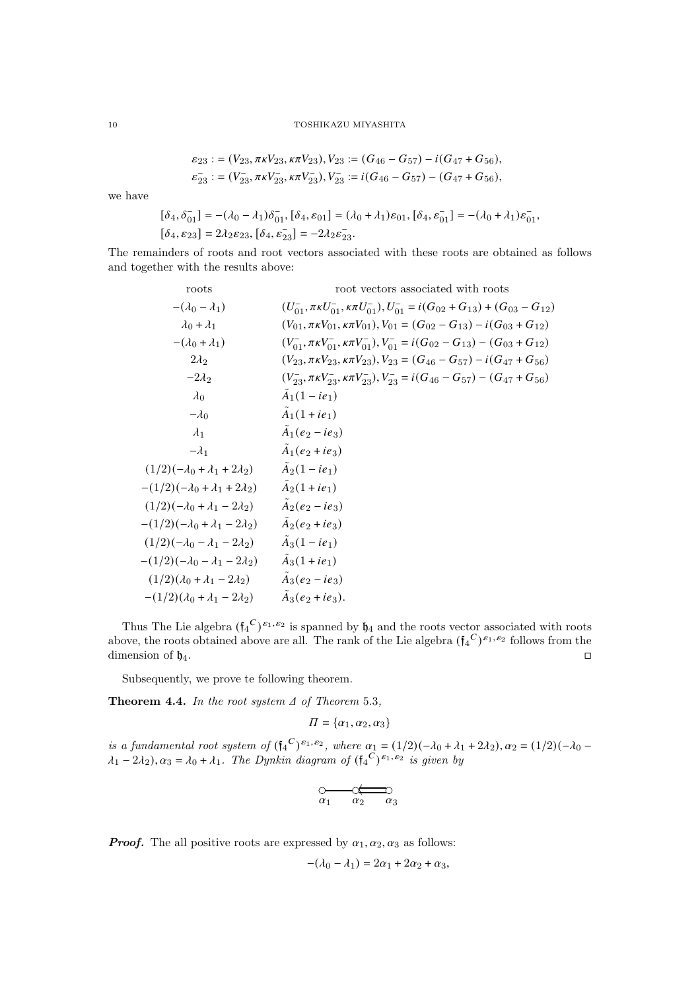### 10 TOSHIKAZU MIYASHITA

$$
\varepsilon_{23} := (V_{23}, \pi \kappa V_{23}, \kappa \pi V_{23}), V_{23} := (G_{46} - G_{57}) - i(G_{47} + G_{56}),
$$
  

$$
\varepsilon_{23}^{-} := (V_{23}^{-}, \pi \kappa V_{23}^{-}, \kappa \pi V_{23}^{-}), V_{23}^{-} := i(G_{46} - G_{57}) - (G_{47} + G_{56}),
$$

we have

$$
[\delta_4, \delta_{01}^-] = -(\lambda_0 - \lambda_1)\delta_{01}^-, [\delta_4, \varepsilon_{01}] = (\lambda_0 + \lambda_1)\varepsilon_{01}, [\delta_4, \varepsilon_{01}^-] = -(\lambda_0 + \lambda_1)\varepsilon_{01}^-,
$$
  

$$
[\delta_4, \varepsilon_{23}] = 2\lambda_2\varepsilon_{23}, [\delta_4, \varepsilon_{23}^-] = -2\lambda_2\varepsilon_{23}^-.
$$

The remainders of roots and root vectors associated with these roots are obtained as follows and together with the results above:

| roots                                         | root vectors associated with roots                                                                        |
|-----------------------------------------------|-----------------------------------------------------------------------------------------------------------|
| $-(\lambda_0 - \lambda_1)$                    | $(U_{01}^-, \pi k U_{01}^-, \kappa \pi U_{01}^+), U_{01}^- = i(G_{02} + G_{13}) + (G_{03} - G_{12})$      |
| $\lambda_0 + \lambda_1$                       | $(V_{01}, \pi \kappa V_{01}, \kappa \pi V_{01}), V_{01} = (G_{02} - G_{13}) - i(G_{03} + G_{12})$         |
| $-(\lambda_0 + \lambda_1)$                    | $(V_{01}^-, \pi K V_{01}^-, \kappa \pi V_{01}^*)$ , $V_{01}^- = i(G_{02} - G_{13}) - (G_{03} + G_{12})$   |
| $2\lambda_2$                                  | $(V_{23}, \pi \kappa V_{23}, \kappa \pi V_{23}), V_{23} = (G_{46} - G_{57}) - i(G_{47} + G_{56})$         |
| $-2\lambda_2$                                 | $(V_{23}^-, \pi \kappa V_{23}^-, \kappa \pi V_{23}^-), V_{23}^- = i(G_{46} - G_{57}) - (G_{47} + G_{56})$ |
| $\lambda_0$                                   | $A_1(1 - ie_1)$                                                                                           |
| $-\lambda_0$                                  | $A_1(1 + ie_1)$                                                                                           |
| $\lambda_1$                                   | $\ddot{A}_1(e_2 - ie_3)$                                                                                  |
| $-\lambda_1$                                  | $\ddot{A}_1(e_2 + ie_3)$                                                                                  |
| $(1/2)(-\lambda_0 + \lambda_1 + 2\lambda_2)$  | $\tilde{A}_2(1 - ie_1)$                                                                                   |
| $-(1/2)(-\lambda_0 + \lambda_1 + 2\lambda_2)$ | $A_2(1 + ie_1)$                                                                                           |
| $(1/2)(-\lambda_0 + \lambda_1 - 2\lambda_2)$  | $A_2(e_2 - ie_3)$                                                                                         |
| $-(1/2)(-\lambda_0 + \lambda_1 - 2\lambda_2)$ | $\ddot{A}_2(e_2 + ie_3)$                                                                                  |
| $(1/2)(-\lambda_0 - \lambda_1 - 2\lambda_2)$  | $\tilde{A}_3(1 - ie_1)$                                                                                   |
| $-(1/2)(-\lambda_0 - \lambda_1 - 2\lambda_2)$ | $A_3(1 + ie_1)$                                                                                           |
| $(1/2)(\lambda_0 + \lambda_1 - 2\lambda_2)$   | $\tilde{A}_3(e_2 - ie_3)$                                                                                 |
| $-(1/2)(\lambda_0 + \lambda_1 - 2\lambda_2)$  | $\ddot{A}_3(e_2 + ie_3).$                                                                                 |
|                                               |                                                                                                           |

Thus The Lie algebra  $(f_4^C)^{\varepsilon_1, \varepsilon_2}$  is spanned by  $\mathfrak{h}_4$  and the roots vector associated with roots above, the roots obtained above are all. The rank of the Lie algebra  $(\mathfrak{f}_4^C)^{\varepsilon_1,\varepsilon_2}$  follows from the dimension of  $\mathfrak{h}_4$ .

Subsequently, we prove te following theorem.

**Theorem 4.4.** In the root system  $\Delta$  of Theorem 5.3,

$$
\Pi = \{\alpha_1, \alpha_2, \alpha_3\}
$$

is a fundamental root system of  $(\mathfrak{f}_4^C)^{\varepsilon_1, \varepsilon_2}$ , where  $\alpha_1 = (1/2)(-\lambda_0 + \lambda_1 + 2\lambda_2), \alpha_2 = (1/2)(-\lambda_0 - \lambda_1)$  $\lambda_1 - 2\lambda_2$ ,  $\alpha_3 = \lambda_0 + \lambda_1$ . The Dynkin diagram of  $(\mathfrak{f}_4^C)^{\varepsilon_1, \varepsilon_2}$  is given by

$$
\overbrace{\alpha_1 \quad \alpha_2 \quad \alpha_3}^{\bigcirc \quad \bullet \quad \bullet \quad \bullet}
$$

**Proof.** The all positive roots are expressed by  $\alpha_1, \alpha_2, \alpha_3$  as follows:

$$
-(\lambda_0 - \lambda_1) = 2\alpha_1 + 2\alpha_2 + \alpha_3,
$$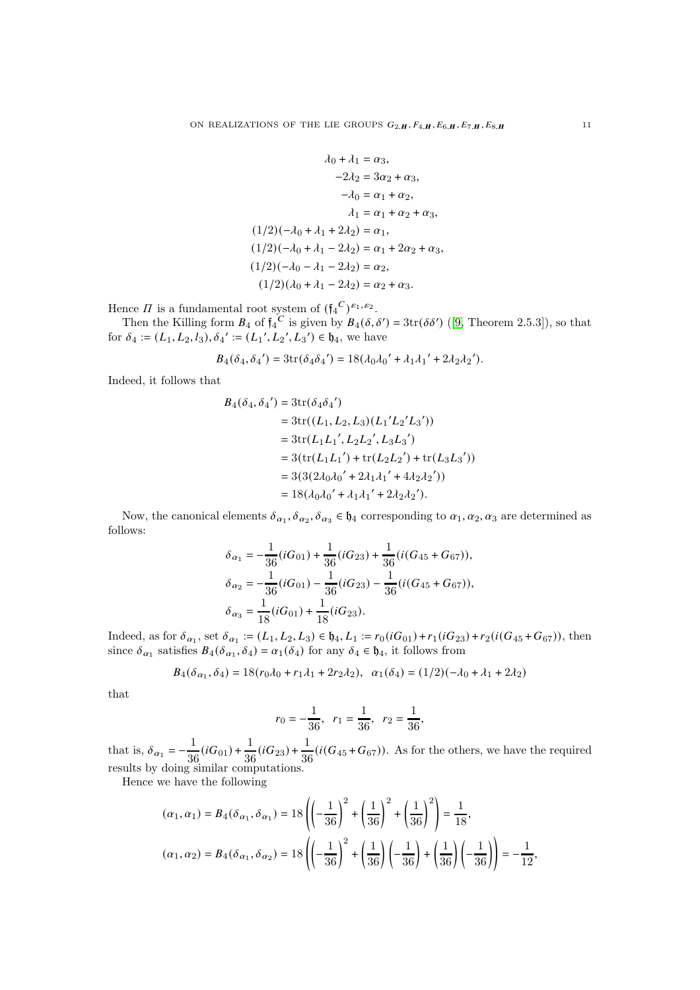$$
\lambda_0 + \lambda_1 = \alpha_3, \n-2\lambda_2 = 3\alpha_2 + \alpha_3, \n-\lambda_0 = \alpha_1 + \alpha_2, \n\lambda_1 = \alpha_1 + \alpha_2 + \alpha_3, \n(1/2)(-\lambda_0 + \lambda_1 + 2\lambda_2) = \alpha_1, \n(1/2)(-\lambda_0 + \lambda_1 - 2\lambda_2) = \alpha_1 + 2\alpha_2 + \alpha_3, \n(1/2)(-\lambda_0 - \lambda_1 - 2\lambda_2) = \alpha_2, \n(1/2)(\lambda_0 + \lambda_1 - 2\lambda_2) = \alpha_2 + \alpha_3.
$$

Hence  $\Pi$  is a fundamental root system of  $({\mathfrak{f}_4}^C)^{\varepsilon_1,\varepsilon_2}$ .

Then the Killing form  $B_4$  of  $\mathfrak{f}_4^C$  is given by  $B_4(\delta, \delta') = 3\text{tr}(\delta \delta')$  ([\[9,](#page-59-0) Theorem 2.5.3]), so that for  $\delta_4 := (L_1, L_2, l_3), \delta_4' := (L_1', L_2', L_3') \in \mathfrak{h}_4$ , we have

$$
B_4(\delta_4, \delta_4') = 3\text{tr}(\delta_4\delta_4') = 18(\lambda_0\lambda_0' + \lambda_1\lambda_1' + 2\lambda_2\lambda_2').
$$

Indeed, it follows that

$$
B_4(\delta_4, \delta_4') = 3 \text{tr}(\delta_4 \delta_4')
$$
  
= 3 \text{tr}((L\_1, L\_2, L\_3)(L\_1' L\_2' L\_3'))  
= 3 \text{tr}(L\_1 L\_1', L\_2 L\_2', L\_3 L\_3')  
= 3 (\text{tr}(L\_1 L\_1') + \text{tr}(L\_2 L\_2') + \text{tr}(L\_3 L\_3'))  
= 3(3(2\lambda\_0 \lambda\_0' + 2\lambda\_1 \lambda\_1' + 4\lambda\_2 \lambda\_2'))  
= 18(\lambda\_0 \lambda\_0' + \lambda\_1 \lambda\_1' + 2\lambda\_2 \lambda\_2').

Now, the canonical elements  $\delta_{\alpha_1}, \delta_{\alpha_2}, \delta_{\alpha_3} \in \mathfrak{h}_4$  corresponding to  $\alpha_1, \alpha_2, \alpha_3$  are determined as follows:

$$
\begin{aligned} \delta_{\alpha_1} & = -\frac{1}{36}(iG_{01}) + \frac{1}{36}(iG_{23}) + \frac{1}{36}(i(G_{45} + G_{67})),\\ \delta_{\alpha_2} & = -\frac{1}{36}(iG_{01}) - \frac{1}{36}(iG_{23}) - \frac{1}{36}(i(G_{45} + G_{67})),\\ \delta_{\alpha_3} & = \frac{1}{18}(iG_{01}) + \frac{1}{18}(iG_{23}). \end{aligned}
$$

Indeed, as for  $\delta_{\alpha_1}$ , set  $\delta_{\alpha_1} := (L_1, L_2, L_3) \in \mathfrak{h}_4$ ,  $L_1 := r_0(iG_{01}) + r_1(iG_{23}) + r_2(i(G_{45} + G_{67}))$ , then since  $\delta_{\alpha_1}$  satisfies  $B_4(\delta_{\alpha_1}, \delta_4) = \alpha_1(\delta_4)$  for any  $\delta_4 \in \mathfrak{h}_4$ , it follows from

$$
B_4(\delta_{\alpha_1}, \delta_4) = 18(r_0\lambda_0 + r_1\lambda_1 + 2r_2\lambda_2), \ \ \alpha_1(\delta_4) = (1/2)(-\lambda_0 + \lambda_1 + 2\lambda_2)
$$

that

$$
r_0=-\frac{1}{36},\;\;r_1=\frac{1}{36},\;\;r_2=\frac{1}{36},
$$

that is,  $\delta_{\alpha_1} = -\frac{1}{36}$  $\frac{1}{36}(iG_{01}) + \frac{1}{36}(iG_{23}) + \frac{1}{36}(i(G_{45} + G_{67}))$ . As for the others, we have the required results by doing similar computations.

Hence we have the following

$$
\begin{aligned} (\alpha_1,\alpha_1) &= B_4(\delta_{\alpha_1},\delta_{\alpha_1}) = 18\left(\left(-\frac{1}{36}\right)^2+\left(\frac{1}{36}\right)^2+\left(\frac{1}{36}\right)^2\right)=\frac{1}{18},\\ (\alpha_1,\alpha_2) &= B_4(\delta_{\alpha_1},\delta_{\alpha_2}) = 18\left(\left(-\frac{1}{36}\right)^2+\left(\frac{1}{36}\right)\left(-\frac{1}{36}\right)+\left(\frac{1}{36}\right)\left(-\frac{1}{36}\right)\right)=-\frac{1}{12}, \end{aligned}
$$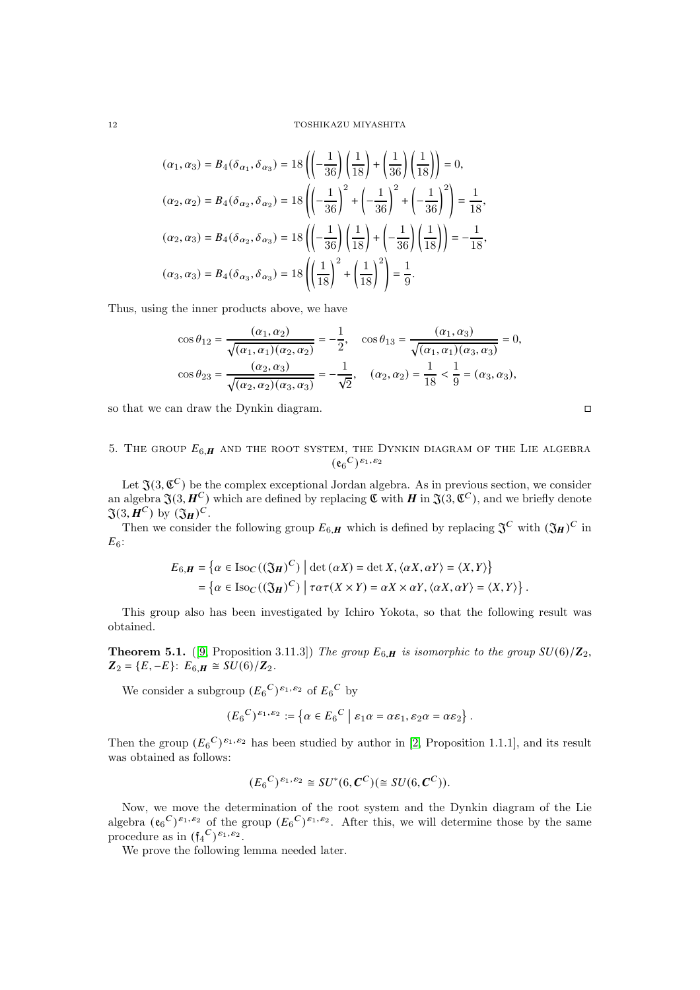$$
(\alpha_1, \alpha_3) = B_4(\delta_{\alpha_1}, \delta_{\alpha_3}) = 18 \left( \left( -\frac{1}{36} \right) \left( \frac{1}{18} \right) + \left( \frac{1}{36} \right) \left( \frac{1}{18} \right) \right) = 0,
$$
  
\n
$$
(\alpha_2, \alpha_2) = B_4(\delta_{\alpha_2}, \delta_{\alpha_2}) = 18 \left( \left( -\frac{1}{36} \right)^2 + \left( -\frac{1}{36} \right)^2 + \left( -\frac{1}{36} \right)^2 \right) = \frac{1}{18},
$$
  
\n
$$
(\alpha_2, \alpha_3) = B_4(\delta_{\alpha_2}, \delta_{\alpha_3}) = 18 \left( \left( -\frac{1}{36} \right) \left( \frac{1}{18} \right) + \left( -\frac{1}{36} \right) \left( \frac{1}{18} \right) \right) = -\frac{1}{18},
$$
  
\n
$$
(\alpha_3, \alpha_3) = B_4(\delta_{\alpha_3}, \delta_{\alpha_3}) = 18 \left( \left( \frac{1}{18} \right)^2 + \left( \frac{1}{18} \right)^2 \right) = \frac{1}{9}.
$$

Thus, using the inner products above, we have

$$
\cos \theta_{12} = \frac{(\alpha_1, \alpha_2)}{\sqrt{(\alpha_1, \alpha_1)(\alpha_2, \alpha_2)}} = -\frac{1}{2}, \quad \cos \theta_{13} = \frac{(\alpha_1, \alpha_3)}{\sqrt{(\alpha_1, \alpha_1)(\alpha_3, \alpha_3)}} = 0,
$$
  

$$
\cos \theta_{23} = \frac{(\alpha_2, \alpha_3)}{\sqrt{(\alpha_2, \alpha_2)(\alpha_3, \alpha_3)}} = -\frac{1}{\sqrt{2}}, \quad (\alpha_2, \alpha_2) = \frac{1}{18} < \frac{1}{9} = (\alpha_3, \alpha_3),
$$

so that we can draw the Dynkin diagram.

5. THE GROUP 
$$
E_{6,H}
$$
 AND THE ROOT SYSTEM, THE DYNKIN DIAGRAM OF THE LIGEBRA  $(\mathfrak{e}_6^C)^{\varepsilon_1,\varepsilon_2}$ 

Let  $\mathfrak{J}(3,\mathfrak{C}^C)$  be the complex exceptional Jordan algebra. As in previous section, we consider an algebra  $\mathfrak{J}(3, H^C)$  which are defined by replacing  $\mathfrak C$  with  $H$  in  $\mathfrak{J}(3, \mathfrak{C}^C)$ , and we briefly denote  $\mathfrak{J}(3, H^C)$  by  $(\mathfrak{J}_H)^C$ .

Then we consider the following group  $E_{6,H}$  which is defined by replacing  $\mathfrak{J}^C$  with  $(\mathfrak{J}_H)^C$  in  $E_6$ :

$$
E_{6,\mathbf{H}} = \left\{ \alpha \in \operatorname{Iso}_C((\mathfrak{J}_\mathbf{H})^C) \mid \det(\alpha X) = \det X, \langle \alpha X, \alpha Y \rangle = \langle X, Y \rangle \right\}
$$
  
= 
$$
\left\{ \alpha \in \operatorname{Iso}_C((\mathfrak{J}_\mathbf{H})^C) \mid \tau \alpha \tau (X \times Y) = \alpha X \times \alpha Y, \langle \alpha X, \alpha Y \rangle = \langle X, Y \rangle \right\}.
$$

This group also has been investigated by Ichiro Yokota, so that the following result was obtained.

<span id="page-11-0"></span>**Theorem 5.1.** ([\[9,](#page-59-0) Proposition 3.11.3]) The group  $E_{6,H}$  is isomorphic to the group  $SU(6)/\mathbb{Z}_2$ ,  $\mathbf{Z}_2 = \{E, -E\}$ :  $E_{6,H} \cong SU(6)/\mathbf{Z}_2$ .

We consider a subgroup  $(E_6^C)^{\varepsilon_1, \varepsilon_2}$  of  $E_6^C$  by

$$
(E_6{}^C)^{\varepsilon_1,\varepsilon_2} := \left\{ \alpha \in E_6{}^C \mid \varepsilon_1 \alpha = \alpha \varepsilon_1, \varepsilon_2 \alpha = \alpha \varepsilon_2 \right\}.
$$

Then the group  $(E_6^C)^{\varepsilon_1,\varepsilon_2}$  has been studied by author in [\[2,](#page-59-3) Proposition 1.1.1], and its result was obtained as follows:

$$
(E_6^C)^{\varepsilon_1,\varepsilon_2} \cong SU^*(6,\mathcal{C}^C)(\cong SU(6,\mathcal{C}^C)).
$$

Now, we move the determination of the root system and the Dynkin diagram of the Lie algebra  $({\bf \epsilon}_6^C)^{\varepsilon_1,\varepsilon_2}$  of the group  $(E_6^C)^{\varepsilon_1,\varepsilon_2}$ . After this, we will determine those by the same procedure as in  $({\mathfrak{f}_4}^C)^{\varepsilon_1,\varepsilon_2}$ .

We prove the following lemma needed later.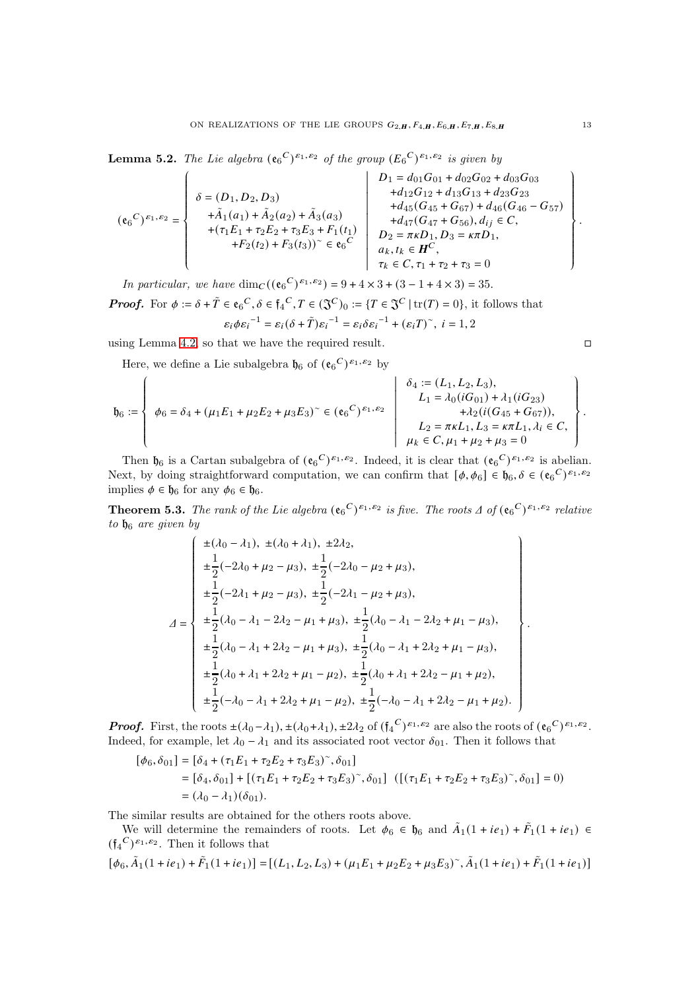**Lemma 5.2.** The Lie algebra  $(e_6^C)^{\varepsilon_1, \varepsilon_2}$  of the group  $(E_6^C)^{\varepsilon_1, \varepsilon_2}$  is given by

$$
(\mathbf{e}_{6}C)^{\varepsilon_{1},\varepsilon_{2}} = \left\{\begin{array}{c} \delta = (D_{1},D_{2},D_{3}) \\ \delta = (D_{1},D_{2},D_{3}) \\ +\tilde{A}_{1}(a_{1}) + \tilde{A}_{2}(a_{2}) + \tilde{A}_{3}(a_{3}) \\ +(\tau_{1}E_{1} + \tau_{2}E_{2} + \tau_{3}E_{3} + F_{1}(t_{1}) \\ +F_{2}(t_{2}) + F_{3}(t_{3}))^{\sim} \in \mathbf{e}_{6}^{\ C} \end{array} \right\} \left\{\begin{array}{c} D_{1} = d_{01}G_{01} + d_{02}G_{02} + d_{03}G_{03} \\ + d_{12}G_{12} + d_{13}G_{13} + d_{23}G_{23} \\ + d_{45}(G_{45} + G_{67}) + d_{46}(G_{46} - G_{57}) \\ + d_{47}(G_{47} + G_{56}), d_{ij} \in C, \\ D_{2} = \pi \kappa D_{1}, D_{3} = \kappa \pi D_{1}, \\ a_{k}, t_{k} \in \mathbf{H}^{C}, \\ \tau_{k} \in C, \tau_{1} + \tau_{2} + \tau_{3} = 0 \end{array} \right\}.
$$

In particular, we have  $\dim_C((e_6^C)^{\varepsilon_1,\varepsilon_2}) = 9 + 4 \times 3 + (3 - 1 + 4 \times 3) = 35.$ 

**Proof.** For 
$$
\phi := \delta + \tilde{T} \in e_6^C
$$
,  $\delta \in \mathfrak{f}_4^C$ ,  $T \in (\mathfrak{J}^C)_0 := \{T \in \mathfrak{J}^C | \text{tr}(T) = 0\}$ , it follows that 
$$
\varepsilon_i \phi \varepsilon_i^{-1} = \varepsilon_i (\delta + \tilde{T}) \varepsilon_i^{-1} = \varepsilon_i \delta \varepsilon_i^{-1} + (\varepsilon_i T)^\sim, \ i = 1, 2
$$

using Lemma [4.2,](#page-7-0) so that we have the required result.

Here, we define a Lie subalgebra  $\mathfrak{h}_6$  of  $(\mathfrak{e}_6^C)^{\varepsilon_1, \varepsilon_2}$  by

$$
\mathfrak{h}_6:=\left\{\begin{array}{c} \phi_6=\delta_4+(\mu_1E_1+\mu_2E_2+\mu_3E_3)^\sim\in(\mathfrak{e}_6{}^C)^{\varepsilon_1,\varepsilon_2}\\ \phi_6=\delta_4+(\mu_1E_1+\mu_2E_2+\mu_3E_3)^\sim\in(\mathfrak{e}_6{}^C)^{\varepsilon_1,\varepsilon_2}\\ \mu_k\in C,\mu_1+\mu_2+\mu_3=0\end{array}\right\}.
$$

Then  $\mathfrak{h}_6$  is a Cartan subalgebra of  $({\mathfrak{e}_6}^C)^{\varepsilon_1,\varepsilon_2}$ . Indeed, it is clear that  $({\mathfrak{e}_6}^C)^{\varepsilon_1,\varepsilon_2}$  is abelian. Next, by doing straightforward computation, we can confirm that  $[\phi, \phi_6] \in \mathfrak{h}_6$ ,  $\delta \in (\mathfrak{e}_6^C)^{\varepsilon_1, \varepsilon_2}$ implies  $\phi \in \mathfrak{h}_6$  for any  $\phi_6 \in \mathfrak{h}_6$ .

<span id="page-12-0"></span>**Theorem 5.3.** The rank of the Lie algebra  $({\bf e}_6^C)^{\varepsilon_1,\varepsilon_2}$  is five. The roots  $\Delta$  of  $({\bf e}_6^C)^{\varepsilon_1,\varepsilon_2}$  relative to  $\mathfrak{h}_6$  are given by

$$
\Delta = \begin{cases}\n\pm(\lambda_0 - \lambda_1), \pm(\lambda_0 + \lambda_1), \pm 2\lambda_2, \\
\pm \frac{1}{2}(-2\lambda_0 + \mu_2 - \mu_3), \pm \frac{1}{2}(-2\lambda_0 - \mu_2 + \mu_3), \\
\pm \frac{1}{2}(-2\lambda_1 + \mu_2 - \mu_3), \pm \frac{1}{2}(-2\lambda_1 - \mu_2 + \mu_3), \\
\pm \frac{1}{2}(\lambda_0 - \lambda_1 - 2\lambda_2 - \mu_1 + \mu_3), \pm \frac{1}{2}(\lambda_0 - \lambda_1 - 2\lambda_2 + \mu_1 - \mu_3), \\
\pm \frac{1}{2}(\lambda_0 - \lambda_1 + 2\lambda_2 - \mu_1 + \mu_3), \pm \frac{1}{2}(\lambda_0 - \lambda_1 + 2\lambda_2 + \mu_1 - \mu_3), \\
\pm \frac{1}{2}(\lambda_0 + \lambda_1 + 2\lambda_2 + \mu_1 - \mu_2), \pm \frac{1}{2}(\lambda_0 + \lambda_1 + 2\lambda_2 - \mu_1 + \mu_2), \\
\pm \frac{1}{2}(-\lambda_0 - \lambda_1 + 2\lambda_2 + \mu_1 - \mu_2), \pm \frac{1}{2}(-\lambda_0 - \lambda_1 + 2\lambda_2 - \mu_1 + \mu_2).\n\end{cases}
$$

**Proof.** First, the roots  $\pm(\lambda_0-\lambda_1), \pm(\lambda_0+\lambda_1), \pm 2\lambda_2$  of  $(\mathfrak{f}_4^C)^{\varepsilon_1,\varepsilon_2}$  are also the roots of  $(\mathfrak{e}_6^C)^{\varepsilon_1,\varepsilon_2}$ . Indeed, for example, let  $\lambda_0 - \lambda_1$  and its associated root vector  $\delta_{01}$ . Then it follows that

$$
[\phi_6, \delta_{01}] = [\delta_4 + (\tau_1 E_1 + \tau_2 E_2 + \tau_3 E_3)^{\sim}, \delta_{01}]
$$
  
=  $[\delta_4, \delta_{01}] + [(\tau_1 E_1 + \tau_2 E_2 + \tau_3 E_3)^{\sim}, \delta_{01}]$   $([(\tau_1 E_1 + \tau_2 E_2 + \tau_3 E_3)^{\sim}, \delta_{01}] = 0)$   
=  $(\lambda_0 - \lambda_1)(\delta_{01}).$ 

The similar results are obtained for the others roots above.

We will determine the remainders of roots. Let  $\phi_6 \in \mathfrak{h}_6$  and  $\tilde{A}_1(1 + ie_1) + \tilde{F}_1(1 + ie_1) \in$  $(\mathfrak{f}_4^C)^{\varepsilon_1,\varepsilon_2}$ . Then it follows that

$$
[\phi_6, \tilde{A}_1(1 + ie_1) + \tilde{F}_1(1 + ie_1)] = [(L_1, L_2, L_3) + (\mu_1 E_1 + \mu_2 E_2 + \mu_3 E_3)^{\sim}, \tilde{A}_1(1 + ie_1) + \tilde{F}_1(1 + ie_1)]
$$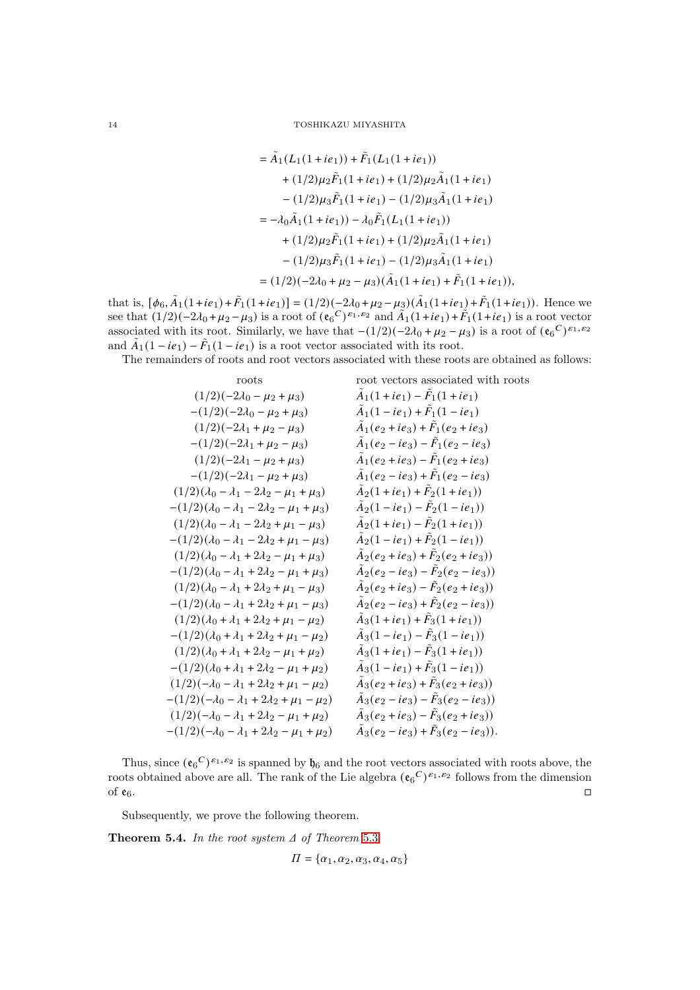$$
= \tilde{A}_1(L_1(1+ie_1)) + \tilde{F}_1(L_1(1+ie_1))
$$
  
+  $(1/2)\mu_2\tilde{F}_1(1+ie_1) + (1/2)\mu_2\tilde{A}_1(1+ie_1)$   
-  $(1/2)\mu_3\tilde{F}_1(1+ie_1) - (1/2)\mu_3\tilde{A}_1(1+ie_1)$   
=  $-\lambda_0\tilde{A}_1(1+ie_1)) - \lambda_0\tilde{F}_1(L_1(1+ie_1))$   
+  $(1/2)\mu_2\tilde{F}_1(1+ie_1) + (1/2)\mu_2\tilde{A}_1(1+ie_1)$   
-  $(1/2)\mu_3\tilde{F}_1(1+ie_1) - (1/2)\mu_3\tilde{A}_1(1+ie_1)$   
=  $(1/2)(-2\lambda_0 + \mu_2 - \mu_3)(\tilde{A}_1(1+ie_1) + \tilde{F}_1(1+ie_1)),$ 

that is,  $[\phi_6, \tilde{A}_1(1 + ie_1) + \tilde{F}_1(1 + ie_1)] = (1/2)(-2\lambda_0 + \mu_2 - \mu_3)(\tilde{A}_1(1 + ie_1) + \tilde{F}_1(1 + ie_1)).$  Hence we see that  $(1/2)(-2\lambda_0 + \mu_2 - \mu_3)$  is a root of  $(\mathfrak{e}_6^C)^{\varepsilon_1, \varepsilon_2}$  and  $\tilde{A}_1(1+i\epsilon_1) + \tilde{F}_1(1+i\epsilon_1)$  is a root vector associated with its root. Similarly, we have that  $-(1/2)(-2\lambda_0 + \mu_2 - \mu_3)$  is a root of  $({\mathfrak{e}_6}^C)^{\varepsilon_1, \varepsilon_2}$ and  $\tilde{A}_1(1 - ie_1) - \tilde{F}_1(1 - ie_1)$  is a root vector associated with its root.

The remainders of roots and root vectors associated with these roots are obtained as follows:

roots root vectors associated with roots  
\n
$$
(1/2)(-2\lambda_0 - \mu_2 + \mu_3)
$$
\n
$$
-(1/2)(-2\lambda_0 - \mu_2 + \mu_3)
$$
\n
$$
(\lambda_1 + \mu_2 - \mu_3)
$$
\n
$$
(\lambda_2 + \mu_2 - \mu_3)
$$
\n
$$
-(1/2)(-2\lambda_1 + \mu_2 - \mu_3)
$$
\n
$$
(\lambda_1 + \mu_2 - \mu_3)
$$
\n
$$
(\lambda_2 + \mu_3)
$$
\n
$$
(\lambda_2 + \mu_3)
$$
\n
$$
(\lambda_1 + \mu_2 - \mu_3)
$$
\n
$$
(\lambda_1 + \mu_2 - \mu_3)
$$
\n
$$
(\lambda_1 + \mu_2 - \mu_3)
$$
\n
$$
(\lambda_1 + \mu_2 - \mu_3)
$$
\n
$$
(\lambda_1 + \mu_2 - \mu_3)
$$
\n
$$
(\lambda_1 + \mu_2 - \mu_3)
$$
\n
$$
(\lambda_1 + \mu_2 - \mu_3)
$$
\n
$$
(\lambda_1 + \mu_2 - \mu_3)
$$
\n
$$
(\lambda_1 + \mu_2 - \mu_3)
$$
\n
$$
(\lambda_1 + \mu_2 - \mu_3)
$$
\n
$$
(\lambda_1 + \mu_2 - \mu_3)
$$
\n
$$
(\lambda_1 + \mu_2 - \mu_3)
$$
\n
$$
(\lambda_1 + \mu_2)
$$
\n
$$
(\lambda_1 + \mu_2)
$$
\n
$$
(\lambda_2 + \mu_3)
$$
\n
$$
(\lambda_2 + \mu_1 - \mu_3)
$$
\n
$$
(\lambda_2 + \mu_1 - \mu_3)
$$
\n
$$
(\lambda_2 + \mu_1 - \mu_3)
$$
\n
$$
(\lambda_2 + \mu_1 - \mu_3)
$$
\n
$$
(\lambda_2 + \mu_2 - \mu_1 + \mu_3)
$$
\n
$$
(\lambda_2 + \mu_2 - \mu_1 + \mu_3)
$$
\n
$$
(\lambda_2 + \mu_2 - \mu_1 + \mu_3)
$$
\n
$$
(\lambda_2 + \mu_2 - \mu_1 + \mu_3)
$$

Thus, since  $({\mathfrak{e}_6}^C)^{\varepsilon_1,\varepsilon_2}$  is spanned by  ${\mathfrak{h}_6}$  and the root vectors associated with roots above, the roots obtained above are all. The rank of the Lie algebra  $({\mathfrak e}_6^C)^{\varepsilon_1,\varepsilon_2}$  follows from the dimension of  $e_6$ .

Subsequently, we prove the following theorem.

**Theorem 5.4.** In the root system  $\Delta$  of Theorem [5.3](#page-12-0)

 $\Pi = {\alpha_1, \alpha_2, \alpha_3, \alpha_4, \alpha_5}$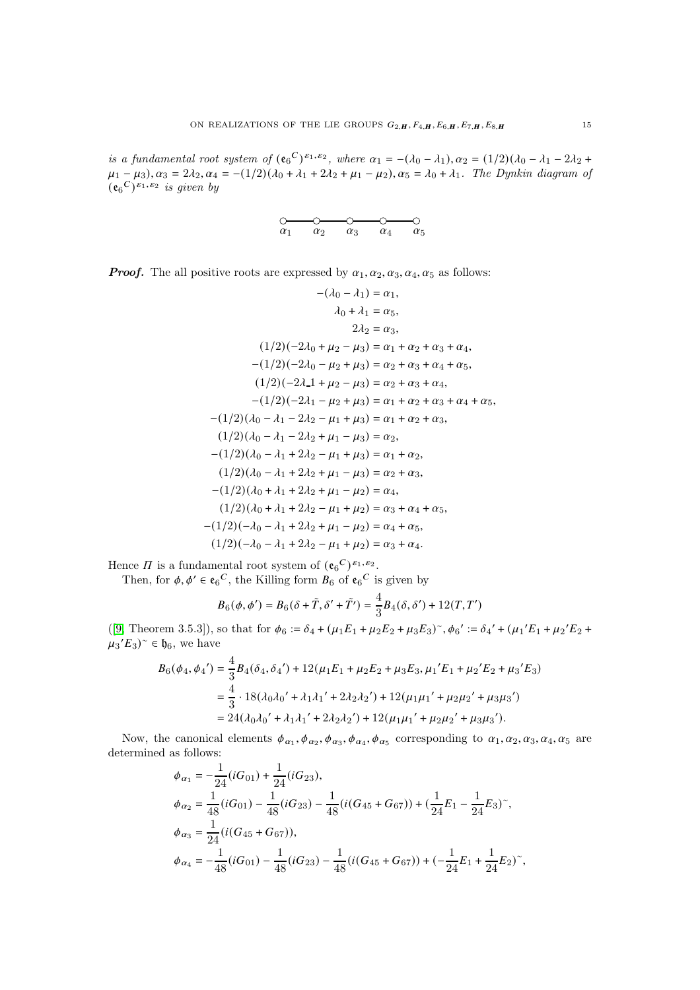is a fundamental root system of  $(e_6^C)^{\varepsilon_1,\varepsilon_2}$ , where  $\alpha_1 = -(\lambda_0 - \lambda_1), \alpha_2 = (1/2)(\lambda_0 - \lambda_1 - 2\lambda_2 + \lambda_1)$  $\mu_1 - \mu_3$ ,  $\alpha_3 = 2\lambda_2$ ,  $\alpha_4 = -(1/2)(\lambda_0 + \lambda_1 + 2\lambda_2 + \mu_1 - \mu_2)$ ,  $\alpha_5 = \lambda_0 + \lambda_1$ . The Dynkin diagram of  $({\mathfrak{e}_6}^C)^{\varepsilon_1,\varepsilon_2}$  is given by



**Proof.** The all positive roots are expressed by  $\alpha_1, \alpha_2, \alpha_3, \alpha_4, \alpha_5$  as follows:

$$
-(\lambda_0 - \lambda_1) = \alpha_1,
$$
  
\n
$$
\lambda_0 + \lambda_1 = \alpha_5,
$$
  
\n
$$
2\lambda_2 = \alpha_3,
$$
  
\n
$$
(1/2)(-2\lambda_0 + \mu_2 - \mu_3) = \alpha_1 + \alpha_2 + \alpha_3 + \alpha_4,
$$
  
\n
$$
-(1/2)(-2\lambda_0 - \mu_2 + \mu_3) = \alpha_2 + \alpha_3 + \alpha_4 + \alpha_5,
$$
  
\n
$$
(1/2)(-2\lambda_1 + \mu_2 - \mu_3) = \alpha_2 + \alpha_3 + \alpha_4,
$$
  
\n
$$
-(1/2)(-2\lambda_1 - \mu_2 + \mu_3) = \alpha_1 + \alpha_2 + \alpha_3 + \alpha_4 + \alpha_5,
$$
  
\n
$$
-(1/2)(\lambda_0 - \lambda_1 - 2\lambda_2 - \mu_1 + \mu_3) = \alpha_1 + \alpha_2 + \alpha_3,
$$
  
\n
$$
(1/2)(\lambda_0 - \lambda_1 - 2\lambda_2 + \mu_1 - \mu_3) = \alpha_2,
$$
  
\n
$$
-(1/2)(\lambda_0 - \lambda_1 + 2\lambda_2 - \mu_1 + \mu_3) = \alpha_1 + \alpha_2,
$$
  
\n
$$
(1/2)(\lambda_0 - \lambda_1 + 2\lambda_2 + \mu_1 - \mu_3) = \alpha_2 + \alpha_3,
$$
  
\n
$$
-(1/2)(\lambda_0 + \lambda_1 + 2\lambda_2 + \mu_1 - \mu_2) = \alpha_4,
$$
  
\n
$$
(1/2)(\lambda_0 + \lambda_1 + 2\lambda_2 - \mu_1 + \mu_2) = \alpha_3 + \alpha_4 + \alpha_5,
$$
  
\n
$$
-(1/2)(-\lambda_0 - \lambda_1 + 2\lambda_2 + \mu_1 - \mu_2) = \alpha_4 + \alpha_5,
$$
  
\n
$$
(1/2)(-\lambda_0 - \lambda_1 + 2\lambda_2 - \mu_1 + \mu_2) = \alpha_3 + \alpha_4.
$$

Hence  $\Pi$  is a fundamental root system of  $({\mathfrak{e}_6}^C)^{\varepsilon_1,\varepsilon_2}$ .

Then, for  $\phi, \phi' \in \mathfrak{e}_6^C$ , the Killing form  $B_6$  of  $\mathfrak{e}_6^C$  is given by

$$
B_6(\phi, \phi') = B_6(\delta + \tilde{T}, \delta' + \tilde{T'}) = \frac{4}{3}B_4(\delta, \delta') + 12(T, T')
$$

([\[9,](#page-59-0) Theorem 3.5.3]), so that for  $\phi_6 := \delta_4 + (\mu_1 E_1 + \mu_2 E_2 + \mu_3 E_3)$ <sup>~</sup>,  $\phi_6' := \delta_4' + (\mu_1' E_1 + \mu_2' E_2 + \mu_3 E_3)$ <sup>\*</sup>  $\mu_3' E_3$ <sup>~</sup>  $\in \mathfrak{h}_6$ , we have

$$
B_6(\phi_4, \phi_4') = \frac{4}{3} B_4(\delta_4, \delta_4') + 12(\mu_1 E_1 + \mu_2 E_2 + \mu_3 E_3, \mu_1' E_1 + \mu_2' E_2 + \mu_3' E_3)
$$
  
=  $\frac{4}{3} \cdot 18(\lambda_0 \lambda_0' + \lambda_1 \lambda_1' + 2\lambda_2 \lambda_2') + 12(\mu_1 \mu_1' + \mu_2 \mu_2' + \mu_3 \mu_3')$   
=  $24(\lambda_0 \lambda_0' + \lambda_1 \lambda_1' + 2\lambda_2 \lambda_2') + 12(\mu_1 \mu_1' + \mu_2 \mu_2' + \mu_3 \mu_3').$ 

Now, the canonical elements  $\phi_{\alpha_1}, \phi_{\alpha_2}, \phi_{\alpha_3}, \phi_{\alpha_4}, \phi_{\alpha_5}$  corresponding to  $\alpha_1, \alpha_2, \alpha_3, \alpha_4, \alpha_5$  are determined as follows:

$$
\begin{aligned} \phi_{\alpha_1} & = -\frac{1}{24}(iG_{01}) + \frac{1}{24}(iG_{23}),\\ \phi_{\alpha_2} & = \frac{1}{48}(iG_{01}) - \frac{1}{48}(iG_{23}) - \frac{1}{48}(i(G_{45} + G_{67})) + (\frac{1}{24}E_1 - \frac{1}{24}E_3)^{\sim},\\ \phi_{\alpha_3} & = \frac{1}{24}(i(G_{45} + G_{67})),\\ \phi_{\alpha_4} & = -\frac{1}{48}(iG_{01}) - \frac{1}{48}(iG_{23}) - \frac{1}{48}(i(G_{45} + G_{67})) + (-\frac{1}{24}E_1 + \frac{1}{24}E_2)^{\sim}, \end{aligned}
$$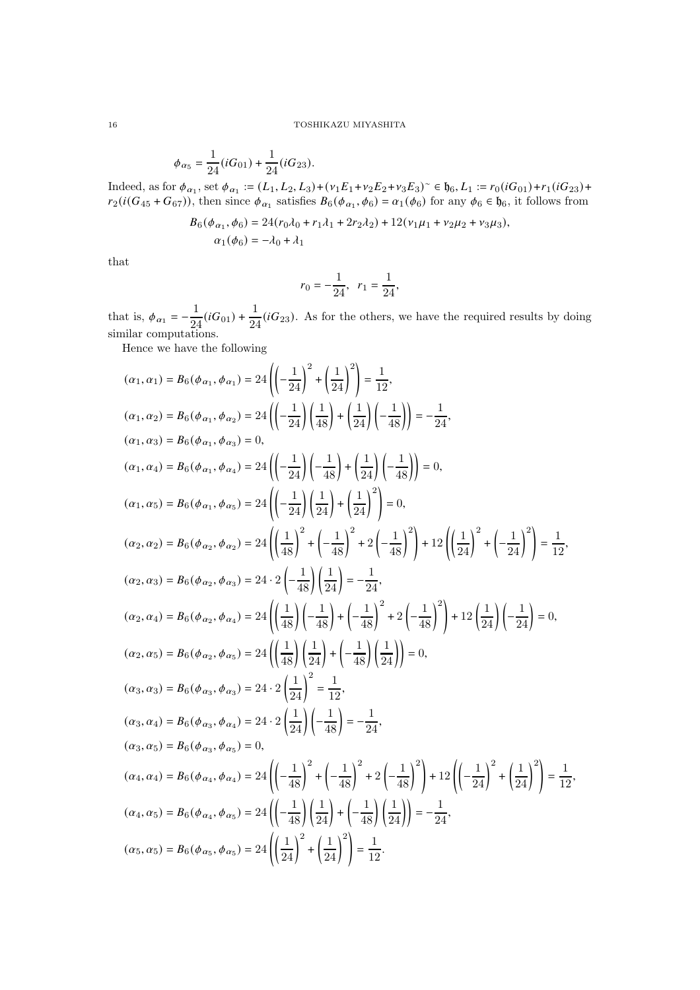$$
\phi_{\alpha_5} = \frac{1}{24}(iG_{01}) + \frac{1}{24}(iG_{23}).
$$

Indeed, as for  $\phi_{\alpha_1}$ , set  $\phi_{\alpha_1} := (L_1, L_2, L_3) + (v_1 E_1 + v_2 E_2 + v_3 E_3)^{\sim} \in \mathfrak{h}_6$ ,  $L_1 := r_0(iG_{01}) + r_1(iG_{23}) +$  $r_2(i(G_{45}+G_{67}))$ , then since  $\phi_{\alpha_1}$  satisfies  $B_6(\phi_{\alpha_1}, \phi_6) = \alpha_1(\phi_6)$  for any  $\phi_6 \in \mathfrak{h}_6$ , it follows from

$$
B_6(\phi_{\alpha_1}, \phi_6) = 24(r_0\lambda_0 + r_1\lambda_1 + 2r_2\lambda_2) + 12(\nu_1\mu_1 + \nu_2\mu_2 + \nu_3\mu_3),
$$
  

$$
\alpha_1(\phi_6) = -\lambda_0 + \lambda_1
$$

that

$$
r_0 = -\frac{1}{24}, \ \ r_1 = \frac{1}{24},
$$

that is,  $\phi_{\alpha_1} = -\frac{1}{2a}$  $\frac{1}{24}(iG_{01}) + \frac{1}{24}(iG_{23})$ . As for the others, we have the required results by doing similar computations.

Hence we have the following

$$
(\alpha_1, \alpha_1) = B_6(\phi_{\alpha_1}, \phi_{\alpha_1}) = 24\left(\left(-\frac{1}{24}\right)^2 + \left(\frac{1}{24}\right)^2\right) = \frac{1}{12},
$$
  
\n
$$
(\alpha_1, \alpha_2) = B_6(\phi_{\alpha_1}, \phi_{\alpha_2}) = 24\left(\left(-\frac{1}{24}\right)\left(\frac{1}{48}\right) + \left(\frac{1}{24}\right)\left(-\frac{1}{48}\right)\right) = -\frac{1}{24},
$$
  
\n
$$
(\alpha_1, \alpha_3) = B_6(\phi_{\alpha_1}, \phi_{\alpha_3}) = 0,
$$
  
\n
$$
(\alpha_1, \alpha_4) = B_6(\phi_{\alpha_1}, \phi_{\alpha_4}) = 24\left(\left(-\frac{1}{24}\right)\left(-\frac{1}{48}\right) + \left(\frac{1}{24}\right)\left(-\frac{1}{48}\right)\right) = 0,
$$
  
\n
$$
(\alpha_1, \alpha_5) = B_6(\phi_{\alpha_1}, \phi_{\alpha_5}) = 24\left(\left(-\frac{1}{24}\right)\left(\frac{1}{24}\right) + \left(\frac{1}{24}\right)^2\right) = 0,
$$
  
\n
$$
(\alpha_2, \alpha_2) = B_6(\phi_{\alpha_2}, \phi_{\alpha_2}) = 24\left(\left(\frac{1}{48}\right)^2 + \left(-\frac{1}{48}\right)^2 + 2\left(-\frac{1}{48}\right)^2\right) + 12\left(\left(\frac{1}{24}\right)^2 + \left(-\frac{1}{24}\right)^2\right) = \frac{1}{12},
$$
  
\n
$$
(\alpha_2, \alpha_3) = B_6(\phi_{\alpha_2}, \phi_{\alpha_3}) = 24 \cdot 2\left(\frac{1}{48}\right)\left(-\frac{1}{48}\right) + \left(-\frac{1}{48}\right)^2 + 2\left(-\frac{1}{48}\right)^2\right) + 12\left(\frac{1}{24}\right)\left(-\frac{1}{24}\right) = 0,
$$
  
\n
$$
(\alpha_2, \alpha_3) = B_6(\phi_{\alpha_2}, \phi_{\alpha_3}) = 24\cdot 2\left
$$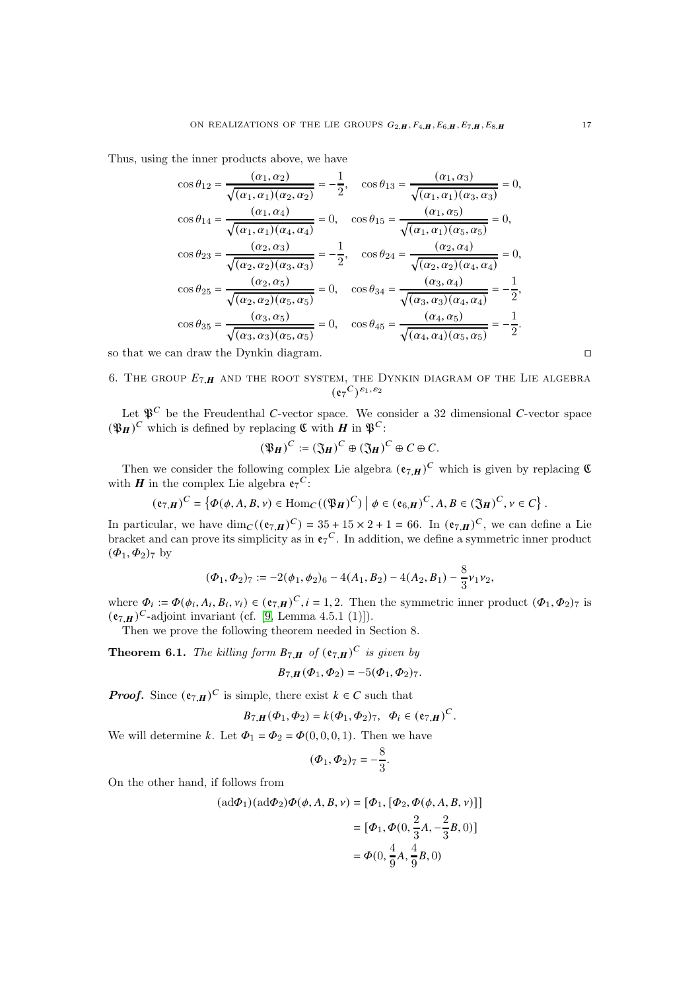Thus, using the inner products above, we have

$$
\cos \theta_{12} = \frac{(\alpha_1, \alpha_2)}{\sqrt{(\alpha_1, \alpha_1)(\alpha_2, \alpha_2)}} = -\frac{1}{2}, \quad \cos \theta_{13} = \frac{(\alpha_1, \alpha_3)}{\sqrt{(\alpha_1, \alpha_1)(\alpha_3, \alpha_3)}} = 0,
$$
  
\n
$$
\cos \theta_{14} = \frac{(\alpha_1, \alpha_4)}{\sqrt{(\alpha_1, \alpha_1)(\alpha_4, \alpha_4)}} = 0, \quad \cos \theta_{15} = \frac{(\alpha_1, \alpha_5)}{\sqrt{(\alpha_1, \alpha_1)(\alpha_5, \alpha_5)}} = 0,
$$
  
\n
$$
\cos \theta_{23} = \frac{(\alpha_2, \alpha_3)}{\sqrt{(\alpha_2, \alpha_2)(\alpha_3, \alpha_3)}} = -\frac{1}{2}, \quad \cos \theta_{24} = \frac{(\alpha_2, \alpha_4)}{\sqrt{(\alpha_2, \alpha_2)(\alpha_4, \alpha_4)}} = 0,
$$
  
\n
$$
\cos \theta_{25} = \frac{(\alpha_2, \alpha_5)}{\sqrt{(\alpha_2, \alpha_2)(\alpha_5, \alpha_5)}} = 0, \quad \cos \theta_{34} = \frac{(\alpha_3, \alpha_4)}{\sqrt{(\alpha_3, \alpha_3)(\alpha_4, \alpha_4)}} = -\frac{1}{2},
$$
  
\n
$$
\cos \theta_{35} = \frac{(\alpha_3, \alpha_5)}{\sqrt{(\alpha_3, \alpha_3)(\alpha_5, \alpha_5)}} = 0, \quad \cos \theta_{45} = \frac{(\alpha_4, \alpha_5)}{\sqrt{(\alpha_4, \alpha_4)(\alpha_5, \alpha_5)}} = -\frac{1}{2}.
$$

so that we can draw the Dynkin diagram.

6. THE GROUP  $E_{7,H}$  and the root system, the Dynkin diagram of the Lie algebra  $({\mathfrak e}_7^C)^{\varepsilon_1,\varepsilon_2}$ 

Let  $\mathfrak{P}^C$  be the Freudenthal C-vector space. We consider a 32 dimensional C-vector space  $(\mathfrak{P}_H)^C$  which is defined by replacing  $\mathfrak C$  with  $H$  in  $\mathfrak{P}^C$ :

$$
(\mathfrak{P}_H)^C := (\mathfrak{J}_H)^C \oplus (\mathfrak{J}_H)^C \oplus C \oplus C.
$$

Then we consider the following complex Lie algebra  $({e_{7,H}})^C$  which is given by replacing  $\mathfrak C$ with  $H$  in the complex Lie algebra  $\mathfrak{e}_7^C$ :

$$
(\mathfrak{e}_{7,\boldsymbol{H}})^C=\left\{\varPhi(\phi,A,B,\nu)\in \mathrm{Hom}_{C}((\mathfrak{P}_{\boldsymbol{H}})^C)\ \Big|\ \phi\in (\mathfrak{e}_{6,\boldsymbol{H}})^C,A,B\in (\mathfrak{J}_{\boldsymbol{H}})^C,\nu\in C\right\}.
$$

In particular, we have  $\dim_C((e_{7,H})^C) = 35 + 15 \times 2 + 1 = 66$ . In  $(e_{7,H})^C$ , we can define a Lie bracket and can prove its simplicity as in  $\mathfrak{e}_7^C$ . In addition, we define a symmetric inner product  $(\Phi_1, \Phi_2)$ <sub>7</sub> by

$$
(\varPhi_1,\varPhi_2)_7:=-2(\phi_1,\phi_2)_6-4(A_1,B_2)-4(A_2,B_1)-\frac{8}{3}v_1v_2,
$$

where  $\Phi_i := \Phi(\phi_i, A_i, B_i, v_i) \in (\mathfrak{e}_{7, H})^C$ ,  $i = 1, 2$ . Then the symmetric inner product  $(\Phi_1, \Phi_2)$  is  $(\mathfrak{e}_{7,\boldsymbol{H}})^{\boldsymbol{C}}$ -adjoint invariant (cf. [\[9,](#page-59-0) Lemma 4.5.1 (1)]).

Then we prove the following theorem needed in Section 8.

<span id="page-16-0"></span>**Theorem 6.1.** The killing form  $B_{7,H}$  of  $(e_{7,H})^C$  is given by

$$
B_{7,H}(\Phi_1, \Phi_2) = -5(\Phi_1, \Phi_2)_7.
$$

**Proof.** Since  $(e_{7,H})^C$  is simple, there exist  $k \in C$  such that

$$
B_{7,\mathbf{H}}(\Phi_1,\Phi_2)=k(\Phi_1,\Phi_2)_{7},\;\;\Phi_i\in(\mathfrak{e}_{7,\mathbf{H}})^{C}.
$$

We will determine k. Let  $\Phi_1 = \Phi_2 = \Phi(0, 0, 0, 1)$ . Then we have

$$
(\Phi_1, \Phi_2)_7 = -\frac{8}{3}.
$$

On the other hand, if follows from

$$
(\text{ad}\Phi_1)(\text{ad}\Phi_2)\Phi(\phi, A, B, v) = [\Phi_1, [\Phi_2, \Phi(\phi, A, B, v)]]
$$

$$
= [\Phi_1, \Phi(0, \frac{2}{3}A, -\frac{2}{3}B, 0)]
$$

$$
= \Phi(0, \frac{4}{9}A, \frac{4}{9}B, 0)
$$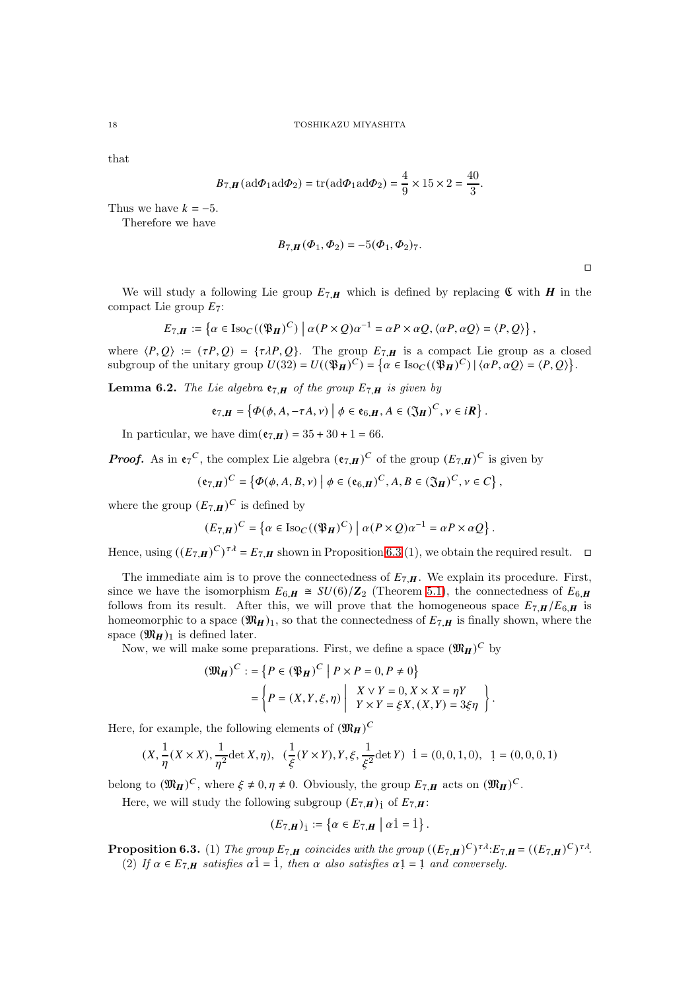that

$$
B_{7,\mathbf{H}}(\mathrm{ad}\Phi_1\mathrm{ad}\Phi_2) = \mathrm{tr}(\mathrm{ad}\Phi_1\mathrm{ad}\Phi_2) = \frac{4}{9} \times 15 \times 2 = \frac{40}{3}.
$$

Thus we have  $k = -5$ .

Therefore we have

$$
B_{7,H}(\Phi_1, \Phi_2) = -5(\Phi_1, \Phi_2)_7.
$$

 $\Box$ 

We will study a following Lie group  $E_{7,H}$  which is defined by replacing  $\mathfrak C$  with  $H$  in the compact Lie group  $E_7$ :

$$
E_{7,\boldsymbol{H}}:=\left\{\alpha\in \mathrm{Iso}_{C}((\mathfrak{P}_{\boldsymbol{H}})^{C})\ \big|\ \alpha(P\times Q)\alpha^{-1}=\alpha P\times \alpha Q, \langle \alpha P, \alpha Q\rangle=\langle P, Q\rangle\right\},
$$

where  $\langle P,Q \rangle := (\tau P,Q) = {\tau \lambda P,Q}$ . The group  $E_{7,H}$  is a compact Lie group as a closed subgroup of the unitary group  $U(32) = U((\mathfrak{P}_{\mathbf{H}})^C) = \{ \alpha \in \text{Iso}_{\mathcal{C}}((\mathfrak{P}_{\mathbf{H}})^C) | \langle \alpha P, \alpha Q \rangle = \langle P, Q \rangle \}.$ 

<span id="page-17-1"></span>**Lemma 6.2.** The Lie algebra  $e_{7,H}$  of the group  $E_{7,H}$  is given by

$$
\mathfrak{e}_{7,\boldsymbol{H}} = \left\{ \varPhi(\phi,A,-\tau A,\nu) \; \middle| \; \phi \in \mathfrak{e}_{6,\boldsymbol{H}}, A \in (\mathfrak{J}_{\boldsymbol{H}})^C, \nu \in i\boldsymbol{R} \right\}.
$$

In particular, we have  $\dim(\mathbf{e}_7 | \mathbf{H}) = 35 + 30 + 1 = 66$ .

**Proof.** As in  $e_7^C$ , the complex Lie algebra  $(e_{7,H})^C$  of the group  $(E_{7,H})^C$  is given by

$$
(\mathfrak{e}_{7,H})^C = \left\{ \varPhi(\phi,A,B,\nu) \mid \phi \in (\mathfrak{e}_{6,H})^C, A, B \in (\mathfrak{J}_H)^C, \nu \in C \right\},\
$$

where the group  $(E_{7,H})^C$  is defined by

$$
(E_{7,H})^C = \left\{ \alpha \in \text{Iso}_C((\mathfrak{P}_H)^C) \mid \alpha(P \times Q)\alpha^{-1} = \alpha P \times \alpha Q \right\}.
$$

Hence, using  $((E_{7,H})^C)^{\tau} = E_{7,H}$  shown in Proposition [6.3](#page-17-0) (1), we obtain the required result.  $\Box$ 

The immediate aim is to prove the connectedness of  $E_{7,H}$ . We explain its procedure. First, since we have the isomorphism  $E_{6,H} \cong SU(6)/\mathbb{Z}_2$  (Theorem [5.1\)](#page-11-0), the connectedness of  $E_{6,H}$ follows from its result. After this, we will prove that the homogeneous space  $E_{7,H}/E_{6,H}$  is homeomorphic to a space  $(\mathfrak{M}_H)_1$ , so that the connectedness of  $E_{7,H}$  is finally shown, where the space  $(\mathfrak{M}_H)_1$  is defined later.

Now, we will make some preparations. First, we define a space  $(\mathfrak{M}_H)^C$  by

$$
(\mathfrak{M}_{\mathbf{H}})^C := \{ P \in (\mathfrak{P}_{\mathbf{H}})^C \mid P \times P = 0, P \neq 0 \}
$$
  
= 
$$
\left\{ P = (X, Y, \xi, \eta) \mid \begin{array}{l} X \lor Y = 0, X \times X = \eta Y \\ Y \times Y = \xi X, (X, Y) = 3\xi\eta \end{array} \right\}.
$$

Here, for example, the following elements of  $(\mathfrak{M}_H)^C$ 

$$
(X, \frac{1}{\eta}(X \times X), \frac{1}{\eta^2} \det X, \eta), \ (\frac{1}{\xi}(Y \times Y), Y, \xi, \frac{1}{\xi^2} \det Y) \ \mathbf{1} = (0, 0, 1, 0), \ \mathbf{1} = (0, 0, 0, 1)
$$

belong to  $(\mathfrak{M}_H)^C$ , where  $\xi \neq 0, \eta \neq 0$ . Obviously, the group  $E_{7,H}$  acts on  $(\mathfrak{M}_H)^C$ .

Here, we will study the following subgroup  $(E_{7,H})_1$  of  $E_{7,H}$ :

$$
(E_{7,\boldsymbol{H}})_{\dot{1}} := \left\{ \alpha \in E_{7,\boldsymbol{H}} \mid \alpha \dot{1} = \dot{1} \right\}.
$$

<span id="page-17-0"></span>**Proposition 6.3.** (1) The group  $E_{7,H}$  coincides with the group  $((E_{7,H})^C)^{\tau} \lambda$ : $E_{7,H} = ((E_{7,H})^C)^{\tau} \lambda$ . (2) If  $\alpha \in E_{7,H}$  satisfies  $\alpha \mathbf{i} = \mathbf{i}$ , then  $\alpha$  also satisfies  $\alpha \mathbf{i} = 1$  and conversely.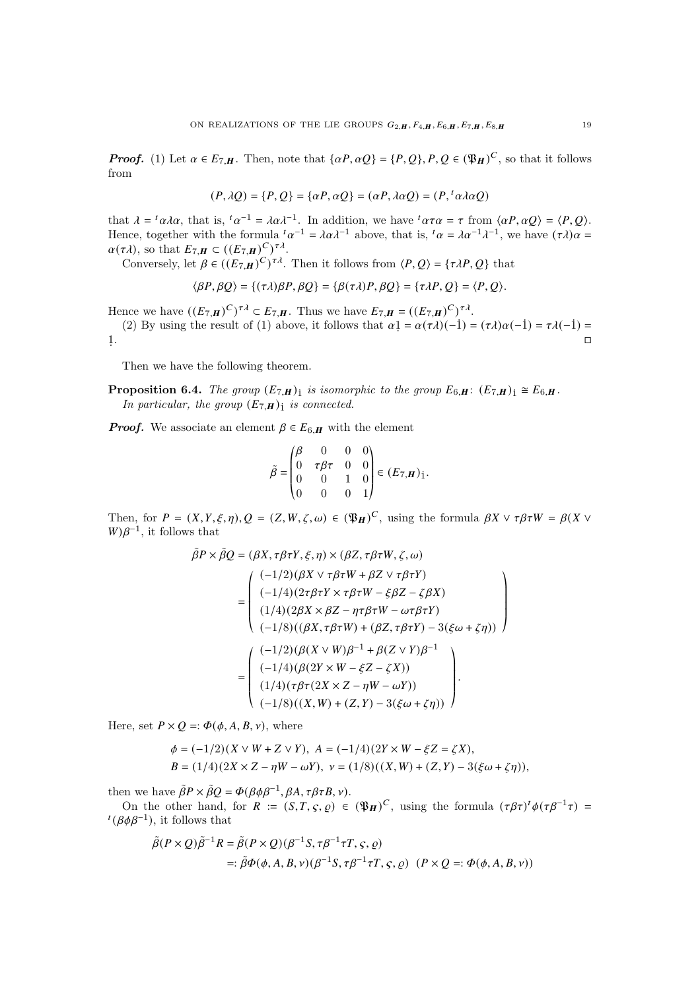**Proof.** (1) Let  $\alpha \in E_{7,H}$ . Then, note that  $\{\alpha P, \alpha Q\} = \{P, Q\}$ ,  $P, Q \in (\mathfrak{P}_H)^C$ , so that it follows from

$$
(P, \lambda Q) = \{P, Q\} = \{\alpha P, \alpha Q\} = (\alpha P, \lambda \alpha Q) = (P, {}^t\alpha \lambda \alpha Q)
$$

that  $\lambda = \iota \alpha \lambda \alpha$ , that is,  $\iota \alpha^{-1} = \lambda \alpha \lambda^{-1}$ . In addition, we have  $\iota \alpha \tau \alpha = \tau$  from  $\langle \alpha P, \alpha Q \rangle = \langle P, Q \rangle$ . Hence, together with the formula  ${}^{t} \alpha^{-1} = \lambda \alpha \lambda^{-1}$  above, that is,  ${}^{t} \alpha = \lambda \alpha^{-1} \lambda^{-1}$ , we have  $(\tau \lambda) \alpha =$  $\alpha(\tau \lambda)$ , so that  $E_{7,H} \subset ((E_{7,H})^C)^{\tau \lambda}$ .

Conversely, let  $\beta \in ((E_{7,H})^C)^{\tau \lambda}$ . Then it follows from  $\langle P, Q \rangle = {\tau \lambda P, Q}$  that

$$
\langle \beta P, \beta Q \rangle = \{ (\tau \lambda) \beta P, \beta Q \} = \{ \beta (\tau \lambda) P, \beta Q \} = \{ \tau \lambda P, Q \} = \langle P, Q \rangle.
$$

Hence we have  $((E_{7,H})^C)^{\tau \lambda} \subset E_{7,H}$ . Thus we have  $E_{7,H} = ((E_{7,H})^C)^{\tau \lambda}$ .

(2) By using the result of (1) above, it follows that  $\alpha$ 1 =  $\alpha(\tau\lambda)(-1) = (\tau\lambda)\alpha(-1) = \tau\lambda(-1) =$ 1. . De la construction de la construction de la construction de la construction de la construction de la constru<br>La construction de la construction de la construction de la construction de la construction de la construction

Then we have the following theorem.

**Proposition 6.4.** The group  $(E_{7,H})_1$  is isomorphic to the group  $E_{6,H}$ :  $(E_{7,H})_1 \cong E_{6,H}$ . In particular, the group  $(E_{7,H})$  is connected.

**Proof.** We associate an element  $\beta \in E_{6,H}$  with the element

$$
\tilde{\beta} = \begin{pmatrix} \beta & 0 & 0 & 0 \\ 0 & \tau \beta \tau & 0 & 0 \\ 0 & 0 & 1 & 0 \\ 0 & 0 & 0 & 1 \end{pmatrix} \in (E_{7,H})_1.
$$

Then, for  $P = (X, Y, \xi, \eta), Q = (Z, W, \zeta, \omega) \in (\mathfrak{P}_H)^C$ , using the formula  $\beta X \vee \tau \beta \tau W = \beta(X \vee \tau \beta)$  $W)\beta^{-1}$ , it follows that

$$
\tilde{\beta}P \times \tilde{\beta}Q = (\beta X, \tau \beta \tau Y, \xi, \eta) \times (\beta Z, \tau \beta \tau W, \zeta, \omega)
$$
\n
$$
= \begin{pmatrix}\n(-1/2)(\beta X \vee \tau \beta \tau W + \beta Z \vee \tau \beta \tau Y) \\
(-1/4)(2\tau \beta \tau Y \times \tau \beta \tau W - \xi \beta Z - \zeta \beta X) \\
(1/4)(2\beta X \times \beta Z - \eta \tau \beta \tau W - \omega \tau \beta \tau Y) \\
(-1/8)((\beta X, \tau \beta \tau W) + (\beta Z, \tau \beta \tau Y) - 3(\xi \omega + \zeta \eta))\n\end{pmatrix}
$$
\n
$$
= \begin{pmatrix}\n(-1/2)(\beta (X \vee W)\beta^{-1} + \beta (Z \vee Y)\beta^{-1} \\
(-1/4)(\beta (2Y \times W - \xi Z - \zeta X)) \\
(1/4)(\tau \beta \tau (2X \times Z - \eta W - \omega Y)) \\
(-1/8)((X, W) + (Z, Y) - 3(\xi \omega + \zeta \eta))\n\end{pmatrix}.
$$

Here, set  $P \times Q =: \Phi(\phi, A, B, \nu)$ , where

$$
\phi = (-1/2)(X \vee W + Z \vee Y), A = (-1/4)(2Y \times W - \xi Z = \zeta X),
$$
  
\n
$$
B = (1/4)(2X \times Z - \eta W - \omega Y), \ v = (1/8)((X, W) + (Z, Y) - 3(\xi \omega + \zeta \eta)),
$$

then we have  $\tilde{\beta}P \times \tilde{\beta}Q = \Phi(\beta \phi \beta^{-1}, \beta A, \tau \beta \tau B, \nu)$ .

On the other hand, for  $R := (S,T,\varsigma,\varrho) \in (\mathfrak{P}_H)^C$ , using the formula  $(\tau \beta \tau)^t \phi(\tau \beta^{-1} \tau) =$  $^t(\beta \phi \beta^{-1}),$  it follows that

$$
\tilde{\beta}(P \times Q)\tilde{\beta}^{-1}R = \tilde{\beta}(P \times Q)(\beta^{-1}S, \tau\beta^{-1}\tau T, \varsigma, \varrho)
$$
  
=: 
$$
\tilde{\beta}\Phi(\phi, A, B, \nu)(\beta^{-1}S, \tau\beta^{-1}\tau T, \varsigma, \varrho) \quad (P \times Q = \varphi(\phi, A, B, \nu))
$$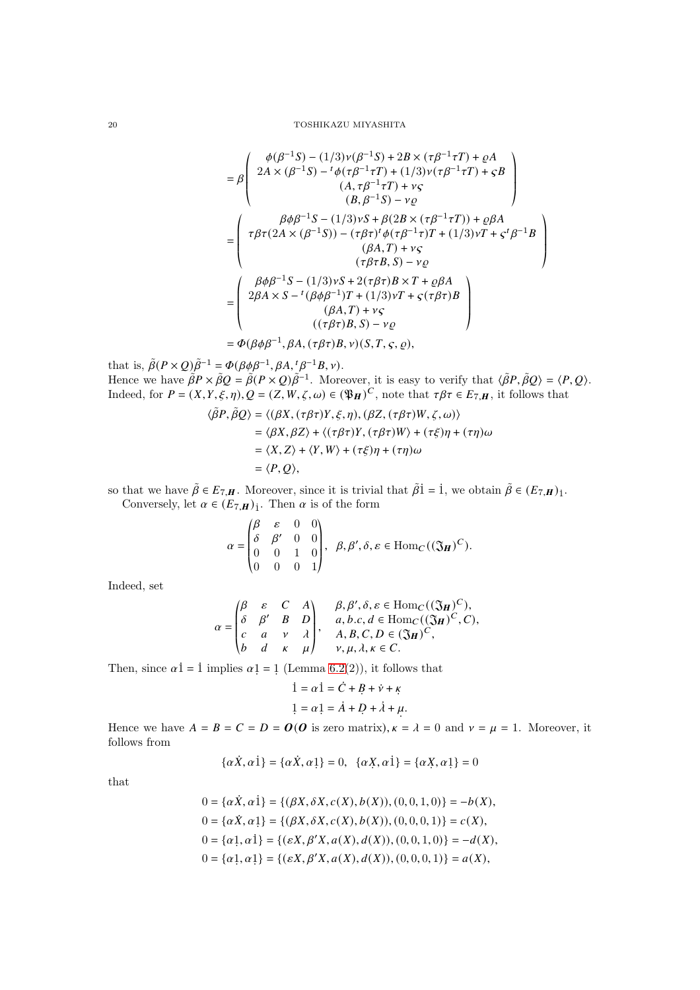$$
\begin{split} &=\beta \left( \begin{array}{c} \phi(\beta^{-1}S)-(1/3)v(\beta^{-1}S)+2B\times(\tau\beta^{-1}\tau T)+\varrho A \\ 2A\times(\beta^{-1}S)-{^{t}}\phi(\tau\beta^{-1}\tau T)+(1/3)v(\tau\beta^{-1}\tau T)+\varsigma B \\ (A,\tau\beta^{-1}\tau T)+\nu\varsigma \\ (B,\beta^{-1}S)-\nu\varrho \end{array} \right)\\ &=\left( \begin{array}{c} \beta\phi\beta^{-1}S-(1/3)vS+\beta(2B\times(\tau\beta^{-1}\tau T))+\varrho\beta A \\ \tau\beta\tau(2A\times(\beta^{-1}S))-(\tau\beta\tau)^{t}\phi(\tau\beta^{-1}\tau)T+(1/3)vT+\varsigma^{t}\beta^{-1}B \\ (\beta A,T)+\nu\varsigma \\ (\tau\beta\tau B,S)-\nu\varrho \\ (B^2)A\times S-{^{t}}(\beta\phi\beta^{-1})T+(1/3)vT+\varsigma(\tau\beta\tau)B \\ (\beta A,T)+\nu\varsigma \\ ((\tau\beta\tau)B,S)-\nu\varrho \end{array} \right)\\ &=\Phi(\beta\phi\beta^{-1},\beta A,(\tau\beta\tau)B,\nu)(S,T,\varsigma,\varrho), \end{split}
$$

that is,  $\tilde{\beta}(P \times Q)\tilde{\beta}^{-1} = \Phi(\beta \phi \beta^{-1}, \beta A, {}^t \beta^{-1} B, \nu)$ . Hence we have  $\tilde{\beta}P \times \tilde{\beta}Q = \tilde{\beta}(P \times Q)\tilde{\beta}^{-1}$ . Moreover, it is easy to verify that  $\langle \tilde{\beta}P, \tilde{\beta}Q \rangle = \langle P, Q \rangle$ . Indeed, for  $P = (X, Y, \xi, \eta), Q = (Z, W, \zeta, \omega) \in (\mathfrak{P}_H)^C$ , note that  $\tau \beta \tau \in E_{7,H}$ , it follows that

$$
\langle \tilde{\beta}P, \tilde{\beta}Q \rangle = \langle (\beta X, (\tau \beta \tau)Y, \xi, \eta), (\beta Z, (\tau \beta \tau)W, \zeta, \omega) \rangle
$$
  
=  $\langle \beta X, \beta Z \rangle + \langle (\tau \beta \tau)Y, (\tau \beta \tau)W \rangle + (\tau \xi) \eta + (\tau \eta) \omega$   
=  $\langle X, Z \rangle + \langle Y, W \rangle + (\tau \xi) \eta + (\tau \eta) \omega$   
=  $\langle P, Q \rangle$ ,

so that we have  $\tilde{\beta} \in E_{7,\mathbf{H}}$ . Moreover, since it is trivial that  $\tilde{\beta}$ **i** = 1, we obtain  $\tilde{\beta} \in (E_{7,\mathbf{H}})$ <sub>1</sub>. Conversely, let  $\alpha \in (E_{7,H})_1$ . Then  $\alpha$  is of the form

$$
\alpha = \begin{pmatrix} \beta & \varepsilon & 0 & 0 \\ \delta & \beta' & 0 & 0 \\ 0 & 0 & 1 & 0 \\ 0 & 0 & 0 & 1 \end{pmatrix}, \ \beta, \beta', \delta, \varepsilon \in \text{Hom}_C((\mathfrak{J}_H)^C).
$$

Indeed, set

$$
\alpha = \begin{pmatrix} \beta & \varepsilon & C & A \\ \delta & \beta' & B & D \\ c & a & v & \lambda \\ b & d & \kappa & \mu \end{pmatrix}, \quad \begin{array}{l} \beta, \beta', \delta, \varepsilon \in \operatorname{Hom}_{C}((\mathfrak{J}_{H})^{C}), \\ a, b, c, d \in \operatorname{Hom}_{C}((\mathfrak{J}_{H})^{C}, C), \\ A, B, C, D \in (\mathfrak{J}_{H})^{C}, \\ \nu, \mu, \lambda, \kappa \in C. \end{array}
$$

Then, since  $\alpha i = i$  implies  $\alpha i = 1$  (Lemma [6.2\(](#page-17-1)2)), it follows that

$$
1 = \alpha 1 = C + B + \dot{\nu} + \kappa
$$
  

$$
1 = \alpha 1 = \dot{A} + D + \dot{\lambda} + \mu.
$$

Hence we have  $A = B = C = D = O(O \text{ is zero matrix}), \kappa = \lambda = 0 \text{ and } \nu = \mu = 1.$  Moreover, it follows from

$$
\{\alpha \dot{X}, \alpha \dot{1}\} = \{\alpha \dot{X}, \alpha 1\} = 0, \ \{\alpha X, \alpha \dot{1}\} = \{\alpha X, \alpha 1\} = 0
$$

that

$$
0 = \{\alpha \dot{X}, \alpha \dot{1}\} = \{(\beta X, \delta X, c(X), b(X)), (0, 0, 1, 0)\} = -b(X),
$$
  
\n
$$
0 = \{\alpha \dot{X}, \alpha \dot{1}\} = \{(\beta X, \delta X, c(X), b(X)), (0, 0, 0, 1)\} = c(X),
$$
  
\n
$$
0 = \{\alpha \dot{1}, \alpha \dot{1}\} = \{(\varepsilon X, \beta' X, a(X), d(X)), (0, 0, 1, 0)\} = -d(X),
$$
  
\n
$$
0 = \{\alpha \dot{1}, \alpha \dot{1}\} = \{(\varepsilon X, \beta' X, a(X), d(X)), (0, 0, 0, 1)\} = a(X),
$$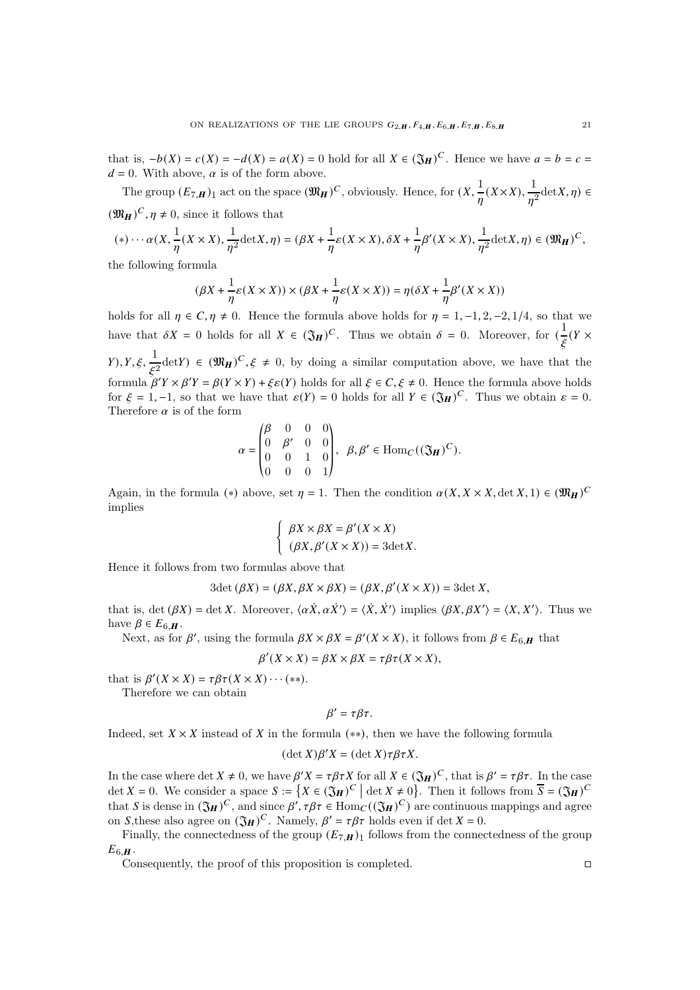that is,  $-b(X) = c(X) = -d(X) = a(X) = 0$  hold for all  $X \in (\mathfrak{F}_H)^C$ . Hence we have  $a = b = c$  $d = 0$ . With above,  $\alpha$  is of the form above.

The group  $(E_{7,H})_1$  act on the space  $(\mathfrak{M}_H)^C$ , obviously. Hence, for  $(X, \frac{1}{n})$  $\frac{1}{\eta}(X \times X), \frac{1}{\eta^2}$  $\frac{1}{\eta^2}$ det $X, \eta$ )  $\in$  $(\mathfrak{M}_{\mathbf{H}})^{\mathbf{C}}, \eta \neq 0$ , since it follows that

$$
(*)\cdots\alpha(X,\frac{1}{\eta}(X\times X),\frac{1}{\eta^2}\text{det}X,\eta)=(\beta X+\frac{1}{\eta}\varepsilon(X\times X),\delta X+\frac{1}{\eta}\beta'(X\times X),\frac{1}{\eta^2}\text{det}X,\eta)\in(\mathfrak{M}_{{\pmb H}})^C,
$$

the following formula

$$
(\beta X + \frac{1}{\eta} \varepsilon(X \times X)) \times (\beta X + \frac{1}{\eta} \varepsilon(X \times X)) = \eta(\delta X + \frac{1}{\eta} \beta'(X \times X))
$$

holds for all  $\eta \in \mathcal{C}, \eta \neq 0$ . Hence the formula above holds for  $\eta = 1, -1, 2, -2, 1/4$ , so that we have that  $\delta X = 0$  holds for all  $X \in (\mathfrak{F}_H)^C$ . Thus we obtain  $\delta = 0$ . Moreover, for  $(\frac{1}{\epsilon})$  $\frac{1}{\xi}(Y \times$  $(Y), Y, \xi, \frac{1}{\xi}$  $\frac{1}{\xi^2}$ det*Y*)  $\in (\mathfrak{M}_H)^C$ ,  $\xi \neq 0$ , by doing a similar computation above, we have that the formula  $\beta' Y \times \beta' Y = \beta(Y \times Y) + \xi \varepsilon(Y)$  holds for all  $\xi \in C, \xi \neq 0$ . Hence the formula above holds for  $\xi = 1, -1$ , so that we have that  $\varepsilon(Y) = 0$  holds for all  $Y \in (\mathfrak{F}_H)^C$ . Thus we obtain  $\varepsilon = 0$ . Therefore  $\alpha$  is of the form

$$
\alpha = \begin{pmatrix} \beta & 0 & 0 & 0 \\ 0 & \beta' & 0 & 0 \\ 0 & 0 & 1 & 0 \\ 0 & 0 & 0 & 1 \end{pmatrix}, \ \ \beta, \beta' \in \text{Hom}_C((\mathfrak{J}_H)^C).
$$

Again, in the formula (\*) above, set  $\eta = 1$ . Then the condition  $\alpha(X, X \times X, \det X, 1) \in (\mathfrak{M}_H)^C$ implies

$$
\left\{ \begin{array}{l} \beta X\times \beta X=\beta'(X\times X) \\ (\beta X,\beta'(X\times X))=3{\rm det}X. \end{array} \right.
$$

Hence it follows from two formulas above that

$$
3\det(\beta X) = (\beta X, \beta X \times \beta X) = (\beta X, \beta'(X \times X)) = 3\det X,
$$

that is, det  $(\beta X) = \det X$ . Moreover,  $\langle \alpha \dot{X}, \alpha \dot{X}' \rangle = \langle \dot{X}, \dot{X}' \rangle$  implies  $\langle \beta X, \beta X' \rangle = \langle X, X' \rangle$ . Thus we have  $\beta \in E_{6, H}$ .

Next, as for  $\beta'$ , using the formula  $\beta X \times \beta X = \beta'(X \times X)$ , it follows from  $\beta \in E_{6,H}$  that

$$
\beta'(X \times X) = \beta X \times \beta X = \tau \beta \tau(X \times X),
$$

that is  $\beta'(X \times X) = \tau \beta \tau(X \times X) \cdots$  (\*\*).

Therefore we can obtain

$$
\beta'=\tau\beta\tau.
$$

Indeed, set  $X \times X$  instead of X in the formula (\*\*), then we have the following formula

$$
(\det X)\beta'X = (\det X)\tau\beta\tau X.
$$

In the case where det  $X \neq 0$ , we have  $\beta' X = \tau \beta \tau X$  for all  $X \in (\mathfrak{F}_H)^C$ , that is  $\beta' = \tau \beta \tau$ . In the case det  $X = 0$ . We consider a space  $S := \{ X \in (\mathfrak{F}_H)^C \mid \det X \neq 0 \}$ . Then it follows from  $\overline{S} = (\mathfrak{F}_H)^C$ that S is dense in  $(\mathfrak{F}_H)^C$ , and since  $\beta', \tau \beta \tau \in \text{Hom}_{\mathcal{C}}((\mathfrak{F}_H)^C)$  are continuous mappings and agree on *S*, these also agree on  $(\mathfrak{F}_H)^C$ . Namely,  $\beta' = \tau \beta \tau$  holds even if det  $X = 0$ .

Finally, the connectedness of the group  $(E_{7,H})$  follows from the connectedness of the group  $E_{6,H}$ .

Consequently, the proof of this proposition is completed.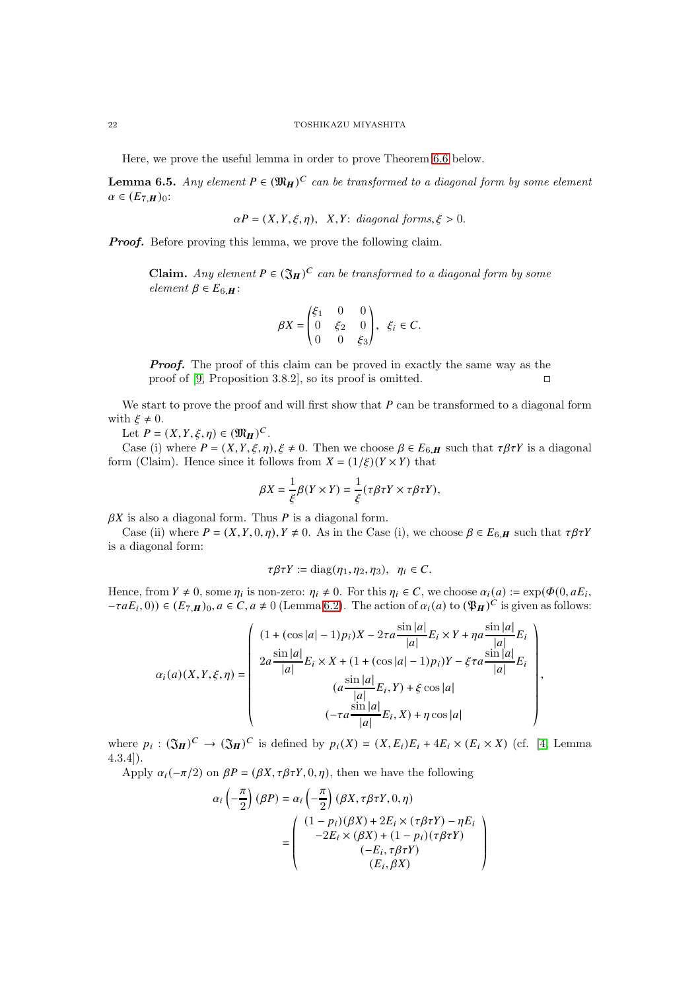Here, we prove the useful lemma in order to prove Theorem [6.6](#page-22-0) below.

<span id="page-21-0"></span>**Lemma 6.5.** Any element  $P \in (\mathfrak{M}_H)^C$  can be transformed to a diagonal form by some element  $\alpha \in (E_{7,H})_0$ :

$$
\alpha P = (X, Y, \xi, \eta), \quad X, Y: \text{ diagonal forms, } \xi > 0.
$$

**Proof.** Before proving this lemma, we prove the following claim.

**Claim.** Any element  $P \in (\mathfrak{J}_H)^C$  can be transformed to a diagonal form by some element  $\beta \in E_{6,H}$ :

$$
\beta X = \begin{pmatrix} \xi_1 & 0 & 0 \\ 0 & \xi_2 & 0 \\ 0 & 0 & \xi_3 \end{pmatrix}, \ \xi_i \in C.
$$

**Proof.** The proof of this claim can be proved in exactly the same way as the proof of [\[9,](#page-59-0) Proposition 3.8.2], so its proof is omitted.  $\square$ 

We start to prove the proof and will first show that  $P$  can be transformed to a diagonal form with  $\xi \neq 0$ .

Let  $P = (X, Y, \xi, \eta) \in (\mathfrak{M}_H)^C$ .

Case (i) where  $P = (X, Y, \xi, \eta), \xi \neq 0$ . Then we choose  $\beta \in E_{6,H}$  such that  $\tau \beta \tau Y$  is a diagonal form (Claim). Hence since it follows from  $X = (1/\xi)(Y \times Y)$  that

$$
\beta X = \frac{1}{\xi} \beta(Y \times Y) = \frac{1}{\xi} (\tau \beta \tau Y \times \tau \beta \tau Y),
$$

 $\beta X$  is also a diagonal form. Thus P is a diagonal form.

Case (ii) where  $P = (X, Y, 0, \eta), Y \neq 0$ . As in the Case (i), we choose  $\beta \in E_{6,H}$  such that  $\tau \beta \tau Y$ is a diagonal form:

$$
\tau\beta\tau Y := \mathrm{diag}(\eta_1, \eta_2, \eta_3), \ \ \eta_i \in C.
$$

Hence, from  $Y \neq 0$ , some  $\eta_i$  is non-zero:  $\eta_i \neq 0$ . For this  $\eta_i \in C$ , we choose  $\alpha_i(a) := \exp(\Phi(0, aE_i, \mathbf{E})$  $-\tau aE_i, 0)$ ) ∈  $(E_{7,H})_0, a \in C, a \neq 0$  (Lemma [6.2\)](#page-17-1). The action of  $\alpha_i(a)$  to  $(\mathfrak{P}_H)^C$  is given as follows:

$$
\alpha_i(a)(X,Y,\xi,\eta) = \begin{pmatrix} (1+(\cos|a|-1)p_i)X - 2\tau a \frac{\sin|a|}{|a|} E_i \times Y + \eta a \frac{\sin|a|}{|a|} E_i \\ 2a \frac{\sin|a|}{|a|} E_i \times X + (1+(\cos|a|-1)p_i)Y - \xi \tau a \frac{\sin|a|}{|a|} E_i \\ (a \frac{\sin|a|}{|a|} E_i, Y) + \xi \cos|a| \\ (-\tau a \frac{\sin|a|}{|a|} E_i, X) + \eta \cos|a| \end{pmatrix},
$$

where  $p_i : (\mathfrak{F}_H)^C \to (\mathfrak{F}_H)^C$  is defined by  $p_i(X) = (X, E_i)E_i + 4E_i \times (E_i \times X)$  (cf. [\[4,](#page-59-2) Lemma  $(4.3.4)$ .

Apply  $\alpha_i(-\pi/2)$  on  $\beta P = (\beta X, \tau \beta \tau Y, 0, \eta)$ , then we have the following

$$
\alpha_i \left( -\frac{\pi}{2} \right) (\beta P) = \alpha_i \left( -\frac{\pi}{2} \right) (\beta X, \tau \beta \tau Y, 0, \eta)
$$

$$
= \begin{pmatrix} (1 - p_i)(\beta X) + 2E_i \times (\tau \beta \tau Y) - \eta E_i \\ -2E_i \times (\beta X) + (1 - p_i)(\tau \beta \tau Y) \\ (-E_i, \tau \beta \tau Y) \\ (E_i, \beta X) \end{pmatrix}
$$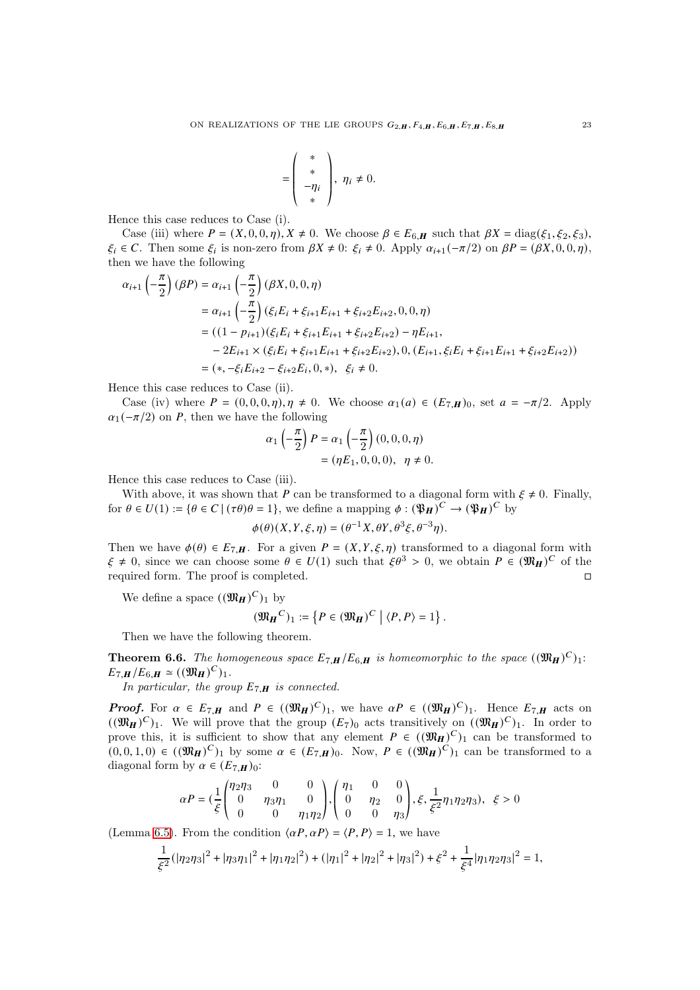$$
= \left(\begin{array}{c} * \\ * \\ -\eta_i \\ * \end{array}\right), \ \eta_i \neq 0.
$$

Hence this case reduces to Case (i).

Case (iii) where  $P = (X, 0, 0, \eta), X \neq 0$ . We choose  $\beta \in E_{6,H}$  such that  $\beta X = \text{diag}(\xi_1, \xi_2, \xi_3)$ ,  $\xi_i \in C$ . Then some  $\xi_i$  is non-zero from  $\beta X \neq 0$ :  $\xi_i \neq 0$ . Apply  $\alpha_{i+1}(-\pi/2)$  on  $\beta P = (\beta X, 0, 0, \eta)$ , then we have the following

$$
\alpha_{i+1}\left(-\frac{\pi}{2}\right)(\beta P) = \alpha_{i+1}\left(-\frac{\pi}{2}\right)(\beta X, 0, 0, \eta)
$$
  
\n
$$
= \alpha_{i+1}\left(-\frac{\pi}{2}\right)(\xi_i E_i + \xi_{i+1} E_{i+1} + \xi_{i+2} E_{i+2}, 0, 0, \eta)
$$
  
\n
$$
= ((1 - p_{i+1})(\xi_i E_i + \xi_{i+1} E_{i+1} + \xi_{i+2} E_{i+2}) - \eta E_{i+1},
$$
  
\n
$$
-2E_{i+1} \times (\xi_i E_i + \xi_{i+1} E_{i+1} + \xi_{i+2} E_{i+2}), 0, (E_{i+1}, \xi_i E_i + \xi_{i+1} E_{i+1} + \xi_{i+2} E_{i+2}))
$$
  
\n
$$
= (*, -\xi_i E_{i+2} - \xi_{i+2} E_i, 0, *), \quad \xi_i \neq 0.
$$

Hence this case reduces to Case (ii).

Case (iv) where  $P = (0, 0, 0, \eta), \eta \neq 0$ . We choose  $\alpha_1(a) \in (E_{7,H})_0$ , set  $a = -\pi/2$ . Apply  $\alpha_1(-\pi/2)$  on P, then we have the following

$$
\alpha_1 \left( -\frac{\pi}{2} \right) P = \alpha_1 \left( -\frac{\pi}{2} \right) (0, 0, 0, \eta) = (\eta E_1, 0, 0, 0), \quad \eta \neq 0.
$$

Hence this case reduces to Case (iii).

With above, it was shown that  $P$  can be transformed to a diagonal form with  $\xi \neq 0$ . Finally, for  $\theta \in U(1) := \{ \theta \in C \mid (\tau \theta) \theta = 1 \}$ , we define a mapping  $\phi : (\mathfrak{P}_H)^C \to (\mathfrak{P}_H)^C$  by

$$
\phi(\theta)(X, Y, \xi, \eta) = (\theta^{-1}X, \theta Y, \theta^3 \xi, \theta^{-3} \eta).
$$

Then we have  $\phi(\theta) \in E_{7,H}$ . For a given  $P = (X, Y, \xi, \eta)$  transformed to a diagonal form with  $\xi \neq 0$ , since we can choose some  $\theta \in U(1)$  such that  $\xi \theta^3 > 0$ , we obtain  $P \in (\mathfrak{M}_H)^C$  of the required form. The proof is completed.

We define a space  $((\mathfrak{M}_{H})^{C})_{1}$  by

$$
(\mathfrak{M}_{\pmb{H}}{}^C)_1 := \left\{P \in (\mathfrak{M}_{\pmb{H}})^C \bigm| \langle P, P \rangle = 1 \right\}.
$$

Then we have the following theorem.

<span id="page-22-0"></span>**Theorem 6.6.** The homogeneous space  $E_{7,H}/E_{6,H}$  is homeomorphic to the space  $((\mathfrak{M}_{H})^C)_{1}$ :  $E_{7,H}/E_{6,H} \simeq ((\mathfrak{M}_H)^C)_1.$ 

In particular, the group  $E_{7,H}$  is connected.

**Proof.** For  $\alpha \in E_{7,H}$  and  $P \in ((\mathfrak{M}_H)^C)_1$ , we have  $\alpha P \in ((\mathfrak{M}_H)^C)_1$ . Hence  $E_{7,H}$  acts on  $((\mathfrak{M}_{\mathbf{H}})^{C})_1$ . We will prove that the group  $(E_7)_0$  acts transitively on  $((\mathfrak{M}_{\mathbf{H}})^{C})_1$ . In order to prove this, it is sufficient to show that any element  $P \in ((\mathfrak{M}_{\mathbf{H}})^{C})_1$  can be transformed to  $(0, 0, 1, 0) \in ((\mathfrak{M}_H)^C)_1$  by some  $\alpha \in (E_{7,H})_0$ . Now,  $P \in ((\mathfrak{M}_H)^C)_1$  can be transformed to a diagonal form by  $\alpha \in (E_{7,H})_0$ :

$$
\alpha P = \left(\frac{1}{\xi} \begin{pmatrix} \eta_2 \eta_3 & 0 & 0 \\ 0 & \eta_3 \eta_1 & 0 \\ 0 & 0 & \eta_1 \eta_2 \end{pmatrix}, \begin{pmatrix} \eta_1 & 0 & 0 \\ 0 & \eta_2 & 0 \\ 0 & 0 & \eta_3 \end{pmatrix}, \xi, \frac{1}{\xi^2} \eta_1 \eta_2 \eta_3, \xi > 0
$$

(Lemma [6.5\)](#page-21-0). From the condition  $\langle \alpha P, \alpha P \rangle = \langle P, P \rangle = 1$ , we have

$$
\frac{1}{\xi^2} \left( |\eta_2 \eta_3|^2 + |\eta_3 \eta_1|^2 + |\eta_1 \eta_2|^2 \right) + \left( |\eta_1|^2 + |\eta_2|^2 + |\eta_3|^2 \right) + \xi^2 + \frac{1}{\xi^4} |\eta_1 \eta_2 \eta_3|^2 = 1,
$$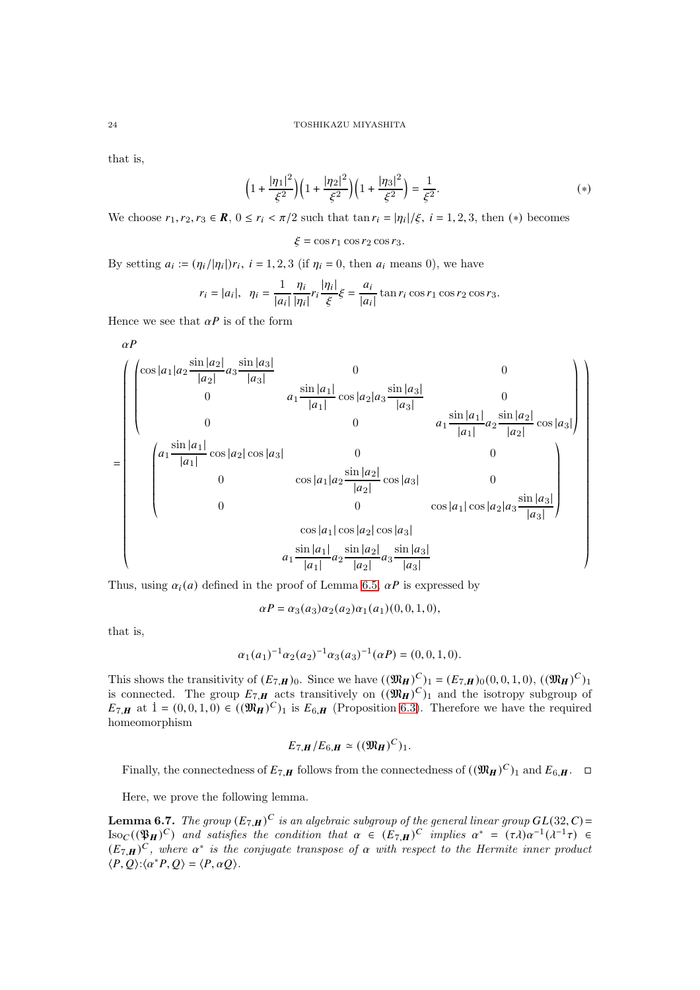that is,

$$
\left(1 + \frac{|\eta_1|^2}{\xi^2}\right)\left(1 + \frac{|\eta_2|^2}{\xi^2}\right)\left(1 + \frac{|\eta_3|^2}{\xi^2}\right) = \frac{1}{\xi^2}.\tag{*}
$$

We choose  $r_1, r_2, r_3 \in \mathbb{R}$ ,  $0 \le r_i \le \pi/2$  such that  $\tan r_i = |\eta_i|/\xi$ ,  $i = 1, 2, 3$ , then  $(*)$  becomes

 $\xi = \cos r_1 \cos r_2 \cos r_3$ .

By setting  $a_i := (\eta_i/|\eta_i|)r_i$ ,  $i = 1, 2, 3$  (if  $\eta_i = 0$ , then  $a_i$  means 0), we have

$$
r_i = |a_i|, \ \ \eta_i = \frac{1}{|a_i|} \frac{\eta_i}{|\eta_i|} r_i \frac{|\eta_i|}{\xi} \xi = \frac{a_i}{|a_i|} \tan r_i \cos r_1 \cos r_2 \cos r_3.
$$

Hence we see that  $\alpha P$  is of the form

$$
aP
$$
\n
$$
\begin{pmatrix}\n\cos |a_1|a_2 \frac{\sin |a_2|}{|a_2|} a_3 \frac{\sin |a_3|}{|a_3|} & 0 & 0 \\
0 & a_1 \frac{\sin |a_1|}{|a_1|} \cos |a_2|a_3 \frac{\sin |a_3|}{|a_3|} & 0 \\
0 & 0 & a_1 \frac{\sin |a_1|}{|a_1|} a_2 \frac{\sin |a_2|}{|a_2|} \cos |a_3|\n\end{pmatrix}
$$
\n
$$
= \begin{pmatrix}\n\frac{a_1 \sin |a_1|}{|a_1|} \cos |a_2| \cos |a_3| & 0 & 0 \\
0 & \cos |a_1|a_2 \frac{\sin |a_2|}{|a_2|} \cos |a_3| & 0 \\
0 & 0 & \cos |a_1| \cos |a_2| \cos |a_3|\n\end{pmatrix}
$$
\n
$$
= \begin{pmatrix}\n\frac{\sin |a_1|}{|a_1|} \cos |a_2| \cos |a_3| & 0 \\
0 & 0 & \cos |a_1| \cos |a_2| \cos |a_3|\n\end{pmatrix}
$$
\n
$$
= \begin{pmatrix}\n\frac{\sin |a_1|}{|a_1|} \cos |a_2| \cos |a_3| & 0 \\
\cos |a_1| \cos |a_2| \cos |a_3| & 0 \\
\cos |a_1| \cos |a_2| \cos |a_3|\n\end{pmatrix}
$$

Thus, using  $\alpha_i(a)$  defined in the proof of Lemma [6.5,](#page-21-0)  $\alpha P$  is expressed by

$$
\alpha P = \alpha_3(a_3)\alpha_2(a_2)\alpha_1(a_1)(0,0,1,0),
$$

that is,

$$
\alpha_1(a_1)^{-1}\alpha_2(a_2)^{-1}\alpha_3(a_3)^{-1}(\alpha P) = (0,0,1,0).
$$

This shows the transitivity of  $(E_{7,H})_0$ . Since we have  $((\mathfrak{M}_{H})^C)_1 = (E_{7,H})_0(0,0,1,0), ((\mathfrak{M}_{H})^C)_1$ is connected. The group  $E_{7,H}$  acts transitively on  $((\mathfrak{M}_{H})^C)_1$  and the isotropy subgroup of  $E_{7,H}$  at  $1 = (0, 0, 1, 0) \in ((\mathfrak{M}_H)^C)_1$  is  $E_{6,H}$  (Proposition [6.3\)](#page-17-0). Therefore we have the required homeomorphism

$$
E_{7,\boldsymbol{H}}/E_{6,\boldsymbol{H}}\simeq((\mathfrak{M}_{\boldsymbol{H}})^C)_1.
$$

Finally, the connectedness of  $E_{7,H}$  follows from the connectedness of  $((\mathfrak{M}_{H})^{C})_{1}$  and  $E_{6,H}$ .  $\Box$ 

Here, we prove the following lemma.

<span id="page-23-0"></span>**Lemma 6.7.** The group  $(E_{7,H})^C$  is an algebraic subgroup of the general linear group  $GL(32, C)$  = Iso $_C((\mathfrak{P}_H)^C)$  and satisfies the condition that  $\alpha \in (E_{7,H})^C$  implies  $\alpha^* = (\tau \lambda) \alpha^{-1} (\lambda^{-1} \tau) \in$  $(E_{7,H})^C$ , where  $\alpha^*$  is the conjugate transpose of  $\alpha$  with respect to the Hermite inner product  $\langle P, Q \rangle$ : $\langle \alpha^* P, Q \rangle = \langle P, \alpha Q \rangle$ .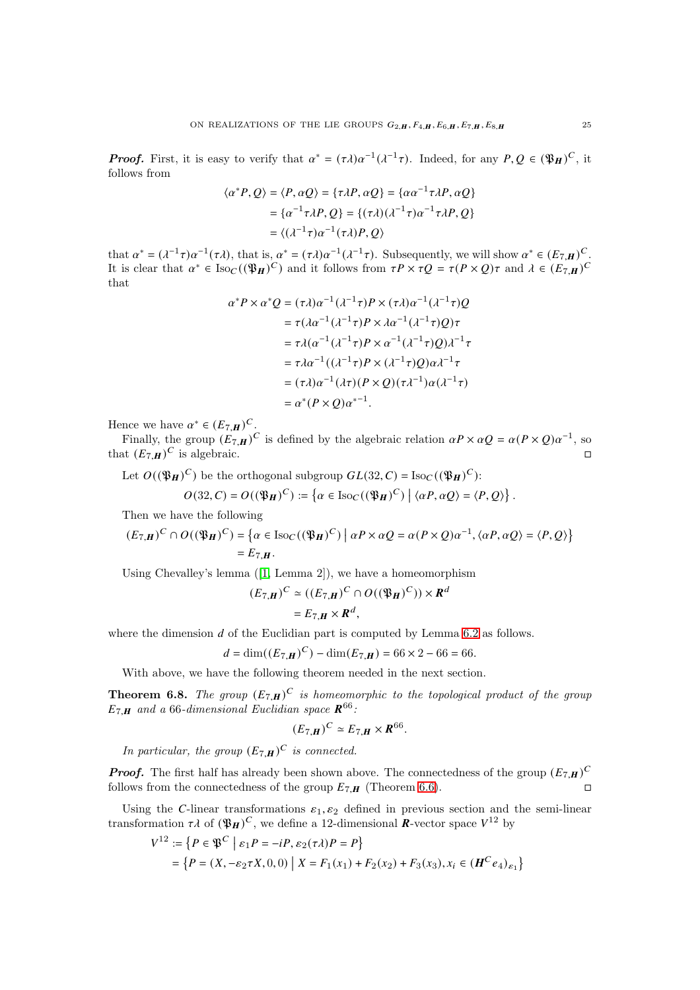**Proof.** First, it is easy to verify that  $\alpha^* = (\tau \lambda) \alpha^{-1} (\lambda^{-1} \tau)$ . Indeed, for any  $P, Q \in (\mathfrak{P}_H)^C$ , it follows from

$$
\langle \alpha^* P, Q \rangle = \langle P, \alpha Q \rangle = \{ \tau \lambda P, \alpha Q \} = \{ \alpha \alpha^{-1} \tau \lambda P, \alpha Q \}
$$

$$
= \{ \alpha^{-1} \tau \lambda P, Q \} = \{ (\tau \lambda)(\lambda^{-1} \tau) \alpha^{-1} \tau \lambda P, Q \}
$$

$$
= \langle (\lambda^{-1} \tau) \alpha^{-1} (\tau \lambda) P, Q \rangle
$$

that  $\alpha^* = (\lambda^{-1}\tau)\alpha^{-1}(\tau\lambda)$ , that is,  $\alpha^* = (\tau\lambda)\alpha^{-1}(\lambda^{-1}\tau)$ . Subsequently, we will show  $\alpha^* \in (E_{7,\mathbf{H}})^C$ . It is clear that  $\alpha^* \in \text{Iso}_C((\mathfrak{P}_H)^C)$  and it follows from  $\tau P \times \tau Q = \tau (P \times Q) \tau$  and  $\lambda \in (E_{7,H})^C$ that

$$
\alpha^* P \times \alpha^* Q = (\tau \lambda) \alpha^{-1} (\lambda^{-1} \tau) P \times (\tau \lambda) \alpha^{-1} (\lambda^{-1} \tau) Q
$$
  

$$
= \tau (\lambda \alpha^{-1} (\lambda^{-1} \tau) P \times \lambda \alpha^{-1} (\lambda^{-1} \tau) Q) \tau
$$
  

$$
= \tau \lambda (\alpha^{-1} (\lambda^{-1} \tau) P \times \alpha^{-1} (\lambda^{-1} \tau) Q) \lambda^{-1} \tau
$$
  

$$
= \tau \lambda \alpha^{-1} ((\lambda^{-1} \tau) P \times (\lambda^{-1} \tau) Q) \alpha \lambda^{-1} \tau
$$
  

$$
= (\tau \lambda) \alpha^{-1} (\lambda \tau) (P \times Q) (\tau \lambda^{-1}) \alpha (\lambda^{-1} \tau)
$$
  

$$
= \alpha^* (P \times Q) \alpha^{*-1}.
$$

Hence we have  $\alpha^* \in (E_{7,H})^C$ .

Finally, the group  $(E_{7,H})^C$  is defined by the algebraic relation  $\alpha P \times \alpha Q = \alpha (P \times Q) \alpha^{-1}$ , so that  $(E_{7,H})^C$  is algebraic.

Let  $O((\mathfrak{B}_H)^C)$  be the orthogonal subgroup  $GL(32, C) = \text{Iso}_C((\mathfrak{B}_H)^C)$ :

$$
O(32, C) = O((\mathfrak{P}_H)^C) := \left\{ \alpha \in \text{Iso}_C((\mathfrak{P}_H)^C) \mid \langle \alpha P, \alpha Q \rangle = \langle P, Q \rangle \right\}
$$

Then we have the following

$$
(E_{7,H})^C \cap O((\mathfrak{P}_H)^C) = \{ \alpha \in \text{Iso}_C((\mathfrak{P}_H)^C) \mid \alpha P \times \alpha Q = \alpha (P \times Q) \alpha^{-1}, \langle \alpha P, \alpha Q \rangle = \langle P, Q \rangle \}
$$
  
=  $E_{7,H}$ .

Using Chevalley's lemma ([\[1,](#page-59-8) Lemma 2]), we have a homeomorphism

$$
(E_{7,H})^C \simeq ((E_{7,H})^C \cap O((\mathfrak{P}_H)^C)) \times R^d
$$
  
=  $E_{7,H} \times R^d$ ,

where the dimension  $d$  of the Euclidian part is computed by Lemma [6.2](#page-17-1) as follows.

$$
d = \dim((E_{7,H})^C) - \dim(E_{7,H}) = 66 \times 2 - 66 = 66.
$$

With above, we have the following theorem needed in the next section.

<span id="page-24-0"></span>**Theorem 6.8.** The group  $(E_{7,H})^C$  is homeomorphic to the topological product of the group  $E_{7,H}$  and a 66-dimensional Euclidian space  $\mathbb{R}^{66}$ :

$$
(E_{7,H})^C \simeq E_{7,H} \times \mathbf{R}^{66}.
$$

In particular, the group  $(E_{7,H})^C$  is connected.

**Proof.** The first half has already been shown above. The connectedness of the group  $(E_{7,H})^C$ follows from the connectedness of the group  $E_{7,H}$  (Theorem [6.6\)](#page-22-0).

Using the *C*-linear transformations  $\varepsilon_1, \varepsilon_2$  defined in previous section and the semi-linear transformation  $\tau \lambda$  of  $(\mathfrak{P}_H)^C$ , we define a 12-dimensional  $\mathbb{R}$ -vector space  $V^{12}$  by

$$
V^{12} := \{ P \in \mathfrak{P}^C \mid \varepsilon_1 P = -iP, \varepsilon_2(\tau \lambda) P = P \}
$$
  
= 
$$
\{ P = (X, -\varepsilon_2 \tau X, 0, 0) \mid X = F_1(x_1) + F_2(x_2) + F_3(x_3), x_i \in (H^C e_4)_{\varepsilon_1} \}
$$

.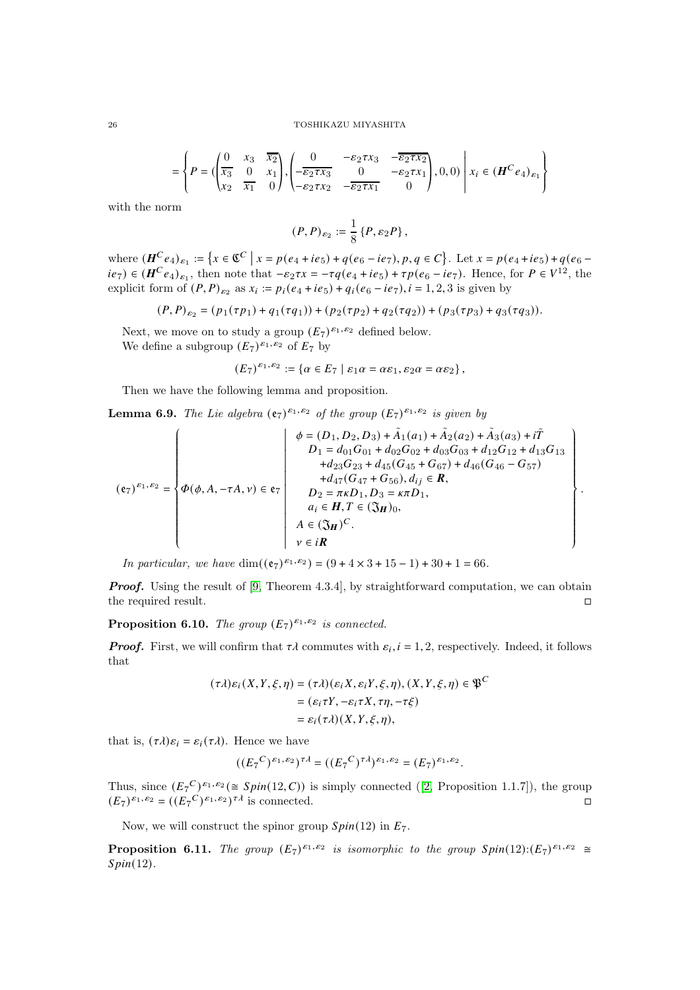$$
=\left\{P=(\begin{pmatrix}0&x_3&\overline{x_2}\\ \overline{x_3}&0&x_1\\ x_2&\overline{x_1}&0\end{pmatrix},\begin{pmatrix}0&-\varepsilon_2\tau x_3&-\overline{\varepsilon_2\tau x_2}\\ -\varepsilon_2\tau x_3&0&-\varepsilon_2\tau x_1\\ -\varepsilon_2\tau x_2&-\overline{\varepsilon_2\tau x_1}&0\end{pmatrix},0,0)\right\vert x_i\in(\pmb{H}^C e_4)_{\varepsilon_1}\right\}
$$

with the norm

$$
(P,P)_{\varepsilon_2}:=\frac{1}{8}\left\{P,\varepsilon_2P\right\},\,
$$

where  $(H^C e_4)_{\varepsilon_1} := \{ x \in \mathbb{C}^C \mid x = p(e_4 + ie_5) + q(e_6 - ie_7), p, q \in C \}.$  Let  $x = p(e_4 + ie_5) + q(e_6 - ie_7)$  $ie_7$ )  $\in$   $(H^Ce_4)_{\varepsilon_1}$ , then note that  $-\varepsilon_2 \tau x = -\tau q(e_4 + ie_5) + \tau p(e_6 - ie_7)$ . Hence, for  $P \in V^{12}$ , the explicit form of  $(P, P)_{\varepsilon_2}$  as  $x_i := p_i(e_4 + ie_5) + q_i(e_6 - ie_7), i = 1, 2, 3$  is given by

$$
(P, P)_{\varepsilon_2} = (p_1(\tau p_1) + q_1(\tau q_1)) + (p_2(\tau p_2) + q_2(\tau q_2)) + (p_3(\tau p_3) + q_3(\tau q_3)).
$$

Next, we move on to study a group  $(E_7)^{\varepsilon_1, \varepsilon_2}$  defined below. We define a subgroup  $(E_7)^{\varepsilon_1, \varepsilon_2}$  of  $E_7$  by

$$
(E_7)^{\varepsilon_1,\varepsilon_2} := \{ \alpha \in E_7 \mid \varepsilon_1 \alpha = \alpha \varepsilon_1, \varepsilon_2 \alpha = \alpha \varepsilon_2 \},
$$

Then we have the following lemma and proposition.

**Lemma 6.9.** The Lie algebra  $(e_7)^{\varepsilon_1,\varepsilon_2}$  of the group  $(E_7)^{\varepsilon_1,\varepsilon_2}$  is given by

$$
(\mathbf{e}_7)^{\varepsilon_1, \varepsilon_2} = \begin{cases} \phi = (D_1, D_2, D_3) + \tilde{A}_1(a_1) + \tilde{A}_2(a_2) + \tilde{A}_3(a_3) + i\tilde{T} \\ D_1 = d_{01}G_{01} + d_{02}G_{02} + d_{03}G_{03} + d_{12}G_{12} + d_{13}G_{13} \\ + d_{23}G_{23} + d_{45}(G_{45} + G_{67}) + d_{46}(G_{46} - G_{57}) \\ + d_{47}(G_{47} + G_{56}), d_{ij} \in \mathbb{R}, \\ D_2 = \pi \kappa D_1, D_3 = \kappa \pi D_1, \\ a_i \in \mathbb{H}, T \in (\mathfrak{J}_\mathbb{H})_0, \\ \chi \in i\mathbb{R} \end{cases}.
$$

In particular, we have  $\dim((e_7)^{\varepsilon_1,\varepsilon_2}) = (9 + 4 \times 3 + 15 - 1) + 30 + 1 = 66$ .

**Proof.** Using the result of [\[9,](#page-59-0) Theorem 4.3.4], by straightforward computation, we can obtain the required result.

# <span id="page-25-0"></span>**Proposition 6.10.** The group  $(E_7)^{\varepsilon_1, \varepsilon_2}$  is connected.

**Proof.** First, we will confirm that  $\tau \lambda$  commutes with  $\varepsilon_i$ ,  $i = 1, 2$ , respectively. Indeed, it follows that

$$
(\tau \lambda) \varepsilon_i(X, Y, \xi, \eta) = (\tau \lambda) (\varepsilon_i X, \varepsilon_i Y, \xi, \eta), (X, Y, \xi, \eta) \in \mathfrak{P}^C
$$
  
= (\varepsilon\_i \tau Y, -\varepsilon\_i \tau X, \tau \eta, -\tau \xi)  
= \varepsilon\_i(\tau \lambda) (X, Y, \xi, \eta),

that is,  $(\tau \lambda) \varepsilon_i = \varepsilon_i(\tau \lambda)$ . Hence we have

$$
((E_7{}^C)^{\varepsilon_1,\varepsilon_2})^{\tau\lambda} = ((E_7{}^C)^{\tau\lambda})^{\varepsilon_1,\varepsilon_2} = (E_7)^{\varepsilon_1,\varepsilon_2}.
$$

Thus, since  $(E_7^C)^{\varepsilon_1,\varepsilon_2}(\cong Spin(12,C))$  is simply connected ([\[2,](#page-59-3) Proposition 1.1.7]), the group  $(E_7)^{\varepsilon_1, \varepsilon_2} = ((E_7^C)^{\varepsilon_1, \varepsilon_2})^{\tau \lambda}$  is connected.

Now, we will construct the spinor group  $Spin(12)$  in  $E_7$ .

<span id="page-25-1"></span>**Proposition 6.11.** The group  $(E_7)^{\varepsilon_1, \varepsilon_2}$  is isomorphic to the group  $Spin(12):(E_7)^{\varepsilon_1, \varepsilon_2} \cong$  $Spin(12)$ .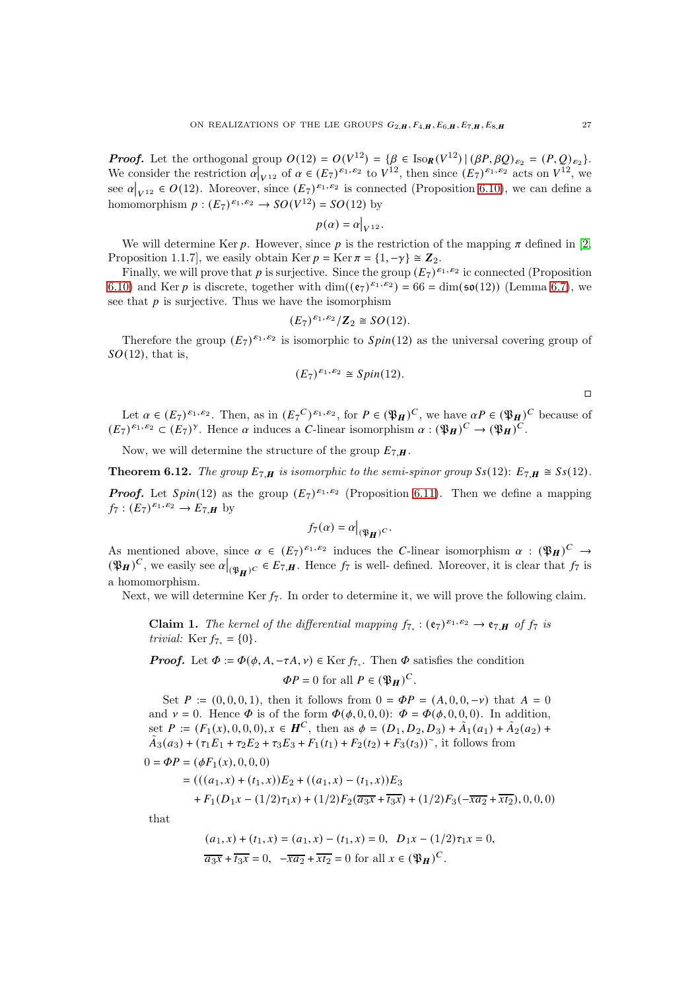**Proof.** Let the orthogonal group  $O(12) = O(V^{12}) = \{ \beta \in \text{Iso}_{R}(V^{12}) \mid (\beta P, \beta Q)_{\epsilon_2} = (P, Q)_{\epsilon_2} \}.$ We consider the restriction  $\alpha|_{V^{12}}$  of  $\alpha \in (E_7)^{\varepsilon_1, \varepsilon_2}$  to  $V^{12}$ , then since  $(E_7)^{\varepsilon_1, \varepsilon_2}$  acts on  $V^{12}$ , we see  $\alpha|_{V^{12}} \in O(12)$ . Moreover, since  $(E_7)^{\varepsilon_1, \varepsilon_2}$  is connected (Proposition [6.10\)](#page-25-0), we can define a homomorphism  $p: (E_7)^{\varepsilon_1, \varepsilon_2} \to SO(V^{12}) = SO(12)$  by

$$
p(\alpha)=\alpha\big|_{V^{12}}.
$$

We will determine Ker  $p$ . However, since  $p$  is the restriction of the mapping  $\pi$  defined in [\[2,](#page-59-3) Proposition 1.1.7], we easily obtain Ker  $p = \text{Ker } \pi = \{1, -\gamma\} \cong \mathbb{Z}_2$ .

Finally, we will prove that p is surjective. Since the group  $(E_7)^{\varepsilon_1, \varepsilon_2}$  ic connected (Proposition [6.10\)](#page-25-0) and Ker *p* is discrete, together with  $\dim((e_7)^{\epsilon_1,\epsilon_2}) = 66 = \dim(\mathfrak{so}(12))$  (Lemma [6.7\)](#page-23-0), we see that  $p$  is surjective. Thus we have the isomorphism

$$
(E_7)^{\varepsilon_1,\varepsilon_2}/\mathbf{Z}_2\cong SO(12).
$$

Therefore the group  $(E_7)^{\varepsilon_1,\varepsilon_2}$  is isomorphic to  $Spin(12)$  as the universal covering group of  $SO(12)$ , that is,

$$
(E_7)^{\varepsilon_1,\varepsilon_2} \cong Spin(12).
$$

 $\Box$ 

Let  $\alpha \in (E_7)^{\varepsilon_1, \varepsilon_2}$ . Then, as in  $(E_7^C)^{\varepsilon_1, \varepsilon_2}$ , for  $P \in (\mathfrak{P}_H)^C$ , we have  $\alpha P \in (\mathfrak{P}_H)^C$  because of  $(E_7)^{\varepsilon_1,\varepsilon_2} \subset (E_7)^{\gamma}$ . Hence  $\alpha$  induces a *C*-linear isomorphism  $\alpha : (\mathfrak{P}_H)^C \to (\mathfrak{P}_H)^C$ .

Now, we will determine the structure of the group  $E_7$ <sub>H</sub>.

**Theorem 6.12.** The group  $E_{7,H}$  is isomorphic to the semi-spinor group  $S_s(12)$ :  $E_{7,H} \cong S_s(12)$ .

**Proof.** Let  $Spin(12)$  as the group  $(E_7)^{\varepsilon_1,\varepsilon_2}$  (Proposition [6.11\)](#page-25-1). Then we define a mapping  $f_7: (E_7)^{\varepsilon_1, \varepsilon_2} \to E_{7,H}$  by

$$
f_7(\alpha)=\alpha\big|_{(\mathfrak{P}_{\pmb{H}})^C}.
$$

As mentioned above, since  $\alpha \in (E_7)^{\varepsilon_1, \varepsilon_2}$  induces the *C*-linear isomorphism  $\alpha : (\mathfrak{P}_H)^C \to$  $(\mathfrak{P}_H)^C$ , we easily see  $\alpha|_{(\mathfrak{P}_H)^C} \in E_{7,H}$ . Hence  $f_7$  is well-defined. Moreover, it is clear that  $f_7$  is a homomorphism.

Next, we will determine Ker  $f_7$ . In order to determine it, we will prove the following claim.

Claim 1. The kernel of the differential mapping  $f_{7_*}$ :  $(e_7)^{\varepsilon_1,\varepsilon_2}$  →  $e_{7,H}$  of  $f_7$  is trivial: Ker  $f_{7*} = \{0\}.$ 

**Proof.** Let  $\Phi := \Phi(\phi, A, -\tau A, \nu) \in \text{Ker } f_{7*}$ . Then  $\Phi$  satisfies the condition  $\Phi P = 0$  for all  $P \in (\mathfrak{P}_H)^C$ .

Set  $P := (0, 0, 0, 1)$ , then it follows from  $0 = \Phi P = (A, 0, 0, -\nu)$  that  $A = 0$ and  $v = 0$ . Hence  $\Phi$  is of the form  $\Phi(\phi, 0, 0, 0)$ :  $\Phi = \Phi(\phi, 0, 0, 0)$ . In addition, set  $P := (F_1(x), 0, 0, 0), x \in \mathbf{H}^C$ , then as  $\phi = (D_1, D_2, D_3) + \tilde{A}_1(a_1) + \tilde{A}_2(a_2) +$  $\tilde{A}_3(a_3) + (\tau_1 E_1 + \tau_2 E_2 + \tau_3 E_3 + F_1(t_1) + F_2(t_2) + F_3(t_3))^{\sim}$ , it follows from

$$
0 = \Phi P = (\phi F_1(x), 0, 0, 0)
$$
  
=  $((a_1, x) + (t_1, x))E_2 + ((a_1, x) - (t_1, x))E_3$   
+  $F_1(D_1x - (1/2)\tau_1x) + (1/2)F_2(\overline{a_3x} + \overline{t_3x}) + (1/2)F_3(-\overline{x}a_2 + \overline{x}t_2), 0, 0, 0)$ 

that

$$
(a_1, x) + (t_1, x) = (a_1, x) - (t_1, x) = 0, \quad D_1 x - (1/2)\tau_1 x = 0,
$$
  

$$
\overline{a_3 x} + \overline{t_3 x} = 0, \quad -\overline{x a_2} + \overline{x t_2} = 0 \text{ for all } x \in (\mathfrak{P}_H)^C.
$$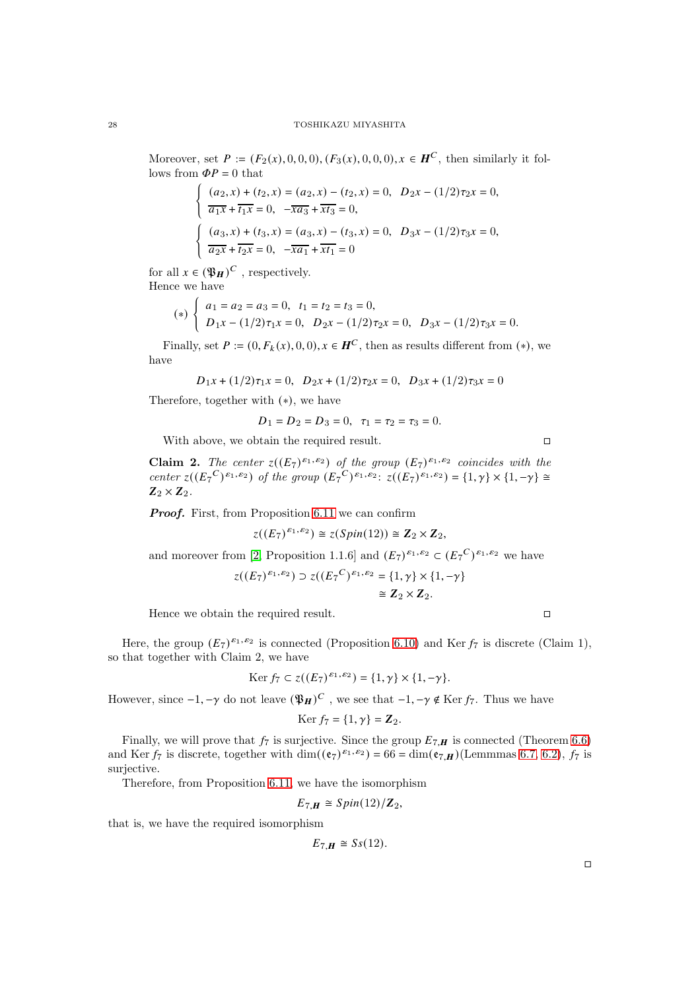Moreover, set  $P := (F_2(x), 0, 0, 0), (F_3(x), 0, 0, 0), x \in \mathbf{H}^C$ , then similarly it follows from  $\varPhi P=0$  that

$$
\begin{cases}\n(a_2, x) + (t_2, x) = (a_2, x) - (t_2, x) = 0, \quad D_2 x - (1/2)\tau_2 x = 0, \\
\overline{a_1 x} + \overline{t_1 x} = 0, \quad -\overline{x a_3} + \overline{x t_3} = 0, \\
(a_3, x) + (t_3, x) = (a_3, x) - (t_3, x) = 0, \quad D_3 x - (1/2)\tau_3 x = 0, \\
\overline{a_2 x} + \overline{t_2 x} = 0, \quad -\overline{x a_1} + \overline{x t_1} = 0\n\end{cases}
$$

for all  $x \in (\mathfrak{P}_H)^C$ , respectively. Hence we have

$$
(*)\ \left\{\begin{array}{ll} a_1=a_2=a_3=0,\;\; t_1=t_2=t_3=0,\\[0.2cm] D_1x-(1/2)\tau_1x=0,\;\; D_2x-(1/2)\tau_2x=0,\;\; D_3x-(1/2)\tau_3x=0.\end{array}\right.
$$

Finally, set  $P := (0, F_k(x), 0, 0), x \in \mathbf{H}^C$ , then as results different from  $(*)$ , we have

$$
D_1x + (1/2)\tau_1x = 0, \quad D_2x + (1/2)\tau_2x = 0, \quad D_3x + (1/2)\tau_3x = 0
$$

Therefore, together with (∗), we have

$$
D_1 = D_2 = D_3 = 0, \quad \tau_1 = \tau_2 = \tau_3 = 0.
$$

With above, we obtain the required result.

**Claim 2.** The center  $z((E_7)^{\varepsilon_1,\varepsilon_2})$  of the group  $(E_7)^{\varepsilon_1,\varepsilon_2}$  coincides with the center  $z((E_7^C)^{\varepsilon_1, \varepsilon_2})$  of the group  $(E_7^C)^{\varepsilon_1, \varepsilon_2}$ :  $z((E_7)^{\varepsilon_1, \varepsilon_2}) = \{1, \gamma\} \times \{1, -\gamma\} \cong$  $\mathbb{Z}_2 \times \mathbb{Z}_2$ .

**Proof.** First, from Proposition [6.11](#page-25-1) we can confirm

 $z((E_7)^{\varepsilon_1, \varepsilon_2}) \cong z(Spin(12)) \cong \mathbb{Z}_2 \times \mathbb{Z}_2$ 

and moreover from [\[2,](#page-59-3) Proposition 1.1.6] and  $(E_7)^{\varepsilon_1,\varepsilon_2} \subset (E_7^C)^{\varepsilon_1,\varepsilon_2}$  we have

$$
z((E_7)^{\varepsilon_1,\varepsilon_2}) \supset z((E_7^C)^{\varepsilon_1,\varepsilon_2} = \{1,\gamma\} \times \{1,-\gamma\}
$$

$$
\cong \mathbb{Z}_2 \times \mathbb{Z}_2.
$$

Hence we obtain the required result.  $\Box$ 

Here, the group  $(E_7)^{\varepsilon_1,\varepsilon_2}$  is connected (Proposition [6.10\)](#page-25-0) and Ker  $f_7$  is discrete (Claim 1), so that together with Claim 2, we have

$$
\operatorname{Ker} f_7 \subset z((E_7)^{\varepsilon_1, \varepsilon_2}) = \{1, \gamma\} \times \{1, -\gamma\}.
$$

However, since  $-1, -\gamma$  do not leave  $(\mathfrak{P}_H)^C$ , we see that  $-1, -\gamma \notin \text{Ker } f_7$ . Thus we have

$$
\mathrm{Ker}\, f_7=\{1,\gamma\}= {\bf Z}_2.
$$

Finally, we will prove that  $f_7$  is surjective. Since the group  $E_{7,H}$  is connected (Theorem [6.6\)](#page-22-0) and Ker  $f_7$  is discrete, together with  $\dim((e_7)^{\epsilon_1, \epsilon_2}) = 66 = \dim(e_{7,\mathbf{H}})(\text{Lemmas 6.7, 6.2}), f_7$  $\dim((e_7)^{\epsilon_1, \epsilon_2}) = 66 = \dim(e_{7,\mathbf{H}})(\text{Lemmas 6.7, 6.2}), f_7$  $\dim((e_7)^{\epsilon_1, \epsilon_2}) = 66 = \dim(e_{7,\mathbf{H}})(\text{Lemmas 6.7, 6.2}), f_7$  is surjective.

Therefore, from Proposition [6.11,](#page-25-1) we have the isomorphism

$$
E_{7,\boldsymbol{H}}\cong Spin(12)/\boldsymbol{Z}_2,
$$

that is, we have the required isomorphism

$$
E_{7,\boldsymbol{H}}\cong Ss(12).
$$

 $\Box$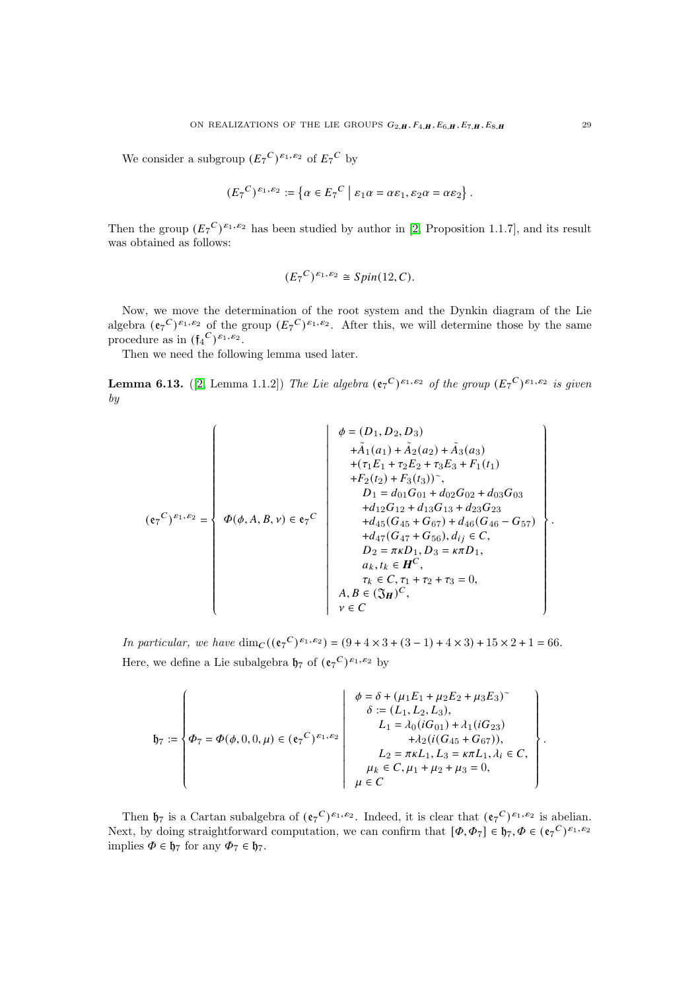We consider a subgroup  $(E_7^C)^{\varepsilon_1, \varepsilon_2}$  of  $E_7^C$  by

$$
(E_7{}^C)^{\varepsilon_1,\varepsilon_2}:=\left\{\alpha\in E_7{}^C\ \middle|\ \varepsilon_1\alpha=\alpha\varepsilon_1,\varepsilon_2\alpha=\alpha\varepsilon_2\right\}.
$$

Then the group  $(E_7^C)^{\varepsilon_1, \varepsilon_2}$  has been studied by author in [\[2,](#page-59-3) Proposition 1.1.7], and its result was obtained as follows:

$$
(E_7^C)^{\varepsilon_1, \varepsilon_2} \cong Spin(12, C).
$$

Now, we move the determination of the root system and the Dynkin diagram of the Lie algebra  $({\epsilon_7}^C)^{\epsilon_1,\epsilon_2}$  of the group  $(E_7^C)^{\epsilon_1,\epsilon_2}$ . After this, we will determine those by the same procedure as in  $({\mathfrak{f}_4}^C)^{\varepsilon_1, \varepsilon_2}$ .

Then we need the following lemma used later.

**Lemma 6.13.** ([\[2,](#page-59-3) Lemma 1.1.2]) The Lie algebra  $(e_7^C)^{\varepsilon_1,\varepsilon_2}$  of the group  $(E_7^C)^{\varepsilon_1,\varepsilon_2}$  is given by

$$
(\mathbf{e}_{7}^{C})^{\varepsilon_{1},\varepsilon_{2}} = \left\{\begin{array}{c}\n\phi = (D_{1},D_{2},D_{3}) \\
+ \tilde{A}_{1}(a_{1}) + \tilde{A}_{2}(a_{2}) + \tilde{A}_{3}(a_{3}) \\
+( \tau_{1} E_{1} + \tau_{2} E_{2} + \tau_{3} E_{3} + F_{1}(t_{1}) \\
+ F_{2}(t_{2}) + F_{3}(t_{3}))^{\sim}, \\
D_{1} = d_{01} G_{01} + d_{02} G_{02} + d_{03} G_{03} \\
+d_{12} G_{12} + d_{13} G_{13} + d_{23} G_{23} \\
+d_{45} (G_{45} + G_{67}) + d_{46} (G_{46} - G_{57}) \\
+d_{47} (G_{47} + G_{56}), d_{ij} \in C, \\
D_{2} = \pi \kappa D_{1}, D_{3} = \kappa \pi D_{1}, \\
a_{k}, t_{k} \in \mathbf{H}^{C}, \\
\tau_{k} \in C, \tau_{1} + \tau_{2} + \tau_{3} = 0, \\
A, B \in (\mathfrak{J}_{\mathbf{H}})^{C}, \\
v \in C\n\end{array}\right\}
$$

In particular, we have  $\dim_C((e_7^C)^{\varepsilon_1, \varepsilon_2}) = (9 + 4 \times 3 + (3 - 1) + 4 \times 3) + 15 \times 2 + 1 = 66.$ Here, we define a Lie subalgebra  $\mathfrak{h}_7$  of  $(\mathfrak{e}_7^C)^{\varepsilon_1, \varepsilon_2}$  by

$$
\mathfrak{h}_7:=\left\{\varPhi_7=\varPhi(\phi,0,0,\mu)\in (\mathfrak{e}_7^C)^{\varepsilon_1,\varepsilon_2}\left|\begin{array}{c}\phi=\delta+(\mu_1E_1+\mu_2E_2+\mu_3E_3)^{\sim}\\ \delta:=(L_1,L_2,L_3),\\ L_1=\lambda_0(iG_{01})+\lambda_1(iG_{23})\\ +\lambda_2(i(G_{45}+G_{67})),\\ L_2=\pi\kappa L_1,L_3=\kappa\pi L_1,\lambda_i\in C,\\ \mu_k\in C,\mu_1+\mu_2+\mu_3=0,\end{array}\right\}.
$$

Then  $\mathfrak{h}_7$  is a Cartan subalgebra of  $(\mathfrak{e}_7^C)^{\varepsilon_1,\varepsilon_2}$ . Indeed, it is clear that  $(\mathfrak{e}_7^C)^{\varepsilon_1,\varepsilon_2}$  is abelian. Next, by doing straightforward computation, we can confirm that  $[\Phi, \Phi_7] \in \mathfrak{h}_7, \Phi \in (\mathfrak{e}_7^C)^{\varepsilon_1, \varepsilon_2}$ implies  $\Phi \in \mathfrak{h}_7$  for any  $\Phi_7 \in \mathfrak{h}_7$ .

.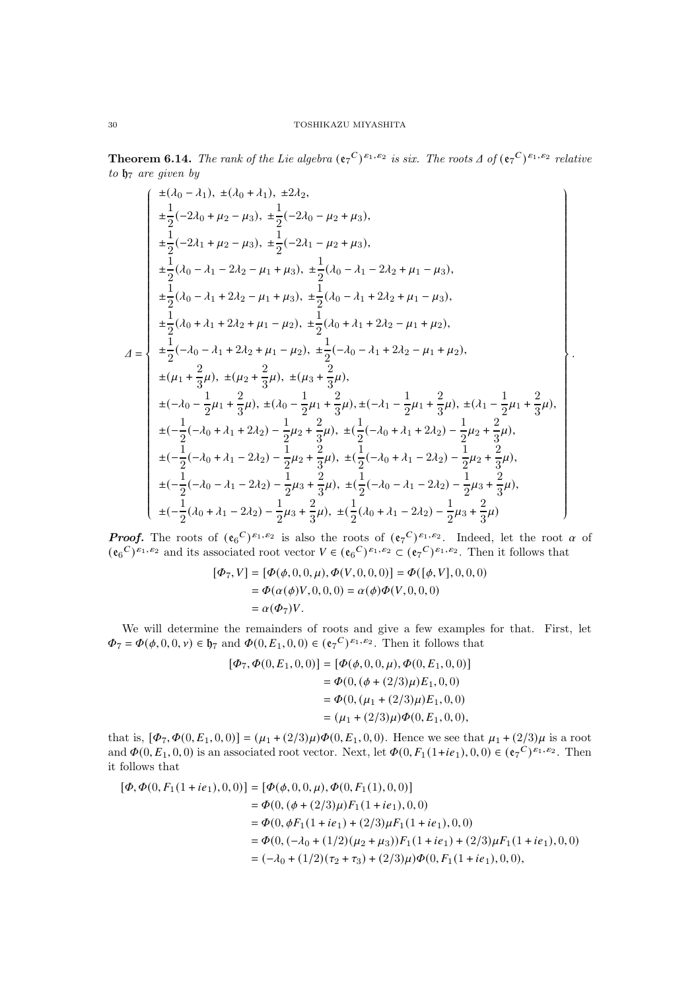<span id="page-29-0"></span>**Theorem 6.14.** The rank of the Lie algebra  $(e_7^C)^{\varepsilon_1, \varepsilon_2}$  is six. The roots  $\Delta$  of  $(e_7^C)^{\varepsilon_1, \varepsilon_2}$  relative to  $\mathfrak{h}_7$  are given by

$$
\begin{pmatrix}\n\pm(\lambda_0 - \lambda_1), \pm(\lambda_0 + \lambda_1), \pm 2\lambda_2, \\
\pm \frac{1}{2}(-2\lambda_0 + \mu_2 - \mu_3), \pm \frac{1}{2}(-2\lambda_0 - \mu_2 + \mu_3), \\
\pm \frac{1}{2}(-2\lambda_1 + \mu_2 - \mu_3), \pm \frac{1}{2}(-2\lambda_1 - \mu_2 + \mu_3), \\
\pm \frac{1}{2}(\lambda_0 - \lambda_1 - 2\lambda_2 - \mu_1 + \mu_3), \pm \frac{1}{2}(\lambda_0 - \lambda_1 - 2\lambda_2 + \mu_1 - \mu_3), \\
\pm \frac{1}{2}(\lambda_0 - \lambda_1 + 2\lambda_2 - \mu_1 + \mu_3), \pm \frac{1}{2}(\lambda_0 - \lambda_1 + 2\lambda_2 + \mu_1 - \mu_3), \\
\pm \frac{1}{2}(\lambda_0 + \lambda_1 + 2\lambda_2 + \mu_1 - \mu_2), \pm \frac{1}{2}(\lambda_0 + \lambda_1 + 2\lambda_2 - \mu_1 + \mu_2), \\
\pm \frac{1}{2}(-\lambda_0 - \lambda_1 + 2\lambda_2 + \mu_1 - \mu_2), \pm \frac{1}{2}(-\lambda_0 - \lambda_1 + 2\lambda_2 - \mu_1 + \mu_2), \\
\pm (\mu_1 + \frac{2}{3}\mu), \pm (\mu_2 + \frac{2}{3}\mu), \pm (\mu_3 + \frac{2}{3}\mu), \\
\pm (-\lambda_0 - \frac{1}{2}\mu_1 + \frac{2}{3}\mu), \pm (\lambda_0 - \frac{1}{2}\mu_1 + \frac{2}{3}\mu), \pm (-\lambda_1 - \frac{1}{2}\mu_1 + \frac{2}{3}\mu), \\
\pm (-\frac{1}{2}(-\lambda_0 + \lambda_1 + 2\lambda_2) - \frac{1}{2}\mu_2 + \frac{2}{3}\mu), \pm (\frac{1}{2}(-\lambda_0 + \lambda_1 + 2\lambda_2) - \frac{1}{2}\mu_2 + \frac{2}{3}\mu), \\
\pm (-\frac{1}{2}(-\lambda_0 + \lambda_1 - 2\lambda_2) - \frac{1}{2}\mu_2 + \frac{2}{3}\mu), \pm (\frac{1}{2}(-\lambda_0 + \lambda_1 - 2\lambda_2) - \frac{1}{2}\mu_2 +
$$

**Proof.** The roots of  $({\mathfrak{e}}_6^C)^{\varepsilon_1,\varepsilon_2}$  is also the roots of  $({\mathfrak{e}}_7^C)^{\varepsilon_1,\varepsilon_2}$ . Indeed, let the root  $\alpha$  of  $({\mathfrak{e}_6}^C)^{\varepsilon_1,\varepsilon_2}$  and its associated root vector  $V \in ({\mathfrak{e}_6}^C)^{\varepsilon_1,\varepsilon_2} \subset ({\mathfrak{e}_7}^C)^{\varepsilon_1,\varepsilon_2}$ . Then it follows that

$$
[\Phi_7, V] = [\Phi(\phi, 0, 0, \mu), \Phi(V, 0, 0, 0)] = \Phi([\phi, V], 0, 0, 0)
$$
  
=  $\Phi(\alpha(\phi)V, 0, 0, 0) = \alpha(\phi)\Phi(V, 0, 0, 0)$   
=  $\alpha(\Phi_7)V$ .

We will determine the remainders of roots and give a few examples for that. First, let  $\Phi_7 = \Phi(\phi, 0, 0, \nu) \in \mathfrak{h}_7$  and  $\Phi(0, E_1, 0, 0) \in (\mathfrak{e}_7^C)^{\varepsilon_1, \varepsilon_2}$ . Then it follows that

$$
[\Phi_7, \Phi(0, E_1, 0, 0)] = [\Phi(\phi, 0, 0, \mu), \Phi(0, E_1, 0, 0)]
$$
  
=  $\Phi(0, (\phi + (2/3)\mu)E_1, 0, 0)$   
=  $\Phi(0, (\mu_1 + (2/3)\mu)E_1, 0, 0)$   
=  $(\mu_1 + (2/3)\mu)\Phi(0, E_1, 0, 0),$ 

that is,  $[\Phi_7, \Phi(0, E_1, 0, 0)] = (\mu_1 + (2/3)\mu)\Phi(0, E_1, 0, 0)$ . Hence we see that  $\mu_1 + (2/3)\mu$  is a root and  $\Phi(0, E_1, 0, 0)$  is an associated root vector. Next, let  $\Phi(0, F_1(1+i\epsilon_1), 0, 0) \in (\mathfrak{e}_7^C)^{\varepsilon_1, \varepsilon_2}$ . Then it follows that

$$
[\Phi, \Phi(0, F_1(1 + ie_1), 0, 0)] = [\Phi(\phi, 0, 0, \mu), \Phi(0, F_1(1), 0, 0)]
$$
  
\n
$$
= \Phi(0, (\phi + (2/3)\mu)F_1(1 + ie_1), 0, 0)
$$
  
\n
$$
= \Phi(0, \phi F_1(1 + ie_1) + (2/3)\mu F_1(1 + ie_1), 0, 0)
$$
  
\n
$$
= \Phi(0, (-\lambda_0 + (1/2)(\mu_2 + \mu_3))F_1(1 + ie_1) + (2/3)\mu F_1(1 + ie_1), 0, 0)
$$
  
\n
$$
= (-\lambda_0 + (1/2)(\tau_2 + \tau_3) + (2/3)\mu)\Phi(0, F_1(1 + ie_1), 0, 0),
$$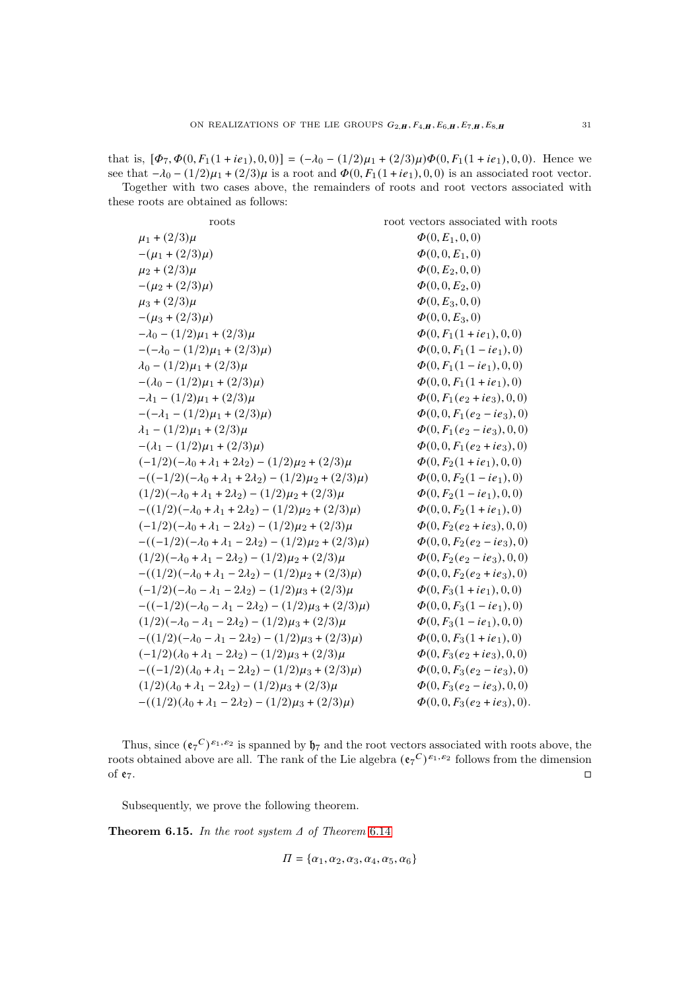that is,  $[\Phi_7, \Phi(0, F_1(1 + ie_1), 0, 0)] = (-\lambda_0 - (1/2)\mu_1 + (2/3)\mu)\Phi(0, F_1(1 + ie_1), 0, 0)$ . Hence we see that  $-\lambda_0 - (1/2)\mu_1 + (2/3)\mu$  is a root and  $\Phi(0, F_1(1 + ie_1), 0, 0)$  is an associated root vector. Together with two cases above, the remainders of roots and root vectors associated with these roots are obtained as follows:

roots root vectors associated with roots

| $\mu_1 + (2/3)\mu$                                                       | $\Phi(0, E_1, 0, 0)$             |
|--------------------------------------------------------------------------|----------------------------------|
| $-(\mu_1 + (2/3)\mu)$                                                    | $\Phi(0, 0, E_1, 0)$             |
| $\mu_2 + (2/3)\mu$                                                       | $\Phi(0, E_2, 0, 0)$             |
| $-(\mu_2 + (2/3)\mu)$                                                    | $\Phi(0, 0, E_2, 0)$             |
| $\mu_3 + (2/3)\mu$                                                       | $\Phi(0, E_3, 0, 0)$             |
| $-(\mu_3 + (2/3)\mu)$                                                    | $\Phi(0, 0, E_3, 0)$             |
| $-\lambda_0 - (1/2)\mu_1 + (2/3)\mu$                                     | $\Phi(0, F_1(1 + ie_1), 0, 0)$   |
| $-(-\lambda_0 - (1/2)\mu_1 + (2/3)\mu)$                                  | $\Phi(0,0,F_1(1-ie_1),0)$        |
| $\lambda_0 - (1/2)\mu_1 + (2/3)\mu$                                      | $\Phi(0, F_1(1 - ie_1), 0, 0)$   |
| $-(\lambda_0 - (1/2)\mu_1 + (2/3)\mu)$                                   | $\Phi(0,0,F_1(1+ie_1),0)$        |
| $-\lambda_1 - (1/2)\mu_1 + (2/3)\mu$                                     | $\Phi(0, F_1(e_2 + ie_3), 0, 0)$ |
| $-(-\lambda_1 - (1/2)\mu_1 + (2/3)\mu)$                                  | $\Phi(0,0,F_1(e_2-ie_3),0)$      |
| $\lambda_1 - (1/2)\mu_1 + (2/3)\mu$                                      | $\Phi(0, F_1(e_2 - ie_3), 0, 0)$ |
| $-(\lambda_1 - (1/2)\mu_1 + (2/3)\mu)$                                   | $\Phi(0,0,F_1(e_2+ie_3),0)$      |
| $(-1/2)(-\lambda_0 + \lambda_1 + 2\lambda_2) - (1/2)\mu_2 + (2/3)\mu$    | $\Phi(0, F_2(1 + ie_1), 0, 0)$   |
| $-((-1/2)(-\lambda_0 + \lambda_1 + 2\lambda_2) - (1/2)\mu_2 + (2/3)\mu)$ | $\Phi(0,0,F_2(1-i\epsilon_1),0)$ |
| $(1/2)(-\lambda_0 + \lambda_1 + 2\lambda_2) - (1/2)\mu_2 + (2/3)\mu$     | $\Phi(0, F_2(1 - ie_1), 0, 0)$   |
| $-((1/2)(-\lambda_0 + \lambda_1 + 2\lambda_2) - (1/2)\mu_2 + (2/3)\mu)$  | $\Phi(0,0,F_2(1+ie_1),0)$        |
| $(-1/2)(-\lambda_0 + \lambda_1 - 2\lambda_2) - (1/2)\mu_2 + (2/3)\mu$    | $\Phi(0, F_2(e_2 + ie_3), 0, 0)$ |
| $-((-1/2)(-\lambda_0 + \lambda_1 - 2\lambda_2) - (1/2)\mu_2 + (2/3)\mu)$ | $\Phi(0,0,F_2(e_2-ie_3),0)$      |
| $(1/2)(-\lambda_0 + \lambda_1 - 2\lambda_2) - (1/2)\mu_2 + (2/3)\mu$     | $\Phi(0, F_2(e_2 - ie_3), 0, 0)$ |
| $-((1/2)(-\lambda_0 + \lambda_1 - 2\lambda_2) - (1/2)\mu_2 + (2/3)\mu)$  | $\Phi(0,0,F_2(e_2+ie_3),0)$      |
| $(-1/2)(-\lambda_0 - \lambda_1 - 2\lambda_2) - (1/2)\mu_3 + (2/3)\mu$    | $\Phi(0, F_3(1 + ie_1), 0, 0)$   |
| $-((-1/2)(-\lambda_0 - \lambda_1 - 2\lambda_2) - (1/2)\mu_3 + (2/3)\mu)$ | $\Phi(0,0,F_3(1-i\epsilon_1),0)$ |
| $(1/2)(-\lambda_0 - \lambda_1 - 2\lambda_2) - (1/2)\mu_3 + (2/3)\mu$     | $\Phi(0, F_3(1 - ie_1), 0, 0)$   |
| $-((1/2)(-\lambda_0 - \lambda_1 - 2\lambda_2) - (1/2)\mu_3 + (2/3)\mu)$  | $\Phi(0,0,F_3(1+i\epsilon_1),0)$ |
| $(-1/2)(\lambda_0 + \lambda_1 - 2\lambda_2) - (1/2)\mu_3 + (2/3)\mu$     | $\Phi(0, F_3(e_2 + ie_3), 0, 0)$ |
| $-((-1/2)(\lambda_0 + \lambda_1 - 2\lambda_2) - (1/2)\mu_3 + (2/3)\mu)$  | $\Phi(0,0,F_3(e_2-ie_3),0)$      |
| $(1/2)(\lambda_0 + \lambda_1 - 2\lambda_2) - (1/2)\mu_3 + (2/3)\mu$      | $\Phi(0, F_3(e_2 - ie_3), 0, 0)$ |
| $-((1/2)(\lambda_0 + \lambda_1 - 2\lambda_2) - (1/2)\mu_3 + (2/3)\mu)$   | $\Phi(0,0,F_3(e_2+ie_3),0).$     |
|                                                                          |                                  |

Thus, since  $({\mathfrak{e}_7}^C)^{\varepsilon_1,\varepsilon_2}$  is spanned by  ${\mathfrak{h}_7}$  and the root vectors associated with roots above, the roots obtained above are all. The rank of the Lie algebra  $({\mathfrak e}_7^C)^{\varepsilon_1,\varepsilon_2}$  follows from the dimension of  $e_7$ .

Subsequently, we prove the following theorem.

**Theorem 6.15.** In the root system  $\Delta$  of Theorem [6.14](#page-29-0)

 $\Pi = {\alpha_1, \alpha_2, \alpha_3, \alpha_4, \alpha_5, \alpha_6}$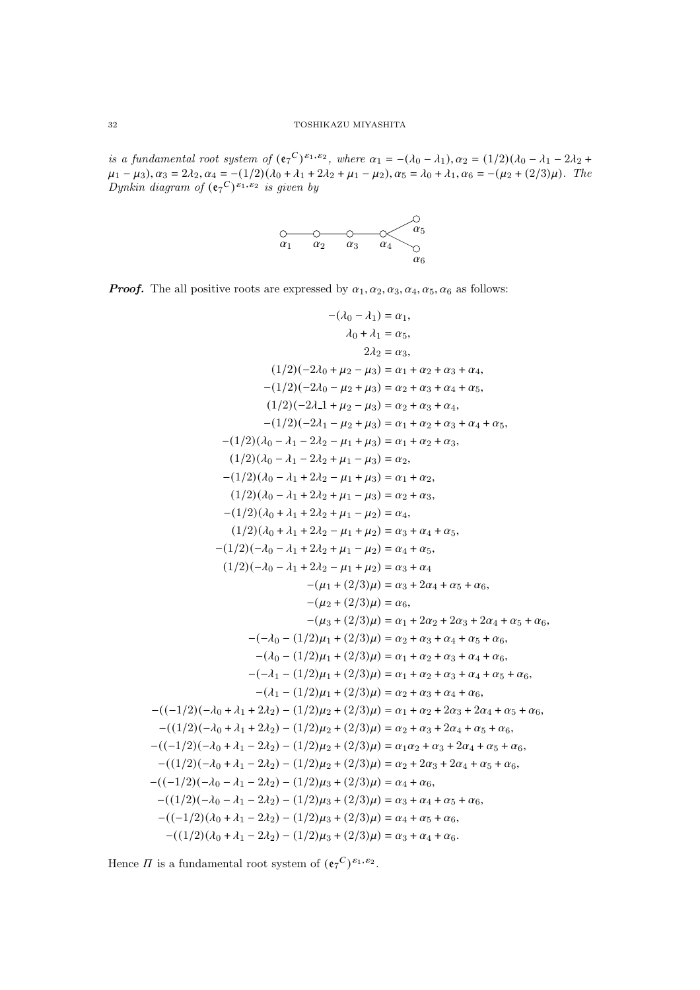is a fundamental root system of  $(e_7^C)^{\varepsilon_1,\varepsilon_2}$ , where  $\alpha_1 = -(\lambda_0 - \lambda_1), \alpha_2 = (1/2)(\lambda_0 - \lambda_1 - 2\lambda_2 + \lambda_1)$  $\mu_1 - \mu_3$ ),  $\alpha_3 = 2\lambda_2$ ,  $\alpha_4 = -(1/2)(\lambda_0 + \lambda_1 + 2\lambda_2 + \mu_1 - \mu_2)$ ,  $\alpha_5 = \lambda_0 + \lambda_1$ ,  $\alpha_6 = -(\mu_2 + (2/3)\mu)$ . The Dynkin diagram of  $(e_7^C)^{\varepsilon_1, \varepsilon_2}$  is given by



**Proof.** The all positive roots are expressed by  $\alpha_1, \alpha_2, \alpha_3, \alpha_4, \alpha_5, \alpha_6$  as follows:

$$
-(\lambda_0 - \lambda_1) = \alpha_1, \lambda_0 + \lambda_1 = \alpha_5, \n2\lambda_2 = \alpha_3, \n(1/2)(-2\lambda_0 + \mu_2 - \mu_3) = \alpha_1 + \alpha_2 + \alpha_3 + \alpha_4, \n-(1/2)(-2\lambda_0 - \mu_2 + \mu_3) = \alpha_2 + \alpha_3 + \alpha_4 + \alpha_5, \n(1/2)(-2\lambda_1 + \mu_2 - \mu_3) = \alpha_2 + \alpha_3 + \alpha_4 + \alpha_5, \n(1/2)(-2\lambda_1 - \mu_2 + \mu_3) = \alpha_1 + \alpha_2 + \alpha_3 + \alpha_4 + \alpha_5, \n-(1/2)(\lambda_0 - \lambda_1 - 2\lambda_2 - \mu_1 + \mu_3) = \alpha_1 + \alpha_2 + \alpha_3 + \alpha_4 + \alpha_5, \n-(1/2)(\lambda_0 - \lambda_1 - 2\lambda_2 + \mu_1 - \mu_3) = \alpha_2, \n-(1/2)(\lambda_0 - \lambda_1 + 2\lambda_2 + \mu_1 - \mu_3) = \alpha_2 + \alpha_3, \n-(1/2)(\lambda_0 - \lambda_1 + 2\lambda_2 + \mu_1 - \mu_2) = \alpha_4, \n(1/2)(\lambda_0 + \lambda_1 + 2\lambda_2 - \mu_1 + \mu_2) = \alpha_3 + \alpha_4 + \alpha_5, \n-(1/2)(\lambda_0 + \lambda_1 + 2\lambda_2 - \mu_1 + \mu_2) = \alpha_3 + \alpha_4 + \alpha_5, \n-(1/2)(-\lambda_0 - \lambda_1 + 2\lambda_2 + \mu_1 - \mu_2) = \alpha_4 + \alpha_5, \n-(1/2)(-\lambda_0 - \lambda_1 + 2\lambda_2 + \mu_1 - \mu_2) = \alpha_4 + \alpha_5, \n-(1/2)(-\lambda_0 - \lambda_1 + 2\lambda_2 - \mu_1 + \mu_2) = \alpha_3 + \alpha_4 + \alpha_5 + \alpha_6, \n-(\mu_2 + (2/3)\mu) = \alpha_6, \n-(\mu_2 + (2/3)\mu) = \alpha_1 + 2\alpha_2 + 2\alpha_3 + 2\alpha_4 + \alpha
$$

Hence  $\Pi$  is a fundamental root system of  $(\mathfrak{e}_{7}^C)^{\varepsilon_1,\varepsilon_2}$ .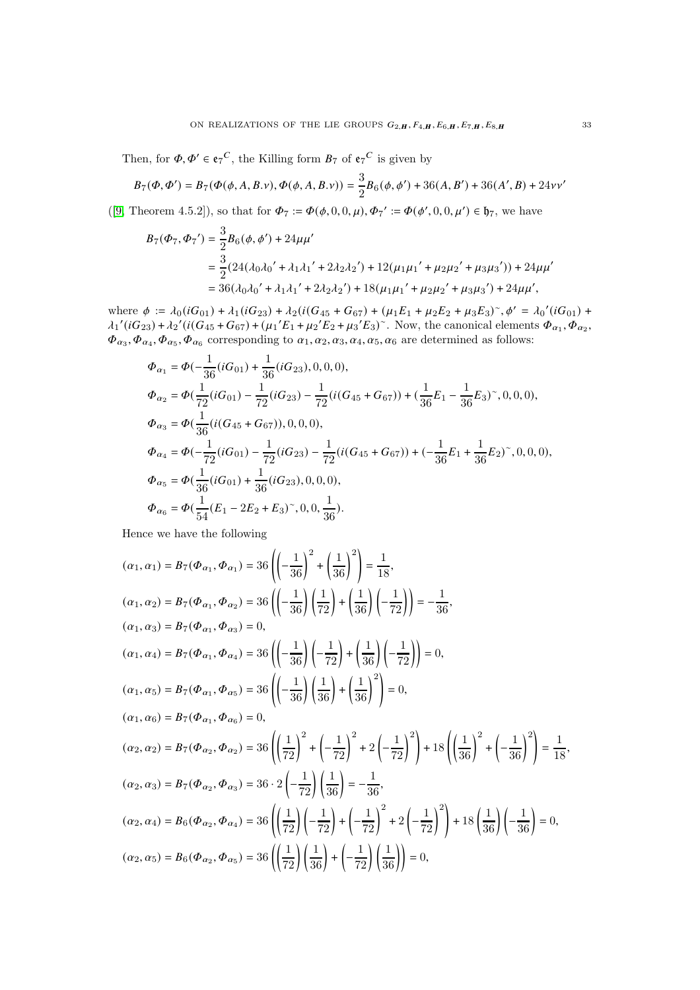Then, for  $\Phi, \Phi' \in \mathfrak{e}_7^C$ , the Killing form  $B_7$  of  $\mathfrak{e}_7^C$  is given by

$$
B_7(\Phi, \Phi') = B_7(\Phi(\phi, A, B, \nu), \Phi(\phi, A, B, \nu)) = \frac{3}{2}B_6(\phi, \phi') + 36(A, B') + 36(A', B) + 24\nu\nu'
$$

 $([9, \text{Theorem } 4.5.2]),$  $([9, \text{Theorem } 4.5.2]),$  $([9, \text{Theorem } 4.5.2]),$  so that for  $\Phi_7 := \Phi(\phi, 0, 0, \mu), \Phi_7' := \Phi(\phi', 0, 0, \mu') \in \mathfrak{h}_7$ , we have

$$
B_7(\Phi_7, \Phi_7') = \frac{3}{2} B_6(\phi, \phi') + 24\mu\mu'
$$
  
=  $\frac{3}{2} (24(\lambda_0\lambda_0' + \lambda_1\lambda_1' + 2\lambda_2\lambda_2') + 12(\mu_1\mu_1' + \mu_2\mu_2' + \mu_3\mu_3')) + 24\mu\mu'$   
=  $36(\lambda_0\lambda_0' + \lambda_1\lambda_1' + 2\lambda_2\lambda_2') + 18(\mu_1\mu_1' + \mu_2\mu_2' + \mu_3\mu_3') + 24\mu\mu',$ 

where  $\phi := \lambda_0(iG_{01}) + \lambda_1(iG_{23}) + \lambda_2(i(G_{45} + G_{67}) + (\mu_1 E_1 + \mu_2 E_2 + \mu_3 E_3)^{\sim}, \phi' = \lambda_0'(iG_{01}) +$  $\lambda_1' (iG_{23}) + \lambda_2' (i(G_{45} + G_{67}) + (\mu_1' E_1 + \mu_2' E_2 + \mu_3' E_3)^\circ$ . Now, the canonical elements  $\Phi_{\alpha_1}, \Phi_{\alpha_2},$  $\Phi_{\alpha_3}, \Phi_{\alpha_4}, \Phi_{\alpha_5}, \Phi_{\alpha_6}$  corresponding to  $\alpha_1, \alpha_2, \alpha_3, \alpha_4, \alpha_5, \alpha_6$  are determined as follows:

$$
\Phi_{\alpha_1} = \Phi(-\frac{1}{36}(iG_{01}) + \frac{1}{36}(iG_{23}), 0, 0, 0),
$$
\n
$$
\Phi_{\alpha_2} = \Phi(\frac{1}{72}(iG_{01}) - \frac{1}{72}(iG_{23}) - \frac{1}{72}(i(G_{45} + G_{67})) + (\frac{1}{36}E_1 - \frac{1}{36}E_3)^{\sim}, 0, 0, 0),
$$
\n
$$
\Phi_{\alpha_3} = \Phi(\frac{1}{36}(i(G_{45} + G_{67})), 0, 0, 0),
$$
\n
$$
\Phi_{\alpha_4} = \Phi(-\frac{1}{72}(iG_{01}) - \frac{1}{72}(iG_{23}) - \frac{1}{72}(i(G_{45} + G_{67})) + (-\frac{1}{36}E_1 + \frac{1}{36}E_2)^{\sim}, 0, 0, 0),
$$
\n
$$
\Phi_{\alpha_5} = \Phi(\frac{1}{36}(iG_{01}) + \frac{1}{36}(iG_{23}), 0, 0, 0),
$$
\n
$$
\Phi_{\alpha_6} = \Phi(\frac{1}{54}(E_1 - 2E_2 + E_3)^{\sim}, 0, 0, \frac{1}{36}).
$$

Hence we have the following

$$
(\alpha_1, \alpha_1) = B_7(\Phi_{\alpha_1}, \Phi_{\alpha_1}) = 36 \left( \left( -\frac{1}{36} \right)^2 + \left( \frac{1}{36} \right)^2 \right) = \frac{1}{18},
$$
  
\n
$$
(\alpha_1, \alpha_2) = B_7(\Phi_{\alpha_1}, \Phi_{\alpha_2}) = 36 \left( \left( -\frac{1}{36} \right) \left( \frac{1}{72} \right) + \left( \frac{1}{36} \right) \left( -\frac{1}{72} \right) \right) = -\frac{1}{36},
$$
  
\n
$$
(\alpha_1, \alpha_3) = B_7(\Phi_{\alpha_1}, \Phi_{\alpha_3}) = 0,
$$
  
\n
$$
(\alpha_1, \alpha_4) = B_7(\Phi_{\alpha_1}, \Phi_{\alpha_4}) = 36 \left( \left( -\frac{1}{36} \right) \left( -\frac{1}{72} \right) + \left( \frac{1}{36} \right) \left( -\frac{1}{72} \right) \right) = 0,
$$
  
\n
$$
(\alpha_1, \alpha_5) = B_7(\Phi_{\alpha_1}, \Phi_{\alpha_5}) = 36 \left( \left( -\frac{1}{36} \right) \left( \frac{1}{36} \right) + \left( \frac{1}{36} \right)^2 \right) = 0,
$$
  
\n
$$
(\alpha_1, \alpha_6) = B_7(\Phi_{\alpha_1}, \Phi_{\alpha_6}) = 0,
$$
  
\n
$$
(\alpha_2, \alpha_2) = B_7(\Phi_{\alpha_2}, \Phi_{\alpha_2}) = 36 \left( \left( \frac{1}{72} \right)^2 + \left( -\frac{1}{72} \right)^2 + 2 \left( -\frac{1}{72} \right)^2 \right) + 18 \left( \left( \frac{1}{36} \right)^2 + \left( -\frac{1}{36} \right)^2 \right) = \frac{1}{18},
$$
  
\n
$$
(\alpha_2, \alpha_3) = B_7(\Phi_{\alpha_2}, \Phi_{\alpha_3}) = 36 \cdot 2 \left( -\frac{1}{72} \right) \left( \frac{1}{36} \right) = -\frac{1}{36},
$$
  
\n $$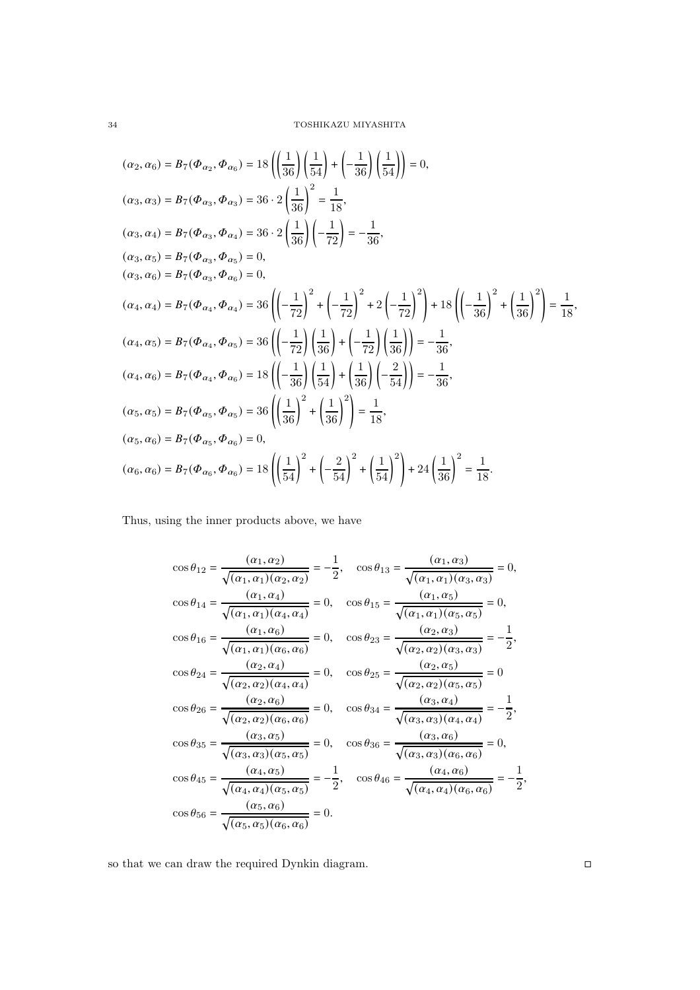$$
(\alpha_2, \alpha_6) = B_7(\Phi_{\alpha_2}, \Phi_{\alpha_6}) = 18\left(\left(\frac{1}{36}\right)\left(\frac{1}{54}\right) + \left(-\frac{1}{36}\right)\left(\frac{1}{54}\right)\right) = 0,
$$
\n
$$
(\alpha_3, \alpha_3) = B_7(\Phi_{\alpha_3}, \Phi_{\alpha_3}) = 36 \cdot 2\left(\frac{1}{36}\right)^2 = \frac{1}{18},
$$
\n
$$
(\alpha_3, \alpha_4) = B_7(\Phi_{\alpha_3}, \Phi_{\alpha_4}) = 36 \cdot 2\left(\frac{1}{36}\right)\left(-\frac{1}{72}\right) = -\frac{1}{36},
$$
\n
$$
(\alpha_3, \alpha_5) = B_7(\Phi_{\alpha_3}, \Phi_{\alpha_5}) = 0,
$$
\n
$$
(\alpha_3, \alpha_6) = B_7(\Phi_{\alpha_3}, \Phi_{\alpha_6}) = 0,
$$
\n
$$
(\alpha_4, \alpha_4) = B_7(\Phi_{\alpha_4}, \Phi_{\alpha_4}) = 36\left(\left(-\frac{1}{72}\right)^2 + \left(-\frac{1}{72}\right)^2 + 2\left(-\frac{1}{72}\right)^2\right) + 18\left(\left(-\frac{1}{36}\right)^2 + \left(\frac{1}{36}\right)^2\right) = \frac{1}{18},
$$
\n
$$
(\alpha_4, \alpha_5) = B_7(\Phi_{\alpha_4}, \Phi_{\alpha_5}) = 36\left(\left(-\frac{1}{72}\right)\left(\frac{1}{36}\right) + \left(-\frac{1}{72}\right)\left(\frac{1}{36}\right)\right) = -\frac{1}{36},
$$
\n
$$
(\alpha_4, \alpha_6) = B_7(\Phi_{\alpha_4}, \Phi_{\alpha_6}) = 18\left(\left(-\frac{1}{36}\right)\left(\frac{1}{54}\right) + \left(\frac{1}{36}\right)\left(-\frac{2}{54}\right)\right) = -\frac{1}{36},
$$
\n
$$
(\alpha_5, \alpha_5) = B_7(\Phi_{\alpha_5}, \Phi_{\alpha_5}) = 36\left(\left(\frac{1}{36}\right)^2 + \left(\frac{1}{36}\right)^2\right) =
$$

Thus, using the inner products above, we have

$$
\cos \theta_{12} = \frac{(\alpha_1, \alpha_2)}{\sqrt{(\alpha_1, \alpha_1)(\alpha_2, \alpha_2)}} = -\frac{1}{2}, \quad \cos \theta_{13} = \frac{(\alpha_1, \alpha_3)}{\sqrt{(\alpha_1, \alpha_1)(\alpha_3, \alpha_3)}} = 0,
$$
  
\n
$$
\cos \theta_{14} = \frac{(\alpha_1, \alpha_4)}{\sqrt{(\alpha_1, \alpha_1)(\alpha_4, \alpha_4)}} = 0, \quad \cos \theta_{15} = \frac{(\alpha_1, \alpha_5)}{\sqrt{(\alpha_1, \alpha_1)(\alpha_5, \alpha_5)}} = 0,
$$
  
\n
$$
\cos \theta_{16} = \frac{(\alpha_1, \alpha_6)}{\sqrt{(\alpha_1, \alpha_1)(\alpha_6, \alpha_6)}} = 0, \quad \cos \theta_{23} = \frac{(\alpha_2, \alpha_3)}{\sqrt{(\alpha_2, \alpha_2)(\alpha_3, \alpha_3)}} = -\frac{1}{2},
$$
  
\n
$$
\cos \theta_{24} = \frac{(\alpha_2, \alpha_4)}{\sqrt{(\alpha_2, \alpha_2)(\alpha_4, \alpha_4)}} = 0, \quad \cos \theta_{25} = \frac{(\alpha_2, \alpha_5)}{\sqrt{(\alpha_2, \alpha_2)(\alpha_5, \alpha_5)}} = 0
$$
  
\n
$$
\cos \theta_{26} = \frac{(\alpha_2, \alpha_6)}{\sqrt{(\alpha_2, \alpha_2)(\alpha_6, \alpha_6)}} = 0, \quad \cos \theta_{34} = \frac{(\alpha_3, \alpha_4)}{\sqrt{(\alpha_3, \alpha_3)(\alpha_4, \alpha_4)}} = -\frac{1}{2},
$$
  
\n
$$
\cos \theta_{35} = \frac{(\alpha_3, \alpha_5)}{\sqrt{(\alpha_3, \alpha_3)(\alpha_5, \alpha_5)}} = 0, \quad \cos \theta_{36} = \frac{(\alpha_3, \alpha_6)}{\sqrt{(\alpha_3, \alpha_3)(\alpha_6, \alpha_6)}} = 0,
$$
  
\n
$$
\cos \theta_{45} = \frac{(\alpha_4, \alpha_5)}{\sqrt{(\alpha_4, \alpha_4)(\alpha_5, \alpha_5)}} = -\frac{1}{2}, \quad \cos \theta_{46} = \frac{(\alpha_4, \alpha_6)}{\sqrt{(\alpha
$$

so that we can draw the required Dynkin diagram.  $\hfill \Box$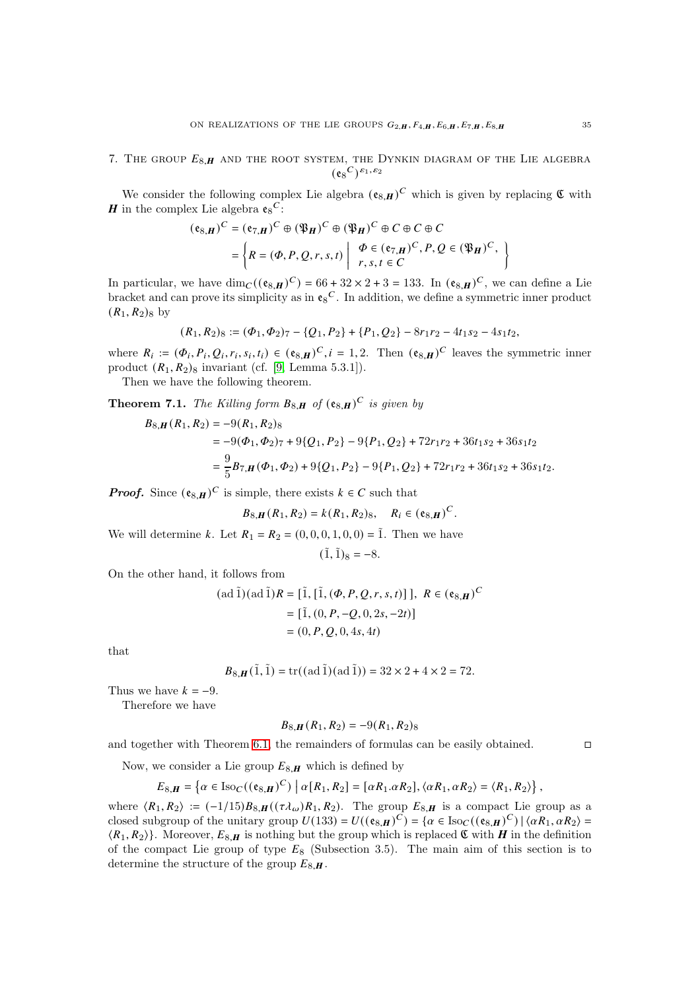7. THE GROUP  $E_{8,H}$  and the root system, the Dynkin diagram of the Lie algebra  $({\mathfrak{e}_8}^C)^{\varepsilon_1,\varepsilon_2}$ 

We consider the following complex Lie algebra  $({\bf e}_{8,H})^C$  which is given by replacing  $\mathfrak C$  with **H** in the complex Lie algebra  $\mathfrak{e}_8^C$ :

$$
(\mathbf{e}_{8,H})^C = (\mathbf{e}_{7,H})^C \oplus (\mathfrak{P}_H)^C \oplus (\mathfrak{P}_H)^C \oplus C \oplus C \oplus C
$$

$$
= \left\{ R = (\varPhi, P, Q, r, s, t) \middle| \begin{array}{c} \varPhi \in (\mathfrak{e}_{7,H})^C, P, Q \in (\mathfrak{P}_H)^C, \\ r, s, t \in C \end{array} \right\}
$$

In particular, we have  $\dim_C((e_{8,H})^C) = 66 + 32 \times 2 + 3 = 133$ . In  $(e_{8,H})^C$ , we can define a Lie bracket and can prove its simplicity as in  $\mathfrak{e}_8^C$ . In addition, we define a symmetric inner product  $(R_1, R_2)$ <sub>8</sub> by

$$
(R_1, R_2)_{8} := (\Phi_1, \Phi_2)_{7} - \{Q_1, P_2\} + \{P_1, Q_2\} - 8r_1r_2 - 4t_1s_2 - 4s_1t_2,
$$

where  $R_i := (\Phi_i, P_i, Q_i, r_i, s_i, t_i) \in (\mathfrak{e}_{8,\mathbf{H}})^C$ ,  $i = 1, 2$ . Then  $(\mathfrak{e}_{8,\mathbf{H}})^C$  leaves the symmetric inner product  $(R_1, R_2)$ <sub>8</sub> invariant (cf. [\[9,](#page-59-0) Lemma 5.3.1]).

Then we have the following theorem.

<span id="page-34-0"></span>**Theorem 7.1.** The Killing form  $B_{8,H}$  of  $(\mathfrak{e}_{8,H})^C$  is given by

$$
B_{8,H}(R_1, R_2) = -9(R_1, R_2)_{8}
$$
  
= -9( $\Phi_1$ ,  $\Phi_2$ )<sub>7</sub> + 9{ $Q_1$ ,  $P_2$ } - 9{ $P_1$ ,  $Q_2$ } + 72 $r_1r_2$  + 36 $t_1s_2$  + 36 $s_1t_2$   
=  $\frac{9}{5}B_{7,H}(\Phi_1, \Phi_2)$  + 9{ $Q_1$ ,  $P_2$ } - 9{ $P_1$ ,  $Q_2$ } + 72 $r_1r_2$  + 36 $t_1s_2$  + 36 $s_1t_2$ .

**Proof.** Since  $(\mathfrak{e}_{8,H})^C$  is simple, there exists  $k \in C$  such that

$$
B_{8,H}(R_1, R_2) = k(R_1, R_2)_8, \quad R_i \in (e_{8,H})^C.
$$

We will determine k. Let  $R_1 = R_2 = (0, 0, 0, 1, 0, 0) = \tilde{1}$ . Then we have

$$
(\tilde{1},\tilde{1})_8=-8.
$$

On the other hand, it follows from

$$
(\text{ad }\tilde{1})(\text{ad }\tilde{1})R = [\tilde{1}, [\tilde{1}, (\Phi, P, Q, r, s, t)]], R \in (\mathfrak{e}_{8,H})^C
$$

$$
= [\tilde{1}, (0, P, -Q, 0, 2s, -2t)]
$$

$$
= (0, P, Q, 0, 4s, 4t)
$$

that

$$
B_{8,H}(\tilde{1}, \tilde{1}) = tr((ad \tilde{1})(ad \tilde{1})) = 32 \times 2 + 4 \times 2 = 72.
$$

Thus we have  $k = -9$ .

Therefore we have

$$
B_{8,H}(R_1,R_2) = -9(R_1,R_2)_8
$$

and together with Theorem [6.1,](#page-16-0) the remainders of formulas can be easily obtained.

Now, we consider a Lie group  $E_{8,H}$  which is defined by

$$
E_{8,\mathbf{H}}=\left\{\alpha\in \mathrm{Iso}_{C}((\mathfrak{e}_{8,\mathbf{H}})^{C})\ \middle|\ \alpha[R_{1},R_{2}]=[\alpha R_{1}.\alpha R_{2}],\langle \alpha R_{1},\alpha R_{2}\rangle=\langle R_{1},R_{2}\rangle\right\},
$$

where  $\langle R_1, R_2 \rangle := (-1/15) B_{8,H}((\tau \lambda_{\omega}) R_1, R_2)$ . The group  $E_{8,H}$  is a compact Lie group as a closed subgroup of the unitary group  $U(133) = U((e_{8,H})^C) = \{ \alpha \in \text{Iso}_C((e_{8,H})^C) | \langle \alpha R_1, \alpha R_2 \rangle =$  $\langle R_1, R_2 \rangle$ . Moreover,  $E_{8,H}$  is nothing but the group which is replaced  $\mathfrak C$  with  $H$  in the definition of the compact Lie group of type  $E_8$  (Subsection 3.5). The main aim of this section is to determine the structure of the group  $E_{8,H}$ .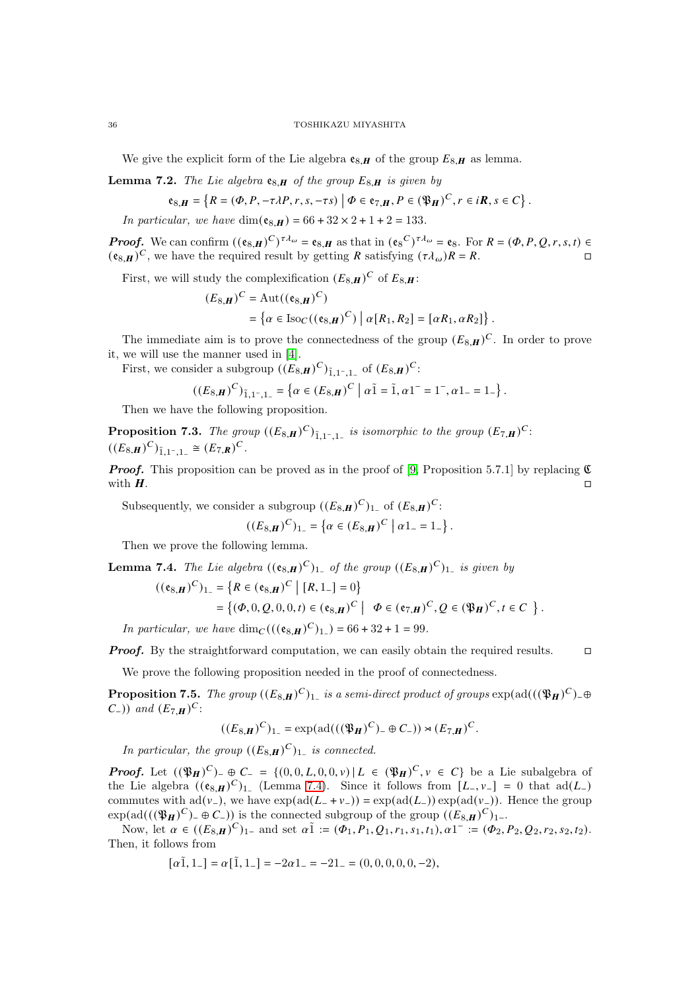### 36 TOSHIKAZU MIYASHITA

We give the explicit form of the Lie algebra  $\mathfrak{e}_{8,\mathbf{H}}$  of the group  $E_{8,\mathbf{H}}$  as lemma.

<span id="page-35-3"></span>**Lemma 7.2.** The Lie algebra  $\mathbf{e}_{8,H}$  of the group  $E_{8,H}$  is given by

$$
\mathfrak{e}_{8,\mathbf{H}} = \left\{ R = (\varPhi, P, -\tau \lambda P, r, s, -\tau s) \mid \varPhi \in \mathfrak{e}_{7,\mathbf{H}}, P \in (\mathfrak{P}_{\mathbf{H}})^{\mathbf{C}}, r \in i\mathbf{R}, s \in \mathbf{C} \right\}.
$$

In particular, we have  $\dim({\bf e}_{8,H}) = 66 + 32 \times 2 + 1 + 2 = 133$ .

**Proof.** We can confirm  $((e_{8,H})^C)^{\tau \lambda_\omega} = e_{8,H}$  as that in  $(e_8^C)^{\tau \lambda_\omega} = e_8$ . For  $R = (\Phi, P, Q, r, s, t) \in$  $({\bf e}_{8,H})^C$ , we have the required result by getting  $R$  satisfying  $(\tau \lambda_\omega) R = R$ .

First, we will study the complexification  $(E_{8,H})^C$  of  $E_{8,H}$ :

$$
(E_{8,H})^C = \text{Aut}((\mathfrak{e}_{8,H})^C)
$$
  
=  $\{ \alpha \in \text{Iso}_C((\mathfrak{e}_{8,H})^C) \mid \alpha[R_1, R_2] = [\alpha R_1, \alpha R_2] \}.$ 

The immediate aim is to prove the connectedness of the group  $(E_{8,H})^C$ . In order to prove it, we will use the manner used in [\[4\]](#page-59-2).

First, we consider a subgroup  $((E_{8,H})^C)_{1,1^-,1^-}$  of  $(E_{8,H})^C$ :

$$
((E_{8,H})^C)_{\tilde{1},1^-,1^-} = \left\{ \alpha \in (E_{8,H})^C \mid \alpha \tilde{1} = \tilde{1}, \alpha 1^- = 1^-, \alpha 1_- = 1_- \right\}.
$$

Then we have the following proposition.

<span id="page-35-1"></span>**Proposition 7.3.** The group  $((E_{8,H})^C)_{\tilde{1},1^-,1^-}$  is isomorphic to the group  $(E_{7,H})^C$ :  $((E_{8,H})^C)_{\tilde{1},1^-,1^-} \cong (E_{7,R})^C.$ 

**Proof.** This proposition can be proved as in the proof of [\[9,](#page-59-0) Proposition 5.7.1] by replacing  $\mathfrak{C}$ with  $\boldsymbol{H}$ .

Subsequently, we consider a subgroup  $((E_{8,H})^C)_{1_-}$  of  $(E_{8,H})^C$ :

$$
((E_{8,\bm{H}})^C)_{1_-}=\left\{\alpha\in (E_{8,\bm{H}})^C\ \big|\ \alpha1_-=1_-\right\}.
$$

Then we prove the following lemma.

<span id="page-35-0"></span>**Lemma 7.4.** The Lie algebra 
$$
((e_{8,H})^C)_{1}
$$
 of the group  $((E_{8,H})^C)_{1}$  is given by

$$
\begin{aligned} ((\mathfrak{e}_{8,\mathbf{H}})^C)_{1-} &= \left\{ R \in (\mathfrak{e}_{8,\mathbf{H}})^C \; \middle| \; [R,1-] = 0 \right\} \\ &= \left\{ (\varPhi, 0, Q, 0, 0, t) \in (\mathfrak{e}_{8,\mathbf{H}})^C \; \middle| \; \varPhi \in (\mathfrak{e}_{7,\mathbf{H}})^C, Q \in (\mathfrak{P}_{\mathbf{H}})^C, t \in C \; \right\}. \end{aligned}
$$

*In particular, we have*  $\dim_C(((e_{8,H})^C)_{1}) = 66 + 32 + 1 = 99$ .

**Proof.** By the straightforward computation, we can easily obtain the required results.  $\Box$ 

We prove the following proposition needed in the proof of connectedness.

<span id="page-35-2"></span>**Proposition 7.5.** The group  $((E_{8,H})^C)_{1}$  is a semi-direct product of groups  $\exp(\text{ad}((\mathfrak{P}_H)^C)_{-}\oplus$  $(C_{-})$ ) and  $(E_{7,H})^C$ :

$$
((E_{8,H})^C)_{1} = \exp(\operatorname{ad}(((\mathfrak{P}_H)^C)_{-} \oplus C_{-})) \rtimes (E_{7,H})^C.
$$

In particular, the group  $((E_{8,H})^C)_{1}$  is connected.

**Proof.** Let  $((\mathfrak{P}_H)^C)$   $\oplus$   $C_{-}$  =  $\{(0,0,L,0,0,\nu) | L \in (\mathfrak{P}_H)^C, \nu \in C\}$  be a Lie subalgebra of the Lie algebra  $((e_{8,H})^C)_{1}$  (Lemma [7.4\)](#page-35-0). Since it follows from  $[L_-, v_-] = 0$  that  $ad(L_-)$ commutes with ad( $v_$ −), we have  $exp(ad(L_+ v_-)) = exp(ad(L_-)) exp(ad(v_-))$ . Hence the group  $\exp(\text{ad}(((\mathfrak{P}_{\mathbf{H}})^{\mathbf{C}})_{-} \oplus \mathbf{C}_{-}))$  is the connected subgroup of the group  $((E_{8,\mathbf{H}})^{\mathbf{C}})_{1-}$ .

Now, let  $\alpha \in ((E_{8,H})^C)_{1-}$  and set  $\alpha \tilde{1} := (\Phi_1, P_1, Q_1, r_1, s_1, t_1), \alpha 1^- := (\Phi_2, P_2, Q_2, r_2, s_2, t_2).$ Then, it follows from

$$
[\alpha \tilde{1}, 1_{-}] = \alpha [\tilde{1}, 1_{-}] = -2\alpha 1_{-} = -21_{-} = (0, 0, 0, 0, 0, -2),
$$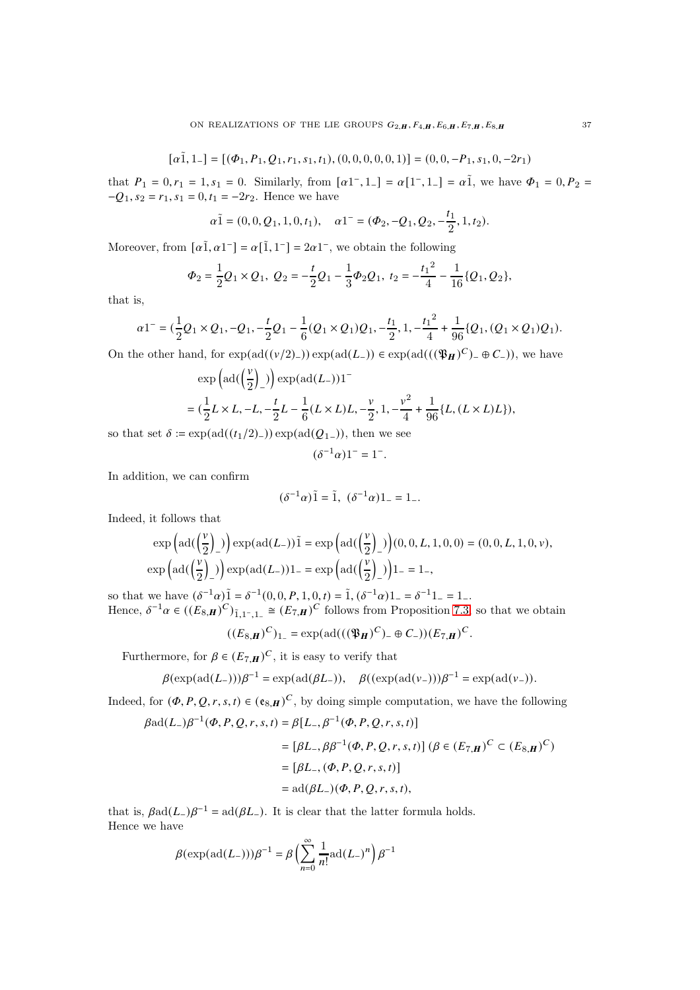$$
[\alpha \tilde{1}, 1_{-}] = [(\Phi_1, P_1, Q_1, r_1, s_1, t_1), (0, 0, 0, 0, 0, 1)] = (0, 0, -P_1, s_1, 0, -2r_1)
$$

that  $P_1 = 0, r_1 = 1, s_1 = 0$ . Similarly, from  $[\alpha 1^{-}, 1] = \alpha [1^{-}, 1] = \alpha \tilde{1}$ , we have  $\Phi_1 = 0, P_2 =$  $-Q_1, s_2 = r_1, s_1 = 0, t_1 = -2r_2$ . Hence we have

$$
\alpha \tilde{1} = (0, 0, Q_1, 1, 0, t_1), \quad \alpha 1^- = (\Phi_2, -Q_1, Q_2, -\frac{t_1}{2}, 1, t_2).
$$

Moreover, from  $[\alpha \tilde{1}, \alpha 1^-] = \alpha[\tilde{1}, 1^-] = 2\alpha 1^-$ , we obtain the following

$$
\Phi_2 = \frac{1}{2}Q_1 \times Q_1, \ Q_2 = -\frac{t}{2}Q_1 - \frac{1}{3}\Phi_2 Q_1, \ t_2 = -\frac{t_1^2}{4} - \frac{1}{16}\{Q_1, Q_2\},
$$

that is,

$$
\alpha1^{-}=(\frac{1}{2}Q_{1}\times Q_{1},-Q_{1},-\frac{t}{2}Q_{1}-\frac{1}{6}(Q_{1}\times Q_{1})Q_{1},-\frac{t_{1}}{2},1,-\frac{t_{1}{}^{2}}{4}+\frac{1}{96}\{Q_{1},(Q_{1}\times Q_{1})Q_{1}).
$$

On the other hand, for  $\exp(\text{ad}((v/2)_-) ) \exp(\text{ad}(L_-)) \in \exp(\text{ad}(((\mathfrak{P}_H)^C)_-\oplus C_-)),$  we have

$$
\exp\left(\mathrm{ad}\left(\left(\frac{v}{2}\right)_{-}\right)\right)\exp(\mathrm{ad}(L_{-}))1^{-}
$$
  
=  $\left(\frac{1}{2}L \times L, -L, -\frac{t}{2}L - \frac{1}{6}(L \times L)L, -\frac{v}{2}, 1, -\frac{v^{2}}{4} + \frac{1}{96}\left\{L, (L \times L)L\right\}\right),$ 

so that set  $\delta := \exp(\mathrm{ad}((t_1/2)_-) ) \exp(\mathrm{ad}(Q_{1-})),$  then we see

$$
(\delta^{-1}\alpha)1^{-}=1^{-}.
$$

In addition, we can confirm

$$
(\delta^{-1}\alpha)\tilde{1}=\tilde{1},\ (\delta^{-1}\alpha)1_-=1_-.
$$

Indeed, it follows that

$$
\exp\left(\mathrm{ad}(\left(\frac{v}{2}\right)_{-})\right)\exp(\mathrm{ad}(L_{-}))\tilde{1} = \exp\left(\mathrm{ad}(\left(\frac{v}{2}\right)_{-})\right)(0,0,L,1,0,0) = (0,0,L,1,0,v),
$$
  

$$
\exp\left(\mathrm{ad}(\left(\frac{v}{2}\right)_{-})\right)\exp(\mathrm{ad}(L_{-}))1_{-} = \exp\left(\mathrm{ad}(\left(\frac{v}{2}\right)_{-})\right)1_{-} = 1_{-},
$$

so that we have  $(\delta^{-1}\alpha)\tilde{1} = \delta^{-1}(0, 0, P, 1, 0, t) = \tilde{1}, (\delta^{-1}\alpha)1 = \delta^{-1}1 = 1$ . Hence,  $\delta^{-1}\alpha \in ((E_{8,H})^C)_{1,1^-,1^-} \cong (E_{7,H})^C$  follows from Proposition [7.3,](#page-35-1) so that we obtain

$$
((E_{8,H})^C)_{1} = \exp(\text{ad}(((\mathfrak{P}_H)^C)_{-} \oplus C_{-}))(E_{7,H})^C.
$$

Furthermore, for  $\beta \in (E_{7,H})^C$ , it is easy to verify that

$$
\beta(\exp(\operatorname{ad}(L_-)))\beta^{-1}=\exp(\operatorname{ad}(\beta L_-)),\quad \beta((\exp(\operatorname{ad}(v_-)))\beta^{-1}=\exp(\operatorname{ad}(v_-)).
$$

Indeed, for  $(\Phi, P, Q, r, s, t) \in (\mathfrak{e}_{8, H})^C$ , by doing simple computation, we have the following

$$
\beta \text{ad}(L_{-})\beta^{-1}(\Phi, P, Q, r, s, t) = \beta [L_{-}, \beta^{-1}(\Phi, P, Q, r, s, t)]
$$
  
= [\beta L\_{-}, \beta \beta^{-1}(\Phi, P, Q, r, s, t)] (\beta \in (E\_{7,H})^C \subset (E\_{8,H})^C)  
= [\beta L\_{-}, (\Phi, P, Q, r, s, t)]  
= \text{ad}(\beta L\_{-})(\Phi, P, Q, r, s, t),

that is,  $\beta ad(L_{-})\beta^{-1} = ad(\beta L_{-})$ . It is clear that the latter formula holds. Hence we have

$$
\beta(\exp(\mathrm{ad}(L_-)))\beta^{-1} = \beta\left(\sum_{n=0}^{\infty} \frac{1}{n!} \mathrm{ad}(L_-)^n\right)\beta^{-1}
$$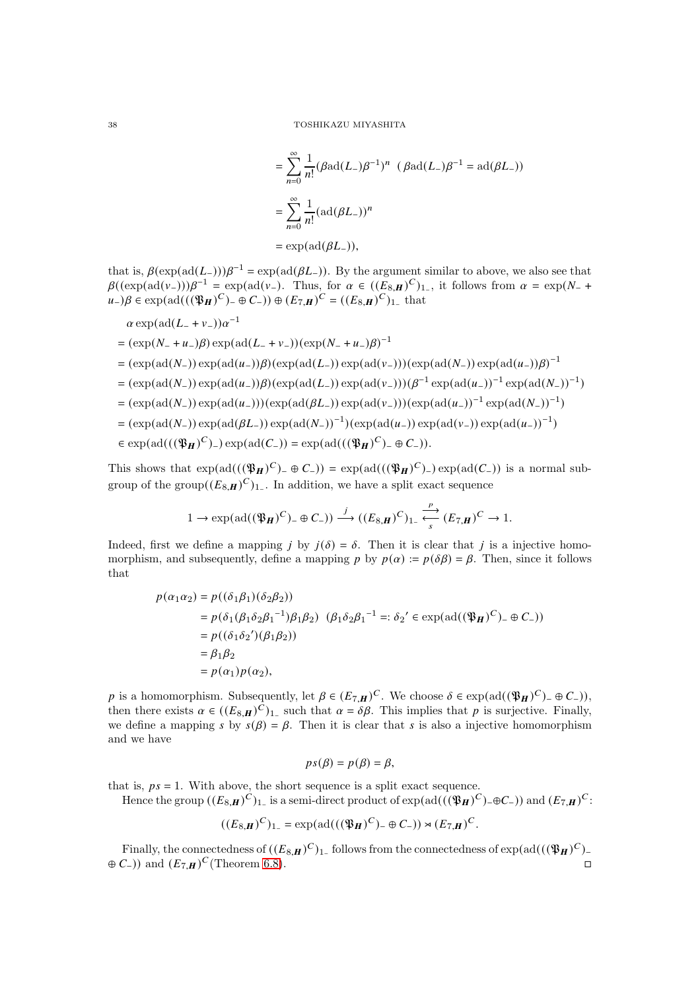$$
= \sum_{n=0}^{\infty} \frac{1}{n!} (\beta \text{ad}(L_{-})\beta^{-1})^{n} \ (\beta \text{ad}(L_{-})\beta^{-1} = \text{ad}(\beta L_{-}))
$$

$$
= \sum_{n=0}^{\infty} \frac{1}{n!} (\text{ad}(\beta L_{-}))^{n}
$$

$$
= \exp(\text{ad}(\beta L_{-})),
$$

that is,  $\beta(\exp(\mathrm{ad}(L_{-})))\beta^{-1} = \exp(\mathrm{ad}(\beta L_{-}))$ . By the argument similar to above, we also see that  $\beta((\exp(\text{ad}(v_-)))\beta^{-1} = \exp(\text{ad}(v_-)).$  Thus, for  $\alpha \in ((E_8, H)^C)_{1}$ , it follows from  $\alpha = \exp(N_- +$  $(u_-\mu)(\epsilon) \in \exp(\mathrm{ad}(((\mathfrak{P}_H)^C)_{-\theta} \oplus C_{-\theta})) \oplus (E_{7,H})^C = ((E_{8,H})^C)_{1-\theta}$  that

 $\alpha \exp(\operatorname{ad}(L_{-} + v_{-}))\alpha^{-1}$ 

 $= (\exp(N_- + u_-)\beta) \exp(\mathrm{ad}(L_- + v_-)) (\exp(N_- + u_-)\beta)^{-1}$  $=$   $(\exp(\mathrm{ad}(N_{-})) \exp(\mathrm{ad}(u_{-})) \beta)(\exp(\mathrm{ad}(L_{-})) \exp(\mathrm{ad}(v_{-}))) (\exp(\mathrm{ad}(N_{-})) \exp(\mathrm{ad}(u_{-})) \beta)^{-1}$  $= (\exp(\text{ad}(N_-)) \exp(\text{ad}(u_-)) \beta) (\exp(\text{ad}(L_-)) \exp(\text{ad}(v_-))) (\beta^{-1} \exp(\text{ad}(u_-))^{-1} \exp(\text{ad}(N_-))^{-1})$  $=$   $(\exp(\mathrm{ad}(N_{-})) \exp(\mathrm{ad}(\mu_{-}))) (\exp(\mathrm{ad}(\nu_{-}))) (\exp(\mathrm{ad}(\mu_{-}))^{-1} \exp(\mathrm{ad}(N_{-}))^{-1})$  $= (\exp(\mathrm{ad}(N_-)) \exp(\mathrm{ad}(\beta L_-)) \exp(\mathrm{ad}(N_-))^{-1})(\exp(\mathrm{ad}(u_-)) \exp(\mathrm{ad}(v_-)) \exp(\mathrm{ad}(u_-))^{-1})$  $\in \exp(\mathrm{ad}(((\mathfrak{P}_{\mathbf{H}})^C)_{-})\exp(\mathrm{ad}(C_{-}))=\exp(\mathrm{ad}(((\mathfrak{P}_{\mathbf{H}})^C)_{-}\oplus C_{-})).$ 

This shows that  $\exp(\text{ad}((\mathfrak{P}_{\mathbf{H}})^C) - \oplus C_{-})) = \exp(\text{ad}((\mathfrak{P}_{\mathbf{H}})^C) - \exp(\text{ad}(C_{-}))$  is a normal subgroup of the group $((E_{8,H})^C)_{1}$ . In addition, we have a split exact sequence

$$
1 \rightarrow \exp(\mathrm{ad}((\mathfrak{P}_{{\pmb H}})^C)_- \oplus C_-)) \stackrel{j}{\longrightarrow} ((E_{8,{\pmb H}})^C)_{1_-} \stackrel{p}{\underset{s}{\longleftrightarrow}} (E_{7,{\pmb H}})^C \rightarrow 1.
$$

Indeed, first we define a mapping  $\dot{j}$  by  $\dot{j}(\delta) = \delta$ . Then it is clear that  $\dot{j}$  is a injective homomorphism, and subsequently, define a mapping p by  $p(\alpha) := p(\delta \beta) = \beta$ . Then, since it follows that

$$
p(\alpha_1 \alpha_2) = p((\delta_1 \beta_1)(\delta_2 \beta_2))
$$
  
=  $p(\delta_1(\beta_1 \delta_2 \beta_1^{-1})\beta_1 \beta_2) (\beta_1 \delta_2 \beta_1^{-1} =: \delta_2' \in \exp(\text{ad}((\mathfrak{P}_H)^C) - \oplus C_-))$   
=  $p((\delta_1 \delta_2')(\beta_1 \beta_2))$   
=  $\beta_1 \beta_2$   
=  $p(\alpha_1)p(\alpha_2)$ ,

p is a homomorphism. Subsequently, let  $\beta \in (E_{7,H})^C$ . We choose  $\delta \in \exp(\text{ad}((\mathfrak{P}_H)^C)_{-\}oplus C_{-}))$ , then there exists  $\alpha \in ((E_{8,H})^C)_{1}$  such that  $\alpha = \delta \beta$ . This implies that p is surjective. Finally, we define a mapping s by  $s(\beta) = \beta$ . Then it is clear that s is also a injective homomorphism and we have

$$
ps(\beta) = p(\beta) = \beta,
$$

that is,  $ps = 1$ . With above, the short sequence is a split exact sequence.

Hence the group  $((E_{8,H})^C)_{1}$  is a semi-direct product of  $exp(ad(((\mathfrak{P}_H)^C)-\oplus C_{-}))$  and  $(E_{7,H})^C$ :

$$
((E_{8,H})^C)_{1} = \exp(\mathrm{ad}(((\mathfrak{P}_H)^C)_{-} \oplus C_{-})) \rtimes (E_{7,H})^C.
$$

Finally, the connectedness of  $((E_{8,H})^C)_{1}$  follows from the connectedness of  $exp(ad)((\mathfrak{P}_H)^C)_{-}$  $\oplus C_{-})$ ) and  $(E_{7,H})^C$ (Theorem [6.8\)](#page-24-0).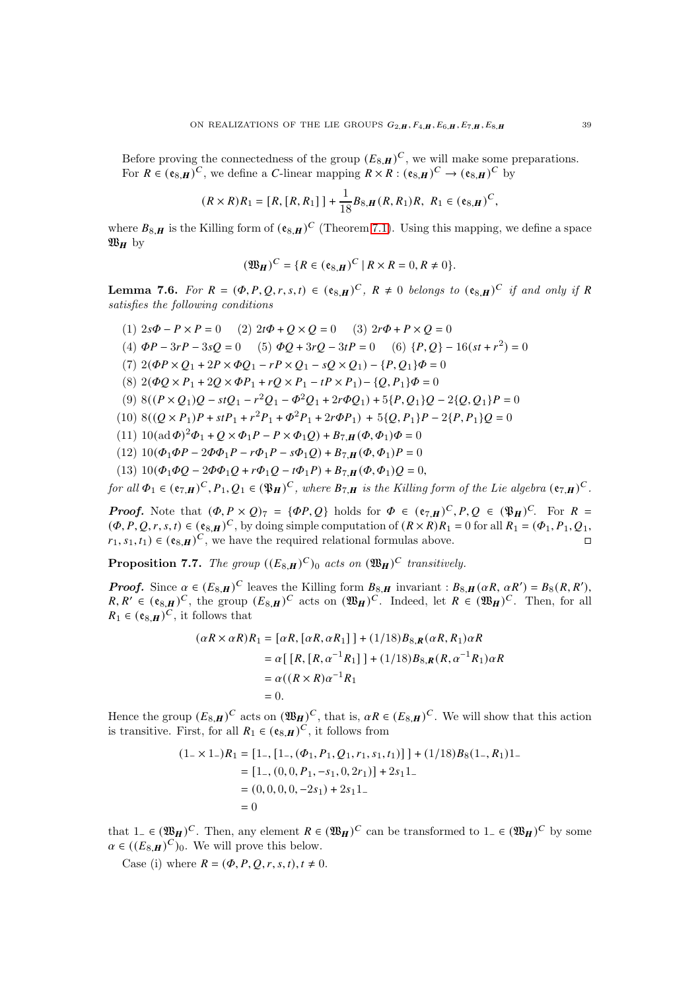Before proving the connectedness of the group  $(E_{8,H})^C$ , we will make some preparations. For  $R \in (\mathfrak{e}_{8,H})^C$ , we define a *C*-linear mapping  $R \times R : (\mathfrak{e}_{8,H})^C \to (\mathfrak{e}_{8,H})^C$  by

$$
(R \times R)R_1 = [R, [R, R_1]] + \frac{1}{18}B_{8,H}(R, R_1)R, R_1 \in (\mathfrak{e}_{8,H})^C,
$$

where  $B_{8,H}$  is the Killing form of  $({\bf e}_{8,H})^C$  (Theorem [7.1\)](#page-34-0). Using this mapping, we define a space  $\mathfrak{W}_{H}$  by

$$
(\mathfrak{W}_{\mathbf{H}})^{\mathbf{C}} = \{ R \in (\mathfrak{e}_{8,\mathbf{H}})^{\mathbf{C}} \mid R \times R = 0, R \neq 0 \}.
$$

<span id="page-38-0"></span>**Lemma 7.6.** For  $R = (\Phi, P, Q, r, s, t) \in (\mathfrak{e}_{8,H})^C$ ,  $R \neq 0$  belongs to  $(\mathfrak{e}_{8,H})^C$  if and only if R satisfies the following conditions

(1)  $2s\Phi - P \times P = 0$  (2)  $2t\Phi + Q \times Q = 0$  (3)  $2r\Phi + P \times Q = 0$ (4)  $\Phi P - 3rP - 3sQ = 0$  (5)  $\Phi Q + 3rQ - 3tP = 0$  (6)  $\{P, Q\} - 16(st + r^2) = 0$ (7)  $2(\Phi P \times Q_1 + 2P \times \Phi Q_1 - rP \times Q_1 - sQ \times Q_1) - {P, Q_1} \Phi = 0$ (8)  $2(\Phi Q \times P_1 + 2Q \times \Phi P_1 + rQ \times P_1 - tP \times P_1) - \{Q, P_1\} \Phi = 0$ (9)  $8((P \times Q_1)Q - stQ_1 - r^2Q_1 - \Phi^2Q_1 + 2r\Phi Q_1) + 5\{P, Q_1\}Q - 2\{Q, Q_1\}P = 0$ (10)  $8((Q \times P_1)P + stP_1 + r^2P_1 + \Phi^2P_1 + 2r\Phi P_1) + 5\{Q, P_1\}P - 2\{P, P_1\}Q = 0$ (11)  $10(\text{ad }\Phi)^2 \Phi_1 + Q \times \Phi_1 P - P \times \Phi_1 Q + B_{7,H}(\Phi, \Phi_1) \Phi = 0$ (12)  $10(\Phi_1 \Phi P - 2\Phi \Phi_1 P - r\Phi_1 P - s\Phi_1 Q) + B_7 \mathbf{H}(\Phi_1 \Phi_1)P = 0$ (13)  $10(\Phi_1 \Phi O - 2\Phi \Phi_1 O + r\Phi_1 O - t\Phi_1 P) + B_7 \mathbf{H}(\Phi_1 \Phi_1)O = 0$ for all  $\Phi_1 \in (\mathfrak{e}_{7,H})^C$ ,  $P_1, Q_1 \in (\mathfrak{P}_H)^C$ , where  $B_{7,H}$  is the Killing form of the Lie algebra  $(\mathfrak{e}_{7,H})^C$ .

**Proof.** Note that  $(\Phi, P \times Q)$  =  $\{\Phi P, Q\}$  holds for  $\Phi \in (\mathfrak{e}_{7,H})^C$ ,  $P, Q \in (\mathfrak{P}_H)^C$ . For  $R =$  $(\Phi, P, Q, r, s, t) \in (\mathfrak{e}_{8, H})^C$ , by doing simple computation of  $(R \times R)R_1 = 0$  for all  $R_1 = (\Phi_1, P_1, Q_1,$  $(r_1, s_1, t_1) \in (e_{8,H})^C$ , we have the required relational formulas above.

<span id="page-38-1"></span>**Proposition 7.7.** The group  $((E_{8,H})^C)$  acts on  $(\mathfrak{W}_H)^C$  transitively.

**Proof.** Since  $\alpha \in (E_{8,H})^C$  leaves the Killing form  $B_{8,H}$  invariant :  $B_{8,H}(\alpha R, \alpha R') = B_8(R, R')$ ,  $R, R' \in (e_{8,H})^C$ , the group  $(E_{8,H})^C$  acts on  $(\mathfrak{W}_H)^C$ . Indeed, let  $R \in (\mathfrak{W}_H)^C$ . Then, for all  $R_1 \in (\mathfrak{e}_{8,\mathbf{H}})^C$ , it follows that

$$
(\alpha R \times \alpha R)R_1 = [\alpha R, [\alpha R, \alpha R_1]] + (1/18)B_{8,R}(\alpha R, R_1)\alpha R
$$
  
=  $\alpha [\left[R, [R, \alpha^{-1}R_1]\right] + (1/18)B_{8,R}(R, \alpha^{-1}R_1)\alpha R$   
=  $\alpha((R \times R)\alpha^{-1}R_1)$   
= 0.

Hence the group  $(E_{8,H})^C$  acts on  $(\mathfrak{W}_H)^C$ , that is,  $\alpha R \in (E_{8,H})^C$ . We will show that this action is transitive. First, for all  $R_1 \in (\mathfrak{e}_{8,H})^C$ , it follows from

$$
(1 - \times 1 -)R_1 = [1_-, [1_-, (\Phi_1, P_1, Q_1, r_1, s_1, t_1)] + (1/18)B_8(1_-, R_1)1_-
$$
  
= [1\_-, (0, 0, P\_1, -s\_1, 0, 2r\_1)] + 2s\_11\_-  
= (0, 0, 0, 0, -2s\_1) + 2s\_11\_-  
= 0

that  $1 \text{ } \in (\mathfrak{W}_H)^C$ . Then, any element  $R \in (\mathfrak{W}_H)^C$  can be transformed to  $1 \text{ } \in (\mathfrak{W}_H)^C$  by some  $\alpha \in ((E_{8,H})^C)_0$ . We will prove this below.

Case (i) where  $R = (\Phi, P, Q, r, s, t), t \neq 0$ .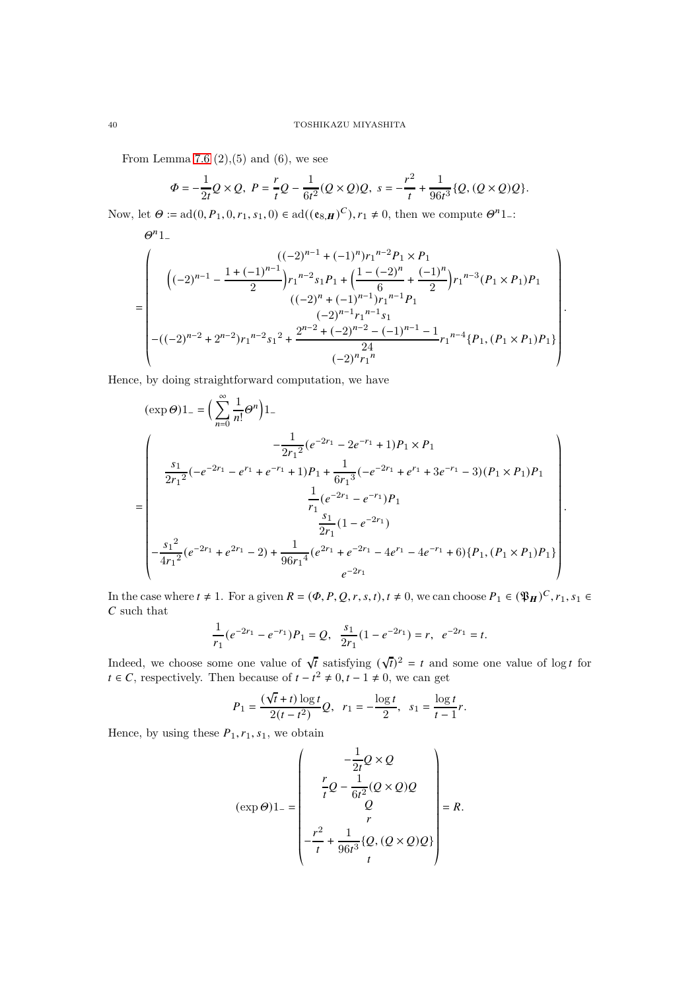From Lemma [7.6](#page-38-0)  $(2), (5)$  and  $(6)$ , we see

$$
\varPhi=-\frac{1}{2t}Q\times Q, \; P=\frac{r}{t}Q-\frac{1}{6t^2}(Q\times Q)Q, \; s=-\frac{r^2}{t}+\frac{1}{96t^3}\{Q,(Q\times Q)Q\}.
$$

Now, let  $\Theta := \text{ad}(0, P_1, 0, r_1, s_1, 0) \in \text{ad}((e_{8,H})^C), r_1 \neq 0$ , then we compute  $\Theta^n 1$ .:

$$
\theta^{n}1_{-}
$$
\n
$$
= \begin{pmatrix}\n(-2)^{n-1} + (-1)^{n}r_{1}^{n-2}P_{1} \times P_{1} \\
(-2)^{n-1} - \frac{1 + (-1)^{n-1}}{2}\r_{1}^{n-2}s_{1}P_{1} + \left(\frac{1 - (-2)^{n}}{6} + \frac{(-1)^{n}}{2}\right)r_{1}^{n-3}(P_{1} \times P_{1})P_{1} \\
(-2)^{n} + (-1)^{n-1}r_{1}^{n-1}P_{1} \\
(-2)^{n-1}r_{1}^{n-1}s_{1} \\
(-(-2)^{n-2} + 2^{n-2})r_{1}^{n-2}s_{1}^{2} + \frac{2^{n-2} + (-2)^{n-2} - (-1)^{n-1} - 1}{24}r_{1}^{n-4}\lbrace P_{1}, (P_{1} \times P_{1})P_{1} \rbrace\n\end{pmatrix}
$$

.

Hence, by doing straightforward computation, we have

$$
(\exp \theta)1_{-} = \left(\sum_{n=0}^{\infty} \frac{1}{n!} \theta^{n}\right)1_{-}
$$
  

$$
-\frac{1}{2r_{1}^{2}}(e^{-2r_{1}} - 2e^{-r_{1}} + 1)P_{1} \times P_{1}
$$
  

$$
\frac{s_{1}}{2r_{1}^{2}}(-e^{-2r_{1}} - e^{r_{1}} + e^{-r_{1}} + 1)P_{1} + \frac{1}{6r_{1}^{3}}(-e^{-2r_{1}} + e^{r_{1}} + 3e^{-r_{1}} - 3)(P_{1} \times P_{1})P_{1}
$$
  

$$
\frac{1}{r_{1}}(e^{-2r_{1}} - e^{-r_{1}})P_{1}
$$
  

$$
\frac{s_{1}}{2r_{1}}(1 - e^{-2r_{1}})
$$
  

$$
-\frac{s_{1}^{2}}{4r_{1}^{2}}(e^{-2r_{1}} + e^{2r_{1}} - 2) + \frac{1}{96r_{1}^{4}}(e^{2r_{1}} + e^{-2r_{1}} - 4e^{r_{1}} - 4e^{-r_{1}} + 6){P_{1}, (P_{1} \times P_{1})P_{1}}
$$
  

$$
e^{-2r_{1}}
$$

In the case where  $t \neq 1$ . For a given  $R = (\Phi, P, Q, r, s, t), t \neq 0$ , we can choose  $P_1 \in (\mathfrak{P}_H)^c$ ,  $r_1, s_1 \in$  $\cal C$  such that

$$
\frac{1}{r_1}(e^{-2r_1}-e^{-r_1})P_1=Q, \ \ \frac{s_1}{2r_1}(1-e^{-2r_1})=r, \ \ e^{-2r_1}=t.
$$

Indeed, we choose some one value of  $\sqrt{t}$  satisfying  $(\sqrt{t})^2 = t$  and some one value of log t for  $t \in C$ , respectively. Then because of  $t - t^2 \neq 0, t - 1 \neq 0$ , we can get

$$
P_1 = \frac{(\sqrt{t} + t) \log t}{2(t - t^2)} Q, \ \ r_1 = -\frac{\log t}{2}, \ \ s_1 = \frac{\log t}{t - 1} r.
$$

Hence, by using these  $P_1, r_1, s_1$ , we obtain

$$
(\exp \theta) \mathbf{1}_{-} = \begin{pmatrix} -\frac{1}{2t}Q \times Q \\ \frac{r}{t}Q - \frac{1}{6t^2}(Q \times Q)Q \\ Q \\ r \\ -\frac{r^2}{t} + \frac{1}{96t^3}\{Q, (Q \times Q)Q\} \\ t \end{pmatrix} = R.
$$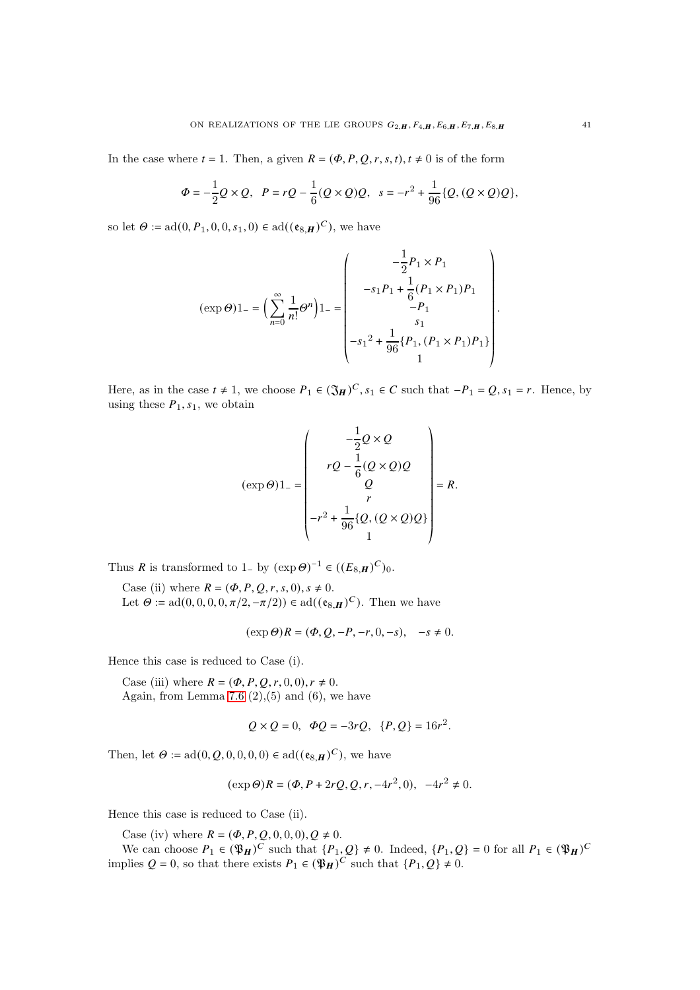In the case where  $t = 1$ . Then, a given  $R = (\Phi, P, Q, r, s, t), t \neq 0$  is of the form

$$
\Phi = -\frac{1}{2}Q \times Q, \quad P = rQ - \frac{1}{6}(Q \times Q)Q, \quad s = -r^2 + \frac{1}{96}\{Q, (Q \times Q)Q\},
$$

so let  $\Theta := \text{ad}(0, P_1, 0, 0, s_1, 0) \in \text{ad}((e_{8,H})^C)$ , we have

$$
(\exp \theta) \mathbf{1}_{-} = \left(\sum_{n=0}^{\infty} \frac{1}{n!} \theta^{n}\right) \mathbf{1}_{-} = \begin{pmatrix} -\frac{1}{2} P_{1} \times P_{1} \\ -s_{1} P_{1} + \frac{1}{6} (P_{1} \times P_{1}) P_{1} \\ -P_{1} \\ -s_{1}^{2} + \frac{1}{96} \{P_{1}, (P_{1} \times P_{1}) P_{1}\} \\ 1 \end{pmatrix}
$$

Here, as in the case  $t \neq 1$ , we choose  $P_1 \in (\mathfrak{F}_H)^C$ ,  $s_1 \in C$  such that  $-P_1 = Q$ ,  $s_1 = r$ . Hence, by using these  $P_1$ ,  $s_1$ , we obtain

$$
(\exp \theta) \mathbf{1}_{-} = \begin{pmatrix} -\frac{1}{2}Q \times Q \\ rQ - \frac{1}{6}(Q \times Q)Q \\ Q \\ r \\ -r^2 + \frac{1}{96}\{Q, (Q \times Q)Q\} \\ 1 \end{pmatrix} = R.
$$

Thus  $R$  is transformed to 1<sup>-</sup> by  $(\exp \Theta)^{-1} \in ((E_{8,H})^C)_0$ .

Case (ii) where  $R = (\Phi, P, Q, r, s, 0), s \neq 0$ . Let  $\Theta := \text{ad}(0, 0, 0, 0, \pi/2, -\pi/2) \in \text{ad}((\mathfrak{e}_{8,\mathbf{H}})^{\mathbb{C}})$ . Then we have

$$
(\exp \Theta)R = (\Phi, Q, -P, -r, 0, -s), \quad -s \neq 0.
$$

Hence this case is reduced to Case (i).

Case (iii) where  $R = (\Phi, P, Q, r, 0, 0), r \neq 0$ . Again, from Lemma [7.6](#page-38-0)  $(2),(5)$  and  $(6)$ , we have

$$
Q \times Q = 0
$$
,  $\Phi Q = -3rQ$ ,  $\{P, Q\} = 16r^2$ .

Then, let  $\Theta := \text{ad}(0, Q, 0, 0, 0, 0) \in \text{ad}((e_{8,H})^C)$ , we have

$$
(\exp\Theta)R=(\varPhi,P+2rQ,Q,r,-4r^2,0),\ \ -4r^2\neq0.
$$

Hence this case is reduced to Case (ii).

Case (iv) where  $R = (\Phi, P, Q, 0, 0, 0), Q \neq 0$ .

We can choose  $P_1 \in (\mathfrak{P}_H)^C$  such that  $\{P_1, Q\} \neq 0$ . Indeed,  $\{P_1, Q\} = 0$  for all  $P_1 \in (\mathfrak{P}_H)^C$ implies  $Q = 0$ , so that there exists  $P_1 \in (\mathfrak{P}_H)^C$  such that  $\{P_1, Q\} \neq 0$ .

.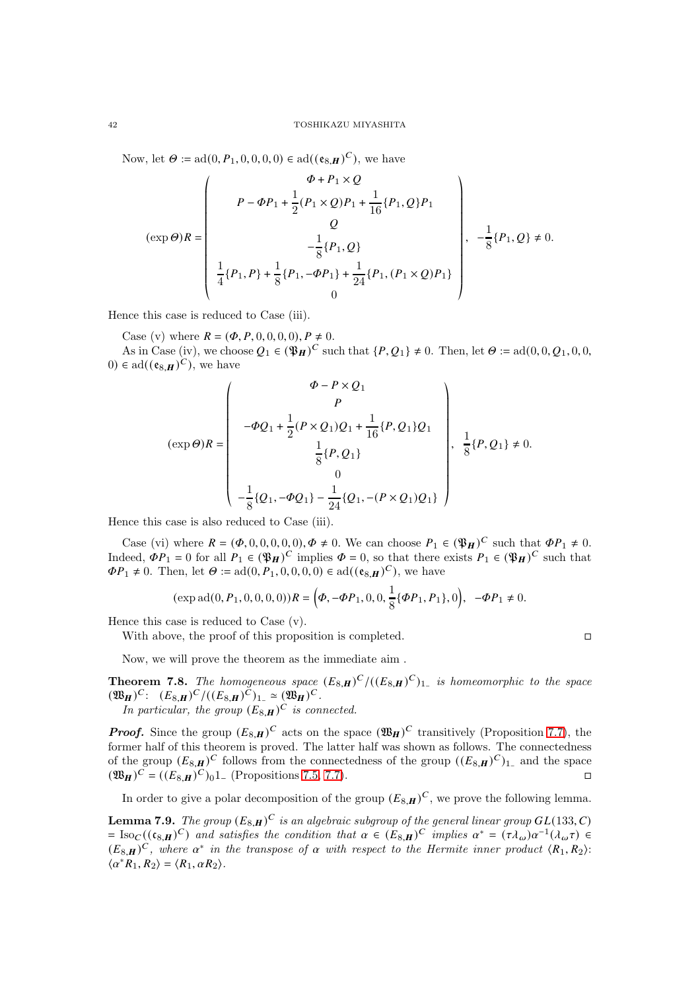Now, let  $\Theta := \text{ad}(0, P_1, 0, 0, 0, 0) \in \text{ad}((\mathfrak{e}_{8,\mathbf{H}})^{\mathbf{C}})$ , we have

$$
(\exp \theta)R = \begin{pmatrix} \Phi + P_1 \times Q \\ P - \Phi P_1 + \frac{1}{2}(P_1 \times Q)P_1 + \frac{1}{16}\{P_1, Q\}P_1 \\ Q \\ Q \\ -\frac{1}{8}\{P_1, Q\} \\ \frac{1}{4}\{P_1, P\} + \frac{1}{8}\{P_1, -\Phi P_1\} + \frac{1}{24}\{P_1, (P_1 \times Q)P_1\} \\ 0 \end{pmatrix}, \quad -\frac{1}{8}\{P_1, Q\} \neq 0.
$$

Hence this case is reduced to Case (iii).

Case (v) where  $R = (\Phi, P, 0, 0, 0, 0), P \neq 0$ .

As in Case (iv), we choose  $Q_1 \in (\mathfrak{P}_H)^C$  such that  $\{P, Q_1\} \neq 0$ . Then, let  $\Theta := \text{ad}(0, 0, Q_1, 0, 0, 0, 0)$  $(0) \in \mathrm{ad}((\mathfrak{e}_{8,\mathbf{H}})^{\mathbb{C}})$ , we have

$$
(\exp \theta)R = \begin{pmatrix} \Phi - P \times Q_1 \\ P \\ -\Phi Q_1 + \frac{1}{2}(P \times Q_1)Q_1 + \frac{1}{16}\{P,Q_1\}Q_1 \\ \frac{1}{8}\{P,Q_1\} \\ 0 \\ -\frac{1}{8}\{Q_1, -\Phi Q_1\} - \frac{1}{24}\{Q_1, -(P \times Q_1)Q_1\} \end{pmatrix}, \frac{1}{8}\{P,Q_1\} \neq 0.
$$

Hence this case is also reduced to Case (iii).

Case (vi) where  $R = (\Phi, 0, 0, 0, 0, 0)$ ,  $\Phi \neq 0$ . We can choose  $P_1 \in (\mathfrak{P}_H)^C$  such that  $\Phi P_1 \neq 0$ . Indeed,  $\Phi P_1 = 0$  for all  $P_1 \in (\mathfrak{P}_H)^C$  implies  $\Phi = 0$ , so that there exists  $P_1 \in (\mathfrak{P}_H)^C$  such that  $\Phi P_1 \neq 0$ . Then, let  $\Theta := \text{ad}(0, P_1, 0, 0, 0, 0) \in \text{ad}((\mathfrak{e}_{8,\mathbf{H}})^C)$ , we have

$$
(\exp \operatorname{ad}(0, P_1, 0, 0, 0, 0))R = (\Phi, -\Phi P_1, 0, 0, \frac{1}{8}{\Phi P_1, P_1}, 0), -\Phi P_1 \neq 0.
$$

Hence this case is reduced to Case (v).

With above, the proof of this proposition is completed.

$$
\Box
$$

Now, we will prove the theorem as the immediate aim .

<span id="page-41-1"></span>**Theorem 7.8.** The homogeneous space  $(E_{8,H})^C/((E_{8,H})^C)_{1}$  is homeomorphic to the space  $(\mathfrak{W}_{H})^{C}$ :  $(E_{8,H})^{C}/((E_{8,H})^{C})_{1} \simeq (\mathfrak{W}_{H})^{C}$ . In particular, the group  $(E_{8,H})^C$  is connected.

**Proof.** Since the group  $(E_{8,H})^C$  acts on the space  $(\mathfrak{W}_H)^C$  transitively (Proposition [7.7\)](#page-38-1), the former half of this theorem is proved. The latter half was shown as follows. The connectedness of the group  $(E_{8,H})^C$  follows from the connectedness of the group  $((E_{8,H})^C)_{1-}$  and the space  $(\mathfrak{W}_{H})^{C}$  = ( $(E_{8,H})^{C}$ )<sup>0</sup> - (Propositions [7.5,](#page-35-2) [7.7\)](#page-38-1).

In order to give a polar decomposition of the group  $(E_{8,H})^C$ , we prove the following lemma.

<span id="page-41-0"></span>**Lemma 7.9.** The group  $(E_{8,H})^C$  is an algebraic subgroup of the general linear group  $GL(133, C)$ = Iso $_C((\mathfrak{c}_{8,\mathbf{H}})^C)$  and satisfies the condition that  $\alpha \in (E_{8,\mathbf{H}})^C$  implies  $\alpha^* = (\tau \lambda_\omega) \alpha^{-1} (\lambda_\omega \tau) \in$  $(E_{8,H})^C$ , where  $\alpha^*$  in the transpose of  $\alpha$  with respect to the Hermite inner product  $\langle R_1, R_2 \rangle$ :  $\langle \alpha^* R_1, R_2 \rangle = \langle R_1, \alpha R_2 \rangle.$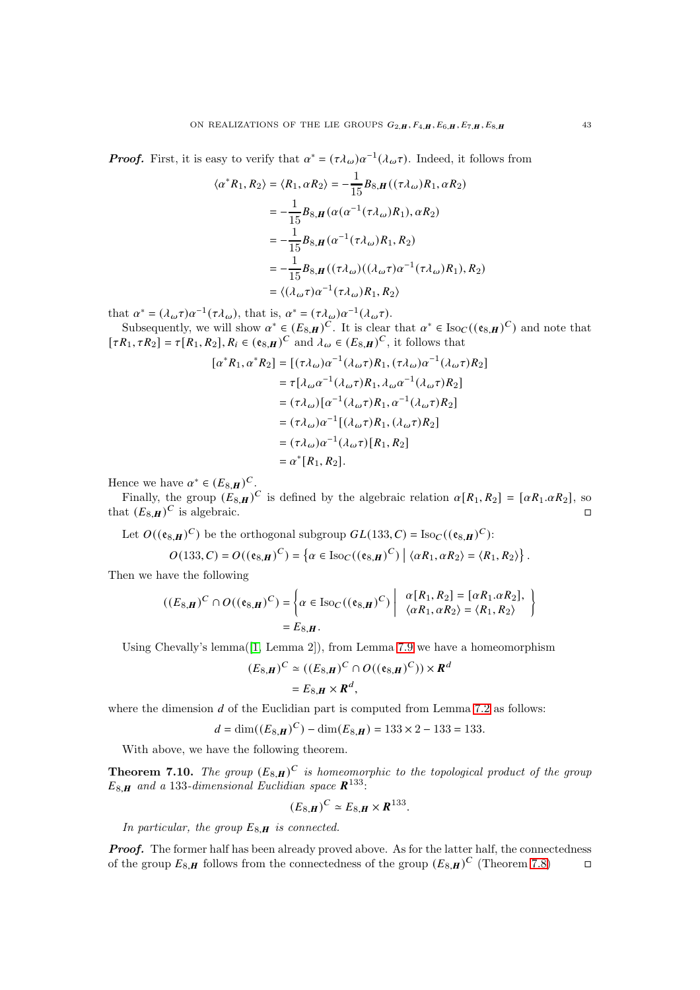**Proof.** First, it is easy to verify that  $\alpha^* = (\tau \lambda_\omega) \alpha^{-1} (\lambda_\omega \tau)$ . Indeed, it follows from

$$
\langle \alpha^* R_1, R_2 \rangle = \langle R_1, \alpha R_2 \rangle = -\frac{1}{15} B_{8,H}((\tau \lambda_\omega) R_1, \alpha R_2)
$$
  

$$
= -\frac{1}{15} B_{8,H}(\alpha (\alpha^{-1} (\tau \lambda_\omega) R_1), \alpha R_2)
$$
  

$$
= -\frac{1}{15} B_{8,H}(\alpha^{-1} (\tau \lambda_\omega) R_1, R_2)
$$
  

$$
= -\frac{1}{15} B_{8,H}((\tau \lambda_\omega) ((\lambda_\omega \tau) \alpha^{-1} (\tau \lambda_\omega) R_1), R_2)
$$
  

$$
= \langle (\lambda_\omega \tau) \alpha^{-1} (\tau \lambda_\omega) R_1, R_2 \rangle
$$

that  $\alpha^* = (\lambda_\omega \tau) \alpha^{-1} (\tau \lambda_\omega)$ , that is,  $\alpha^* = (\tau \lambda_\omega) \alpha^{-1} (\lambda_\omega \tau)$ .

Subsequently, we will show  $\alpha^* \in (E_{8,H})^C$ . It is clear that  $\alpha^* \in \text{Iso}_C((\mathfrak{e}_{8,H})^C)$  and note that  $[\tau R_1, \tau R_2] = \tau[R_1, R_2], R_i \in (\mathfrak{e}_{8, H})^C$  and  $\lambda_\omega \in (E_{8, H})^C$ , it follows that

$$
[\alpha^* R_1, \alpha^* R_2] = [(\tau \lambda_\omega) \alpha^{-1} (\lambda_\omega \tau) R_1, (\tau \lambda_\omega) \alpha^{-1} (\lambda_\omega \tau) R_2]
$$
  
\n
$$
= \tau [\lambda_\omega \alpha^{-1} (\lambda_\omega \tau) R_1, \lambda_\omega \alpha^{-1} (\lambda_\omega \tau) R_2]
$$
  
\n
$$
= (\tau \lambda_\omega) [\alpha^{-1} (\lambda_\omega \tau) R_1, \alpha^{-1} (\lambda_\omega \tau) R_2]
$$
  
\n
$$
= (\tau \lambda_\omega) \alpha^{-1} [(\lambda_\omega \tau) R_1, (\lambda_\omega \tau) R_2]
$$
  
\n
$$
= (\tau \lambda_\omega) \alpha^{-1} (\lambda_\omega \tau) [R_1, R_2]
$$
  
\n
$$
= \alpha^* [R_1, R_2].
$$

Hence we have  $\alpha^* \in (E_{8,H})^C$ .

Finally, the group  $(E_{8,H})^C$  is defined by the algebraic relation  $\alpha[R_1, R_2] = [\alpha R_1 \ldots \alpha R_2]$ , so that  $(E_{8,H})^C$  is algebraic.

Let  $O((\mathfrak{e}_{8,\mathbf{H}})^C)$  be the orthogonal subgroup  $GL(133, C) = \text{Iso}_C((\mathfrak{e}_{8,\mathbf{H}})^C)$ :

$$
O(133,C) = O\big((\mathfrak{e}_{8,\bm{H}})^C\big) = \left\{\alpha \in \mathrm{Iso}_C\big((\mathfrak{e}_{8,\bm{H}})^C\big)\ \middle|\ \langle \alpha R_1, \alpha R_2\rangle = \langle R_1, R_2\rangle\right\}.
$$

Then we have the following

$$
((E_{8,H})^C \cap O((\mathfrak{e}_{8,H})^C) = \left\{ \alpha \in \text{Iso}_C((\mathfrak{e}_{8,H})^C) \middle| \begin{array}{c} \alpha[R_1, R_2] = [\alpha R_1. \alpha R_2], \\ \langle \alpha R_1, \alpha R_2 \rangle = \langle R_1, R_2 \rangle \end{array} \right\}
$$

$$
= E_{8,H}.
$$

Using Chevally's lemma([\[1,](#page-59-8) Lemma 2]), from Lemma [7.9](#page-41-0) we have a homeomorphism

$$
(E_{8,H})^C \simeq ((E_{8,H})^C \cap O((\mathfrak{e}_{8,H})^C)) \times \mathbb{R}^d
$$

$$
= E_{8,H} \times \mathbb{R}^d,
$$

where the dimension  $d$  of the Euclidian part is computed from Lemma [7.2](#page-35-3) as follows:

$$
d = \dim((E_{8,H})^C) - \dim(E_{8,H}) = 133 \times 2 - 133 = 133.
$$

With above, we have the following theorem.

<span id="page-42-0"></span>**Theorem 7.10.** The group  $(E_{8,H})^C$  is homeomorphic to the topological product of the group  $E_{8,H}$  and a 133-dimensional Euclidian space  $\mathbb{R}^{133}$ :

$$
(E_{8,H})^C \simeq E_{8,H} \times \mathbf{R}^{133}.
$$

In particular, the group  $E_{8,H}$  is connected.

**Proof.** The former half has been already proved above. As for the latter half, the connectedness of the group  $E_{8,\mathbf{H}}$  follows from the connectedness of the group  $(E_{8,\mathbf{H}})^C$  (Theorem [7.8\)](#page-41-1)  $\Box$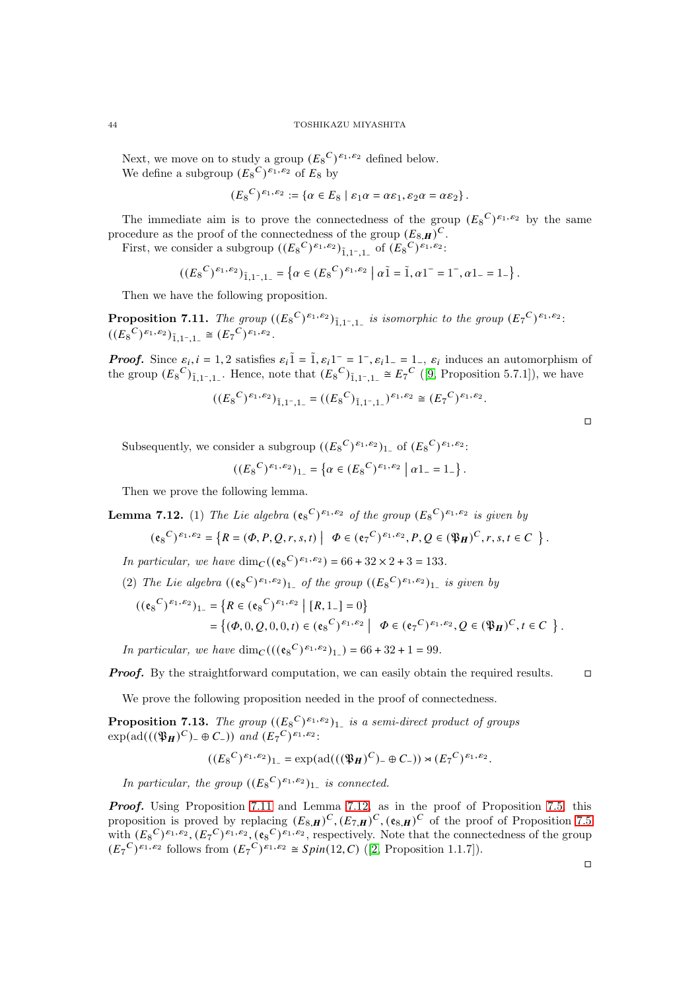Next, we move on to study a group  $(E_8^C)^{\varepsilon_1,\varepsilon_2}$  defined below. We define a subgroup  $(E_8^C)^{\varepsilon_1, \varepsilon_2}$  of  $E_8$  by

$$
(E_8^C)^{\varepsilon_1,\varepsilon_2} := \{ \alpha \in E_8 \mid \varepsilon_1 \alpha = \alpha \varepsilon_1, \varepsilon_2 \alpha = \alpha \varepsilon_2 \}.
$$

The immediate aim is to prove the connectedness of the group  $(E_8^C)^{\varepsilon_1,\varepsilon_2}$  by the same procedure as the proof of the connectedness of the group  $(E_{8,H})^C$ .

First, we consider a subgroup  $((E_8^C)^{\varepsilon_1, \varepsilon_2})_{1,1^-,1^-}$  of  $(E_8^C)^{\varepsilon_1, \varepsilon_2}$ :

$$
((E_8^C)^{\varepsilon_1,\varepsilon_2})_{\tilde{1},1^-,1^-}=\left\{\alpha\in (E_8^C)^{\varepsilon_1,\varepsilon_2}\ \big|\ \alpha\tilde{1}=\tilde{1},\alpha1^-=1^-,\alpha1_-=1_-\right\}.
$$

Then we have the following proposition.

<span id="page-43-0"></span>**Proposition 7.11.** The group  $((E_8^C)^{\varepsilon_1, \varepsilon_2})_{\tilde{1}, 1^-, 1^-}$  is isomorphic to the group  $(E_7^C)^{\varepsilon_1, \varepsilon_2}$ .  $((E_8^C)^{\varepsilon_1, \varepsilon_2})_{\tilde{1}, 1^-, 1^-} \cong (E_7^C)^{\varepsilon_1, \varepsilon_2}.$ 

**Proof.** Since  $\varepsilon_i$ ,  $i = 1, 2$  satisfies  $\varepsilon_i \tilde{1} = \tilde{1}, \varepsilon_i 1 - \tilde{1}, \varepsilon_i 1 - \tilde{1}, \varepsilon_i$  induces an automorphism of the group  $(E_8^C)_{1,1^-,1^-}$ . Hence, note that  $(E_8^C)_{1,1^-,1^-} \cong E_7^C$  ([\[9,](#page-59-0) Proposition 5.7.1]), we have

$$
((E_8^C)^{\varepsilon_1, \varepsilon_2})_{\tilde{1}, 1^-, 1^-} = ((E_8^C)_{\tilde{1}, 1^-, 1^-})^{\varepsilon_1, \varepsilon_2} \cong (E_7^C)^{\varepsilon_1, \varepsilon_2}.
$$

Subsequently, we consider a subgroup  $((E_8^C)^{\varepsilon_1, \varepsilon_2})_{1}$  of  $(E_8^C)^{\varepsilon_1, \varepsilon_2}$ :

$$
((E_8^C)^{\varepsilon_1,\varepsilon_2})_{1_-} = \left\{ \alpha \in (E_8^C)^{\varepsilon_1,\varepsilon_2} \mid \alpha_{1_-} = 1_- \right\}.
$$

Then we prove the following lemma.

<span id="page-43-1"></span>**Lemma 7.12.** (1) The Lie algebra  $(e_8^C)^{\varepsilon_1,\varepsilon_2}$  of the group  $(E_8^C)^{\varepsilon_1,\varepsilon_2}$  is given by

$$
(\mathfrak{e}_8^C)^{\varepsilon_1,\varepsilon_2}=\left\{R=(\varPhi,P,Q,r,s,t)\ \Big|\ \ \varPhi\in (\mathfrak{e}_7^C)^{\varepsilon_1,\varepsilon_2},P,Q\in (\mathfrak{P}_H)^C,r,s,t\in C\ \right\}.
$$

In particular, we have  $\dim_C((e_8^C)^{\varepsilon_1, \varepsilon_2}) = 66 + 32 \times 2 + 3 = 133.$ 

(2) The Lie algebra  $((e_8^C)^{\varepsilon_1,\varepsilon_2})_{1_-}$  of the group  $((E_8^C)^{\varepsilon_1,\varepsilon_2})_{1_-}$  is given by

$$
((e_8^C)^{\varepsilon_1, \varepsilon_2})_{1-} = \{ R \in (e_8^C)^{\varepsilon_1, \varepsilon_2} \mid [R, 1-] = 0 \}
$$
  
=  $\{ (\Phi, 0, Q, 0, 0, t) \in (e_8^C)^{\varepsilon_1, \varepsilon_2} \mid \Phi \in (e_7^C)^{\varepsilon_1, \varepsilon_2}, Q \in (\mathfrak{P}_H)^C, t \in C \}$ .

*In particular, we have*  $\dim_C(((e_8^C)^{\varepsilon_1, \varepsilon_2})_{1}) = 66 + 32 + 1 = 99.$ 

**Proof.** By the straightforward computation, we can easily obtain the required results.  $\Box$ 

We prove the following proposition needed in the proof of connectedness.

<span id="page-43-2"></span>**Proposition 7.13.** The group  $((E_8^C)^{\varepsilon_1,\varepsilon_2})_1$  is a semi-direct product of groups  $\exp(\text{ad}(((\mathfrak{P}_{\mathbf{H}})^{\mathbb{C}})_{-} \oplus \mathbb{C}_{-}))$  and  $(E_7^{\mathbb{C}})^{\varepsilon_1, \varepsilon_2}$ :

$$
((E_8^C)^{\varepsilon_1,\varepsilon_2})_{1_-} = \exp(\mathrm{ad}(((\mathfrak{P}_H)^C)_{-} \oplus C_{-})) \rtimes (E_7^C)^{\varepsilon_1,\varepsilon_2}.
$$

In particular, the group  $((E_8^C)^{\varepsilon_1,\varepsilon_2})_{1}$  is connected.

Proof. Using Proposition [7.11](#page-43-0) and Lemma [7.12,](#page-43-1) as in the proof of Proposition [7.5,](#page-35-2) this proposition is proved by replacing  $(E_{8,H})^C$ ,  $(E_{7,H})^C$ ,  $(e_{8,H})^C$  of the proof of Proposition [7.5](#page-35-2) with  $(E_8^C)^{\varepsilon_1, \varepsilon_2}, (E_7^C)^{\varepsilon_1, \varepsilon_2}, (\varepsilon_8^C)^{\varepsilon_1, \varepsilon_2}$ , respectively. Note that the connectedness of the group  $(E_7^C)^{\varepsilon_1, \varepsilon_2}$  follows from  $(E_7^C)^{\varepsilon_1, \varepsilon_2} \cong Spin(12, C)$  ([\[2,](#page-59-3) Proposition 1.1.7]).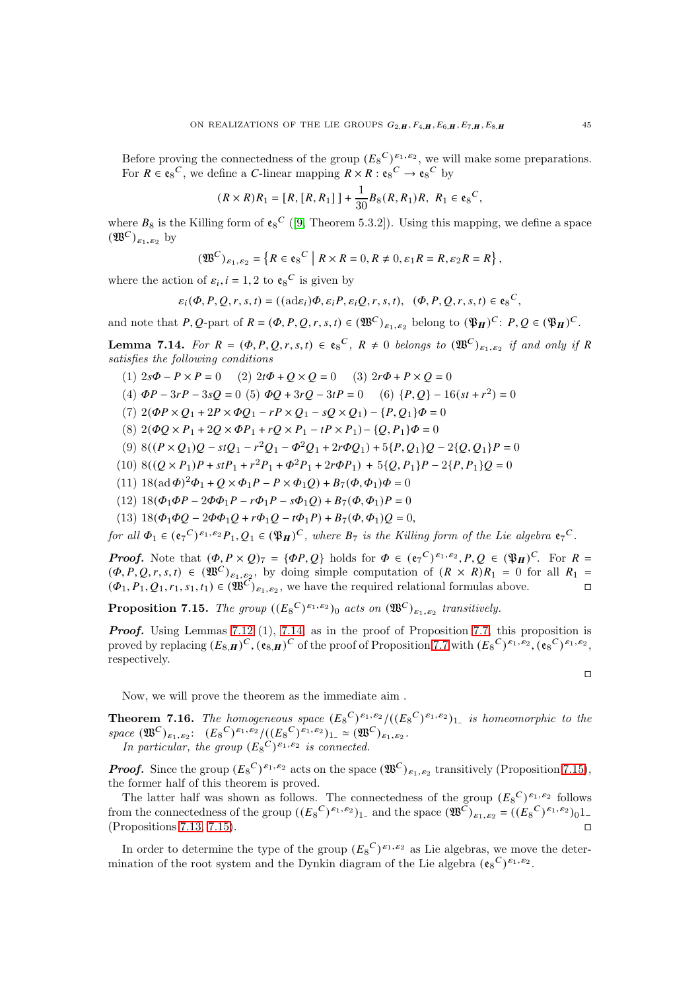Before proving the connectedness of the group  $(E_8^C)^{\varepsilon_1,\varepsilon_2}$ , we will make some preparations. For  $R \in \mathfrak{e}_8^C$ , we define a *C*-linear mapping  $R \times R : \mathfrak{e}_8^C \to \mathfrak{e}_8^C$  by

$$
(R \times R)R_1 = [R, [R, R_1]] + \frac{1}{30}B_8(R, R_1)R, R_1 \in \mathfrak{e}_8^C,
$$

where  $B_8$  is the Killing form of  $e_8{}^C$  ([\[9,](#page-59-0) Theorem 5.3.2]). Using this mapping, we define a space  $(\mathfrak{W}^C)_{\varepsilon_1,\varepsilon_2}$  by

$$
(\mathfrak{W}^C)_{\varepsilon_1,\varepsilon_2} = \left\{ R \in \mathfrak{e}_8^C \middle| R \times R = 0, R \neq 0, \varepsilon_1 R = R, \varepsilon_2 R = R \right\},\
$$

where the action of  $\varepsilon_i$ ,  $i = 1, 2$  to  $\varepsilon_8^C$  is given by

$$
\varepsilon_i(\Phi, P, Q, r, s, t) = ((\mathrm{ad}\varepsilon_i)\Phi, \varepsilon_i P, \varepsilon_i Q, r, s, t), (\Phi, P, Q, r, s, t) \in \mathfrak{e}_8^C,
$$

and note that P, Q-part of  $R = (\Phi, P, Q, r, s, t) \in (\mathfrak{W}^C)_{\varepsilon_1, \varepsilon_2}$  belong to  $(\mathfrak{P}_H)^C$ :  $P, Q \in (\mathfrak{P}_H)^C$ .

<span id="page-44-0"></span>**Lemma 7.14.** For  $R = (\Phi, P, Q, r, s, t) \in \mathfrak{e}_{8}^{C}$ ,  $R \neq 0$  belongs to  $(\mathfrak{W}^{C})_{\varepsilon_{1}, \varepsilon_{2}}$  if and only if R satisfies the following conditions

(1) 
$$
2s\Phi - P \times P = 0
$$
 (2)  $2t\Phi + Q \times Q = 0$  (3)  $2r\Phi + P \times Q = 0$   
\n(4)  $\Phi P - 3rP - 3sQ = 0$  (5)  $\Phi Q + 3rQ - 3tP = 0$  (6)  $\{P, Q\} - 16(st + r^2) = 0$   
\n(7)  $2(\Phi P \times Q_1 + 2P \times \Phi Q_1 - rP \times Q_1 - sQ \times Q_1) - \{P, Q_1\}\Phi = 0$   
\n(8)  $2(\Phi Q \times P_1 + 2Q \times \Phi P_1 + rQ \times P_1 - tP \times P_1) - \{Q, P_1\}\Phi = 0$   
\n(9)  $8((P \times Q_1)Q - stQ_1 - r^2Q_1 - \Phi^2Q_1 + 2r\Phi Q_1) + 5\{P, Q_1\}Q - 2\{Q, Q_1\}P = 0$   
\n(10)  $8((Q \times P_1)P + stP_1 + r^2P_1 + \Phi^2P_1 + 2r\Phi P_1) + 5\{Q, P_1\}P - 2\{P, P_1\}Q = 0$   
\n(11)  $18(\text{ad}\Phi)^2\Phi_1 + Q \times \Phi_1P - P \times \Phi_1Q) + B_7(\Phi, \Phi_1)\Phi = 0$   
\n(12)  $18(\Phi_1\Phi P - 2\Phi\Phi_1P - r\Phi_1P - s\Phi_1Q) + B_7(\Phi, \Phi_1)P = 0$   
\n(13)  $18(\Phi_1\Phi Q - 2\Phi\Phi_1Q + r\Phi_1Q - t\Phi_1P) + B_7(\Phi, \Phi_1)Q = 0$ ,

for all  $\Phi_1 \in (\mathfrak{e}_7^C)^{\varepsilon_1, \varepsilon_2} P_1, Q_1 \in (\mathfrak{B}_H)^C$ , where  $B_7$  is the Killing form of the Lie algebra  $\mathfrak{e}_7^C$ .

**Proof.** Note that  $(\Phi, P \times Q)$  =  $\{\Phi P, Q\}$  holds for  $\Phi \in (\mathfrak{e}_7^C)^{\varepsilon_1, \varepsilon_2}, P, Q \in (\mathfrak{P}_H)^C$ . For  $R =$  $(\Phi, P, Q, r, s, t) \in (\mathfrak{W}^C)_{\varepsilon_1, \varepsilon_2}$ , by doing simple computation of  $(R \times R)R_1 = 0$  for all  $R_1 =$  $(\Phi_1, P_1, Q_1, r_1, s_1, t_1) \in (\widetilde{\mathfrak{W}}^{\mathcal{C}})_{\varepsilon_1, \varepsilon_2}$ , we have the required relational formulas above.

<span id="page-44-1"></span>**Proposition 7.15.** The group  $((E_8^C)^{\varepsilon_1, \varepsilon_2})_0$  acts on  $(\mathfrak{W}^C)_{\varepsilon_1, \varepsilon_2}$  transitively.

**Proof.** Using Lemmas [7.12](#page-43-1) (1), [7.14,](#page-44-0) as in the proof of Proposition [7.7,](#page-38-1) this proposition is proved by replacing  $(E_{8,H})^C$ ,  $(\mathfrak{e}_{8,H})^C$  of the proof of Proposition [7.7](#page-38-1) with  $(E_8^C)^{\varepsilon_1,\varepsilon_2}$ ,  $(\mathfrak{e}_8^C)^{\varepsilon_1,\varepsilon_2}$ , respectively.

Now, we will prove the theorem as the immediate aim .

<span id="page-44-2"></span>**Theorem 7.16.** The homogeneous space  $(E_8^C)^{\varepsilon_1,\varepsilon_2}/((E_8^C)^{\varepsilon_1,\varepsilon_2})_{1}$  is homeomorphic to the  $space \ (\mathfrak{W}^C)_{\varepsilon_1, \varepsilon_2} : \ \ (E_8^C)^{\varepsilon_1, \varepsilon_2} / ((E_8^C)^{\varepsilon_1, \varepsilon_2})_{1} \simeq (\mathfrak{W}^C)_{\varepsilon_1, \varepsilon_2}.$ In particular, the group  $(E_8^C)^{\varepsilon_1, \varepsilon_2}$  is connected.

**Proof.** Since the group  $(E_8^C)^{\varepsilon_1, \varepsilon_2}$  acts on the space  $(\mathfrak{W}^C)_{\varepsilon_1, \varepsilon_2}$  transitively (Proposition [7.15\)](#page-44-1), the former half of this theorem is proved.

The latter half was shown as follows. The connectedness of the group  $(E_8^C)^{\varepsilon_1,\varepsilon_2}$  follows from the connectedness of the group  $((E_8^C)^{\varepsilon_1, \varepsilon_2})_{1}$  and the space  $(\mathfrak{W}^C)_{\varepsilon_1, \varepsilon_2} = ((E_8^C)^{\varepsilon_1, \varepsilon_2})_{0}1$ . (Propositions [7.13,](#page-43-2) [7.15\)](#page-44-1).

In order to determine the type of the group  $(E_8^C)^{\varepsilon_1,\varepsilon_2}$  as Lie algebras, we move the determination of the root system and the Dynkin diagram of the Lie algebra  $(\mathfrak{e}_8^C)^{\varepsilon_1,\varepsilon_2}$ .

 $\Box$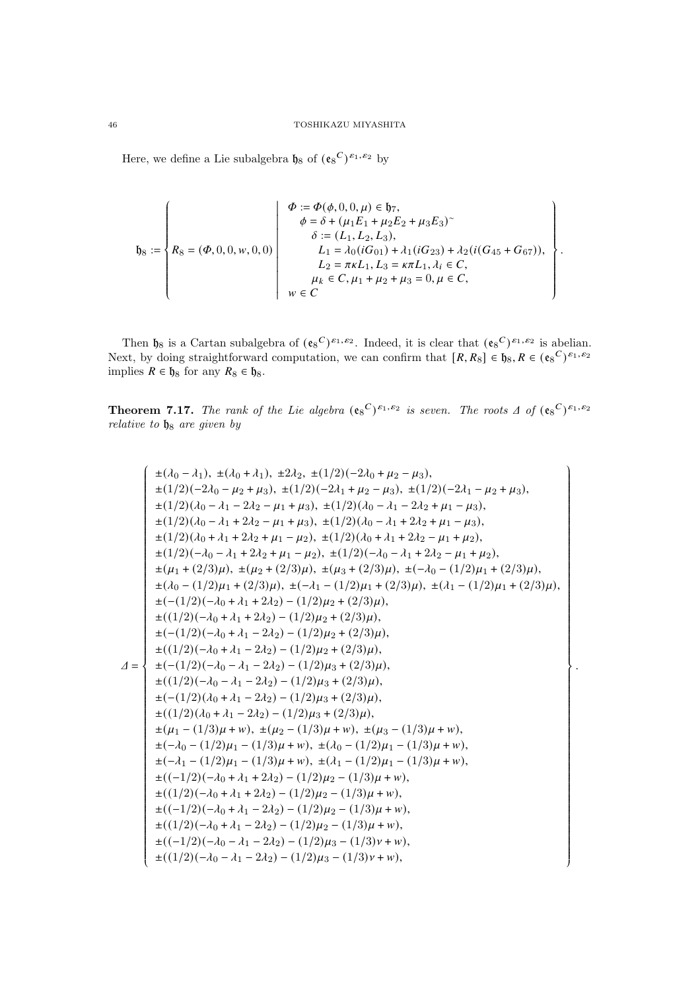Here, we define a Lie subalgebra  $\mathfrak{h}_8$  of  $(\mathfrak{e}_8^C)^{\varepsilon_1, \varepsilon_2}$  by

$$
\mathfrak{h}_8:=\left\{\mathcal{R}_8=(\varPhi,0,0,w,0,0) \left| \begin{array}{c} \varPhi:=\varPhi(\phi,0,0,\mu)\in \mathfrak{h}_7, \\ \phi=\delta+(\mu_1 E_1+\mu_2 E_2+\mu_3 E_3)^{\sim} \\ \delta:= (L_1,L_2,L_3), \\ L_1=\lambda_0(iG_{01})+\lambda_1(iG_{23})+\lambda_2(i(G_{45}+G_{67})), \\ L_2=\pi\kappa L_1,L_3=\kappa\pi L_1,\lambda_i\in C, \\ \mu_k\in C,\mu_1+\mu_2+\mu_3=0,\mu\in C, \end{array} \right\}.
$$

Then  $\mathfrak{h}_8$  is a Cartan subalgebra of  $(\mathfrak{e}_8^C)^{\varepsilon_1,\varepsilon_2}$ . Indeed, it is clear that  $(\mathfrak{e}_8^C)^{\varepsilon_1,\varepsilon_2}$  is abelian. Next, by doing straightforward computation, we can confirm that  $[R, R_8] \in \mathfrak{h}_8, R \in (\mathfrak{e}_8^C)^{\varepsilon_1, \varepsilon_2}$ implies  $R\in \mathfrak{h}_8$  for any  $R_8\in \mathfrak{h}_8.$ 

<span id="page-45-0"></span>**Theorem 7.17.** The rank of the Lie algebra  $(e_8^C)^{\varepsilon_1, \varepsilon_2}$  is seven. The roots  $\Delta$  of  $(e_8^C)^{\varepsilon_1, \varepsilon_2}$ relative to  $\mathfrak{h}_8$  are given by

$$
\begin{array}{l} \pm(\lambda_0-\lambda_1), \ \pm( \lambda_0+\lambda_1), \ \pm2\lambda_2, \ \pm(1/2)(-2\lambda_0+\mu_2-\mu_3), \\ \pm(1/2)(-2\lambda_0-\mu_2+\mu_3), \ \pm(1/2)(-2\lambda_1+\mu_2-\mu_3), \ \pm(1/2)(-2\lambda_1-\mu_2+\mu_3), \\ \pm(1/2)(\lambda_0-\lambda_1-2\lambda_2-\mu_1+\mu_3), \ \pm(1/2)(\lambda_0-\lambda_1-2\lambda_2+\mu_1-\mu_3), \\ \pm(1/2)(\lambda_0-\lambda_1+2\lambda_2-\mu_1+\mu_3), \ \pm(1/2)(\lambda_0-\lambda_1+2\lambda_2+\mu_1-\mu_3), \\ \pm(1/2)(\lambda_0+\lambda_1+2\lambda_2+\mu_1-\mu_2), \ \pm(1/2)(\lambda_0+\lambda_1+2\lambda_2-\mu_1+\mu_2), \\ \pm(1/2)(-\lambda_0-\lambda_1+2\lambda_2+\mu_1-\mu_2), \ \pm(1/2)(-\lambda_0-\lambda_1+2\lambda_2-\mu_1+\mu_2), \\ \pm(\mu_1+(2/3)\mu), \ \pm(\mu_2+(2/3)\mu), \ \pm(\mu_3+(2/3)\mu), \ \pm(-\lambda_0-(1/2)\mu_1+(2/3)\mu), \\ \pm(-(1/2)(-\lambda_0+\lambda_1+2\lambda_2)- (1/2)\mu_2+(2/3)\mu), \\ \pm(-(1/2)(-\lambda_0+\lambda_1+2\lambda_2)- (1/2)\mu_2+(2/3)\mu), \\ \pm(-(1/2)(-\lambda_0+\lambda_1-2\lambda_2)- (1/2)\mu_2+(2/3)\mu), \\ \pm(-(1/2)(-\lambda_0+\lambda_1-2\lambda_2)- (1/2)\mu_2+(2/3)\mu), \\ \pm(-(1/2)(-\lambda_0-\lambda_1-2\lambda_2)- (1/2)\mu_3+(2/3)\mu), \\ \pm((-1/2)(-\lambda_0-\lambda_1-2\lambda_2)- (1/2)\mu_3+(2/3)\mu), \\ \pm((-1/2)((\lambda_0+\lambda_1-2\lambda_2)- (1/2)\mu_3+(2/3)\mu), \\ \pm((-1/2)((\lambda_0+\lambda_1-2\lambda_2)- (1/2)\mu_3+(2/3)\mu), \\ \pm((-1/2)((\lambda
$$

.

 $\overline{ }$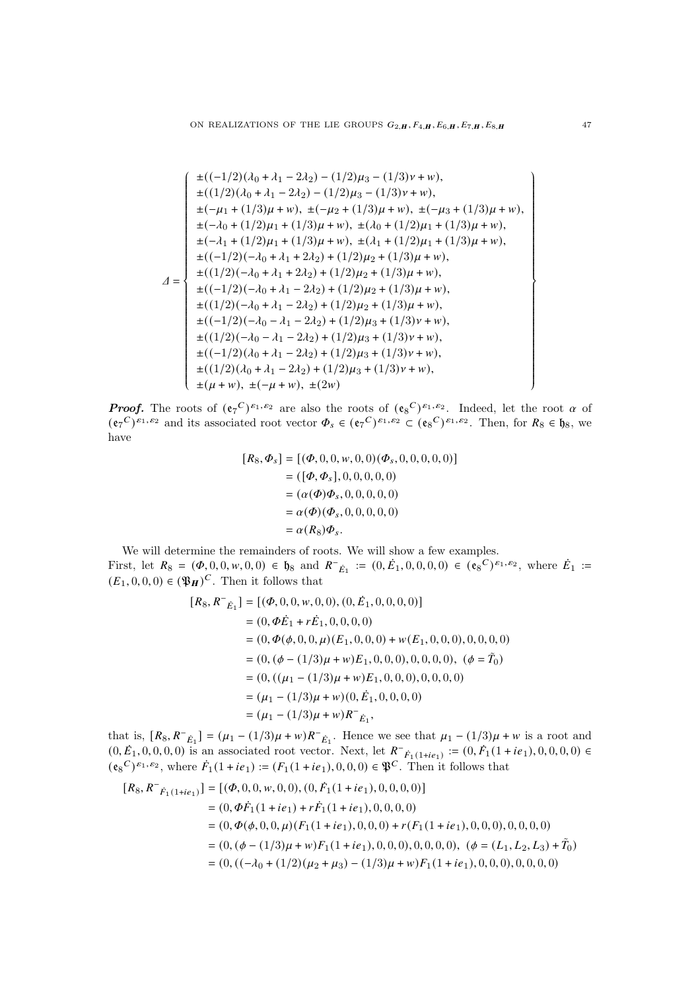$$
\begin{pmatrix}\n\pm((-1/2)(\lambda_0 + \lambda_1 - 2\lambda_2) - (1/2)\mu_3 - (1/3)\nu + w),\n\pm((-1/2)(\lambda_0 + \lambda_1 - 2\lambda_2) - (1/2)\mu_3 - (1/3)\nu + w),\n\pm(-\mu_1 + (1/3)\mu + w), \pm(-\mu_2 + (1/3)\mu + w), \pm(-\mu_3 + (1/3)\mu + w),\n\pm(-\lambda_0 + (1/2)\mu_1 + (1/3)\mu + w), \pm(\lambda_0 + (1/2)\mu_1 + (1/3)\mu + w),\n\pm(-\lambda_1 + (1/2)\mu_1 + (1/3)\mu + w), \pm(\lambda_1 + (1/2)\mu_1 + (1/3)\mu + w),\n\pm((-1/2)(-\lambda_0 + \lambda_1 + 2\lambda_2) + (1/2)\mu_2 + (1/3)\mu + w),\n\pm((1/2)(-\lambda_0 + \lambda_1 - 2\lambda_2) + (1/2)\mu_2 + (1/3)\mu + w),\n\pm((1/2)(-\lambda_0 + \lambda_1 - 2\lambda_2) + (1/2)\mu_2 + (1/3)\mu + w),\n\pm((1/2)(-\lambda_0 - \lambda_1 - 2\lambda_2) + (1/2)\mu_3 + (1/3)\nu + w),\n\pm((1/2)(-\lambda_0 - \lambda_1 - 2\lambda_2) + (1/2)\mu_3 + (1/3)\nu + w),\n\pm((1/2)(\lambda_0 + \lambda_1 - 2\lambda_2) + (1/2)\mu_3 + (1/3)\nu + w),\n\pm((1/2)(\lambda_0 + \lambda_1 - 2\lambda_2) + (1/2)\mu_3 + (1/3)\nu + w),\n\pm(\mu + w), \pm(-\mu + w), \pm(2w)\n\end{pmatrix}
$$

**Proof.** The roots of  $(e_7^C)^{\varepsilon_1, \varepsilon_2}$  are also the roots of  $(e_8^C)^{\varepsilon_1, \varepsilon_2}$ . Indeed, let the root  $\alpha$  of  $({\mathfrak{e}_7}^C)^{\varepsilon_1,\varepsilon_2}$  and its associated root vector  $\Phi_s \in ({\mathfrak{e}_7}^C)^{\varepsilon_1,\varepsilon_2} \subset ({\mathfrak{e}_8}^C)^{\varepsilon_1,\varepsilon_2}$ . Then, for  $R_8 \in {\mathfrak{h}}_8$ , we have

$$
[R_8, \Phi_s] = [(\Phi, 0, 0, w, 0, 0)(\Phi_s, 0, 0, 0, 0, 0)]
$$
  
= 
$$
([\Phi, \Phi_s], 0, 0, 0, 0, 0)
$$
  
= 
$$
(\alpha(\Phi)\Phi_s, 0, 0, 0, 0, 0)
$$
  
= 
$$
\alpha(\Phi)(\Phi_s, 0, 0, 0, 0, 0)
$$
  
= 
$$
\alpha(R_8)\Phi_s.
$$

We will determine the remainders of roots. We will show a few examples. First, let  $R_8 = (\Phi, 0, 0, w, 0, 0) \in \mathfrak{h}_8$  and  $R^-_{\dot{E}_1} := (0, \dot{E}_1, 0, 0, 0, 0) \in (\mathfrak{e}_8^C)^{\varepsilon_1, \varepsilon_2}$ , where  $\dot{E}_1 :=$  $(E_1, 0, 0, 0) \in (\mathfrak{P}_H)^C$ . Then it follows that

$$
[R_8, R^-_{\hat{E}_1}] = [(\Phi, 0, 0, w, 0, 0), (0, \hat{E}_1, 0, 0, 0, 0)]
$$
  
= (0,  $\Phi \vec{E}_1 + r \vec{E}_1, 0, 0, 0, 0$ )  
= (0,  $\Phi(\phi, 0, 0, \mu)$  ( $E_1, 0, 0, 0$ ) +  $w(E_1, 0, 0, 0, 0, 0, 0, 0, 0)$   
= (0,  $(\phi - (1/3)\mu + w)E_1, 0, 0, 0, 0, 0, 0, 0, 0)$ ,  $(\phi = \tilde{T}_0)$   
= (0,  $((\mu_1 - (1/3)\mu + w)E_1, 0, 0, 0, 0, 0, 0, 0)$   
=  $(\mu_1 - (1/3)\mu + w)(0, \hat{E}_1, 0, 0, 0, 0)$   
=  $(\mu_1 - (1/3)\mu + w)R^-_{\hat{E}_1}$ ,

that is,  $[R_8, R^-_{E_1}] = (\mu_1 - (1/3)\mu + w)R^-_{E_1}$ . Hence we see that  $\mu_1 - (1/3)\mu + w$  is a root and  $(0, \dot{E}_1, 0, 0, 0, 0)$  is an associated root vector. Next, let  $R^-_{F_1(1+i\epsilon_1)} := (0, \dot{F}_1(1+i\epsilon_1), 0, 0, 0, 0) \in$  $({\bf e}_8^C)^{\varepsilon_1,\varepsilon_2}$ , where  $\dot{F}_1(1+i\varepsilon_1) := (F_1(1+i\varepsilon_1), 0, 0, 0) \in \mathfrak{P}^C$ . Then it follows that

$$
[R_8, R^-_{\dot{F}_1(1+ie_1)}] = [(\Phi, 0, 0, w, 0, 0), (0, \dot{F}_1(1+ie_1), 0, 0, 0, 0)]
$$
  
\n
$$
= (0, \Phi\dot{F}_1(1+ie_1) + r\dot{F}_1(1+ie_1), 0, 0, 0, 0)
$$
  
\n
$$
= (0, \Phi(\phi, 0, 0, \mu)(F_1(1+ie_1), 0, 0, 0) + r(F_1(1+ie_1), 0, 0, 0), 0, 0, 0, 0)
$$
  
\n
$$
= (0, (\phi - (1/3)\mu + w)F_1(1+ie_1), 0, 0, 0), 0, 0, 0), (\phi = (L_1, L_2, L_3) + \tilde{T}_0)
$$
  
\n
$$
= (0, ((-\lambda_0 + (1/2)(\mu_2 + \mu_3) - (1/3)\mu + w)F_1(1+ie_1), 0, 0, 0), 0, 0, 0, 0)
$$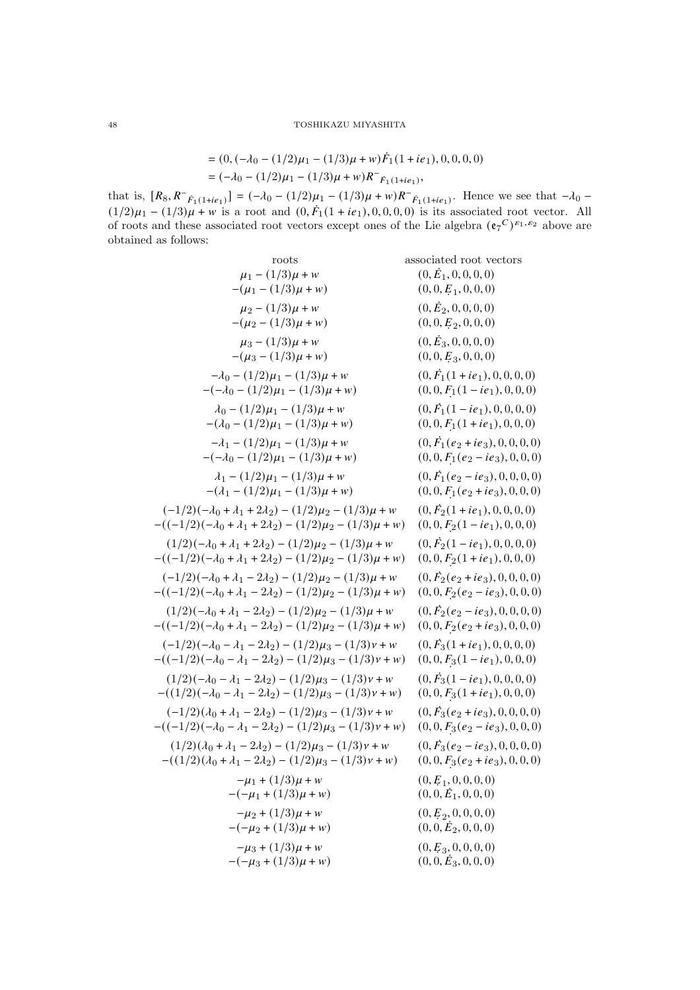## 48 TOSHIKAZU MIYASHITA

$$
= (0, (-\lambda_0 - (1/2)\mu_1 - (1/3)\mu + w)\dot{F}_1(1 + ie_1), 0, 0, 0, 0)
$$
  
=  $(-\lambda_0 - (1/2)\mu_1 - (1/3)\mu + w)R^-_{\dot{F}_1(1 + ie_1)},$ 

that is,  $[R_8, R^-_{\dot{F}_1(1+i\epsilon_1)}] = (-\lambda_0 - (1/2)\mu_1 - (1/3)\mu + w)R^-_{\dot{F}_1(1+i\epsilon_1)}$ . Hence we see that  $-\lambda_0$  $(1/2)\mu_1 - (1/3)\mu + w$  is a root and  $(0, \dot{F}_1(1 + ie_1), 0, 0, 0, 0)$  is its associated root vector. All of roots and these associated root vectors except ones of the Lie algebra  $({\bf e}_7^C)^{\varepsilon_1,\varepsilon_2}$  above are obtained as follows:

| roots                                                                        | associated root vectors                  |
|------------------------------------------------------------------------------|------------------------------------------|
| $\mu_1 - (1/3)\mu + w$                                                       | $(0,\dot{E}_1,0,0,0,0)$                  |
| $-(\mu_1 - (1/3)\mu + w)$                                                    | $(0, 0, E_1, 0, 0, 0)$                   |
| $\mu_2 - (1/3)\mu + w$                                                       | $(0,\dot{E}_2,0,0,0,0)$                  |
| $-(\mu_2 - (1/3)\mu + w)$                                                    | $(0, 0, E_2, 0, 0, 0)$                   |
| $\mu_3 - (1/3)\mu + w$                                                       | $(0, \dot{E}_3, 0, 0, 0, 0)$             |
| $-(\mu_3 - (1/3)\mu + w)$                                                    | $(0, 0, E_3, 0, 0, 0)$                   |
| $-\lambda_0 - (1/2)\mu_1 - (1/3)\mu + w$                                     | $(0, \dot{F}_1(1 + ie_1), 0, 0, 0, 0)$   |
| $-(-\lambda_0 - (1/2)\mu_1 - (1/3)\mu + w)$                                  | $(0,0,F_1(1-ie_1),0,0,0)$                |
| $\lambda_0 - (1/2)\mu_1 - (1/3)\mu + w$                                      | $(0,\dot{F}_1(1-ie_1),0,0,0,0)$          |
| $-(\lambda_0 - (1/2)\mu_1 - (1/3)\mu + w)$                                   | $(0,0,F_1(1+ie_1),0,0,0)$                |
| $-\lambda_1 - (1/2)\mu_1 - (1/3)\mu + w$                                     | $(0, \dot{F}_1(e_2 + ie_3), 0, 0, 0, 0)$ |
| $-(-\lambda_0 - (1/2)\mu_1 - (1/3)\mu + w)$                                  | $(0,0,F_1(e_2-ie_3),0,0,0)$              |
| $\lambda_1 - (1/2)\mu_1 - (1/3)\mu + w$                                      | $(0,\dot{F}_1(e_2-ie_3),0,0,0,0)$        |
| $-(\lambda_1 - (1/2)\mu_1 - (1/3)\mu + w)$                                   | $(0,0,F_1(e_2+ie_3),0,0,0)$              |
| $(-1/2)(-\lambda_0 + \lambda_1 + 2\lambda_2) - (1/2)\mu_2 - (1/3)\mu + w$    | $(0, \dot{F}_2(1 + ie_1), 0, 0, 0, 0)$   |
| $-((-1/2)(-\lambda_0 + \lambda_1 + 2\lambda_2) - (1/2)\mu_2 - (1/3)\mu + w)$ | $(0,0,F_2(1-ie_1),0,0,0)$                |
| $(1/2)(-\lambda_0 + \lambda_1 + 2\lambda_2) - (1/2)\mu_2 - (1/3)\mu + w$     | $(0, \dot{F}_2(1 - ie_1), 0, 0, 0, 0)$   |
| $-((-1/2)(-\lambda_0 + \lambda_1 + 2\lambda_2) - (1/2)\mu_2 - (1/3)\mu + w)$ | $(0,0,F_2(1+ie_1),0,0,0)$                |
| $(-1/2)(-\lambda_0 + \lambda_1 - 2\lambda_2) - (1/2)\mu_2 - (1/3)\mu + w$    | $(0, \dot{F}_2(e_2 + ie_3), 0, 0, 0, 0)$ |
| $-((-1/2)(-\lambda_0 + \lambda_1 - 2\lambda_2) - (1/2)\mu_2 - (1/3)\mu + w)$ | $(0,0,F_2(e_2-ie_3),0,0,0)$              |
| $(1/2)(-\lambda_0 + \lambda_1 - 2\lambda_2) - (1/2)\mu_2 - (1/3)\mu + w$     | $(0, \dot{F}_2(e_2 - ie_3), 0, 0, 0, 0)$ |
| $-((-1/2)(-\lambda_0 + \lambda_1 - 2\lambda_2) - (1/2)\mu_2 - (1/3)\mu + w)$ | $(0,0,F_2(e_2+ie_3),0,0,0)$              |
| $(-1/2)(-\lambda_0 - \lambda_1 - 2\lambda_2) - (1/2)\mu_3 - (1/3)\nu + w$    | $(0, \dot{F}_3(1 + ie_1), 0, 0, 0, 0)$   |
| $-((-1/2)(-\lambda_0 - \lambda_1 - 2\lambda_2) - (1/2)\mu_3 - (1/3)\nu + w)$ | $(0,0,F_3(1-i\boldsymbol e_1),0,0,0)$    |
| $(1/2)(-\lambda_0 - \lambda_1 - 2\lambda_2) - (1/2)\mu_3 - (1/3)\nu + w$     | $(0, \dot{F}_3(1 - ie_1), 0, 0, 0, 0)$   |
| $-((1/2)(-\lambda_0 - \lambda_1 - 2\lambda_2) - (1/2)\mu_3 - (1/3)\nu + w)$  | $(0,0,F_3(1+ie_1),0,0,0)$                |
| $(-1/2)(\lambda_0 + \lambda_1 - 2\lambda_2) - (1/2)\mu_3 - (1/3)\nu + w$     | $(0, \dot{F}_3(e_2 + ie_3), 0, 0, 0, 0)$ |
| $-((-1/2)(-\lambda_0 - \lambda_1 - 2\lambda_2) - (1/2)\mu_3 - (1/3)\nu + w)$ | $(0,0,F_3(e_2-ie_3),0,0,0)$              |
| $(1/2)(\lambda_0 + \lambda_1 - 2\lambda_2) - (1/2)\mu_3 - (1/3)\nu + w$      | $(0, \dot{F}_3(e_2 - ie_3), 0, 0, 0, 0)$ |
| $-((1/2)(\lambda_0 + \lambda_1 - 2\lambda_2) - (1/2)\mu_3 - (1/3)\nu + w)$   | $(0,0,F_3(e_2+ie_3),0,0,0)$              |
| $-\mu_1 + (1/3)\mu + w$                                                      | $(0, E_1, 0, 0, 0, 0)$                   |
| $-(-\mu_1 + (1/3)\mu + w)$                                                   | $(0, 0, \dot{E}_1, 0, 0, 0)$             |
| $-\mu_2 + (1/3)\mu + w$                                                      | $(0, E_2, 0, 0, 0, 0)$                   |
| $-(-\mu_2 + (1/3)\mu + w)$                                                   | $(0, 0, \dot{E}_2, 0, 0, 0)$             |
| $-\mu_3 + (1/3)\mu + w$                                                      | $(0, E_3, 0, 0, 0, 0)$                   |
| $-(-\mu_3 + (1/3)\mu + w)$                                                   | $(0, 0, \dot{E}_3, 0, 0, 0)$             |
|                                                                              |                                          |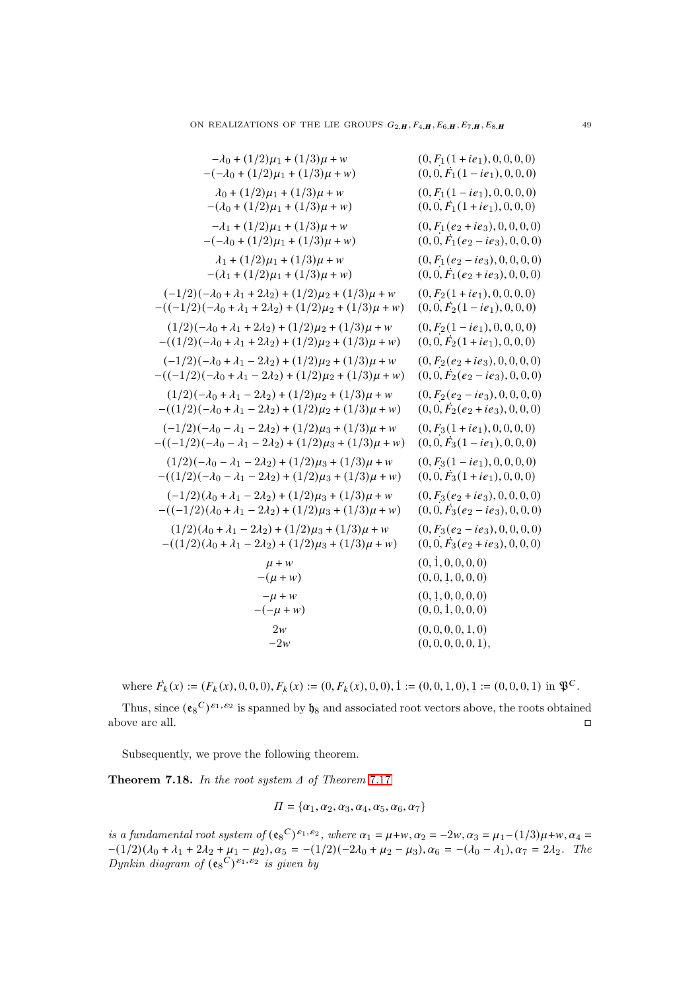| $(0, F_1(1 + ie_1), 0, 0, 0, 0)$<br>$(0,0,\dot{F}_1(1-ie_1),0,0,0)$            |
|--------------------------------------------------------------------------------|
| $(0, F_1(1 - ie_1), 0, 0, 0, 0)$<br>$(0,0,\dot{F}_1(1+i\epsilon_1),0,0,0)$     |
| $(0, F_1(e_2 + ie_3), 0, 0, 0, 0)$<br>$(0,0,\dot{F}_1(e_2-ie_3),0,0,0)$        |
| $(0, F_1(e_2 - ie_3), 0, 0, 0, 0)$<br>$(0,0,\dot{F}_1(e_2+ie_3),0,0,0)$        |
| $(0, F_2(1 + ie_1), 0, 0, 0, 0)$<br>$(0,0,\dot{F}_2(1-ie_1),0,0,0)$            |
| $(0, F_2(1 - ie_1), 0, 0, 0, 0)$<br>$(0,0,\dot{F}_2(1+i\epsilon_1),0,0,0)$     |
| $(0, F_2(e_2 + ie_3), 0, 0, 0, 0)$<br>$(0,0,\dot{F}_2(e_2-ie_3),0,0,0)$        |
| $(0, F_2(e_2 - ie_3), 0, 0, 0, 0)$<br>$(0,0,\dot{F}_2(e_2+i\epsilon_3),0,0,0)$ |
| $(0, F_3(1 + ie_1), 0, 0, 0, 0)$<br>$(0,0,\dot{F}_3(1-ie_1),0,0,0)$            |
| $(0, F_3(1 - ie_1), 0, 0, 0, 0)$<br>$(0,0,\dot{F}_3(1+i\epsilon_1),0,0,0)$     |
| $(0, F_3(e_2 + ie_3), 0, 0, 0, 0)$<br>$(0,0,\dot{F}_3(e_2-ie_3),0,0,0)$        |
| $(0, F_3(e_2 - ie_3), 0, 0, 0, 0)$<br>$(0,0,\dot{F}_3(e_2+ie_3),0,0,0)$        |
| (0, 1, 0, 0, 0, 0)<br>(0, 0, 1, 0, 0, 0)                                       |
| (0, 1, 0, 0, 0, 0)<br>(0, 0, 1, 0, 0, 0)                                       |
| (0, 0, 0, 0, 1, 0)<br>(0, 0, 0, 0, 0, 1),                                      |
|                                                                                |

where  $\vec{F}_k(x) := (F_k(x), 0, 0, 0), F_k(x) := (0, F_k(x), 0, 0), 1 := (0, 0, 1, 0), 1 := (0, 0, 0, 1)$  in  $\mathfrak{P}^C$ .

Thus, since  $({\mathfrak{e}_8}^C)^{\varepsilon_1,\varepsilon_2}$  is spanned by  ${\mathfrak{h}_8}$  and associated root vectors above, the roots obtained above are all.  $\hfill \Box$ 

Subsequently, we prove the following theorem.

<span id="page-48-0"></span>**Theorem 7.18.** In the root system  $\Delta$  of Theorem [7.17](#page-45-0)

$$
\Pi = \{\alpha_1, \alpha_2, \alpha_3, \alpha_4, \alpha_5, \alpha_6, \alpha_7\}
$$

is a fundamental root system of  $(e_8^C)^{\varepsilon_1,\varepsilon_2}$ , where  $\alpha_1 = \mu + w$ ,  $\alpha_2 = -2w$ ,  $\alpha_3 = \mu_1 - (1/3)\mu + w$ ,  $\alpha_4 =$  $-(1/2)(\lambda_0 + \lambda_1 + 2\lambda_2 + \mu_1 - \mu_2), \alpha_5 = -(1/2)(-2\lambda_0 + \mu_2 - \mu_3), \alpha_6 = -(\lambda_0 - \lambda_1), \alpha_7 = 2\lambda_2.$  The Dynkin diagram of  $({\bf e}_8^C)^{\varepsilon_1,\varepsilon_2}$  is given by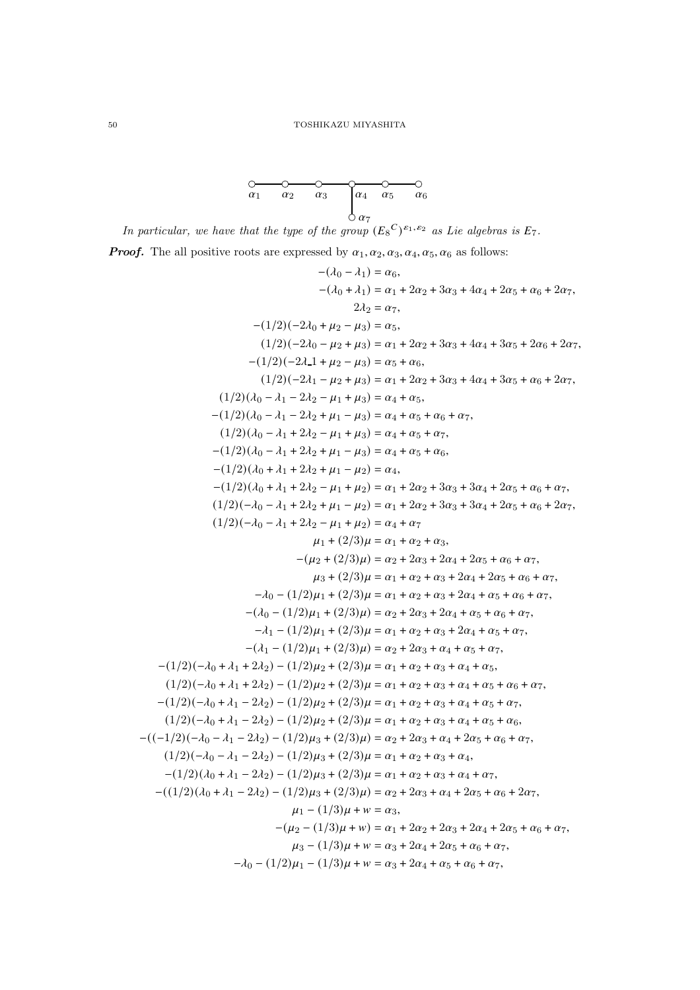

In particular, we have that the type of the group  $(E_8^C)^{\varepsilon_1,\varepsilon_2}$  as Lie algebras is  $E_7$ . **Proof.** The all positive roots are expressed by  $\alpha_1, \alpha_2, \alpha_3, \alpha_4, \alpha_5, \alpha_6$  as follows:

```
-(\lambda_0 - \lambda_1) = \alpha_6-(\lambda_0 + \lambda_1) = \alpha_1 + 2\alpha_2 + 3\alpha_3 + 4\alpha_4 + 2\alpha_5 + \alpha_6 + 2\alpha_72\lambda_2 = \alpha_7-(1/2)(-2\lambda_0 + \mu_2 - \mu_3) = \alpha_5(1/2)(-2\lambda_0 - \mu_2 + \mu_3) = \alpha_1 + 2\alpha_2 + 3\alpha_3 + 4\alpha_4 + 3\alpha_5 + 2\alpha_6 + 2\alpha_7-(1/2)(-2\lambda_1 + \mu_2 - \mu_3) = \alpha_5 + \alpha_6,(1/2)(-2\lambda_1 - \mu_2 + \mu_3) = \alpha_1 + 2\alpha_2 + 3\alpha_3 + 4\alpha_4 + 3\alpha_5 + \alpha_6 + 2\alpha_7(1/2)(\lambda_0 - \lambda_1 - 2\lambda_2 - \mu_1 + \mu_3) = \alpha_4 + \alpha_5,-(1/2)(\lambda_0 - \lambda_1 - 2\lambda_2 + \mu_1 - \mu_3) = \alpha_4 + \alpha_5 + \alpha_6 + \alpha_7,(1/2) (\lambda_0 - \lambda_1 + 2\lambda_2 - \mu_1 + \mu_3) = \alpha_4 + \alpha_5 + \alpha_7-(1/2)(\lambda_0 - \lambda_1 + 2\lambda_2 + \mu_1 - \mu_3) = \alpha_4 + \alpha_5 + \alpha_6,-(1/2)(\lambda_0 + \lambda_1 + 2\lambda_2 + \mu_1 - \mu_2) = \alpha_4-(1/2)(\lambda_0 + \lambda_1 + 2\lambda_2 - \mu_1 + \mu_2) = \alpha_1 + 2\alpha_2 + 3\alpha_3 + 3\alpha_4 + 2\alpha_5 + \alpha_6 + \alpha_7(1/2)(-\lambda_0 - \lambda_1 + 2\lambda_2 + \mu_1 - \mu_2) = \alpha_1 + 2\alpha_2 + 3\alpha_3 + 3\alpha_4 + 2\alpha_5 + \alpha_6 + 2\alpha_7(1/2)(-\lambda_0 - \lambda_1 + 2\lambda_2 - \mu_1 + \mu_2) = \alpha_4 + \alpha_7\mu_1 + (2/3)\mu = \alpha_1 + \alpha_2 + \alpha_3,-(\mu_2 + (2/3)\mu) = \alpha_2 + 2\alpha_3 + 2\alpha_4 + 2\alpha_5 + \alpha_6 + \alpha_7,\mu_3 + (2/3)\mu = \alpha_1 + \alpha_2 + \alpha_3 + 2\alpha_4 + 2\alpha_5 + \alpha_6 + \alpha_7-\lambda_0 - (1/2)\mu_1 + (2/3)\mu = \alpha_1 + \alpha_2 + \alpha_3 + 2\alpha_4 + \alpha_5 + \alpha_6 + \alpha_7-(\lambda_0 - (1/2)\mu_1 + (2/3)\mu) = \alpha_2 + 2\alpha_3 + 2\alpha_4 + \alpha_5 + \alpha_6 + \alpha_7,-\lambda_1 - (1/2)\mu_1 + (2/3)\mu = \alpha_1 + \alpha_2 + \alpha_3 + 2\alpha_4 + \alpha_5 + \alpha_7-(\lambda_1 - (1/2)\mu_1 + (2/3)\mu) = \alpha_2 + 2\alpha_3 + \alpha_4 + \alpha_5 + \alpha_7-(1/2)(-\lambda_0 + \lambda_1 + 2\lambda_2) - (1/2)\mu_2 + (2/3)\mu = \alpha_1 + \alpha_2 + \alpha_3 + \alpha_4 + \alpha_5,(1/2)(-\lambda_0 + \lambda_1 + 2\lambda_2) - (1/2)\mu_2 + (2/3)\mu = \alpha_1 + \alpha_2 + \alpha_3 + \alpha_4 + \alpha_5 + \alpha_6 + \alpha_7,-(1/2)(-\lambda_0 + \lambda_1 - 2\lambda_2) - (1/2)\mu_2 + (2/3)\mu = \alpha_1 + \alpha_2 + \alpha_3 + \alpha_4 + \alpha_5 + \alpha_7(1/2)(-\lambda_0 + \lambda_1 - 2\lambda_2) - (1/2)\mu_2 + (2/3)\mu = \alpha_1 + \alpha_2 + \alpha_3 + \alpha_4 + \alpha_5 + \alpha_6,-((-1/2)(-\lambda_0 - \lambda_1 - 2\lambda_2) - (1/2)\mu_3 + (2/3)\mu) = \alpha_2 + 2\alpha_3 + \alpha_4 + 2\alpha_5 + \alpha_6 + \alpha_7(1/2)(-\lambda_0 - \lambda_1 - 2\lambda_2) - (1/2)\mu_3 + (2/3)\mu = \alpha_1 + \alpha_2 + \alpha_3 + \alpha_4,-(1/2)(\lambda_0 + \lambda_1 - 2\lambda_2) - (1/2)\mu_3 + (2/3)\mu = \alpha_1 + \alpha_2 + \alpha_3 + \alpha_4 + \alpha_7-( (1/2) (\lambda_0 + \lambda_1 - 2\lambda_2) - (1/2)\mu_3 + (2/3)\mu) = \alpha_2 + 2\alpha_3 + \alpha_4 + 2\alpha_5 + \alpha_6 + 2\alpha_7\mu_1 - (1/3)\mu + w = \alpha_3-(\mu_2 - (1/3)\mu + w) = \alpha_1 + 2\alpha_2 + 2\alpha_3 + 2\alpha_4 + 2\alpha_5 + \alpha_6 + \alpha_7\mu_3 - (1/3)\mu + w = \alpha_3 + 2\alpha_4 + 2\alpha_5 + \alpha_6 + \alpha_7-\lambda_0 - (1/2)\mu_1 - (1/3)\mu + w = \alpha_3 + 2\alpha_4 + \alpha_5 + \alpha_6 + \alpha_7
```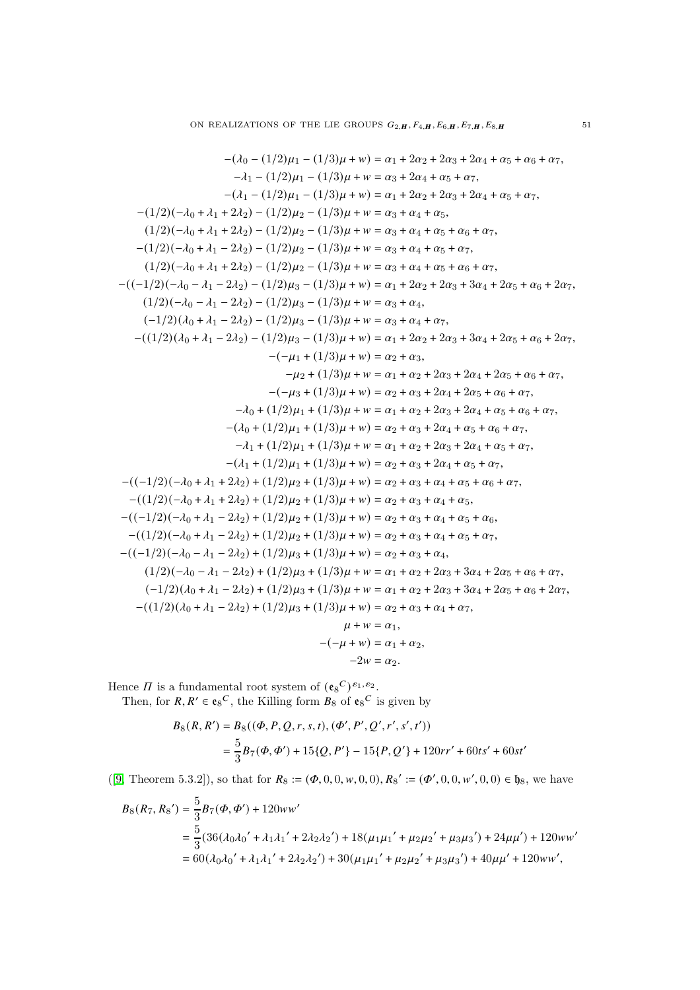$$
-(\lambda_0 - (1/2)\mu_1 - (1/3)\mu + w) = \alpha_1 + 2\alpha_2 + 2\alpha_3 + 2\alpha_4 + \alpha_5 + \alpha_6 + \alpha_7,-\lambda_1 - (1/2)\mu_1 - (1/3)\mu + w) = \alpha_1 + 2\alpha_2 + 2\alpha_3 + 2\alpha_4 + \alpha_5 + \alpha_6 + \alpha_7,-(1/2)(-\lambda_0 + \lambda_1 + 2\lambda_2) - (1/2)\mu_2 - (1/3)\mu + w = \alpha_3 + \alpha_4 + \alpha_5,(1/2)(-\lambda_0 + \lambda_1 + 2\lambda_2) - (1/2)\mu_2 - (1/3)\mu + w = \alpha_3 + \alpha_4 + \alpha_5 + \alpha_6 + \alpha_7,-(1/2)(-\lambda_0 + \lambda_1 + 2\lambda_2) - (1/2)\mu_2 - (1/3)\mu + w = \alpha_3 + \alpha_4 + \alpha_5 + \alpha_6 + \alpha_7,-(1/2)(-\lambda_0 + \lambda_1 + 2\lambda_2) - (1/2)\mu_2 - (1/3)\mu + w = \alpha_3 + \alpha_4 + \alpha_5 + \alpha_6 + \alpha_7,(1/2)(-\lambda_0 + \lambda_1 + 2\lambda_2) - (1/2)\mu_3 - (1/3)\mu + w = \alpha_3 + \alpha_4 + \alpha_5 + \alpha_6 + \alpha_7,-(1/2)(-\lambda_0 - \lambda_1 - 2\lambda_2) - (1/2)\mu_3 - (1/3)\mu + w = \alpha_3 + \alpha_4 + \alpha_5 + \alpha_6 + \alpha_7,(1/2)(-\lambda_0 - \lambda_1 - 2\lambda_2) - (1/2)\mu_3 - (1/3)\mu + w = \alpha_3 + \alpha_4 + \alpha_7,-(1/2)(\lambda_0 + \lambda_1 - 2\lambda_2) - (1/2)\mu_3 - (1/3)\mu + w = \alpha_3 + \alpha_4 + \alpha_7,-(1/2)(\lambda_0 + \lambda_1 - 2\lambda_2) - (1/2)\mu_3 - (1/3)\mu + w = \alpha_3 + \alpha_4 + \alpha_7,-(1/2)(\lambda_0 + \lambda_1 - 2\lambda_2) - (1/2)\mu_3 - (1/3)\mu + w = \alpha_1 + 2\alpha_2 + 2
$$

Hence  $\Pi$  is a fundamental root system of  $({\mathfrak{e}_8}^C)^{\varepsilon_1,\varepsilon_2}$ . Then, for  $R, R' \in \mathfrak{e}_8^C$ , the Killing form  $B_8$  of  $\mathfrak{e}_8^C$  is given by

$$
B_8(R, R') = B_8((\Phi, P, Q, r, s, t), (\Phi', P', Q', r', s', t'))
$$
  
=  $\frac{5}{3}B_7(\Phi, \Phi') + 15\{Q, P'\} - 15\{P, Q'\} + 120rr' + 60ts' + 60st'$ 

 $([9, \text{ Theorem } 5.3.2]),$  $([9, \text{ Theorem } 5.3.2]),$  $([9, \text{ Theorem } 5.3.2]),$  so that for  $R_8 := (\Phi, 0, 0, w, 0, 0), R_8' := (\Phi', 0, 0, w', 0, 0) \in \mathfrak{h}_8$ , we have

$$
B_8(R_7, R_8') = \frac{5}{3}B_7(\Phi, \Phi') + 120ww'
$$
  
=  $\frac{5}{3}(36(\lambda_0\lambda_0' + \lambda_1\lambda_1' + 2\lambda_2\lambda_2') + 18(\mu_1\mu_1' + \mu_2\mu_2' + \mu_3\mu_3') + 24\mu\mu') + 120ww'$   
=  $60(\lambda_0\lambda_0' + \lambda_1\lambda_1' + 2\lambda_2\lambda_2') + 30(\mu_1\mu_1' + \mu_2\mu_2' + \mu_3\mu_3') + 40\mu\mu' + 120ww',$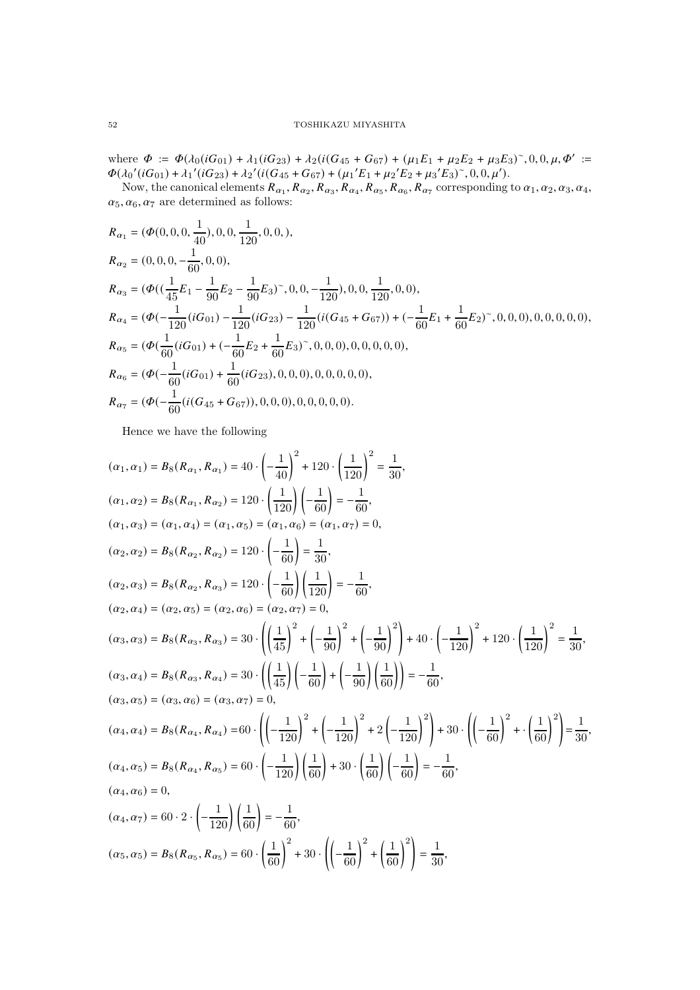where  $\Phi := \Phi(\lambda_0(iG_{01}) + \lambda_1(iG_{23}) + \lambda_2(i(G_{45} + G_{67}) + (\mu_1 E_1 + \mu_2 E_2 + \mu_3 E_3)^{\sim}, 0, 0, \mu, \Phi' :=$  $\Phi(\lambda_0'(iG_{01}) + \lambda_1'(iG_{23}) + \lambda_2'(i(G_{45} + G_{67}) + (\mu_1'E_1 + \mu_2'E_2 + \mu_3'E_3)^{2}, 0, 0, \mu').$ 

Now, the canonical elements  $R_{\alpha_1}, R_{\alpha_2}, R_{\alpha_3}, R_{\alpha_4}, R_{\alpha_5}, R_{\alpha_6}, R_{\alpha_7}$  corresponding to  $\alpha_1, \alpha_2, \alpha_3, \alpha_4$ ,  $\alpha_5, \alpha_6, \alpha_7$  are determined as follows:

$$
R_{\alpha_1} = (\Phi(0, 0, 0, \frac{1}{40}), 0, 0, \frac{1}{120}, 0, 0),
$$
  
\n
$$
R_{\alpha_2} = (0, 0, 0, -\frac{1}{60}, 0, 0),
$$
  
\n
$$
R_{\alpha_3} = (\Phi((\frac{1}{45}E_1 - \frac{1}{90}E_2 - \frac{1}{90}E_3)^{\sim}, 0, 0, -\frac{1}{120}), 0, 0, \frac{1}{120}, 0, 0),
$$
  
\n
$$
R_{\alpha_4} = (\Phi(-\frac{1}{120}(iG_{01}) - \frac{1}{120}(iG_{23}) - \frac{1}{120}(i(G_{45} + G_{67})) + (-\frac{1}{60}E_1 + \frac{1}{60}E_2)^{\sim}, 0, 0, 0, 0, 0, 0),
$$
  
\n
$$
R_{\alpha_5} = (\Phi(\frac{1}{60}(iG_{01}) + (-\frac{1}{60}E_2 + \frac{1}{60}E_3)^{\sim}, 0, 0, 0), 0, 0, 0, 0),
$$
  
\n
$$
R_{\alpha_6} = (\Phi(-\frac{1}{60}(iG_{01}) + \frac{1}{60}(iG_{23}), 0, 0, 0), 0, 0, 0, 0, 0),
$$
  
\n
$$
R_{\alpha_7} = (\Phi(-\frac{1}{60}(i(G_{45} + G_{67})), 0, 0, 0), 0, 0, 0, 0, 0).
$$

Hence we have the following

$$
(a_1, a_1) = B_8(R_{a_1}, R_{a_1}) = 40 \cdot \left(-\frac{1}{40}\right)^2 + 120 \cdot \left(\frac{1}{120}\right)^2 = \frac{1}{30},
$$
  
\n
$$
(a_1, a_2) = B_8(R_{a_1}, R_{a_2}) = 120 \cdot \left(\frac{1}{120}\right)\left(-\frac{1}{60}\right) = -\frac{1}{60},
$$
  
\n
$$
(a_1, a_3) = (a_1, a_4) = (a_1, a_5) = (a_1, a_6) = (a_1, a_7) = 0,
$$
  
\n
$$
(a_2, a_2) = B_8(R_{a_2}, R_{a_2}) = 120 \cdot \left(-\frac{1}{60}\right) = \frac{1}{30},
$$
  
\n
$$
(a_2, a_3) = B_8(R_{a_2}, R_{a_3}) = 120 \cdot \left(-\frac{1}{60}\right)\left(\frac{1}{120}\right) = -\frac{1}{60},
$$
  
\n
$$
(a_3, a_3) = B_8(R_{a_3}, R_{a_3}) = 30 \cdot \left(\left(\frac{1}{45}\right)^2 + \left(-\frac{1}{90}\right)^2 + \left(-\frac{1}{90}\right)^2\right) + 40 \cdot \left(-\frac{1}{120}\right)^2 + 120 \cdot \left(\frac{1}{120}\right)^2 = \frac{1}{30},
$$
  
\n
$$
(a_3, a_4) = B_8(R_{a_3}, R_{a_4}) = 30 \cdot \left(\left(\frac{1}{45}\right)\left(-\frac{1}{60}\right) + \left(-\frac{1}{90}\right)\left(\frac{1}{60}\right)\right) = -\frac{1}{60},
$$
  
\n
$$
(a_3, a_5) = (a_3, a_6) = (a_3, a_7) = 0,
$$
  
\n
$$
(a_4, a_4) = B_8(R_{a_4}, R_{a_4}) = 60 \cdot \left(\left(-\frac{1}{120}\right)^2 + \left(-\frac{1}{120}\right)^2 + 2\left(-\frac{1}{120}\right)^2\right) + 30 \cdot \left(\left(-\frac{1}{
$$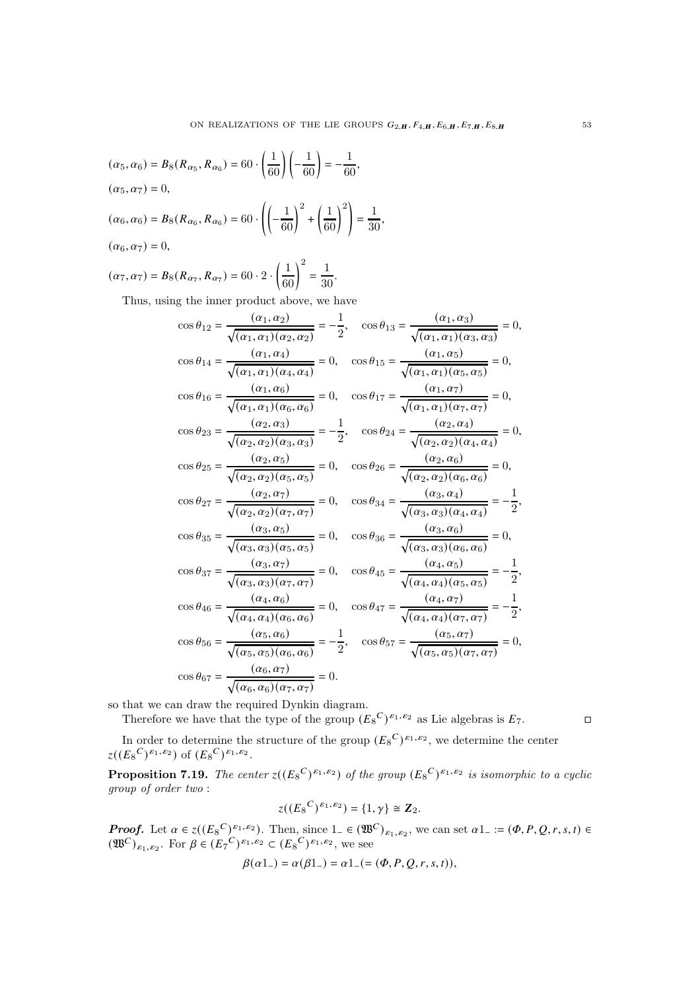$$
(\alpha_5, \alpha_6) = B_8(R_{\alpha_5}, R_{\alpha_6}) = 60 \cdot \left(\frac{1}{60}\right)\left(-\frac{1}{60}\right) = -\frac{1}{60},
$$
  
\n
$$
(\alpha_5, \alpha_7) = 0,
$$
  
\n
$$
(\alpha_6, \alpha_6) = B_8(R_{\alpha_6}, R_{\alpha_6}) = 60 \cdot \left(\left(-\frac{1}{60}\right)^2 + \left(\frac{1}{60}\right)^2\right) = \frac{1}{30},
$$
  
\n
$$
(\alpha_6, \alpha_7) = 0,
$$
  
\n
$$
(\alpha_7, \alpha_7) = B_8(R_{\alpha_7}, R_{\alpha_7}) = 60 \cdot 2 \cdot \left(\frac{1}{60}\right)^2 = \frac{1}{30}.
$$

Thus, using the inner product above, we have

$$
\cos \theta_{12} = \frac{(\alpha_1, \alpha_2)}{\sqrt{(\alpha_1, \alpha_1)(\alpha_2, \alpha_2)}} = -\frac{1}{2}, \quad \cos \theta_{13} = \frac{(\alpha_1, \alpha_3)}{\sqrt{(\alpha_1, \alpha_1)(\alpha_3, \alpha_3)}} = 0,
$$
  
\n
$$
\cos \theta_{14} = \frac{(\alpha_1, \alpha_4)}{\sqrt{(\alpha_1, \alpha_1)(\alpha_4, \alpha_4)}} = 0, \quad \cos \theta_{15} = \frac{(\alpha_1, \alpha_5)}{\sqrt{(\alpha_1, \alpha_1)(\alpha_5, \alpha_5)}} = 0,
$$
  
\n
$$
\cos \theta_{16} = \frac{(\alpha_1, \alpha_6)}{\sqrt{(\alpha_1, \alpha_1)(\alpha_6, \alpha_6)}} = 0, \quad \cos \theta_{17} = \frac{(\alpha_1, \alpha_7)}{\sqrt{(\alpha_1, \alpha_1)(\alpha_7, \alpha_7)}} = 0,
$$
  
\n
$$
\cos \theta_{23} = \frac{(\alpha_2, \alpha_3)}{\sqrt{(\alpha_2, \alpha_2)(\alpha_3, \alpha_3)}} = -\frac{1}{2}, \quad \cos \theta_{24} = \frac{(\alpha_2, \alpha_4)}{\sqrt{(\alpha_2, \alpha_2)(\alpha_4, \alpha_4)}} = 0,
$$
  
\n
$$
\cos \theta_{25} = \frac{(\alpha_2, \alpha_5)}{\sqrt{(\alpha_2, \alpha_2)(\alpha_5, \alpha_5)}} = 0, \quad \cos \theta_{26} = \frac{(\alpha_2, \alpha_6)}{\sqrt{(\alpha_2, \alpha_2)(\alpha_6, \alpha_6)}} = 0,
$$
  
\n
$$
\cos \theta_{27} = \frac{(\alpha_2, \alpha_7)}{\sqrt{(\alpha_2, \alpha_2)(\alpha_7, \alpha_7)}} = 0, \quad \cos \theta_{34} = \frac{(\alpha_3, \alpha_4)}{\sqrt{(\alpha_3, \alpha_3)(\alpha_4, \alpha_4)}} = -\frac{1}{2},
$$
  
\n
$$
\cos \theta_{35} = \frac{(\alpha_3, \alpha_5)}{\sqrt{(\alpha_3, \alpha_3)(\alpha_5, \alpha_5)}} = 0, \quad \cos \theta_{36} = \frac{(\alpha_3, \alpha_6)}{\sqrt{(\alpha_3, \alpha_
$$

so that we can draw the required Dynkin diagram.

Therefore we have that the type of the group  $(E_8^C)^{\varepsilon_1, \varepsilon_2}$  as Lie algebras is  $E_7$ .

In order to determine the structure of the group  $(E_8^C)^{\varepsilon_1,\varepsilon_2}$ , we determine the center  $z((E_8^C)^{\varepsilon_1, \varepsilon_2})$  of  $(E_8^C)^{\varepsilon_1, \varepsilon_2}$ .

<span id="page-52-0"></span>**Proposition 7.19.** The center  $z((E_8^C)^{\varepsilon_1, \varepsilon_2})$  of the group  $(E_8^C)^{\varepsilon_1, \varepsilon_2}$  is isomorphic to a cyclic group of order two :

$$
z((E_8^C)^{\varepsilon_1,\varepsilon_2})=\{1,\gamma\}\cong \mathbb{Z}_2.
$$

**Proof.** Let  $\alpha \in z((E_8^C)^{\varepsilon_1, \varepsilon_2})$ . Then, since  $1_- \in (\mathfrak{W}^C)_{\varepsilon_1, \varepsilon_2}$ , we can set  $\alpha 1_- := (\Phi, P, Q, r, s, t) \in \mathfrak{S}$  $(\mathfrak{W}^C)_{\varepsilon_1,\varepsilon_2}$ . For  $\beta \in (E_7^C)^{\varepsilon_1,\varepsilon_2} \subset (E_8^C)^{\varepsilon_1,\varepsilon_2}$ , we see

$$
\beta(\alpha 1_{-}) = \alpha(\beta 1_{-}) = \alpha 1_{-} (= (\Phi, P, Q, r, s, t)),
$$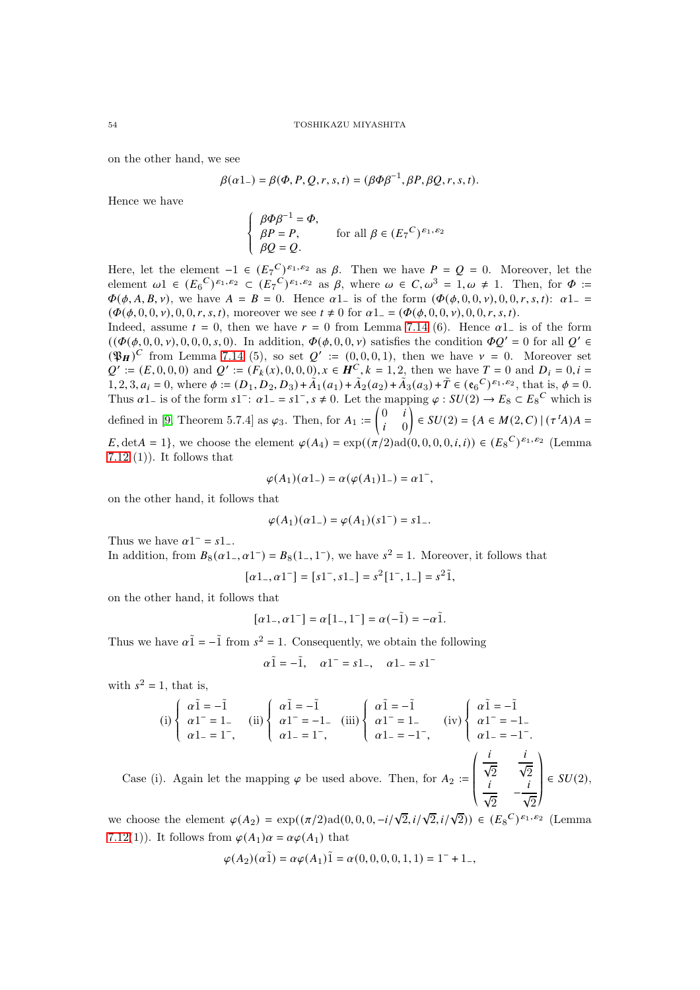on the other hand, we see

$$
\beta(\alpha 1_{-}) = \beta(\Phi, P, Q, r, s, t) = (\beta \Phi \beta^{-1}, \beta P, \beta Q, r, s, t).
$$

Hence we have

$$
\left\{ \begin{array}{l} \beta\Phi\beta^{-1}=\varPhi,\\ \beta P=P,\\ \beta Q=Q. \end{array} \right. \quad \text{for all $\beta\in (E_7^C)^{\varepsilon_1,\varepsilon_2}$}
$$

Here, let the element  $-1 \in (E_7^C)^{\varepsilon_1, \varepsilon_2}$  as  $\beta$ . Then we have  $P = Q = 0$ . Moreover, let the element  $\omega_1 \in (E_6^C)^{\varepsilon_1, \varepsilon_2} \subset (E_7^C)^{\varepsilon_1, \varepsilon_2}$  as  $\beta$ , where  $\omega \in C, \omega^3 = 1, \omega \neq 1$ . Then, for  $\Phi :=$  $\Phi(\phi, A, B, \nu)$ , we have  $A = B = 0$ . Hence  $\alpha_{1}$  is of the form  $(\Phi(\phi, 0, 0, \nu), 0, 0, r, s, t)$ :  $\alpha_{1}$  $(\Phi(\phi, 0, 0, v), 0, 0, r, s, t)$ , moreover we see  $t \neq 0$  for  $\alpha_{1} = (\Phi(\phi, 0, 0, v), 0, 0, r, s, t)$ .

Indeed, assume  $t = 0$ , then we have  $r = 0$  from Lemma [7.14](#page-44-0) (6). Hence  $\alpha$ 1<sub>-</sub> is of the form  $((\Phi(\phi, 0, 0, v), 0, 0, 0, s, 0).$  In addition,  $\Phi(\phi, 0, 0, v)$  satisfies the condition  $\Phi \mathcal{Q}' = 0$  for all  $\mathcal{Q}' \in$  $(\mathfrak{P}_H)^C$  from Lemma [7.14](#page-44-0) (5), so set  $Q' := (0,0,0,1)$ , then we have  $\nu = 0$ . Moreover set  $Q' := (E, 0, 0, 0)$  and  $Q' := (F_k(x), 0, 0, 0), x \in H^C, k = 1, 2$ , then we have  $T = 0$  and  $D_i = 0, i = 1, 2$ 1, 2, 3,  $a_i = 0$ , where  $\phi := (D_1, D_2, D_3) + \tilde{A}_1(a_1) + \tilde{A}_2(a_2) + \tilde{A}_3(a_3) + \tilde{T} \in (e_6^C)^{\varepsilon_1, \varepsilon_2}$ , that is,  $\phi = 0$ . Thus  $\alpha$ 1<sub>-</sub> is of the form  $s1^-: \alpha1^- = s1^-$ ,  $s \neq 0$ . Let the mapping  $\varphi : SU(2) \to E_8 \subset E_8^C$  which is defined in [\[9,](#page-59-0) Theorem 5.7.4] as  $\varphi_3$ . Then, for  $A_1$  :=  $\begin{pmatrix} 0 & i \end{pmatrix}$  $i \quad 0$ Í  $\in SU(2) = \{A \in M(2, C) \mid (\tau^t A)A =$  $E, \text{det}A = 1$ , we choose the element  $\varphi(A_4) = \exp((\pi/2) \text{ad}(0, 0, 0, 0, i, i)) \in (E_8^C)^{\varepsilon_1, \varepsilon_2}$  (Lemma [7.12](#page-43-1) $(1)$ ). It follows that

$$
\varphi(A_1)(\alpha 1_{-}) = \alpha(\varphi(A_1)1_{-}) = \alpha 1^{-},
$$

on the other hand, it follows that

$$
\varphi(A_1)(\alpha 1_-) = \varphi(A_1)(s1^-) = s1_-.
$$

Thus we have  $\alpha 1^- = s1$ .

In addition, from  $B_8(\alpha 1, \alpha 1^-) = B_8(1, 1^-)$ , we have  $s^2 = 1$ . Moreover, it follows that

$$
[\alpha 1_-, \alpha 1^-] = [s1^-, s1_-] = s^2 [1^-, 1_-] = s^2 \tilde{1},
$$

on the other hand, it follows that

$$
[\alpha 1_-, \alpha 1^-] = \alpha [1_-, 1^-] = \alpha (-1) = -\alpha 1.
$$

Thus we have  $\alpha \tilde{1} = -\tilde{1}$  from  $s^2 = 1$ . Consequently, we obtain the following

$$
\alpha \tilde{1} = -\tilde{1}, \quad \alpha 1^{-} = s1^{-}, \quad \alpha 1^{-} = s1^{-}
$$

with  $s^2 = 1$ , that is,

(i) 
$$
\begin{cases} \alpha \tilde{1} = -\tilde{1} \\ \alpha 1^{-} = 1_{-} \\ \alpha 1_{-} = 1^{-}, \end{cases}
$$
 (ii) 
$$
\begin{cases} \alpha \tilde{1} = -\tilde{1} \\ \alpha 1^{-} = -1_{-} \\ \alpha 1_{-} = 1^{-}, \end{cases}
$$
 (iii) 
$$
\begin{cases} \alpha \tilde{1} = -\tilde{1} \\ \alpha 1^{-} = 1_{-} \\ \alpha 1_{-} = -1^{-}, \end{cases}
$$
 (iv) 
$$
\begin{cases} \alpha \tilde{1} = -\tilde{1} \\ \alpha 1^{-} = -1_{-} \\ \alpha 1_{-} = -1^{-}. \end{cases}
$$

Case (i). Again let the mapping  $\varphi$  be used above. Then, for  $A_2 :=$  $\sqrt{V^2}$   $\sqrt{2}$ i  $\sqrt{2}$ i  $\sqrt{2}$ i  $\overline{\sqrt{2}}$  – i  $\sqrt{2}$  $\epsilon$  SU(2),

we choose the element  $\varphi(A_2) = \exp((\pi/2) \text{ad}(0, 0, 0, -i/\sqrt{2}, i/\sqrt{2})) \in (E_8^C)^{\varepsilon_1, \varepsilon_2}$  (Lemma [7.12\(](#page-43-1)1)). It follows from  $\varphi(A_1)\alpha = \alpha \varphi(A_1)$  that

$$
\varphi(A_2)(\alpha \tilde{1}) = \alpha \varphi(A_1) \tilde{1} = \alpha(0, 0, 0, 0, 1, 1) = 1^- + 1^-,
$$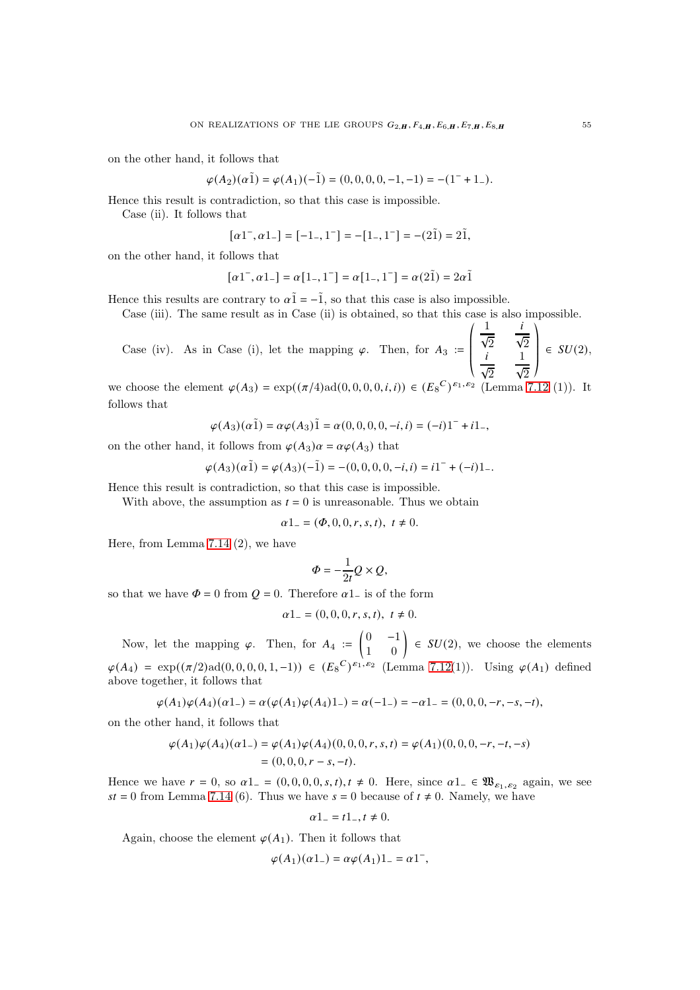on the other hand, it follows that

$$
\varphi(A_2)(\alpha \tilde{1}) = \varphi(A_1)(-\tilde{1}) = (0,0,0,0,-1,-1) = -(1^{-} + 1_{-}).
$$

Hence this result is contradiction, so that this case is impossible.

Case (ii). It follows that

$$
[\alpha 1^{-}, \alpha 1_{-}] = [-1_{-}, 1^{-}] = -[1_{-}, 1^{-}] = -(2\tilde{1}) = 2\tilde{1},
$$

on the other hand, it follows that

$$
[\alpha 1^-,\alpha 1_-] = \alpha[1_-,1^-] = \alpha[1_-,1^-] = \alpha(2\tilde{1}) = 2\alpha\tilde{1}
$$

Hence this results are contrary to  $\alpha \tilde{1} = -\tilde{1}$ , so that this case is also impossible.

Case (iii). The same result as in Case (ii) is obtained, so that this case is also impossible.

Case (iv). As in Case (i), let the mapping  $\varphi$ . Then, for  $A_3 :=$ 1  $\sqrt{2}$ i  $\sqrt{2}$ i  $\sqrt{2}$ 1  $\sqrt{2}$  $\epsilon$   $SU(2),$ 

we choose the element  $\varphi(A_3) = \exp((\pi/4) \text{ad}(0, 0, 0, 0, i, i)) \in (E_8^C)^{\varepsilon_1, \varepsilon_2}$  (Lemma [7.12](#page-43-1) (1)). It follows that

$$
\varphi(A_3)(\alpha \tilde{1}) = \alpha \varphi(A_3) \tilde{1} = \alpha(0, 0, 0, 0, -i, i) = (-i)1^{-} + i1^{-},
$$

on the other hand, it follows from  $\varphi(A_3)\alpha = \alpha \varphi(A_3)$  that

$$
\varphi(A_3)(\alpha \tilde{1}) = \varphi(A_3)(-\tilde{1}) = -(0,0,0,0,-i,i) = i1^- + (-i)1^-.
$$

Hence this result is contradiction, so that this case is impossible.

With above, the assumption as  $t = 0$  is unreasonable. Thus we obtain

$$
\alpha 1_{-} = (\Phi, 0, 0, r, s, t), t \neq 0.
$$

Here, from Lemma [7.14](#page-44-0) (2), we have

$$
\varPhi=-\frac{1}{2t}Q\times Q,
$$

so that we have  $\Phi = 0$  from  $Q = 0$ . Therefore  $\alpha$ 1– is of the form

$$
\alpha 1 = (0, 0, 0, r, s, t), t \neq 0.
$$

Now, let the mapping  $\varphi$ . Then, for  $A_4$  :=  $\begin{pmatrix} 0 & -1 \\ 1 & 0 \end{pmatrix} \in SU(2)$ , we choose the elements  $\varphi(A_4) = \exp((\pi/2) \text{ad}(0, 0, 0, 0, 1, -1)) \in (E_8^C)^{\varepsilon_1, \varepsilon_2}$  (Lemma [7.12\(](#page-43-1)1)). Using  $\varphi(A_1)$  defined above together, it follows that

$$
\varphi(A_1)\varphi(A_4)(\alpha 1_{-}) = \alpha(\varphi(A_1)\varphi(A_4)1_{-}) = \alpha(-1_{-}) = -\alpha 1_{-} = (0,0,0,-r,-s,-t),
$$

on the other hand, it follows that

$$
\varphi(A_1)\varphi(A_4)(\alpha 1_{-}) = \varphi(A_1)\varphi(A_4)(0,0,0,r,s,t) = \varphi(A_1)(0,0,0,-r,-t,-s)
$$
  
= (0,0,0,r-s,-t).

Hence we have  $r = 0$ , so  $\alpha 1 = (0, 0, 0, 0, s, t), t \neq 0$ . Here, since  $\alpha 1 = \mathfrak{B}_{\varepsilon_1, \varepsilon_2}$  again, we see  $st = 0$  from Lemma [7.14](#page-44-0) (6). Thus we have  $s = 0$  because of  $t \neq 0$ . Namely, we have

$$
\alpha 1_{-}=t1_{-},t\neq 0.
$$

Again, choose the element  $\varphi(A_1)$ . Then it follows that

$$
\varphi(A_1)(\alpha 1_-) = \alpha \varphi(A_1) 1_- = \alpha 1^-,
$$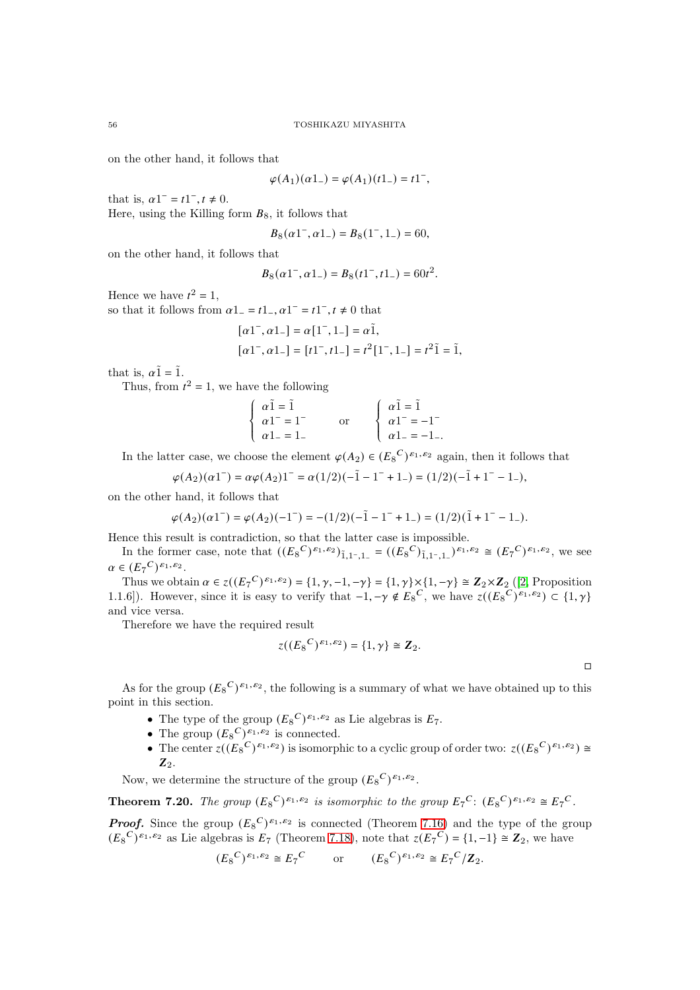on the other hand, it follows that

$$
\varphi(A_1)(\alpha 1_{-}) = \varphi(A_1)(t1_{-}) = t1^{-},
$$

that is,  $\alpha 1^- = t1^-, t \neq 0$ .

Here, using the Killing form  $B_8$ , it follows that

$$
B_8(\alpha 1^-,\alpha 1_-) = B_8(1^-,\,1_-) = 60,
$$

on the other hand, it follows that

$$
B_8(\alpha 1^-,\alpha 1_-) = B_8(t1^-,t1_-) = 60t^2.
$$

Hence we have  $t^2 = 1$ ,

so that it follows from  $\alpha 1 = t1, \alpha 1 = t1, t \neq 0$  that

$$
[\alpha 1^-,\alpha 1_-] = \alpha [1^-,1_-] = \alpha \tilde{1},
$$
  
\n
$$
[\alpha 1^-,\alpha 1_-] = [t1^-,t1_-] = t^2 [1^-,1_-] = t^2 \tilde{1} = \tilde{1},
$$

that is,  $\alpha \tilde{1} = \tilde{1}$ .

Thus, from  $t^2 = 1$ , we have the following

| $\begin{cases}\n\alpha \tilde{1} = \tilde{1} \\ \alpha 1^- = 1^-\n\end{cases}$ | or | $\left\{ \begin{array}{ll} \alpha \tilde{1} = \tilde{1} \\ \alpha 1^- = -1^- \end{array} \right.$ |
|--------------------------------------------------------------------------------|----|---------------------------------------------------------------------------------------------------|
| $\alpha 1_{-} = 1_{-}$                                                         |    | $\alpha_{1-}=-1$ .                                                                                |
|                                                                                |    |                                                                                                   |

In the latter case, we choose the element  $\varphi(A_2) \in (E_8^C)^{\varepsilon_1, \varepsilon_2}$  again, then it follows that

$$
\varphi(A_2)(\alpha 1^-) = \alpha \varphi(A_2) 1^- = \alpha (1/2)(-1 - 1^- + 1^-) = (1/2)(-1 + 1^- - 1^-),
$$

on the other hand, it follows that

$$
\varphi(A_2)(\alpha 1^-) = \varphi(A_2)(-1^-) = -(1/2)(-1^+ - 1^-) = (1/2)(1^+ - 1^-).
$$

Hence this result is contradiction, so that the latter case is impossible.

In the former case, note that  $((E_8^C)^{\varepsilon_1, \varepsilon_2})_{\tilde{1}, 1^-, 1^-} = ((E_8^C)_{\tilde{1}, 1^-, 1^-})^{\varepsilon_1, \varepsilon_2} \cong (E_7^C)^{\varepsilon_1, \varepsilon_2}$ , we see  $\alpha \in (E_7^C)^{\varepsilon_1, \varepsilon_2}.$ 

Thus we obtain  $\alpha \in z((E_7^C)^{\varepsilon_1, \varepsilon_2}) = \{1, \gamma, -1, -\gamma\} = \{1, \gamma\} \times \{1, -\gamma\} \cong \mathbb{Z}_2 \times \mathbb{Z}_2$  ([\[2,](#page-59-3) Proposition 1.1.6]). However, since it is easy to verify that  $-1, -\gamma \notin E_8^C$ , we have  $z((E_8^C)^{\varepsilon_1, \varepsilon_2}) \subset \{1, \gamma\}$ and vice versa.

Therefore we have the required result

$$
z((E_8^C)^{\varepsilon_1,\varepsilon_2})=\{1,\gamma\}\cong \mathbf{Z}_2.
$$

 $\Box$ 

As for the group  $(E_8^C)^{\varepsilon_1, \varepsilon_2}$ , the following is a summary of what we have obtained up to this point in this section.

- The type of the group  $(E_8^C)^{\varepsilon_1, \varepsilon_2}$  as Lie algebras is  $E_7$ .
- The group  $(E_8^C)^{\varepsilon_1, \varepsilon_2}$  is connected.
- The center  $z((E_8^C)^{\varepsilon_1, \varepsilon_2})$  is isomorphic to a cyclic group of order two:  $z((E_8^C)^{\varepsilon_1, \varepsilon_2}) \cong$  $\mathbf{Z}_2$ .

Now, we determine the structure of the group  $(E_8^C)^{\varepsilon_1,\varepsilon_2}$ .

<span id="page-55-0"></span>**Theorem 7.20.** The group  $(E_8^C)^{\varepsilon_1, \varepsilon_2}$  is isomorphic to the group  $E_7^C$ :  $(E_8^C)^{\varepsilon_1, \varepsilon_2} \cong E_7^C$ .

**Proof.** Since the group  $(E_8^C)^{\varepsilon_1, \varepsilon_2}$  is connected (Theorem [7.16\)](#page-44-2) and the type of the group  $(E_8^C)^{\varepsilon_1, \varepsilon_2}$  as Lie algebras is  $E_7$  (Theorem [7.18\)](#page-48-0), note that  $z(E_7^C) = \{1, -1\} \cong \mathbb{Z}_2$ , we have

$$
(E_8^C)^{\varepsilon_1, \varepsilon_2} \cong E_7^C
$$
 or  $(E_8^C)^{\varepsilon_1, \varepsilon_2} \cong E_7^C/\mathbb{Z}_2$ .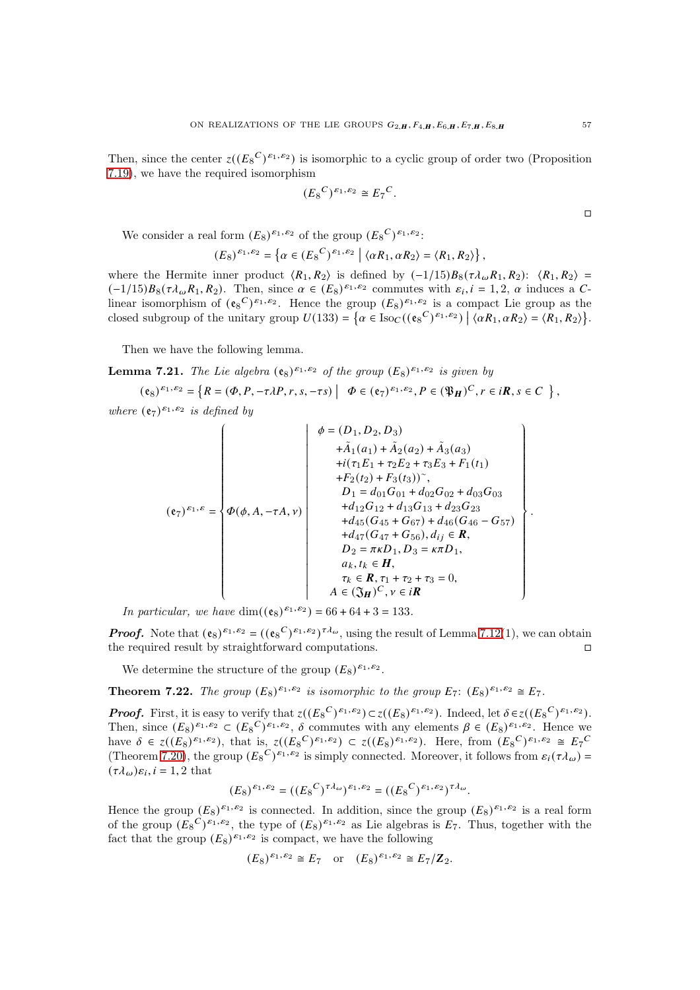Then, since the center  $z((E_8^C)^{\varepsilon_1,\varepsilon_2})$  is isomorphic to a cyclic group of order two (Proposition [7.19\)](#page-52-0), we have the required isomorphism

$$
(E_8^C)^{\varepsilon_1, \varepsilon_2} \cong E_7^C.
$$

 $\Box$ 

We consider a real form  $(E_8)^{\varepsilon_1, \varepsilon_2}$  of the group  $(E_8^C)^{\varepsilon_1, \varepsilon_2}$ :

$$
(E_8)^{\varepsilon_1,\varepsilon_2} = \left\{ \alpha \in (E_8^C)^{\varepsilon_1,\varepsilon_2} \mid \langle \alpha R_1, \alpha R_2 \rangle = \langle R_1, R_2 \rangle \right\},\,
$$

where the Hermite inner product  $\langle R_1, R_2 \rangle$  is defined by  $(-1/15)B_8(\tau \lambda_\omega R_1, R_2)$ :  $\langle R_1, R_2 \rangle$  =  $(-1/15)B_8(\tau \lambda_{\omega} R_1, R_2)$ . Then, since  $\alpha \in (E_8)^{\varepsilon_1, \varepsilon_2}$  commutes with  $\varepsilon_i, i = 1, 2, \alpha$  induces a Clinear isomorphism of  $({\bf e}_8^C)^{\varepsilon_1, \varepsilon_2}$ . Hence the group  $(E_8)^{\varepsilon_1, \varepsilon_2}$  is a compact Lie group as the closed subgroup of the unitary group  $U(133) = \left\{ \alpha \in \text{Iso}_{\mathbb{C}}((\mathfrak{e}_{8}^{C})^{\varepsilon_{1},\varepsilon_{2}}) \mid \langle \alpha R_{1}, \alpha R_{2} \rangle = \langle R_{1}, R_{2} \rangle \right\}.$ 

Then we have the following lemma.

<span id="page-56-1"></span>**Lemma 7.21.** The Lie algebra  $(e_8)^{\varepsilon_1, \varepsilon_2}$  of the group  $(E_8)^{\varepsilon_1, \varepsilon_2}$  is given by

$$
(\mathfrak{e}_8)^{\varepsilon_1,\varepsilon_2} = \left\{ R = (\varPhi, P, -\tau \lambda P, r, s, -\tau s) \middle| \Phi \in (\mathfrak{e}_7)^{\varepsilon_1,\varepsilon_2}, P \in (\mathfrak{P}_H)^C, r \in iR, s \in C \right\},\
$$

where  $(e_7)^{\varepsilon_1,\varepsilon_2}$  is defined by

$$
(e_7)^{\varepsilon_1,\varepsilon} = \begin{cases} \phi = (D_1, D_2, D_3) \\ +\tilde{A}_1(a_1) + \tilde{A}_2(a_2) + \tilde{A}_3(a_3) \\ +i(\tau_1 E_1 + \tau_2 E_2 + \tau_3 E_3 + F_1(t_1) \\ +F_2(t_2) + F_3(t_3))^{\sim}, \\ D_1 = d_{01}G_{01} + d_{02}G_{02} + d_{03}G_{03} \\ +d_{12}G_{12} + d_{13}G_{13} + d_{23}G_{23} \\ +d_{45}(G_{45} + G_{67}) + d_{46}(G_{46} - G_{57}) \\ +d_{47}(G_{47} + G_{56}), d_{ij} \in \mathbb{R}, \\ D_2 = \pi \kappa D_1, D_3 = \kappa \pi D_1, \\ a_k, t_k \in \mathbb{H}, \\ \tau_k \in \mathbb{R}, \tau_1 + \tau_2 + \tau_3 = 0, \\ A \in (\mathfrak{J}_H)^C, \nu \in i\mathbb{R} \end{cases}.
$$

In particular, we have  $\dim((e_8)^{\varepsilon_1, \varepsilon_2}) = 66 + 64 + 3 = 133$ .

**Proof.** Note that  $(e_8)^{\varepsilon_1, \varepsilon_2} = ((e_8^C)^{\varepsilon_1, \varepsilon_2})^{\tau \lambda_\omega}$ , using the result of Lemma [7.12\(](#page-43-1)1), we can obtain the required result by straightforward computations.

We determine the structure of the group  $(E_8)^{\varepsilon_1,\varepsilon_2}$ .

<span id="page-56-0"></span>**Theorem 7.22.** The group  $(E_8)^{\varepsilon_1, \varepsilon_2}$  is isomorphic to the group  $E_7$ :  $(E_8)^{\varepsilon_1, \varepsilon_2} \cong E_7$ .

**Proof.** First, it is easy to verify that  $z((E_8^C)^{\varepsilon_1, \varepsilon_2}) \subset z((E_8)^{\varepsilon_1, \varepsilon_2})$ . Indeed, let  $\delta \in z((E_8^C)^{\varepsilon_1, \varepsilon_2})$ . Then, since  $(E_8)^{\varepsilon_1, \varepsilon_2} \subset (E_8)^{\varepsilon_1, \varepsilon_2}$ ,  $\delta$  commutes with any elements  $\beta \in (E_8)^{\varepsilon_1, \varepsilon_2}$ . Hence we have  $\delta \in z((E_8)^{\varepsilon_1,\varepsilon_2}),$  that is,  $z((E_8)^{\varepsilon_1,\varepsilon_2}) \subset z((E_8)^{\varepsilon_1,\varepsilon_2}).$  Here, from  $(E_8^C)^{\varepsilon_1,\varepsilon_2} \cong E_7^C$ (Theorem [7.20\)](#page-55-0), the group  $(E_8^C)^{\varepsilon_1, \varepsilon_2}$  is simply connected. Moreover, it follows from  $\varepsilon_i(\tau \lambda_\omega)$  =  $(\tau \lambda_{\omega})\varepsilon_i, i = 1, 2$  that

$$
(E_8)^{\varepsilon_1,\varepsilon_2} = ((E_8{}^C)^{\tau\lambda_\omega})^{\varepsilon_1,\varepsilon_2} = ((E_8{}^C)^{\varepsilon_1,\varepsilon_2})^{\tau\lambda_\omega}.
$$

Hence the group  $(E_8)^{\varepsilon_1,\varepsilon_2}$  is connected. In addition, since the group  $(E_8)^{\varepsilon_1,\varepsilon_2}$  is a real form of the group  $(E_8^C)^{\varepsilon_1, \varepsilon_2}$ , the type of  $(E_8)^{\varepsilon_1, \varepsilon_2}$  as Lie algebras is  $E_7$ . Thus, together with the fact that the group  $(E_8)^{\varepsilon_1, \varepsilon_2}$  is compact, we have the following

$$
(E_8)^{\varepsilon_1, \varepsilon_2} \cong E_7
$$
 or  $(E_8)^{\varepsilon_1, \varepsilon_2} \cong E_7/\mathbb{Z}_2$ .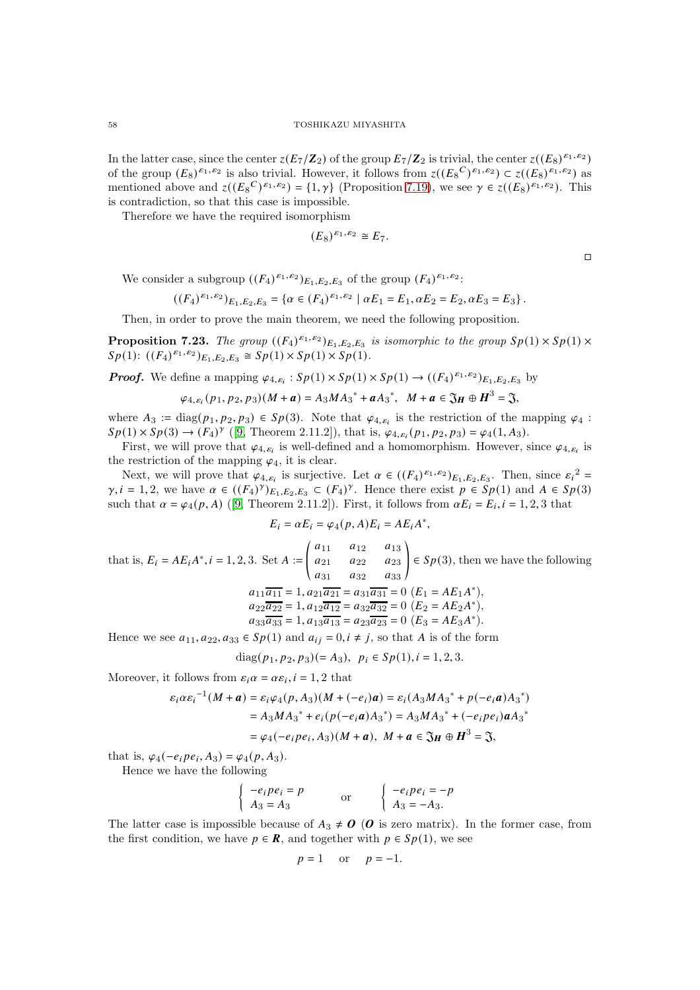In the latter case, since the center  $z(E_7/\mathbb{Z}_2)$  of the group  $E_7/\mathbb{Z}_2$  is trivial, the center  $z((E_8)^{\varepsilon_1,\varepsilon_2})$ of the group  $(E_8)^{\varepsilon_1, \varepsilon_2}$  is also trivial. However, it follows from  $z((E_8^C)^{\varepsilon_1, \varepsilon_2}) \subset z((E_8)^{\varepsilon_1, \varepsilon_2})$  as mentioned above and  $z((E_8^C)^{\varepsilon_1, \varepsilon_2}) = \{1, \gamma\}$  (Proposition [7.19\)](#page-52-0), we see  $\gamma \in z((E_8)^{\varepsilon_1, \varepsilon_2})$ . This is contradiction, so that this case is impossible.

Therefore we have the required isomorphism

$$
(E_8)^{\varepsilon_1,\varepsilon_2} \cong E_7.
$$

 $\Box$ 

We consider a subgroup  $((F_4)^{\varepsilon_1, \varepsilon_2})_{E_1, E_2, E_3}$  of the group  $(F_4)^{\varepsilon_1, \varepsilon_2}$ :

$$
((F_4)^{\varepsilon_1,\varepsilon_2})_{E_1,E_2,E_3} = \{ \alpha \in (F_4)^{\varepsilon_1,\varepsilon_2} \mid \alpha E_1 = E_1, \alpha E_2 = E_2, \alpha E_3 = E_3 \}.
$$

Then, in order to prove the main theorem, we need the following proposition.

<span id="page-57-0"></span>**Proposition 7.23.** The group  $((F_4)^{\varepsilon_1,\varepsilon_2})_{E_1,E_2,E_3}$  is isomorphic to the group  $Sp(1) \times Sp(1) \times Sp(1)$  $Sp(1): ((F_4)^{\varepsilon_1, \varepsilon_2})_{E_1, E_2, E_3} \cong Sp(1) \times Sp(1) \times Sp(1).$ 

**Proof.** We define a mapping  $\varphi_{4, \varepsilon_i}: Sp(1) \times Sp(1) \times Sp(1) \to ((F_4)^{\varepsilon_1, \varepsilon_2})_{E_1, E_2, E_3}$  by

$$
\varphi_{4,\varepsilon_i}(p_1, p_2, p_3)(M + a) = A_3 M A_3^* + a A_3^*, \quad M + a \in \mathfrak{J}_H \oplus H^3 = \mathfrak{J},
$$

where  $A_3 := \text{diag}(p_1, p_2, p_3) \in Sp(3)$ . Note that  $\varphi_{4, \varepsilon_i}$  is the restriction of the mapping  $\varphi_4$ :  $Sp(1) \times Sp(3) \to (F_4)^{\gamma}$  ([\[9,](#page-59-0) Theorem 2.11.2]), that is,  $\varphi_{4, \varepsilon_i}(p_1, p_2, p_3) = \varphi_4(1, A_3)$ .

First, we will prove that  $\varphi_{4,\varepsilon_i}$  is well-defined and a homomorphism. However, since  $\varphi_{4,\varepsilon_i}$  is the restriction of the mapping  $\varphi_4$ , it is clear.

Next, we will prove that  $\varphi_{4,\varepsilon_i}$  is surjective. Let  $\alpha \in ((F_4)^{\varepsilon_1,\varepsilon_2})_{E_1,E_2,E_3}$ . Then, since  $\varepsilon_i^2$  $\gamma, i = 1, 2$ , we have  $\alpha \in ((F_4)^{\gamma})_{E_1, E_2, E_3} \subset (F_4)^{\gamma}$ . Hence there exist  $p \in Sp(1)$  and  $A \in Sp(3)$ such that  $\alpha = \varphi_4(p, A)$  ([\[9,](#page-59-0) Theorem 2.11.2]). First, it follows from  $\alpha E_i = E_i, i = 1, 2, 3$  that

$$
E_i = \alpha E_i = \varphi_4(p, A) E_i = A E_i A^*,
$$

that is,  $E_i = AE_iA^*, i = 1, 2, 3$ . Set  $A :=$ «  $a_{11} \quad a_{12} \quad a_{13}$  $a_{21}$   $a_{22}$   $a_{23}$  $a_{31}$   $a_{32}$   $a_{33}$  $\Big\}$  $\overline{\phantom{a}}$  $\in Sp(3)$ , then we have the following  $a_{11}\overline{a_{11}} = 1, a_{21}\overline{a_{21}} = a_{31}\overline{a_{31}} = 0 \ (E_1 = AE_1A^*),$  $a_{22}\overline{a_{22}} = 1, a_{12}\overline{a_{12}} = a_{32}\overline{a_{32}} = 0$   $(E_2 = AE_2A^*),$  $a_{33}\overline{a_{33}} = 1, a_{13}\overline{a_{13}} = a_{23}\overline{a_{23}} = 0$   $(E_3 = AE_3A^*)$ .

Hence we see  $a_{11}, a_{22}, a_{33} \in Sp(1)$  and  $a_{ij} = 0, i \neq j$ , so that A is of the form

$$
diag(p_1, p_2, p_3) (= A_3), \ \ p_i \in Sp(1), i = 1, 2, 3.
$$

Moreover, it follows from  $\varepsilon_i \alpha = \alpha \varepsilon_i$ ,  $i = 1, 2$  that

$$
\varepsilon_i \alpha \varepsilon_i^{-1} (M + a) = \varepsilon_i \varphi_4(p, A_3) (M + (-e_i)a) = \varepsilon_i (A_3 M A_3^* + p(-e_i a) A_3^*)
$$
  
=  $A_3 M A_3^* + e_i (p(-e_i a) A_3^*) = A_3 M A_3^* + (-e_i pe_i) a A_3^*$   
=  $\varphi_4(-e_i pe_i, A_3) (M + a), M + a \in \mathfrak{F}_H \oplus H^3 = \mathfrak{F},$ 

that is,  $\varphi_4(-e_i p e_i, A_3) = \varphi_4(p, A_3)$ .

Hence we have the following

$$
\begin{cases}\n-e_i p e_i = p \\
A_3 = A_3\n\end{cases}
$$
 or 
$$
\begin{cases}\n-e_i p e_i = -p \\
A_3 = -A_3.\n\end{cases}
$$

The latter case is impossible because of  $A_3 \neq \mathbf{0}$  ( $\mathbf{0}$  is zero matrix). In the former case, from the first condition, we have  $p \in \mathbf{R}$ , and together with  $p \in Sp(1)$ , we see

$$
p=1 \quad \text{ or } \quad p=-1.
$$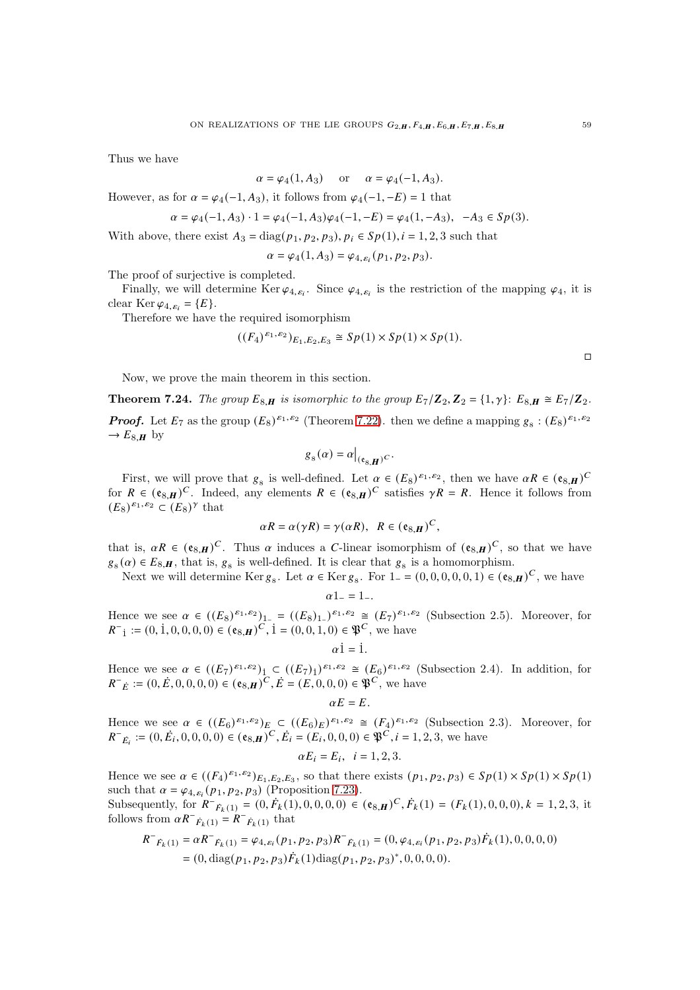Thus we have

$$
\alpha = \varphi_4(1, A_3) \quad \text{or} \quad \alpha = \varphi_4(-1, A_3).
$$

However, as for  $\alpha = \varphi_4(-1, A_3)$ , it follows from  $\varphi_4(-1, -E) = 1$  that

$$
\alpha = \varphi_4(-1, A_3) \cdot 1 = \varphi_4(-1, A_3)\varphi_4(-1, -E) = \varphi_4(1, -A_3), \quad -A_3 \in Sp(3).
$$

With above, there exist  $A_3 = \text{diag}(p_1, p_2, p_3), p_i \in Sp(1), i = 1, 2, 3$  such that

 $\alpha = \varphi_4(1, A_3) = \varphi_{4, \varepsilon_i}(p_1, p_2, p_3).$ 

The proof of surjective is completed.

Finally, we will determine Ker  $\varphi_{4,\varepsilon_i}$ . Since  $\varphi_{4,\varepsilon_i}$  is the restriction of the mapping  $\varphi_4$ , it is clear Ker  $\varphi_{4,\varepsilon_i} = \{E\}.$ 

Therefore we have the required isomorphism

$$
((F_4)^{\varepsilon_1, \varepsilon_2})_{E_1, E_2, E_3} \cong Sp(1) \times Sp(1) \times Sp(1).
$$

 $\Box$ 

Now, we prove the main theorem in this section.

**Theorem 7.24.** The group  $E_{8,H}$  is isomorphic to the group  $E_7/Z_2$ ,  $Z_2 = \{1, \gamma\}$ :  $E_{8,H} \cong E_7/Z_2$ . **Proof.** Let  $E_7$  as the group  $(E_8)^{\varepsilon_1, \varepsilon_2}$  (Theorem [7.22\)](#page-56-0). then we define a mapping  $g_8 : (E_8)^{\varepsilon_1, \varepsilon_2}$  $\rightarrow E_8$  H by

$$
g_{8}(\alpha) = \alpha|_{(\mathfrak{e}_{8,\mathbf{H}})^{C}}.
$$

First, we will prove that  $g_8$  is well-defined. Let  $\alpha \in (E_8)^{\varepsilon_1, \varepsilon_2}$ , then we have  $\alpha R \in (\mathfrak{e}_{8, H})^C$ for  $R \in (\mathfrak{e}_{8,H})^C$ . Indeed, any elements  $R \in (\mathfrak{e}_{8,H})^C$  satisfies  $\gamma R = R$ . Hence it follows from  $(E_8)^{\varepsilon_1, \varepsilon_2} \subset (E_8)^\gamma$  that

$$
\alpha R = \alpha(\gamma R) = \gamma(\alpha R), \ \ R \in (\mathfrak{e}_{8,H})^C,
$$

that is,  $\alpha R \in (e_{8,H})^C$ . Thus  $\alpha$  induces a *C*-linear isomorphism of  $(e_{8,H})^C$ , so that we have  $g_8(\alpha) \in E_{8,\mathbf{H}}$ , that is,  $g_8$  is well-defined. It is clear that  $g_8$  is a homomorphism.

Next we will determine  $\text{Ker } g_8$ . Let  $\alpha \in \text{Ker } g_8$ . For  $1 = (0, 0, 0, 0, 0, 1) \in (\mathfrak{e}_{8, H})^C$ , we have

 $\alpha$ 1 = 1 = .

Hence we see  $\alpha \in ((E_8)^{\varepsilon_1, \varepsilon_2})_{1} = ((E_8)_{1})^{\varepsilon_1, \varepsilon_2} \cong (E_7)^{\varepsilon_1, \varepsilon_2}$  (Subsection 2.5). Moreover, for  $R^-$ <sub>1</sub> := (0, 1, 0, 0, 0, 0)  $\in$  ( $e_{8,H}$ )<sup>C</sup>, 1 = (0, 0, 1, 0)  $\in$   $\mathfrak{P}^C$ , we have

 $\alpha$ 1 = 1.

Hence we see  $\alpha \in ((E_7)^{\varepsilon_1, \varepsilon_2})_1 \subset ((E_7)_1)^{\varepsilon_1, \varepsilon_2} \cong (E_6)^{\varepsilon_1, \varepsilon_2}$  (Subsection 2.4). In addition, for  $R^-_{\vec{E}} := (0, \vec{E}, 0, 0, 0, 0) \in (\mathfrak{e}_{8, H})^C, \vec{E} = (E, 0, 0, 0) \in \mathfrak{P}^C$ , we have

 $\alpha F = F$ .

Hence we see  $\alpha \in ((E_6)^{\varepsilon_1, \varepsilon_2})_E \subset ((E_6)_E)^{\varepsilon_1, \varepsilon_2} \cong (F_4)^{\varepsilon_1, \varepsilon_2}$  (Subsection 2.3). Moreover, for  $R^-_{\vec{E}_i} := (0, \vec{E}_i, 0, 0, 0, 0) \in (\mathfrak{e}_{8, H})^C$ ,  $\vec{E}_i = (E_i, 0, 0, 0) \in \mathfrak{P}^C$ ,  $i = 1, 2, 3$ , we have

$$
\alpha E_i = E_i, \quad i = 1, 2, 3.
$$

Hence we see  $\alpha \in ((F_4)^{\varepsilon_1, \varepsilon_2})_{E_1, E_2, E_3}$ , so that there exists  $(p_1, p_2, p_3) \in Sp(1) \times Sp(1) \times Sp(1)$ such that  $\alpha = \varphi_{4,\varepsilon_i}(p_1, p_2, p_3)$  (Proposition [7.23\)](#page-57-0).

Subsequently, for  $R^-_{F_k(1)} = (0, \dot{F}_k(1), 0, 0, 0, 0) \in (\mathfrak{e}_{8,H})^C$ ,  $\dot{F}_k(1) = (F_k(1), 0, 0, 0), k = 1, 2, 3$ , it follows from  $\alpha R^-_{\dot{F}_k(1)} = R^-_{\dot{F}_k(1)}$  that

$$
R^{-}F_{k(1)} = \alpha R^{-}F_{k(1)} = \varphi_{4,\varepsilon_{i}}(p_{1}, p_{2}, p_{3})R^{-}F_{k(1)} = (0, \varphi_{4,\varepsilon_{i}}(p_{1}, p_{2}, p_{3})F_{k}(1), 0, 0, 0, 0)
$$
  
= (0, diag(p\_{1}, p\_{2}, p\_{3})F\_{k}(1)diag(p\_{1}, p\_{2}, p\_{3})^{\*}, 0, 0, 0, 0).